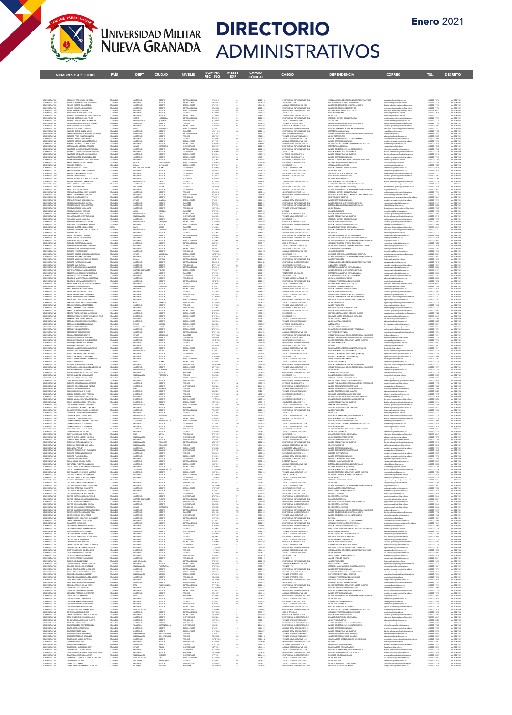

NOMBRES Y APELLIDOS PAÍS DEPT CIUDAD NIVELES NOMINA MESES CARGO CARGO DEPENDENCIA<br>FEC ING EXP CÓDIGO CARGO DEPENDENCIA

# UNIVERSIDAD MILITAR DIRECTORIO<br>NUEVA GRANADA ADMINISTRATIVOS

**Example 2019**<br>The CORREO

| ADMINISTRATIVO<br>ADMINISTRATIVO                                            | ACERO LOPEZ NATHALY JOHANNA<br>ACEVEDO BARRIGA MARIA DE LA CRUZ                                                                                             | COLOMBIA<br>COLOMBIA                                     | DOGOTA D.C                                               |                                                   | ESPECIALIZACION<br>BACHILLERATO                                                        | 2/1/2013<br>12/2/2013                    |                                    | 2028-16<br>4178-12            | PROFESIONAL ESPECIALIZADO 16-N                                                                                                                                                                                          | OFICINA ASESORA DE DIRECCIONAMENTO ESTRATEGICO                                                                                                                                                                                                   | planeacion@unimātar.edu.co<br>cinv.derecho@unimātar.edu.co                                                                                                                                                                                          |
|-----------------------------------------------------------------------------|-------------------------------------------------------------------------------------------------------------------------------------------------------------|----------------------------------------------------------|----------------------------------------------------------|---------------------------------------------------|----------------------------------------------------------------------------------------|------------------------------------------|------------------------------------|-------------------------------|-------------------------------------------------------------------------------------------------------------------------------------------------------------------------------------------------------------------------|--------------------------------------------------------------------------------------------------------------------------------------------------------------------------------------------------------------------------------------------------|-----------------------------------------------------------------------------------------------------------------------------------------------------------------------------------------------------------------------------------------------------|
| <b>ADMINISTRATIVO</b><br>ADMINISTRATIVO                                     | ACOSTA CASTRO OSCAR FABIAN<br>ACOSTA CUEVAS AURORA MARIA                                                                                                    | <b>COLOMBIA</b><br>COLOMBIA                              | DOGOTA D.C<br>DOGOTA D.C.<br>DOGOTA D.C                  | BOGOT/<br>BOGOT/<br>BOGOTA                        | <b>BACHILLERATO</b><br>ESPECIALIZACION                                                 | 9/16/2019<br>3/2/2004                    |                                    | 4044-20<br>2028-10            | SECRETARIO 12-N<br>AUXILIAR ADMINISTRATIVO 20-N<br>PROFESIONAL ESPECIALIZADO 16-N                                                                                                                                       | CENTRO INVESTIGACIONES DE DERECHO<br>DIVISION DE ADMISIONES, REGISTRO Y CONTR<br>DIVISION DE RECURSOS EDUCATIVOS                                                                                                                                 | division admisiones@unimilitar.edu.co<br>ecursos educativos@unimilitar.edu.co                                                                                                                                                                       |
| ADMINISTRATIVO<br>ADMINISTRATIVO                                            | ACUÑA DARRANTES HENRY<br>AGUASACO ORTIZ HUGO JULIAN                                                                                                         | COLOMBIA<br><b>COLOMBIA</b>                              | DOGOTA D.C<br>DOGOTA D.C                                 | BOGOTA<br>BOGOTA                                  | ESPECIALIZACIÓN<br>TECNICO                                                             | 2/2/2004<br>3/1/2003                     | 200<br>215                         | 2028-10<br>3100-12            | PROFESIONAL ESPECIALIZADO 16-N<br>TECNICO 12                                                                                                                                                                            | DECANATURA ESTUDIOS A DISTANCIA<br>DIVISION FINANCIERA                                                                                                                                                                                           | educacion distancia@unimilitar.edu.co<br>financiera@unimilitar.edu.co                                                                                                                                                                               |
| ADMINISTRATIVO<br>ADMINISTRATIVO                                            | AGUDELO BUENAVENTURA ESTEBAN ITACHI<br><b>AGUDELO RODRIGUEZ LUIS FELIPE</b>                                                                                 | <b>COLOMBIA</b><br><b>COLOMBIA</b>                       | BOGOTA D.C.<br>QUINDIO                                   | BOGOTA<br>LA TEBADA                               | <b>BACHILLERATO</b><br>ESPECIALIZACION                                                 | 1/1/2006<br>5/9/2010                     | 107                                | 4064-13<br>2028-12            | AUXILIAR SERV. GENERALES 13-N<br>PROFESIONAL ESPECIALIZADO 12-N                                                                                                                                                         | <b>DIELIOTECA</b><br>DIRECCION GESTION ADMINISTRATIVA                                                                                                                                                                                            | biblioteca (lunimilitar.edu.co<br>instituto posgrado siliunimilitar edu co                                                                                                                                                                          |
| <b>ADMINISTRATIVO</b><br><b>ADMINISTRATIV</b>                               | AGUDELO VARGAS FREDY ALEXANDER<br>MAGIL NATITE ROSSED RAJUAN                                                                                                | COLOMBIA<br>OLOMBIA                                      | CUNDINAMARO<br>DOGOTA D.C.                               | QUETAME<br>COOL                                   | CORNTROLTARIO<br>ECNICO                                                                | 1/1/2004<br>2/1/2014                     | 202                                | 3132-14<br>2122-1-            | TECNICO OPERATIVO 14 N<br>TECNICO OPERATIVO 144                                                                                                                                                                         | SALA INTERNET<br><b>JON DE ADMISIONES, REGISTRO Y CONTR</b>                                                                                                                                                                                      | .<br>Svision admisiones@unimilitar.edu.co<br>Svision admisiones@unimilitar.edu.co                                                                                                                                                                   |
| <b>ADMINISTRATIV</b><br><b>ADMINISTRATIVO</b><br><b>ADMINISTRATIVO</b>      | AGUILAR DIAZ CARLOS JAWER<br>AGUILERA GUTIERREZ CONSUELO<br>ALARCON SAENZ DANIEL ARLEY                                                                      | COLOMBIA<br>COLOMBIA<br>COLOMBIA                         | DOGOTA D.C.<br>TOLIMA<br>DOGOTA D.C.                     | accory<br>VILLARISCA<br>BOGOTA                    | BACHILLERATO<br>ESPECIALIZACION<br>MAGISTER                                            | (25/201<br>(2/2011<br>2/4/1995           | 12                                 | 2044-16<br>2028-14            | CHEUCTOR MECANICO 19-8<br>ROFESIONAL UNIVERSITARIO 10-N<br>PROFESIONAL ESPECIALIZADO 16-N                                                                                                                               | DIVISION SERVICIOS GENERALES<br>DIVISION DE EXTENSION Y PROVECCION SOCIAL<br>ORIA ACADEMICA                                                                                                                                                      | os generales@unimilitar.edu.co<br>cion.continuada@unimilitar.edu.c<br>educaci<br>icacd@unimilitar.edu.co                                                                                                                                            |
| <b>ADMINISTRATIVO</b>                                                       | ALBARRACIN BARRETO WILLIAM FERN                                                                                                                             | COLOMBIA                                                 | BOGOTA D.C                                               | BOGOTA                                            | ESPECIALIZACION                                                                        | 1/16/2019                                |                                    | 1045-10                       | JEFE OFICINA ASESORA 12                                                                                                                                                                                                 | ORCINA TECNOLOGIAS DE LA INFORMACIÓN Y COMUNICAD                                                                                                                                                                                                 | .<br>Imilitar edu co                                                                                                                                                                                                                                |
| ADMINISTRATIVO<br>ADMINISTRATIVO<br>ADMINISTRATIVO<br>ADMINISTRATIVO        | ALBARKALIN BARRI IU WILLIAM FER<br>ALFONSO FINERA DIANA FACIA<br>ALFONSO FINERA DIANA FACIA<br>ALFONSO FODRIGUEZ JORGE DUVAN<br>ALTAMERANDA MENDOZA ORLANDO | COLOMBIA<br>COLOMBIA<br>COLOMBIA<br>COLOMBIA<br>COLOMBIA | ESCOTA D.C.<br>BOGOTA D.C.<br>BOGOTA D.C.<br>BOGOTA D.C. | BOGOTA<br>BOGOTA<br>BOGOTA<br>BOGOTA<br>CARTAGENA | TECNICO<br>TECNICO<br>BAGHILISATO<br>BAGHILISATO<br>ISPECIALIZAGION<br>ESPECIALIZAGION |                                          | $\frac{1}{113}$<br>$\frac{1}{113}$ |                               | JEFE OFICINA ASBOGAN<br>TECNICO SERV ASISTENCIALES 12<br>TECNICO AGMINISTRATIVO 14-N<br>AUXUJAR ADMINISTRATIVO 12-N<br>AUXUJAR SERV, GENERALES 07-N<br>PROFESIONAL ESPECIALIZADO 12-N<br>PROFESIONAL ESPECIALIZADO 12-N | UNIONAL REPORTERAS DE LA REGIONALISTA Y CERRETALES<br>LAR DE ESTRUCTURAS<br>DIVISON SERVICIOS GENERALES<br>DIVISON SERVICIOS GENERALES<br>DIVISON SERVICOS GENERALES<br>VICENA ASESORA DE COSECCORAMIENTO ESTRATEGICO<br>VICENA ASESORA DE CALEN | ticipummisticecu.co<br>talentologijummilitacedu.co<br>talento.humano@unimilitacedu.co<br>pranocion@unimilitacedu.co<br>pranocion@unimilitacedu.co<br>vicegen@unimilitacedu.co<br>talento.humano@unimilitacedu.co<br>talento.humano@unimilitacedu.co |
| ATAANSTRATIL<br>ADMINISTRATIVO                                              | ALVARADO ALVARADO VEIMMY TATIANA                                                                                                                            | COLOMBIA                                                 | DOGOTA D.C                                               | BOGOTA                                            |                                                                                        | 2/2/2004                                 | 204                                | 2028-1                        | PROFESIONAL ESPECIALIZADO 16 N                                                                                                                                                                                          |                                                                                                                                                                                                                                                  |                                                                                                                                                                                                                                                     |
| ADMINISTRATIVO<br>ADMINISTRATIVO                                            | ALVARADO CASTELLANOS DIANA MILENA<br>ALVARADO GONZALEZ JOSE MAURICIO                                                                                        | COLOMBIA<br>COLOMBIA                                     | DOGOTA D.C<br>DOGOTA D.C                                 | BOGOTA<br>BOGOTA                                  | TECNOLOGO<br><b>BACHILLERATO</b>                                                       | 4/16/2007<br>0/1/2016                    | 165<br>$^{54}$                     | 3100-17<br>4169-15            | TECNICO 17-N<br>OPERARIO CALIFICADO 15 N                                                                                                                                                                                | DIVISION ADMINISTRATIVA - CAMPUS<br>DIVISION ADMINISTRATIVA - CAMPUS                                                                                                                                                                             | dvision admcampus@unimilitar.edu.co<br>dvision admcampus@unimilitar.edu.co                                                                                                                                                                          |
| <b>ADMINISTRATIVO</b><br><b>ADMINISTRATIVO</b>                              | ALVAREZ AGUIRRE EDWIN ALEXANDER<br>ALVAREZ BUTRAGO CLAUDIA ESPERANZA                                                                                        | COLOMBIA<br>COLOMBIA                                     | BOGOTA D.C<br>BOGOTA D.C                                 | BOGOTA<br>BOGOTA                                  | BACHILLERATO<br>UNIVERSITARS                                                           | 1/22/2012<br>on nees                     | 10 <sup>1</sup>                    | 4169-11<br>4210-16            | OPERARIO CALIFICADO 11-N<br>SECRETARIO EJECUTIVO 16-A                                                                                                                                                                   | DIVISION SERVICIOS GENERALES<br>PREGRADO RELACIONES INTER Y ESTUDIOS POLITICOS                                                                                                                                                                   | servicios generales@unimilitar.edu.co<br>relintemal@unimilitar.edu.co                                                                                                                                                                               |
| ACMINISTRATIV<br>ACMINISTRATIV                                              | AMAYA SANCHEZ GLORIA BEATRIZ<br>ANDRADE GABRIELA                                                                                                            | COLOMBIA<br>COLOMBIA                                     | DOYACA<br>TOLIMA                                         | SAN EDUAR<br>ALPUJARRA                            | ESPECIALIZACIO<br>DACHILLERATO                                                         |                                          |                                    |                               | SECRETARIO EJECUTIVO 20-I<br>SECRETARIO 12-N                                                                                                                                                                            | DECANATURA CIENCIAS ECONOMICAS<br>OFICINA ASESORA JURIDICA                                                                                                                                                                                       | faciecon@unimiltar.edu.co<br>juridica@unimilitar.edu.co                                                                                                                                                                                             |
| ADMINISTRATIVO<br>ADMINISTRATIVO                                            | ANGARITA AREVALO MARIO<br>ANGARITA ARIAS LILIANA FERNANDA                                                                                                   | COLOMBIA<br>COLOMBIA                                     | NORTE DE SANT<br>DOGOTA D.C.                             | <b>OCANA</b><br>BOGOTA                            | TECNOLOGO<br>TECNOLOGO                                                                 | 2/15/2016<br>2/9/2010                    |                                    | 2122-12<br>3128-13            | TECNICO OPERATIVO 13-N<br>TECNICO SERV ASISTENCIALES 13<br>SECRETARIO EJECUTIVO 16-N                                                                                                                                    | DIVISION DE LABORATORIOS - CAMPUS<br>LAB. DE ING. CIVIL                                                                                                                                                                                          | aboratorice@unimilitar.edu.c<br>laboratorice@unimilitar.edu.co                                                                                                                                                                                      |
| <b>ADMINISTRATIVO</b><br><b>ADMINISTRATIVO</b><br><b>ADMINISTRATIVO</b>     | ANGULO GOMEZ MONICA MARIA<br>APONTE CASTILLO FABIO<br>APONTE RODRIGUEZ JORGE ALEXANDER                                                                      | <b>COLOMBIA</b><br>COLOMBIA<br>COLOMBIA                  | BOGOTA D.C.<br>BOGOTA D.C<br>BOGOTA D.C                  | BOGOT/<br>BOGOTA<br>BOGOTA                        | TECNOLOGO<br>TECNICO<br>DOCTORADO                                                      | 2/2/2004<br>1/1/2016<br>125/2010         | 204                                | 4210-16<br>4169-15<br>oos:    | OPERARIO CALIFICADO 15-N<br>DECANO                                                                                                                                                                                      | DIRECCION GESTION ADMINISTRATIVA<br>DIVISION SERVICIOS GENERALES<br>DECANATURA INGENERIA                                                                                                                                                         | instituto posprados@unimilitar.edu.co<br>servicios generales (Junimilitas edu co<br>dec ingl lunimilitas edu co                                                                                                                                     |
| ADMINISTRATIV                                                               | ARAQUE PINEDA WILLIAM ANTONIO                                                                                                                               | OLOMEN                                                   | DOGOTA D.C                                               | CARCA<br>BOGOTA                                   | CNCO<br>TECNOLOGO                                                                      | 2/2/2014                                 |                                    |                               | UXILIAR SERV. GENERALES 07-N                                                                                                                                                                                            | ASION ADMINISTRATIVA - CAMPUS                                                                                                                                                                                                                    | ision admcampus@unimilitar.edu.cr                                                                                                                                                                                                                   |
| ADMINISTRATIVO<br>ADMINISTRATIVO<br>ADMINISTRATIVO                          | ARDILA PEDRAZA JOICE VIVIAN<br>ARDILA PINEDA ESNEDA<br>RIEVAL SAG2D AGR AJDER                                                                               | COLOMBIA<br>COLOMBIA<br><b>COLOMBIA</b>                  | SANTANDER<br>DOGOTA D.C.                                 | SUDRE<br>BOGOTA                                   | TECNICO<br>TECNOLOGO                                                                   | 0/20/2014<br>7/17/2017                   |                                    | 3100-12<br>4210-16<br>4169-15 | TECNICO 12<br>SECRETARIO EJECUTIVO 16-N<br>OPERARIO CALIFICADO 15-N                                                                                                                                                     | DIVISION DE EXTENSION Y PROVECCION SOCIAL<br>DEPARTAMENTO QUIMICA (CAMPUS)<br>OFICINA TECNOLOGIAS DE LA INFORMACIÓN Y COMUNICAC                                                                                                                  | educacion continuada (junimilitar edu co<br>departamento, química (junimilitar edu co<br>tic@unimilitar.edu.co                                                                                                                                      |
| ADMINISTRATIVO<br><b>ADMINISTRATIVO</b>                                     | ARE VALO BARRAGAN CINDY XIOMARA<br>AREVALO HERNANDEZ ADRIANA                                                                                                | <b>COLOMBIA</b><br>COLOMBIA                              | DOGOTA D.C.<br>BOGOTA D.C                                | BOGOTA<br>BOGOTA                                  | TECNEO<br>ESPECIALIZACION                                                              | 0/5/2014<br>0/2/2010                     |                                    | 4210-16<br>2044-02            | SECRETARIO EJECUTIVO 16 N<br>PROFESIONAL UNIVERSITARIO 03 N                                                                                                                                                             | DIRECCION GESTION ADMINISTRATIVA<br>DIVISION PUBLICACIONES, COMUNICACIONES Y MERCADED                                                                                                                                                            | instituto posprados@unimilitar.edu.co<br>cublicaciones@unimilitar.edu.co                                                                                                                                                                            |
| .<br>Acaenistrativ<br>Acaenistrativ                                         | AREVALO JORGE AUGUSTO<br>AREVALO PERILLA SANDRA LILENA                                                                                                      | COLOMEN<br>COLOMEN                                       | ECODTA D.C.<br>ECOYACA                                   | BOGOTA<br>ALMEID                                  | TECNOLOGO<br>BACHILLERATO                                                              |                                          |                                    |                               | .<br>Tecnico 12<br>Kuxular serv. Generales 13-n                                                                                                                                                                         | AUDIOVISUALES - CAMPUS<br>ENVIRON SERVICIOS GENERALES                                                                                                                                                                                            | paanusterengeventuur van de volgeningster<br>servicies generales (junimilitat edu co<br>campus cajica (junimilitat edu co<br>ediorial(junimilitat edu co<br>ediorial(junimilitat edu co                                                             |
| ACMENISTRATIVO<br>ACMENISTRATIVO<br><b>ADMINISTRATIVO</b>                   | ARIAS CLAVUO GLADYS JOHANA<br>ARIAS SANABRIA CARLOS ARTURO<br>CIRIAL MHOL SINGGALIZY ZAIRA                                                                  | COLOMBIA<br>COLOMBIA                                     | DOGOTA D.C<br>DOGOTA D.C<br>DOGOTA D.C.                  | BOGOTA<br>BOGOTA<br>BOGOTA                        | MAGISTER<br>MAGISTER<br>TECNOLOGO                                                      | 9/9/2019<br>9/13/2019<br>12/3/2010       |                                    | 2028-10<br>2028-22<br>2128-11 | PROFESIONAL ESPECIALIZADO 12-N<br>PROFESIONAL ESPECIALIZADO 23 N<br>TECNICO SERV ASISTENCIALES 11                                                                                                                       | DIVISION DE MEDIO UNIVERSITARIO, EXTENSI<br>EDITORIAL DE COMUNICACION CIENTIFICA, AC<br>LAB. DE QUIMICA                                                                                                                                          | departamento quimica@unimilitar.edu.co                                                                                                                                                                                                              |
| <b>ADMINISTRATIVO</b><br><b>ADMINISTRATIVO</b>                              | ARAS VIVAS JAVIER HERNAN<br>ARZA SANCHEZ CARLOS JULIO                                                                                                       | COLOMBIA<br>COLOMBIA                                     | CAUCA<br>CUNDINAMARCA                                    | CORNTO<br>CHM                                     | MAGISTER<br>BACHILLERATO                                                               | 9/18/2019<br>1/10/2021                   |                                    | 0005-10<br>4103-19            | DECANO<br>CONDUCTOR MECANICO 19-N                                                                                                                                                                                       | DECANATURA FARIES<br>DIVISION SERVICIOS GENERALES                                                                                                                                                                                                | factelintemal@unimilitar.edu.co<br>servicios, cenerales@unimilitar.edu.co                                                                                                                                                                           |
| <b>ADMINISTRATIV</b><br>CMINISTRATI                                         | AVILA CAMARGO JENNY CAROLINA<br>AVILA RUZ MARIA CAROLINA                                                                                                    | <b>COLOMBIA</b><br>COLOMBIA                              | CUNDINAMARCA<br>OGOTA D.C                                | CAJICA<br>BOGOTA<br>ZIPAQUIRA                     | INVERSITARI<br>NGHILERATI                                                              |                                          |                                    | 3126-14<br>4178-15            | TECNICO ADMINISTRATIVO 14-N<br>SECRETARIO 12-N                                                                                                                                                                          | .<br>Division Administrativa - Campus<br>Dirección Gestion Administrativ                                                                                                                                                                         | .<br>dvision admcampus@unimilitar.edu.co<br>instituto.pos.grados@unimilitar.edu.co                                                                                                                                                                  |
| ADMINISTRATIVO<br>ADMINISTRATIVO                                            | AYALA ROCHA DIEGO ALEXANDER<br><b>DAHAMON ALVARADO NURTH FARIDE</b>                                                                                         | COLOMBIA<br>COLOMBIA                                     | CUNDINAMARCA<br>BOGOTA D.C.                              | BOGOTA                                            | BACHILLERATO<br>ESPECIALIZACION                                                        | 11/5/2019<br>A/12/2005                   | $\frac{15}{104}$                   | 4103-11<br>2044-10            | CONDUCTOR MECANICO 19-8<br>PROFESIONAL UNIVERSITARIO 10-N                                                                                                                                                               | DIVISION SERVICIOS GENERALES<br>DIVISION DE BIENESTAR UNIVERSITARIO                                                                                                                                                                              | servicios generales@unimilitar.edu.co<br>bienestan@unimilitar.edu.co                                                                                                                                                                                |
| ADMINISTRATIVO<br><b>ADMINISTRATIVO</b><br><b>ADMINISTRATIVO</b>            | <b>BARBOSA DUARTE LUCIDIO NERELI</b><br>BARBOSA FONTECHA CARLOS AUGUSTO<br>BARBOSA NELLY                                                                    | <b>BRAZE</b><br>COLOMBIA<br>COLOMBIA                     | DRAZIL<br>CUNDINAMARY #<br>DOGOTA D.C.                   | BRAZIL<br>CHPAQUE<br><b>BOGOTA</b>                | MAGISTER<br>ESPECIALIZACIÓN<br>TECNECO                                                 | 1/1/2020<br>11/3/2020<br>7/17992         | 12<br>342                          | 0005-10<br>2028-22<br>4064-12 | DECAND<br>PROFESIONAL ESPECIALIZADO 23-N<br>AUXILIAR SERV, GENERALES 13-N                                                                                                                                               | DECANATURA ESTUDIOS A DISTANCIA<br>DIVISION DE EXTENSION Y PROVECCION SOCIAL<br><b>BRUCERS</b>                                                                                                                                                   | educacion distancia@unimilitar.edu.co<br>educacion continuada Eunimilitar edu ci<br>biblioteca@unimilitar.edu.co                                                                                                                                    |
| ACMINISTRATIV<br>ACMINISTRATIV                                              | iaron hernaadez pallina<br>iaron martin erka andrea                                                                                                         | COLOMBIA<br>COLOMBIA                                     | BOGOTA D.C<br>BOGOTA D.C                                 | BOGOTA<br>BOGOTA                                  | ESPECIALIZACIÓN<br>MAGISTER                                                            |                                          |                                    |                               | PROFESIONAL ESPECIALIZADO 12 N<br>PROFESIONAL ESPECIALIZADO 12 N                                                                                                                                                        | VICERRECTORIA CAMPUS NUEVA GRANADA<br>OFICINA ASESORA RELACIONES INTERNACIONALES<br>OFICINA TECNOLOGIAS DE LA INFORMACION Y COMUNICAC                                                                                                            | campus.cajca@unimiltar.edu.c<br>relinter@unimiltar.edu.co                                                                                                                                                                                           |
| ADMINISTRATIVO<br>ADMINISTRATIVO                                            | BARRANTES ARMS YOLIMA<br><b>DARRAZA BARRERA SARA MARU</b>                                                                                                   | COLOMBIA<br>COLOMBIA                                     | DOGOTA D.C<br>DOGOTA D.C                                 | accot<br>BOGOTA                                   | ESPECIALIZADE<br>ESPECIALIZACIÓN                                                       | 2/2/2004<br>0/20/2019                    | 204                                | 2044-10<br>0137-17            | PROFESIONAL UNIVERSITARIO 10-N<br>JEFE DE OFICINA 17                                                                                                                                                                    | OFICINA DE CONTROL INTERNO DE GESTION                                                                                                                                                                                                            | tic@unimilitar.edu.co<br>control interno@unimilitat edu co                                                                                                                                                                                          |
| ADMINISTRATIVO<br>ADMINISTRATIVO                                            | DARRERA HERRERA JENNY CONSUELD<br>INSTERA PEDROZA SANDRA YOLIMA                                                                                             | COLOMBIA<br>COLOMBIA                                     | DOGOTA D.C<br>BOGOTA D.C                                 | BOGOTA<br>BOGOTA                                  | TECNECO<br>BADHLLERATO                                                                 | 2/9/2017<br>2/8/2011                     |                                    | 3234-12<br>4210-14            | TECNICO AREA DE LA SALUD 12<br>SECRETARIO EJECUTIVO 16-N                                                                                                                                                                | LAB. DE INVESTIGACION ENFERMEDADES INFECCIOSAS<br>VICEDECANATURA INGENIERIA                                                                                                                                                                      | abmedicina@unimilitar.edu.co<br>vice ing@unimilitar.edu.co                                                                                                                                                                                          |
| <b>ADMINISTRATIVO</b><br>ADMINISTRATIV                                      | <b>DARRERA PEREZ MARLENY</b><br>DARRERA UDAÇUE JASBLEIDY ALEXANDRI<br>BARRERA WILLIAMS CAROLINA<br>BARRERO MAHECHA NYOIA ESPERANZA                          | COLOMBIA<br>CLOMBIA                                      | DOGOTA D.C.<br><b>OYACA</b>                              | BOGOTA                                            | TECNOLOGO<br>MOILLERATO                                                                | 7/2002                                   | 211                                | 4044-20                       | AUXILIAR ADMINISTRATIVO 20-N<br>ECRETARIO 12-N                                                                                                                                                                          | <b>FECANATION EADITS</b><br>PREGRADO INGENIERA MECATRONICA (CAMPUS)<br>OFICINA TECNOLOGIAS DE LA INFORMACIÓN Y COMUNICAC                                                                                                                         | .<br>malifunimilitar.edu.c<br>recatronica campus@unimilitar                                                                                                                                                                                         |
| ADMINISTRATIVO<br>ADMINISTRATIVO<br>ADMINISTRATIVO                          | <b>BARRERO PALZ PAULA LILIANA</b>                                                                                                                           | COLOMBIA<br>COLOMBIA<br><b>COLOMBIA</b>                  | BOGOTA D.C.<br><b>TOLIMA</b><br>DOGOTA D.C.              | DOGOTA<br>ESPINA<br>BOGOTA                        | UNIVERSITARIO<br>ESPECIALIZACION<br>ESPECIALIZACION                                    | 6/20/2017<br>10/19/1999<br>9/2/2014      | $\frac{42}{25}$                    | 2124-12<br>2028-16<br>2044-00 | TECNICO ADMINISTRATIVO 12-N<br>FROFESIONAL ESPECIALIZADO 16-N<br>PROFESIONAL UNIVERSITARIO DE-N                                                                                                                         | DIVISION FINANCIERA<br>OFICINA ASESORA DE DIRECCIONAMENTO ESTRATEGICO                                                                                                                                                                            | tic@unimilitar.edu.co<br>financiera@unimilitar.edu.co<br>planeacion@unimilitar.edu.co                                                                                                                                                               |
| ADMINISTRATIVO<br><b>ADMINISTRATIVO</b>                                     | <b>BARRETO DIAZ CLAUDIA</b><br>BAUTISTA CRUISILA WILSON ANTONIO                                                                                             | <b>COLOMBIA</b><br>COLOMBIA                              | BOGOTA D.C.<br>BOGOTA D.C                                | BOGOTA<br>BOGOTA                                  | TECNOLOGO<br>ESPECIALIZACION                                                           | 4/17/1995<br>5/3/2016                    | $_{\rm 77}$<br>200                 | 4210-16<br>2028-12            | SECRETARIO EJECUTIVO 16-N<br>PROFESIONAL ESPECIALIZADO 12-N                                                                                                                                                             | CONSULTORIO JURIDICO<br>MEEDDEETODIA CAMELIS NI IEVA GRANADA                                                                                                                                                                                     | consultario juridico@unimilitar.edu.co                                                                                                                                                                                                              |
| <b>ADMINISTRATIVO</b><br><b>ATAANSTEATIL</b>                                | BAUTISTA PARADA CLAUDIA PATRICIA<br>ECCERRA PACHECO GUSTAVO ENRIQUI                                                                                         | COLOMBIA<br>COLOMBIA                                     | NORTE DE SAN<br>DOGOTA D.C                               | TOLEDO<br>accot.                                  | BACHILLERATO<br>MAGISTER                                                               | 7/1/2017<br>1/16/201                     |                                    | 2100-12                       | TECNICO 12<br>ACERRECTOR GENERAL 19                                                                                                                                                                                     | DIVISION DE MEDIO UNIVERSITARIO, EXTENI<br>.<br>WEERRECTORIA CAMPUS NUEVA GRA                                                                                                                                                                    | .<br>campus.cajica@unimiltar.edu.co<br>campus.cajica@unimiltar.edu.co<br>:<br>ampus.cajica@unimiltar.edu.c                                                                                                                                          |
| ADMINISTRATIVO<br>ADMINISTRATIVO                                            | BEDOVA VELASQUEZ VALENTINA<br>BE JARANO MARTINEZ CARLOS GUSTAVO                                                                                             | COLOMBIA<br>COLOMBIA                                     | DOGOTA D.C<br>DOGOTA D.C                                 | BOGOTA<br>BOGOTA                                  | TECNOLOGO<br>TECNOLOGO                                                                 | 5/22/201<br>1/16/1995                    | 212                                | 4178-12<br>3234-15            | SECRETARIO 12 N<br>TECNICO AREA DE LA SALUD 15                                                                                                                                                                          | VICEDECANATURA CIENCIAS ECONOMICAS<br>LAB. DE MORFOFISIOPATOLOGIA                                                                                                                                                                                | vicedec economia@unimilitar.edu.c<br>militar edu co<br>labmedicina@uni                                                                                                                                                                              |
| <b>ADMINISTRATIVO</b><br><b>ADMINISTRATIVO</b>                              | BEJARANO NOVOA MARIA ELIZABETH<br>BELALCAZAR BENITEZ JANETH ALEJANDRA<br>BELOCASTILO LIZ ALBORA                                                             | COLOMBIA<br>COLOMBIA                                     | DOGOTA D.C.<br>DOGOTA D.C.                               | BOGOTA<br>BOGOTA                                  | ESPECIALIZACION<br>TECNEO                                                              | 10/16/2019<br>2/2/2004                   | 204                                | 2028-12<br>2122-12            | PROFESIONAL ESPECIALIZADO 12-N<br>TECNICO OPERATIVO 12-N<br>SECRETARIO E IECUTIVO 14.N                                                                                                                                  | OFICINA DE PROTECCION DEL PATRIMONIO<br>DECANATURA ESTUDIOS A DISTANCIA                                                                                                                                                                          | juridica@unimilitar.edu.co<br>educacion distancia@unimilitar.edu.co                                                                                                                                                                                 |
| <b>ADMINISTRATIVO</b><br><b>ADMINISTRATIV</b>                               | BELLO HERNANDEZ JUAN CARLOS<br>BELTRAN BE JARANO GUILLERINO                                                                                                 | COLOMBIA<br>COLOMBIA<br>COLOMBIA                         | CUNDINAMARC<br><b>DOOTA D.C.</b><br>DOOTA D.C.           | ZPAQURA<br>accotx<br>accotx                       | BACHILLERATO<br>BADILLERATO<br>TECNICO                                                 | 6/1/2017                                 |                                    | 4210-16<br>4064-13<br>4064-13 | AUXILIAR SERV. GENERALES 13-1<br>AUXILIAR SERV. GENERALES 13-1                                                                                                                                                          | PREGRADO ECONOMIA (CAMPUS)<br>DIVISION DE LABORATORIOS - CAMPUS<br>DIVISION SERVICIOS GENERALES                                                                                                                                                  | economia@unimilitar.edu.co                                                                                                                                                                                                                          |
| <b>ADMINISTRATIVO</b><br>ADMINISTRATIVO                                     | BELTRAN RIAÑO WEYMAR GERMAN<br>BELTRAN RODRIGUEZ SONIA ANDREA                                                                                               | COLOMBIA<br>COLOMBIA                                     | DOGOTA D.C<br>DOGOTA D.C                                 | BOGOTA<br>BOGOTA                                  | UNIVERSITARIO<br>TECNICO                                                               | 12/3/2010<br>11/12/2010                  | $^{26}$                            | 3128-12<br>4178-12            | TECNICO SERV ASISTENCIALES 12<br>SECRETARIO 12-N                                                                                                                                                                        | LABORATORIOS DE ELECTRONICA Y COMUNICAC<br>DIVISION DE EXTENSION Y PROVECCION SOCIAL                                                                                                                                                             | esanamaguammilitar edu co<br>taboratorica@unimilitar edu co<br>taboratorica@unimilitar edu co<br>taboratorica@unimilitar edu co<br>educacion continuada@unimilitar edu co                                                                           |
| ADMINISTRATIVO<br>ADMINISTRATIVO                                            | BELTRAN VILLAMIL EDGAR ARNULFO<br>DENAVIDES CONTRERAS LINDA YURANI                                                                                          | COLOMBIA<br>COLOMBIA                                     | DOGOTA D.C.<br>META                                      | BOGOTA<br>GRANADA                                 | ESPECIALIZACIÓN<br><b>UNIVERSITARIO</b>                                                | 6/1/2017<br>8/12/2019                    |                                    | 2028-16<br>3128-13            | PROFESIONAL ESPECIALIZADO 16 N<br>TECNICO SERV ASISTENCIALES 13                                                                                                                                                         | DIRECCION ACADEMICA DE DESARROLLO MULTIN<br>LAB, DE PAVIMENTOS                                                                                                                                                                                   | ingmultimedia@unimilitar.edu.co<br>ingenieria pavimentos@unimilitar.edu.cc                                                                                                                                                                          |
| ADMINISTRATIVO                                                              | RENAMINES DADDA   17 MEDICENSS                                                                                                                              | COLOMBIA                                                 | DOGOTA D.C.                                              | BOGOTA                                            | TECNECO                                                                                | 11/3/2009                                | 125                                | 3124-16                       | TECNICO ADMINISTRATIVO 16.N                                                                                                                                                                                             | DIVISION FINANCIERA                                                                                                                                                                                                                              | coube submitted entry                                                                                                                                                                                                                               |
| ADMINISTRATIV<br>ADMINISTRATIV                                              | <b>EENTEZ BARRERA CAMILA ANDRE.</b><br>BENITEZ BLANDON ONO HIPOLITO<br>DENITEZ PINZON MISHELL ALEJANDRA<br>DERMUDEZ ACOSTA INDIRA TATIANA DEL PILAR         | COLOMBIA<br>COLOMBIA                                     | BOGOTA D.C<br>BOGOTA D.C<br>DOGOTA D.C                   | accoti<br>accoti<br>BOGOTA                        | .<br>Noversitare<br>Norillerati                                                        | 4/12/201                                 |                                    | 4178-12                       | .<br>Secretario ejecutivo 16-N<br>Auxiliar Serv. Generales 13-1                                                                                                                                                         | DIRECCIÓN GESTIÓN ADMINISTR<br>DIVISIÓN SERVICIOS GENERALES<br>CENTRO INVESTIGACIONES CIENCIAS BASICAS                                                                                                                                           | instituto posgrados@unimilitar.edu.co<br>servicios.generales@unimilitar.edu.co                                                                                                                                                                      |
| ADMINISTRATIVO<br>ADMINISTRATIVO<br><b>ADMINISTRATIVO</b>                   | DERMUDEZ NIÑO MARIA AMPARO                                                                                                                                  | COLOMBIA<br>COLOMBIA<br>COLOMBIA                         | DOGOTA D.C<br>DOGOTA D.C.                                | BOGOTA<br>BOGOTA                                  | BACHILLERATO<br>BACHILLERATO<br>TECNECO                                                | 5/16/201<br>1/25/2016                    | 60                                 | 4178-12<br>2128-11            | SECRETARIO 12 N<br>SECRETARIO 12 N<br>TECNICO SERV ASISTENCIALES 11                                                                                                                                                     | REGRADO ADMON SEGURIDAD A DISTANCIA<br>LAB. DE QUIMICA CAMPUS                                                                                                                                                                                    | investgaciones biologia@unimilitar.edu.ci<br>asso distancia@unimilitar.edu.co<br>lab cienciasb@unimilitar.edu.co                                                                                                                                    |
| ADMINISTRATIVO<br><b>ADMINISTRATIVO</b>                                     | BERNAL CHAMORRO ANDRES LIBARDO<br><b>REDNAL CONTALEZEDNA VOL BAR</b>                                                                                        | COLOMBIA<br>COLOMBIA                                     | DOGOTA D.C.<br>DOYACA                                    | BOGOTA<br>SORADA                                  | <b>BACHILLERATI</b><br>BACHILLERATO                                                    | /26/2016<br>66/2020                      |                                    | 2128-11<br>meno               | TECNICO SERV ASISTENCIALES 11<br>OPERARIO CALIFICADO 07-N                                                                                                                                                               | LAB. DE MATERIALES CAMPUS<br>NUTDNADTOOS                                                                                                                                                                                                         | aboratorico@unimilitar.edu.co<br>ac ciencias bisalbunimilitar edu.c                                                                                                                                                                                 |
| ADMINISTRATIVO<br>ADMINISTRATIVO<br>ADMINISTRATIVO                          | BETANCOURT SEGURA ELVIRA                                                                                                                                    | COLOMBIA                                                 | INDINAMARO<br>3GOTA D.C.<br>DOGOTA D.C.                  | LAMESA<br>BOGOTA                                  | TECNOLOGO<br>IACHILLERATO<br>ESPECIALIZACION                                           | 5/16/1996                                | 296                                | 4044-22                       | ECRETARIO EJECUTIVO 16-N<br>ECRETARIO 12-N<br>AUXILIAR ADMINISTRATIVO 23 N                                                                                                                                              | DEPARTAMENTO DE QUIMICA<br>DECANATURA CIENCIAS BASICAS Y APLICADAS<br>PROVECTOS DE EXTENSION                                                                                                                                                     | epartamento. quimica@unimilitar.edu.co<br>iologia.aplicada@unimilitar.edu.co<br>ingenieria giproyectos@unimilitar.edu.ci                                                                                                                            |
| ADMINISTRATIVO<br>ADMINISTRATIVO                                            | <b>BOHADA RODRIGUEZ JANETH</b><br><b>BOHORQUEZ APARICIO ARMANDO</b>                                                                                         | <b>COLOMBIA</b><br><b>COLOMBIA</b>                       | DOYACA<br>BOGOTA D.C.                                    | SOGAMOSO<br>BOGOTA                                | MAGISTER<br>TECNOLOGO                                                                  | 3/19/2020<br>2/2/2004                    | 10<br>204                          | 2028-20<br>2122-14            | PROFESIONAL ESPECIALIZADO 20 N<br>TECNICO OPERATIVO 14 N                                                                                                                                                                | OFICINA TECNOLOGIAS DE LA INFORMACIÓN Y COMUNICAC<br>DIVISION PUBLICACIONES, COMUNICACIONES Y MERCADEO                                                                                                                                           | tic@unimilitar.edu.co<br>publicaciones@unimilitar.edu.co                                                                                                                                                                                            |
| <b>ADMINISTRATIVO</b><br><b>ADMINISTRATIVO</b>                              | BOHOROUEZ APARELO CLAUDIA ROCIO<br>BOHOROUEZ MOYA OLGA BIBIANA                                                                                              | COLOMBIA<br>COLOMBIA                                     | BOGOTA D.C<br>BOGOTA D.C                                 | BOGOTA<br>BOGOTA                                  | TECNOLOGO<br>TECNECO                                                                   | 2/12/2012<br><b>UTZZNI</b>               | 85                                 | 4210-20<br>2044-10            | SECRETARIO EJECUTIVO 20-N<br>PROFESIONAL UNIVERSITARIO 10-N                                                                                                                                                             | SECCION CONTRATOS DE MAYOR Y MENOR CUANTIA<br>DECANATURA MEDICINA                                                                                                                                                                                | .<br>contratos@unimilitar.edu.co<br>facmedicina@unimilitar.edu.c                                                                                                                                                                                    |
| ADMINISTRATIV<br>ADMINISTRATIVO<br>ADMINISTRATIVO                           | SONORQUEZ SUMREZ CLAUDIA<br>DOLAÑOS MANCERA SANDRA PATRICU                                                                                                  | COLOMBIA<br>COLOMBIA<br>COLOMBIA                         | DOGOTA D.O<br>DOGOTA D.C                                 | BOGOT.<br>BOGOTA                                  | DACHILLERAT                                                                            | 2/11/2012<br>6/4/2019                    |                                    | 4210-1<br>4044-1              | SECRETARIO EJECUTIVO 16 N<br>AUXILIAR ADMINISTRATIVO 14 N<br>OPERARIO CALIFICADO 11-N                                                                                                                                   | RECTORIA<br>DEPARTAMENTO DE ESTUDIOS INTERCULTURALES                                                                                                                                                                                             | vetoria@unimilitar.edu.co<br>co.ubs.tel.imitudi.co                                                                                                                                                                                                  |
| <b>ADMINISTRATIVO</b><br><b>ADMINISTRATIVO</b>                              | DOLIVAR DAZ JARO ALBERTO<br>DONELLA BEJARANO ERIKA MARCELA<br>DONELLA BEJARANO FLOR YAMELE                                                                  | COLOMBIA<br>COLOMBIA                                     | CUNDINAMARC<br>BOGOTA D.C.<br>DOGOTA D.C.                | PACHO<br>BOGOTA<br>BOGOTA                         | BACHILLERATO<br>TECNOLOGO<br>TECNEO                                                    | 1/1/2011<br>7/5/2016<br>2/19/2020        | 123<br>$\frac{55}{11}$             | 4169-1<br>3124-07<br>4178-12  | TECNICO ADMINISTRATIVO 07-N<br>SECRETARIO 12 N                                                                                                                                                                          | DIVISION ADMINISTRATIVA - CAMPUS<br>PREGRADO INGENIERIA INDUSTRIAL (CAMPUS)<br>PREGRADO INGENIERIA CIVIL (CAMPUS)                                                                                                                                | dvision admcampus@unimilitar.edu.ci<br>ingenieria.campus@unimilitar.edu.co<br>ngenieria campus@unimilitar.edu.co                                                                                                                                    |
| <b>ADMINISTRATIVO</b><br><b>ADMINISTRATIVO</b>                              | DONEL A BLANCO GABRIEL HUMBERTO<br><b>DOMESTA MEDIANTIC</b>                                                                                                 | COLOMBIA<br>COLOMBIA                                     | BOGOTA D.C.<br>TO MA                                     | BOGOTA<br>GLIAMO                                  | ESPECIALIZACION<br>BACHILLERATO                                                        | 6/1/2009<br>2/14/2011                    | 119                                | 2128-12<br>2128-11            | TECNICO SERV ASISTENCIALES 13<br>TECNICO SERV ASISTENCIALES 11                                                                                                                                                          | TALLER DE DISENO MECANICO<br>LAB. DE FISICA CAMPUS                                                                                                                                                                                               | .<br>dec.ing@unimilitar.edu.co<br>co.uka satirning and                                                                                                                                                                                              |
| <b>ADMINISTRATIV</b><br>ADMINISTRATIVO                                      | IOTACHE PEREZ GINA CATHERIN                                                                                                                                 | COLOMBIA<br>COLOMBIA                                     | <b>OGOTA D.C.</b><br>DOGOTA D.C.                         | accot<br>BOGOTA                                   | <b>INVERSITAR</b><br>BACHILLERATO                                                      | 0/19/199<br>0/21/2010                    |                                    | 3124-12                       | ROFESIONAL UNIVERSITARIO 10-N                                                                                                                                                                                           | DIVISION DE EXTENSION Y PROVECCION SOCIA<br>ORCINA TECNOLOGIAS DE LA INFORMACIÓN Y COMUNICAC                                                                                                                                                     | ducacion continuada (junim                                                                                                                                                                                                                          |
| ADMINISTRATIVO<br>ADMINISTRATIVO                                            | EUITRAGO COLORADO GABREL ALEJANDRO<br>EUITRAGO MARTINEZ ROSALBA<br>BUITRAGO PRECIADO CLAUDIA PATRICIA                                                       | COLOMBIA<br>COLOMBIA                                     | CUNDINAMARCA<br>BOGOTA D.C.                              | GUADIETA<br><b>BOGOTA</b>                         | UNIVERSITARIO<br>MAGISTER                                                              | 4/17/2012<br>1/10/2007                   | $\frac{29}{105}$<br>168            | 3128-12<br>2028-22            | TECNICO ADMINISTRATIVO 12-N<br>TECNICO SERV ASISTENCIALES 12<br>PROFESIONAL ESPECIALIZADO 23-N                                                                                                                          | LAB. DE REDES<br>VICERRECTORIA ACADEMICA                                                                                                                                                                                                         | ticijunimilitat edu.co<br>laboratoricejiunimilitat edu.co<br>vicacd@unimilitar.edu.co                                                                                                                                                               |
| ADMINISTRATIVO<br>ADMINISTRATIVO                                            | BUSTOS SANCHEZ LAURA XIMENA<br>CABAL VANDGAS NATALI DANAE                                                                                                   | COLOMBIA<br>COLOMBIA                                     | CUNDINAMARCA<br>BOYACA                                   | <b>TOCANCIPA</b><br>TUNJA                         | TECNECO<br>ESPECIALIZACIÓN                                                             | 2/3/2020<br>7/10/2010                    | 12                                 | 4178-12<br>2028-12            | M-CF ORATING 12 N<br>PROFESIONAL ESPECIALIZADO 12-N                                                                                                                                                                     | DECANATURA DERECHO(CAMPUS)<br>DIRECCION GESTION ADMINISTRATIVA                                                                                                                                                                                   | facderecho@unimilitar.edu.co                                                                                                                                                                                                                        |
| ADMINISTRATIV<br>ADMINISTRATIV                                              | .<br>CABEZAS PICO WENDY KINBERLY<br>CABRERA ACEVEDO ALVARO ANT                                                                                              | COLOMBIA<br>COLOMBIA                                     | BOGOTA D.C<br>BOGOTA D.C                                 | BOGOTA<br>BOGOTA                                  | UNIVERSITARI<br>TECNICO                                                                |                                          |                                    | 2044-11<br>4160-11            | PROFESIONAL LINIVERSITARIO 10-N<br>IPERARIO CALIFICADO 15-N                                                                                                                                                             | INSTITUTO DE ESTUDIOS GEOESTRATEGICOS<br>DIVISION FUELICACIONES, COMUNICACIONES Y MERCADEO                                                                                                                                                       | instituto posgrados@unimilitar.edu.co<br>instituto proestrategia@unimilitar.edu.co<br>publicaciones@unimilitar.edu.co                                                                                                                               |
| ACMINISTRATIVO<br>ACMINISTRATIVO<br>ADMINISTRATIVO                          | CAERERA COLLAZOS JAIME ENRIQUE<br>CAERERA FACUNDO EMILIANO<br>CADAVID CORREA JOHN ELKIN                                                                     | COLOMBIA<br>COLOMBIA<br>COLOMBIA                         | DOGOTA D.C.<br><b>KILA</b><br>DOGOTA D.C                 | BOGOTA<br>ACEVEDO<br>BOGOTA                       | <b>UNIVERSITARS</b><br>TECNICO<br>TECNECO                                              | 2/2/2004<br>1/20/2014<br>6/2/2009        | 204<br>84<br>140                   | 2044-11<br>2124-10<br>2128-11 | PROFESIONAL LINIVERSITARIO 10-N<br>TECNICO ADMINISTRATIVO 10-N<br>TECNICO SERV ASISTENCIALES 11                                                                                                                         | DIVISION DE BIENESTAR UNIVERSITARIO<br>DIVISION DE GESTION DEL TALENTO HUMANO<br>DIVISION DE LABORATORIOS - CAMPUS                                                                                                                               | bienestar@unimilitar.edu.co<br>talento humano@unimilitar.edu.co<br>aboratorica@unimilitar.edu.co                                                                                                                                                    |
| ADMINISTRATIVO<br>ADMINISTRATIVO                                            | CADENA BAQUERO DORIS PATRICIA<br>CADENA MONTENEGRO JOSE LUIS                                                                                                | COLOMBIA<br>COLOMBIA                                     | DOGOTA D.C.<br>BOGOTA D.C                                | BOGOTA<br>BOGOTA                                  | TECNECO<br><b>MAGISTER</b>                                                             | 1/10/2007<br>9/2/2019                    | 168                                | 4210-16<br>1020-01            | SECRETARIO EJECUTIVO 16-N<br>ASESCR 08                                                                                                                                                                                  | PREGRADO ADMINISTRACION DE EMPRESAS<br>OFICINA ASESORA RELACIONES INTERNACIONALES                                                                                                                                                                | administracion@unimilitar.edu.co<br>coube.stillining@extint                                                                                                                                                                                         |
| ACMENISTRATIVO<br>ACMENISTRATIVO                                            | CADENA MORALES TATIANA FERNANDA<br>CADIA MORALES TATIANA FERNANDO<br>CACEDO BENAVIDES GLADYS OLIVA                                                          |                                                          | 1060TA D.C<br>1060TA D.C                                 | iogota<br>iogota                                  | neuatus<br>IACHILLERATI<br>IACHILLERATI                                                |                                          |                                    |                               | SECRETARIO EJECUTIVO 16-N<br>CONDUCTOR MECANICO 19-N<br>TECNICO ADMINISTRATIVO 14-N<br>PROFESIONAL ESPECIALIZADO 23-N                                                                                                   | DECANATURA CENCIAS ECONOMICAS CAMPUS<br>ENVSION ADMINISTRATIVA - CAMPUS<br>ALMACEN E INVENTARIOS                                                                                                                                                 | .<br>dec econo campus@unimilitar.edu.co<br>division admcampus@unimilitar.edu.c                                                                                                                                                                      |
| ADMINISTRATIVO<br><b>ADMINISTRATIVO</b>                                     | CAICEDO CHACON DIANA CONSTANZA                                                                                                                              | COLOMBIA<br><b>COLOMBIA</b>                              | CUNDINAMARC<br>DOGOTA D.C.                               | UDATE<br>BOGOTA                                   | ESPECIALIZACION<br>MAGISTER                                                            | 1/17/2011<br>0/1/2019                    | 120                                | 3124-1<br>2028-22             |                                                                                                                                                                                                                         | DIVISION DE INVESTIGACION CIENTIFICA                                                                                                                                                                                                             | servicios generales@unimilitas edu co<br>divinvestigaciones@unimilitas edu co                                                                                                                                                                       |
| <b>ADMINISTRATIVO</b><br><b>ADMINISTRATIVO</b><br><b>ADMINISTRATIVO</b>     | CAJALE QUINTERO FRANCY ALEJANDRA<br>CALDERON CHAVES WILSON EDUARDO<br>CALDERON NAVA CLAUDIA AIDEE                                                           | <b>COLOMBIA</b><br>COLOMBIA<br>COLOMBIA                  | BOGOTA D.C.<br>BOGOTA D.C.<br>CUNDINAMARC                | BOGOTA<br>BOGOTA<br>NEMOCON                       | ESPECIALIZACION<br>TECNECO<br>UNIVERSITARIO                                            | 7/3/2007<br>1/1/1997<br>9/18/2017        | 163                                | 2028-16<br>3100-12<br>3124-14 | PROFESIONAL ESPECIALIZADO 16-N<br>TECNICO 12<br>TECNICO ADMINISTRATIVO 14-N                                                                                                                                             | DIVISION FINANCIERA<br><b>BIBLIOTECA</b><br>DIVISION DE ADMISIONES, REGISTRO Y CONTR.                                                                                                                                                            | financiera@unimilitar.edu.co<br>.<br>biblioteca (junimilitar.edu.co<br>division admisiones (junimilitar.edu.co                                                                                                                                      |
| ADMINISTRATIV<br>ADMINISTRATIV                                              | .<br>Calderon Quintero Gerardo<br>Camarigo Macea Johanna Carolina                                                                                           | COLOMBIA<br>COLOMBIA                                     | <b>CUMPINAMAGE</b><br>ATLANTICO                          | CAJICA<br>BADDANI                                 | <br>ESPECIALIZACI                                                                      | 1/20/201<br>5/3/2013                     |                                    |                               |                                                                                                                                                                                                                         | .<br>Devision acmenistrativa - Campus<br>Devision de Bienestar Universitario                                                                                                                                                                     |                                                                                                                                                                                                                                                     |
| ADMINISTRATIVO<br><b>ADMINISTRATIVO</b>                                     | CAMARGO URREGO LUIS SERGIO<br>CAMARGO URREGO LUZ MARINA                                                                                                     | <b>COLOMBIA</b><br><b>COLOMBIA</b>                       | DOGOTA D.C.<br>DOGOTA D.C.                               | BOGOTA<br>BOGOT/                                  | TECNOLOGO<br>TECNOLOGO                                                                 | 1/17/2011<br>10/3/2013                   | 120                                | 3124-10<br>3124-16            | TECNICO ADMINISTRATIVO 18-N<br>TECNICO ADMINISTRATIVO 16-N                                                                                                                                                              | OFICINA ASESORA DE DIRECCIONAMIENTO ESTRATEGICO<br>DIVISION FINANCIERA                                                                                                                                                                           | planeacion@unimilitar.edu.co<br>-<br>franciera@unimilitar.edu.co                                                                                                                                                                                    |
| <b>ADMINISTRATIVO</b><br><b>ADMINISTRATIVO</b>                              | CANASTERO DAZA OLGA YAMLE<br>CANO GARZON CARLOS JULIO                                                                                                       | COLOMBIA<br>COLOMBIA                                     | DOGOTA D.C.<br>BOGOTA D.C.                               | BOGOTA<br>BOGOTA                                  | TECNOLOGO<br>TECNICO                                                                   | 5/15/2017<br>/25/2016                    |                                    | 4210-16<br>2128-11            | SECRETARIO EJECUTIVO 16 N<br>TECNICO SERV ASISTENCIALES 11                                                                                                                                                              | SECCION CONTRATOS DE MAYOR Y MENOR CUANTIA<br>LAB. DE FISICA CAMPUS                                                                                                                                                                              | contratos@unimilitar.edu.co<br>laboratorios@unimilitar.edu.co<br>educacion.distancia@unimilitar.edu.co                                                                                                                                              |
| <b>ADMINISTRATIVO</b>                                                       | CANTILLO ANDRADE CLARA INES                                                                                                                                 | COLOMBIA                                                 | <b>HULA</b>                                              | NEIVA<br>CHIA<br>BOGOTA                           | TECNOLOGO<br>INVERSITAR<br>INVERSITAR                                                  | 5/15/2017                                |                                    | 4178.15                       | SECRETARIO 12 N                                                                                                                                                                                                         | DECANATURA ESTUDIOS A DESTANCIA<br>LAB. DE SALA MULTIPROPOSITOS<br>DIVISION DE GESTION DE CALIDAD                                                                                                                                                | labirgenieria@unimilitar.edu.co<br>gestion.calidad@unimilitar.edu.co                                                                                                                                                                                |
| ADMINISTRATIVO<br>ADMINISTRATIVO<br>ADMINISTRATIVO<br><b>ADMINISTRATIVO</b> | CANTOR BUENO LIZZETH JOHANNA<br>CAÑON TORRES NATHALIA CAROLINA<br>CAROENAS CAÑON DIANA SOFIA<br>CARDENAS GONZALEZ ANA MARIA                                 | COLONEUR<br>COLOMBIA                                     | GOTA D.C<br>CUNDINAMARCA<br>CUNDINAMARCA                 | ZPAQURA<br>ZPAQURA                                | ESPECIALIZACIÓN<br>TECNEO                                                              | 6/20/2017<br>2/10/2019                   | $^{22}$                            | 2028-16<br>4044-16            | TECNICO SERV ASISTENCIALES 13<br>TECNICO ADMINISTRATIVO 12-N<br>PROFESIONAL ESPECIALIZADO 16-N<br><b>HJXLIAR ADMINISTRATIVO 16-N</b>                                                                                    | DIVISION ADMINISTRATIVA - CAMPUS<br>BIBLIOTECA CAMPUS                                                                                                                                                                                            | dvision admcampus@unimilitar.edu.co                                                                                                                                                                                                                 |
| <b>ADMINISTRATIVO</b><br><b>ADMINISTRATIVO</b>                              | CARD NEIRA FERNEY<br>ARREÑO GARCIA JENNY ALEXANDRA                                                                                                          | COLOMBIA<br>COLOMBIA                                     | BOGOTA D.C.<br>CUNDINAMARCA                              | <b>BOGOTA</b><br>GRARDOT                          | <b>BACHILLERATO</b><br><b>UNIVERSITARIO</b>                                            | 3/1/2005<br>1/17/2011                    | 197<br>120                         | 4103-19<br>2044-10            | CONDUCTOR MECANICO 19-N<br>DOGETOGRAF INTVEDSTADIO 15.N                                                                                                                                                                 | DIVISION SERVICIOS GENERALES<br>DIVISION DE BIENESTAD I NIVERSITADIO                                                                                                                                                                             | biblioteca cajica@unimilitar.edu.co<br>servicios.generales@unimilitar.edu.co<br>oo uba safirminud ratured                                                                                                                                           |
| <b>ADMINISTRATIVO</b>                                                       | CARDERO GARZON GEMA LUCIA<br>ARREÑO PULIDO SANDRI                                                                                                           | COLOMBIA<br>CLCME                                        | DOGOTA D.C.<br>LO ATODOR                                 | BOGOTA<br>accot.                                  | TECNICO<br>ADILLERATO                                                                  | 2/2/2015                                 |                                    | 4210-16                       | SECRETARIO EJECUTIVO 16-N                                                                                                                                                                                               | ALMACEN E INVENTARIOS<br>SION SERVICIOS GENERALES                                                                                                                                                                                                | servicios, penerales@unimilitar.edu.co<br>ss. generales@unimilitar.edu.c                                                                                                                                                                            |
| ACMENISTRATIVO<br>ACMENISTRATIVO                                            | CARRILLO PINEDA ROSALIDA<br>CASAS GOMEZ WILLIAM ALIEN                                                                                                       | COLOMBIA<br>COLOMBIA                                     | DOGOTA D.C<br>DOGOTA D.C                                 | BOGOTA<br>BOGOTA                                  | TECNOLOGO<br>ESPECIALIZACION                                                           | 7/4/1995<br>9/5/2019                     |                                    | 4210-16<br>0100-1             | M-M 0 VITUDILLI ORATING 16-N<br>DIRECTOR 'Campus                                                                                                                                                                        | PREGRADO INGENIERIA INDUSTRIAL<br>DIRECCION ACADEMICA CAMPUS                                                                                                                                                                                     | ingindustrial@unimilitar.edu.co<br>ampus.cajica@unimilitar.edu.co                                                                                                                                                                                   |
| TRATIVO<br>ADMINISTRATIVO<br>ADMINISTRATIVO                                 | ASTAÑEDA PUENTES JUAN DI<br>CASTELLANOS SUAREZ MONICA TRINDAD<br>CASTELLAR MACEA LEYDER                                                                     | COLOMBIA<br>COLOMBIA                                     | DOGOTA D.C<br>DOGOTA D.C.<br>ATLANTICO                   | <b>BOGOTA</b><br>BARRANQUELLA                     | ACHILLERATO<br><b>BACHILLERATO</b><br>TECNECO                                          | 2/15/2016<br>11/12/2020                  | 59                                 | 6066-14<br>4178-12<br>4169-11 | <b>UDD 140 ADMIN-</b><br>SECRETARIO 12-N<br>OPERARIO CALIFICADO 11-                                                                                                                                                     | EDITORIAL DE COMUNICACION CIE<br>DECANATURA DERECHO(CAMPUS)<br>DIVISION ADMINISTRATIVA - CAMPUS                                                                                                                                                  | facderecho@unimilitat edu co                                                                                                                                                                                                                        |
| ACMENISTRATIVO<br>ACMENISTRATIVO                                            | CASTILLANDO CELS NUELA MARCELA<br>CASTILLA GOMEZ GLORA AMANDA<br>CASTILLO CASTILLO JESSICA IVONNE                                                           |                                                          | <b>DOOTA D.C</b><br>DOOTA D.C                            | aogotx<br>aogotx                                  | BACHILLERATO<br>ESPECIALIZACIO                                                         |                                          |                                    |                               | ECNICO ADMINISTRATIVO 18-N<br>EFE DE OFICINA 17                                                                                                                                                                         | ICCION CONTRATOS DE MAYOR Y MENGR CUANTIA<br>FICINA DE CONTROL INTERNO DISCIPLINARIO                                                                                                                                                             | racementoja<br>smartpus@unimilitar.com<br>cidisciplinario@unimilitar.edu.co<br>taboratorios@unimilitar.edu.co<br>taboratorios@unimilitar.edu.co                                                                                                     |
| ADMINISTRATIVO<br><b>ADMINISTRATIVO</b>                                     | CASTILLO GOMEZ EDISON GERARDO                                                                                                                               | COLOMBIA<br>COLOMBIA                                     | DOGOTA D.C.<br><b>TOLIMA</b>                             | BOGOTA<br>ROVIRA                                  | TECNOLOGO<br>ESPECIALIZACION                                                           | 1/25/2016<br>3/2/2020                    |                                    | 2128-1<br>0100-10             | TECNICO SERV ASISTENCIALES 11<br>DIRECTOR 'Campus'                                                                                                                                                                      | LAB. DE REDES<br>DIRECCION PROVECTO CAMPUS                                                                                                                                                                                                       | ingenieria giproyectos@unimilitar                                                                                                                                                                                                                   |
| ADMINISTRATIVO<br><b>ADMINISTRATIVO</b>                                     | CASTILLO GOMEZ JOHANA MARCELA<br>CASTILLO MENDEZ CAMILO SEBASTIAN                                                                                           | <b>COLOMBIA</b><br>COLOMBIA                              | BOGOTA D.C.<br>BOGOTA D.C                                | BOGOTA<br>BOGOTA                                  | UNIVERSITARIO<br>TECNICO                                                               | 9/5/2016<br>0/1/2020                     | 53                                 | 2128-11<br>3132-12            | TECNICO SERV ASISTENCIALES 11<br>TECNICO OPERATIVO 12-N                                                                                                                                                                 | LAB. DE HSE<br>OFICINA TECNOLOGIAS DE LA INFORMACIÓN Y COMUNICAC                                                                                                                                                                                 | labingenieria@unimilitar.edu.co<br>tic@unimilitar.edu.co<br>matematicas@unimilitar.edu.co                                                                                                                                                           |
| <b>ADMINISTRATIVO</b><br>.<br>Acamastrativo<br>Acamastrativo                | CASTILLO ORTIZ ALIX JEANNETTE<br>--------<br>:ASTILLO PUENTES NADIA FERNANDA<br>::ASTRILLON DUSSAN IRSA TATIANA                                             | COLOMBIA<br>COLOMBIA<br>COLOMBIA                         | BOGOTA D.C<br>DOGOTA D.C<br>$\frac{1}{2}$                | BOGOTA<br>BOGOTA<br>IBAGUE                        | <b>BADILLERATO</b><br>TECNICO<br>TECNOLOGO                                             | 1/10/200<br>2/3/2011<br>1/12/201         | ter                                | 4210-14<br>4210-16<br>4210-16 | SECRETARIO EJECUTIVO 16-N<br>-<br>ECRETARIO EJECUTIVO 16-N<br>ECRETARIO EJECUTIVO 16-N                                                                                                                                  | DEPARTAMENTO DE MATEMATICAS<br><b>DEPARTAMENTO DE MATEMATICAS</b>                                                                                                                                                                                | .<br>matematicas@unimilitar.edu.co<br>medicina@unimilitar.edu.co                                                                                                                                                                                    |
| <b>ADMINISTRATIVO</b><br>ADMINISTRATIVO                                     | CASTRO CARRILLO LEIDY KATHERINE<br>CASTRO LIZARAZO CLAUDIA ALEXANDRA                                                                                        | COLOMBIA<br>COLOMBIA                                     | DOGOTA D.C<br>NORTE DE SAN                               | BOGOTA<br>CUCUTA                                  | <b>UNIVERSITARS</b><br>ESPECIALIZACION                                                 | 4/12/2016<br>5/2/2014                    |                                    | 2044-10<br>2028-12            | PROFESIONAL UNIVERSITARIO 10-N<br>PROFESIONAL ESPECIALIZADO 12-N                                                                                                                                                        | SECCIÓN ARTE Y CULTURA<br>DECANATURA MEDICINA                                                                                                                                                                                                    | publicaciones@unimilitar.edu.cc<br>facmedicina@unimilitar.edu.co                                                                                                                                                                                    |
| ADMINISTRATIVO<br><b>ADMINISTRATIVO</b>                                     | CASTRO PEÑA EDGAR ANDRES<br>CASTRO RINCON MARIBEL HELENA                                                                                                    | COLOMBIA<br>COLOMBIA                                     | DOGOTA D.C.<br>BOGOTA D.C.                               | BOGOTA<br>BOGOTA                                  | UNIVERSITARIO<br>UNIVERSITARIO                                                         | 1/10/2012<br>0.6/2009                    | $\frac{138}{204}$                  | 2044-10<br>2044-10            | PROFESIONAL UNIVERSITARIO 10-N<br>PROFESIONAL UNIVERSITARIO 10-N                                                                                                                                                        | DIRECCIÓN ACADEMICA DE DESARROLLO MULTIM<br>SECTION ARTE VICUTION                                                                                                                                                                                | ingmultimedia@unimilitar.edu.co<br>ublicaciones@unimilitar.edu.co                                                                                                                                                                                   |
| <b>ADMINISTRATIVO</b><br>ADMINISTRATIVO<br>ADMINISTRATIVO                   | CASTRO RINDON NANCY MARGARITA<br>CASTRO SANTAMARIA MARIO ALEJANO<br>CASTRO SANTAMARIA MARIO ALEJANO<br>CAVIEDES CASTRO DIANA MAYERLY                        | COLOMBIA                                                 | <b>DOLIVAR</b><br>ECODTA D.C.<br>ECODTA D.C.             | CARTAGENA                                         | TECNOLOGO                                                                              | 2/2/2004<br>.<br>1/2/2004<br>1/3/1998    |                                    | 4210-1                        | <b>SECRETARIO EJECUTIVO 16-N</b>                                                                                                                                                                                        | SECCIÓN ARTE Y CULTURA                                                                                                                                                                                                                           | www.company.com<br>ic@unimilitar.edu.co<br>śvision.admisiones@unimilitar.edu.co                                                                                                                                                                     |
| <b>ADMINISTRATIVO</b>                                                       | CAVIDDES ROJAS DIANA ROCIO                                                                                                                                  | COLOMBIA<br>COLOMBIA                                     | DOGOTA D.C                                               | BOGOTA<br>BOGOTA<br>BOGOTA                        | ESPECIALIZACION<br>MAGISTER<br>UNIVERSITARIO                                           | 5/15/2017                                | 20<br>271<br>44                    | 3124-16                       | PROFESIONAL ESPECIALIZADO 16 N<br>PROFESIONAL UNIVERSITARIO 16 N<br>TECNICO ADMINISTRATIVO 16 N                                                                                                                         | OFICINA TECNOLOGIAS DE LA INFORMACIÓN Y COMUNICAD<br>DIVISION DE ADMISIONES, REGISTRO Y CONTR<br>DIVISION DE GESTION DEL TALENTO HUMANO                                                                                                          | talento humano@unimilitar.edu.co                                                                                                                                                                                                                    |
| ADMINISTRATIVO<br><b>ADMINISTRATIVO</b><br><b>ADMINISTRATIVO</b>            | CELENO DURAN JONATHAN ALEXANDER<br>CERINZA ESPAÑOL YAMILE SOFIA<br>CHAMORRO LUZ HELENA                                                                      | COLOMBIA<br>COLOMBIA<br>COLOMBIA                         | DOGOTA D.C.<br>BOGOTA D.C.<br>BOGOTA D.C.                | BOGOTA<br>BOGOTA<br>BOGOTA                        | ESPECIALIZACIÓN<br>TECNEO<br>ESPECIALIZACIÓN                                           | 12/5/2013<br>7/1/2017<br>2/9/2004        | $16\,$<br>42                       | 2028-12<br>3124-16<br>2028-12 | PROFESIONAL ESPECIALIZADO 12-N<br>TECNICO ADMINISTRATIVO 16-N<br>PROFESIONAL ESPECIALIZADO 12-N                                                                                                                         | <b>RECTORIA</b><br>DIVISION DE GESTION DEL TALENTO HUMANO<br>ORCINA DE ACREDITACIÓN INSTITUCIONAL                                                                                                                                                | rectorialiunimilitar.edu.co<br>talento humano (junimilitar.edu.co<br>.<br>acreditacion institucional@unimilits                                                                                                                                      |
| <b>ADMINISTRATIVO</b>                                                       | CHAPARRO FORERO FREDY MANUEL                                                                                                                                | COLOMBIA                                                 | BOGOTA D.C                                               | BOGOTA                                            | <b>UNIVERSITARIO</b>                                                                   | 4/10/2010                                | 204<br>57                          | 204400                        | PROFESORIAL I INFVERSITADIO OS N                                                                                                                                                                                        | DIVISION DE BIENESTAR UNIVERSITARIO                                                                                                                                                                                                              | bienestanljunimilitär.edu.co                                                                                                                                                                                                                        |
| ADMINISTRATIVO<br>ADMINISTRATIVO<br>ADMINISTRATIVO                          | HAPARRO GUERRA JOHANNA EDITH<br>HAVARRIA MUÑOZ ESTERANIA<br>DIAVES CHAVES LUIS ALEJANDRI                                                                    | COLONEUR                                                 | ECODTA DI<br>ECODTA DI<br>DOGOTA D.C                     | BOGOTA<br>BOGOTA<br>BOGOTA                        | .<br>Iniversitario<br>TECNICO                                                          | 1/25/2016                                | 20<br>26<br>60                     | 2128-11                       | IECRETARIO EJECUTIVO 16-N<br>TECNICO SERV ASISTENCIALE<br>TECNICO SERV ASISTENCIALES 11                                                                                                                                 | LAB. DE DISENO DE EXPERIMENTOS Y SIM                                                                                                                                                                                                             | iklyvenuum<br>mal@unimilitacedu.co<br>ésrice@unimilitacedu.co<br>labingenieria@unimilitar.edu.co                                                                                                                                                    |
| <b>ADMINISTRATIVO</b><br>ADMINISTRATIVO                                     | CHANEZ GALEANO ANGELICA PATRICIA<br>CHAVEZ VARON JOIN FREDY                                                                                                 | COLOMBIA<br>COLOMBIA                                     | DOGOTA D.C.<br>DOGOTA D.C                                | BOGOTA<br>BOGOTA                                  | TECNECO<br>TECNOLOGO                                                                   | 4/9/2007<br>3/2/2004                     | 166<br>202                         | 4210-10<br>3128-13            | SECRETARIO EJECUTIVO 18-N<br>TECNICO SERV ASISTENCIALES 13                                                                                                                                                              | DIRECCION POSSRADOS MEDICINA<br>LAB. DE SALA MULTIPROPOSITOS                                                                                                                                                                                     | post medicina@unimilitat.edu.co<br>abingenieria (Junimilitar.edu.co                                                                                                                                                                                 |
| ADMINISTRATIVO<br><b>ADMINISTRATIVO</b><br>ADMINISTRATIVO                   | DOMATE GIGLIOLI ROLANDO<br>NIRM CASTIN ANCO LUIS ALEXANDER<br>DISTINA CARDONA MARIA ANGELICA                                                                | COLOMBIA<br>COLOMBIA<br>COLOMBIA                         | BOGOTA D.C<br>BOGOTA D.C<br>DOGOTA D.C                   | BOGOTA<br>BOGOTA<br>accor                         | <b>BACHILLERATO</b><br>TECNOLOGO<br><b>INNERSITARS</b>                                 | 1/10/2007<br>(20/2014                    | 168<br>$\frac{84}{14}$             | 4103-19<br>2122-12            | H-RT COMPLETER RECTORDED<br>ECNICO OPERATIVO 12-N                                                                                                                                                                       | DIVISION SERVICIOS GENERALES<br>MEERSEETORIA DE IMAESTICAE IOMES                                                                                                                                                                                 | os generales@unimilitar.edu.co<br>asciones@unimilitar.edu.co                                                                                                                                                                                        |
| ADMINISTRATIVO                                                              | CHITIVA RODRIGUEZ SANDRA IRENE                                                                                                                              | COLOMBIA                                                 | DOGOTA D.C                                               | BOGOTA                                            | TECNICO                                                                                | 1/15/201<br>12/1/2020                    | $^{60}$                            | 2044-11<br>4044-1             | PROFESIONAL UNIVERSITARIO 10-N<br>AUXILIAR ADMINISTRATIVO 16-N<br>TECNICO SERV ASISTENCIALES 11                                                                                                                         | DIRECCIÓN ACADEMICA DE DESARROLLO MULTIM<br>OFICINA ASESORA DE DIRECCIONAMENTO ESTRATEGICO<br>LAB, DE BIOLOGIA                                                                                                                                   | .<br>Imedia@unimiltar.edu.co<br>planeacion@unimilitar.edu.co<br>fac.cienciastiya@unimilitar.edu.co                                                                                                                                                  |
| ADMINISTRATIVO<br><b>ADMINISTRATIVO</b><br><b>ADMINISTRATIVO</b>            | CIENDUA FORERO DOLLY ASTRIC<br>CIFUENTES ARIAS LUZ AMPARO<br>CIFUENTES PATAQUIVA MARICELA                                                                   | COLOMBIA<br><b>COLOMBIA</b>                              | DOGOTA D.C<br>DOGOTA D.C.<br>DOGOTA D.C.                 | BOGOTA<br>BOGOTA<br>BOGOTA                        | TECNICO<br><b>UNIVERSITARIO</b><br>TECNOLOGO                                           | 1/25/2016<br>7/15/2011<br>6/20/2017      | 114<br>$\alpha$                    | 2128-1<br>4178-12<br>3100-12  | SECRETARIO 12-N<br>TECNICO 12                                                                                                                                                                                           | DEPARTAMENTO DE MATEMATICAS<br>SALA DE INTERNET CAMPUS                                                                                                                                                                                           | matematicas@unimilitar.edu.co<br>campus.cajica@unimiltar.edu.co                                                                                                                                                                                     |
| <b>ADMINISTRATIVO</b>                                                       | CLAROS GONZALEZ YENNY                                                                                                                                       | COLOMBIA                                                 | VALLE DEL CAUCA<br><b>DOGOTA D.C.</b><br>CLIMPANAMA      | CALL                                              | ESPECIALIZACIÓN                                                                        | 2/10/2019                                | $\overline{a}$                     | 2028-20                       | PROFESIONAL ESPECIALIZADO 20-N                                                                                                                                                                                          | DIVISION FINANCIERA                                                                                                                                                                                                                              | .<br>Namciera@unimilitacedu.co                                                                                                                                                                                                                      |
| ACMINISTRATIVO<br>ACMINISTRATIVO                                            | .<br>Cavilio Moreno Helida Jannethi<br>Cogollo Rincon Andres Felipe<br>DOGUA ROMERO JORGE ALEXANDE                                                          | COLOMBIA<br>COLOMBIA<br>COLOMBIA<br>COLOMBIA             | DOGOTA D.C.                                              | FACATATIVA<br>BOGOTA                              | -<br>Nadhlerato<br>Universitario<br>ESPECIALIZACION                                    | 12/5/2012                                |                                    | 4044-14<br>3100-12<br>2028-12 | AUXILIAR ADMINISTRATIVO 16-N<br>TECNICO 17-N<br>PROFESIONAL ESPECIALIZADO 12-N                                                                                                                                          | .<br>Proyectos de extension<br>Dirección academica de desarrollo multim                                                                                                                                                                          | .<br>ngenieria.giproyectos@unimilita<br>ngmultimedia@unimilitar.edu.co                                                                                                                                                                              |
| ADMINISTRATIVO<br>ADMINISTRATIVO<br>ADMINISTRATIVO                          | COLLANTES GUZMAN ADRIANA MARIA<br>COLORADO OVALLE JNON FREDY                                                                                                | <b>COLOMBIA</b>                                          | DOGOTA D.C.<br>CUNDINAMARCA                              | BOGOT/<br>SOACH                                   | BACHILLERATO<br><b>BACHILLERATO</b>                                                    | 0/10/2016<br>3/1/2013                    |                                    | 3124-12<br>3132-12            | TECNICO ADMINISTRATIVO 12-N<br>TECNICO OPERATIVO 12 N                                                                                                                                                                   | DIVISION SERVICIOS GENERALES<br>DIVISION DE GESTION DEL TALENTO HUMANO<br>PROVECTOS DE EXTENSION CAMPUS                                                                                                                                          | servicios generales@unimilitar.edu.co<br>talento.humano@unimilitar.edu.co<br>ingenieria giproyectos@unimilitar.edu.ci                                                                                                                               |
| <b>ADMINISTRATIVO</b><br><b>ADMINISTRATIVO</b>                              | COLORADO OVALLE MARIA DEL CARMEN<br>CONTRERAS PEÑA JUAN CARLOS                                                                                              | COLOMBIA<br>COLOMBIA                                     | BOGOTA D.C.<br>BOGOTA D.C.<br>DOGOTA D.C.                | BOGOTA<br>BOGOTA                                  | TECNOLOGO<br>ESPECIALIZACION                                                           | 2/2/2004<br>12/1/2002                    | $\infty$<br>$\overline{21}$        | 2122-12<br>2028-23            | TECNICO OPERATIVO 12-N<br>PROFESIONAL ESPECIALIZADO 23-N                                                                                                                                                                | OFICINA DE PROTECCION DEL PATRIMONIC<br>DIRECCIÓN ACADEMICA CAMPUS                                                                                                                                                                               | dica Eurimittatedu co<br>amous calica@unimilitar.edu.co                                                                                                                                                                                             |
| ACMENISTRATIVO<br>ACMENISTRATIVO                                            | .<br>Contreras vargas laura arnel.<br>Cordoba rangel sulma yineth                                                                                           | COLOMBIA<br>COLOMBIA<br>COLOMBIA                         | DOGOTA D.C.                                              | BOGOTA<br>VILLAVICER                              | BACHILLERATO<br>ESPECIALIZACI                                                          | <br> 0/10/201<br>!/11/2020<br>11/12/2020 |                                    | 4178-12<br>2028-16<br>2122-14 | SECRETARIO 12 N<br>FROFESIONAL ESPECIALIZADO 16 N<br>TECNICO OPERATIVO 14 N<br>FROFESIONAL LINIVERSITARIO 08 N                                                                                                          | DIRECCION GESTION ADMINISTRATIVA<br>SECCION CONTRATOS DE MAYOR Y MENOR CUANTIA                                                                                                                                                                   | campacinguagemente anno 10<br>instituto posgrados@unimilitar.edu.co<br>contratos@unimilitar.edu.co<br>bienestan@unimilitar.edu.co<br>division admisiones@unimilitar.edu.co                                                                          |
| ADMINISTRATIVO<br>ADMINISTRATIVO<br>ADMINISTRATIVO                          | CORREDOR DIAZ JOSE DAVID<br>CORREDOR GARCIA NANCY PAGLA<br>CORREDOR PEDRAZA JOSE PASTOR                                                                     | COLOMBIA                                                 | DOGOTA D.C.<br>DOGOTA D.C.                               | BOGOTA<br>BOGOTA<br>BOGOTA                        | UNIVERSITARIO<br>BACHILLERATO<br>TECNEO                                                | 4/2/2013<br>6/3/1997                     | 284                                | 2044-0<br>4044-14             | AUXILIAR ADMINISTRATIVO 14-N                                                                                                                                                                                            | DIVISION DE BIENESTAR UNIVERSITARIO<br>DIVISION DE ADMISIONES, REGISTRO Y CONTR<br>DIVISION SERVICIOS GENERALES                                                                                                                                  | servicios, generales (junimilitar edu co                                                                                                                                                                                                            |
| <b>ADMINISTRATIVO</b><br><b>ADMINISTRATIVO</b>                              | DORSO ARIAS JUAN FELIPE<br>CORTES ALFONSO ALEXANDER                                                                                                         | COLOMBIA<br>COLOMBIA                                     | <b>TOLIMA</b><br>BOGOTA D.C.                             | <b>IBAGUE</b><br>BOGOTA                           | <b>MAGISTER</b><br>TECNOLOGO                                                           | 2/2/2004<br>2/2/2004                     | $\frac{204}{204}$                  | 2028-16<br>2128-12            | PROFESIONAL ESPECIALIZADO 16-N<br>TECNICO SERV ASISTENCIALES 13                                                                                                                                                         | GRONA TECNOLOGIAS DE LA INFORMACIÓN Y COMUNICAC<br>LAB, DE ING, CIVIL                                                                                                                                                                            | tic@unimilitar.edu.co<br>laboratorice@unimilitar.edu.co                                                                                                                                                                                             |
| ACMENISTRATIV<br>ACMENISTRATIV                                              | .<br>CRTES MORENO JENNY LIZBETY<br>CRTES PEDRAZA EDISON LEONE                                                                                               | COLONEUR                                                 | BOGOTA D.O<br>BOGOTA D.O                                 | accoti<br>accoti                                  | .<br>Inversitari                                                                       |                                          | $rac{10}{10}$                      |                               | ECRETARIO EJECUTIVO 16-N<br>TCNCO SERV ASISTENCIALES 11                                                                                                                                                                 | VICERRECTORIA ADMINISTRATIVA<br>LAB. DE FISICA CAMPUS                                                                                                                                                                                            | vicadm (junimilitar edu.co<br>laboratorios (junimilitar edu.co                                                                                                                                                                                      |
| ACMINISTRATIVO<br><b>ADMINISTRATIVO</b>                                     | CORTES ROMERO YEIMI YOJANA<br>CORTES SANDOVAL JAIR MAURICIO                                                                                                 | COLOMBIA                                                 | DOGOTA D.C<br>VALLE DEL CAUCA                            | BOGOTA<br>CALL                                    | BACHILLERATO<br><b>UNIVERSITARIO</b>                                                   | 0/20/2019<br>6/10/2008                   | 151                                | 4064-12<br>2044-02            | AUXILIAR SERV. GENERALES 13-N<br>PROFESIONAL UNIVERSITARIO 03-N                                                                                                                                                         | SECCION DE GESTION DOCUMENTAL<br>ORCINA ASESORA DE DIRECCIONAMENTO ESTRATEGICO                                                                                                                                                                   | registro.academico@unit<br>planeacion@unimilitar.edu.co                                                                                                                                                                                             |
| ADMINISTRATIVO<br><b>ADMINISTRATIVO</b><br>ADMINISTRATIVO                   | COTES PRADO ENRIQUE LLIS<br>CRESPO RODRIGUEZ CARLOS ALBERTO<br>CRUZ HERNANDEZ CESAR ORLANDO                                                                 | COLOMBIA<br>COLOMBIA<br>COLOMBIA                         | DOGOTA D.C.<br>DOGOTA D.C.<br>BOGOTA D.C                 | BOGOTA<br>BOGOTA<br>BOGOTA                        | ESPECIALIZACIÓN<br>BACHILLERATO<br>NIVEDSITADS                                         | 10/1/2020<br>12/10/2012<br>2/2/2004      | 85<br>204                          | 0127-17<br>4103-19<br>1044.10 | JEFE DE OFICINA 17<br>CONDUCTOR MECANICO 194<br>PROFESIONAL UNIVERSITARIO 10-N                                                                                                                                          | ORCINA DE PROTECCION DEL PATRIMONIO<br>DIVISION SERVICIOS GENERALES<br>DECANATURA ESTUDIOS A DISTANCIA                                                                                                                                           | undica@unimilitar.edu.co<br>servicios generales@unimilitat edu co<br>educacion distancia@unimilitar.edu.co                                                                                                                                          |
| ACMENISTRATIVO<br>ACMENISTRATIVO                                            | .<br>SELGADO MATEUS NUERA<br>SELGADO MATEUS NUERA                                                                                                           | COLOMBIA<br>COLOMBIA                                     | monta no                                                 | BOGOTA<br>BOGOTA                                  | ECNOLOGO                                                                               |                                          | 60<br>225                          | 3128-11<br>2044-10            | -<br>CNEO SERV ASISTENCIALES 11<br>OFESIONAL UNIVERSITARIO 10-                                                                                                                                                          | LAB. DE FISICA CAMPUS<br>N DE GESTION DEL TALENTO HUMANO                                                                                                                                                                                         | laboratorios@unimiltar.edu.co<br>talento.humano@unimiltar.edu.co<br>talento.humano@unimiltar.edu.co                                                                                                                                                 |
| ADMINISTRATIVO                                                              | DIAZ CABALLERO RUBY ESPERANZ<br>CIRUTAN ORINI, SIROJA SAID                                                                                                  | COLOMBIA<br>COLOMBIA                                     | ATLANTICO<br>DOGOTA D.C.                                 | BARRANQUILLA<br><b>BOGOTA</b>                     | <b>UNIVERSITARS</b><br><b>BACHILLERATO</b>                                             | 1/2/2021<br>0/1/2011                     | 114                                | 2044-10<br>4064-13            | PROFESIONAL UNIVERSITARIO 10-N<br>AUXILIAR SERV. GENERALES 13-N                                                                                                                                                         | DIVISION DE GESTION DEL TALENTO HUMANO<br>DIVISION SERVICIOS GENERALES                                                                                                                                                                           | servicios generales@unimilitar.edu.co                                                                                                                                                                                                               |
| <b>ADMINISTRATIVO</b>                                                       | DIAZ GOMEZ FLOR ELVA                                                                                                                                        | COLOMBIA<br>COLOMBIA                                     | DOGOTA D.C.<br>CUNDINAMARCA                              | <b>BOGOTA</b><br>SAN CAYETANO<br>SAN CAYETANO     | <b>BACHILLERATO</b><br>TECNECO                                                         | 0/14/2020<br>1/1/2011                    | 121                                | 4064-07<br>2128-11            | AUXILIAR SERV. GENERALES 07-N<br>TECNICO SERV ASISTENCIALES 11                                                                                                                                                          | DIVISION ADMINISTRATIVA - CAMPUS<br>DIVISION DE LABORATORIOS - CAMPUS                                                                                                                                                                            | dvision admcampus@unimilitar.edu.cu<br>laboratorios@unimilitar.edu.co                                                                                                                                                                               |
| ADMINISTRATIVO<br><b>ADMINISTRATIVO</b>                                     | DIAZ GOMEZ JOSE ALEXANDER                                                                                                                                   |                                                          |                                                          |                                                   | TECNECO                                                                                | 2/2/2004                                 | 204                                | 2128-12                       | TECNICO SERV ASISTENCIALES 13                                                                                                                                                                                           | DIVISION DE LABORATORIOS - CAMPUS                                                                                                                                                                                                                | <b>Montechnically electronical</b>                                                                                                                                                                                                                  |
| <b>ADMINISTRATIVO</b><br>ADMINISTRATIV                                      | DIAZ GOMEZ NELSON ARMANDO<br>HAZ MORRIS MIGUEL ALFONSI                                                                                                      | COLOMBIA<br><b>COLONER</b>                               | CUNDINAMARCA<br>BOGOTA D.C.                              | BOGOTA                                            | TONO                                                                                   | 11/12/201                                |                                    | 3124-14                       | TECNICO ADMINISTRATIVO 14-N                                                                                                                                                                                             | DEPARTAMENTO DE TECNOLOGIAS DEL CONOCIMI                                                                                                                                                                                                         |                                                                                                                                                                                                                                                     |
| ADMINISTRATIVO<br>ADMINISTRATIVO                                            | DIAZ MUÑOZ NATALIA<br>DIAZ PEREZ JUAN NORBEY                                                                                                                | <b>COLOMBIA</b><br>COLOMBIA                              | DOGOTA D.C.<br>DOGOTA D.C.                               | BOGOT/<br>BOGOTA                                  | UNIVERSITARIO<br>TECNICO                                                               | 0/1/2020<br>6/16/1992                    |                                    | 2028-20<br>4169-15            | PROFESIONAL ESPECIALIZADO 20 N<br>OPERARIO CALIFICADO 15 N                                                                                                                                                              | RECTORA<br>DIVISION SERVICIOS GENERALES                                                                                                                                                                                                          | rectoria@unimilitar.edu.co<br>servicios, generales (Junimilitar edu co                                                                                                                                                                              |
| ADMINISTRATIVO<br>ADMINISTRATIVO<br><b>ADMINISTRATIVO</b>                   | DIAZ RINCON MYRIAM NOHEMY<br>DIAZ VASQUEZ OSCAR STEVEN<br>DIAZGRANADOS IRAGORRI MONICA ALEJANDRA                                                            | <b>COLOMBIA</b><br><b>COLOMBIA</b><br>COLOMBIA           | DOYACA<br>BOGOTA D.C.<br>BOGOTA D.C.                     | TIDANA<br>BOGOT/<br>BOGOTA                        | <b>UNIVERSITARIO</b><br>TECNOLOGO<br><b>MAGISTER</b>                                   | 10/7/2019<br>8/12/2019<br>10/1/2020      | 17                                 | 4044-16<br>3124-14<br>2028-23 | AUXILIAR ADMINISTRATIVO 16-N<br>TECNICO ADMINISTRATIVO 14-N<br>PROFESIONAL ESPECIALIZADO 23-N                                                                                                                           | DEPARTAMENTO FISICA (CAMPUS)<br>DIVISION DE ADMISIONES, REGISTRO Y CONTR<br>DIVISION DE DESARROLLO TECNOLOGICO                                                                                                                                   | hsica@unimilitar.edu.co<br>dvision admisiones@unimilitar.edu.co<br>mentique comes diuministar e du co-                                                                                                                                              |
| ADMINISTRATIVO<br>ADMINISTRATIVO<br>ADMINISTRATIVO<br>ADMINISTRATIVO        | .<br>DEMINISTE ELAQUERO ENILLA JANET<br>DEMINISTEZ CUADROS ELIZABETH CRISTINA<br>DULCEY LEAL EDUARDO                                                        | COLOMBIA<br>COLOMBIA<br>COLOMBIA<br>COLOMBIA             | LLE DEL CAUCA<br>SANTANDER<br>DOGOTA D.C.                | CAQUEZA<br>CALI<br>PIEDECUESTA                    | INIVERSITARIO<br>ISPECIALIZACION<br>TECNICO<br>UNIVERSITARIO                           | /17/2011<br> /12/2011<br>2/2/2004        |                                    | 2044-1<br>3128-1<br>3128-13   | PROFESIONAL UNIVERSITARIO 10 N<br>FICNICO SERV ASISTENCIALES 13<br>TECNICO SERV ASISTENCIALES 13<br>TECNICO SERV ASISTENCIALES 11                                                                                       | PRESRADO BIOLOGIA APLICADA<br>LAB. DE BIOLOGIA<br>LAB. DE ING. CIVIL.<br>LAB. DE TOXICOLOGIA OCUPACIONAL                                                                                                                                         | orograma biologia@unimilitar.edu.co<br>fac.cienciastya@unimilitar.edu.co<br>laboratorios@unimilitar.edu.co<br>seguridad.integral@unimilitar.edu.co                                                                                                  |

TEL. DECRETO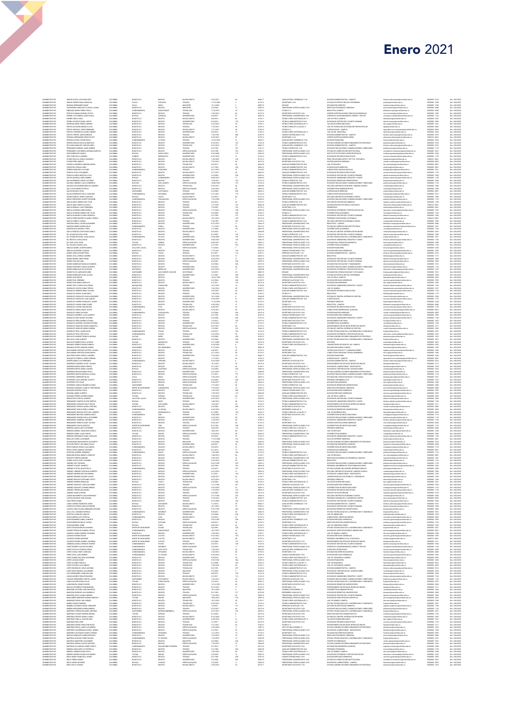| ADMINISTRATIVO<br>ADMINISTRATIVO                             | DURAN OCHOA LUIS FRANCISC<br>TURAN TORRES DIANA ANGELICA                                                                        | COLOMBIA<br>COLOMBIA             | BOGOTA D.C.<br>CAUCA                                            | DOGOTA                                                                | BACHILLERATO                                               | 5/15/2013                                         |                                                       | 4054-11<br>4178-12                                | ALDELIAR SERV. GENERALES 11 N                                                                   | .<br>Division Administrativa - Campus<br>Oficina de Protección del Patrimonio                                                                                     | Ilvision admcampus@unimilitar.edu.co<br>undica@unimilitar.edu.co                                                                                        | 6500000 - 3316                                     | Dec. 304/2020                                                    |
|--------------------------------------------------------------|---------------------------------------------------------------------------------------------------------------------------------|----------------------------------|-----------------------------------------------------------------|-----------------------------------------------------------------------|------------------------------------------------------------|---------------------------------------------------|-------------------------------------------------------|---------------------------------------------------|-------------------------------------------------------------------------------------------------|-------------------------------------------------------------------------------------------------------------------------------------------------------------------|---------------------------------------------------------------------------------------------------------------------------------------------------------|----------------------------------------------------|------------------------------------------------------------------|
| <b>ADMINISTRATIVO</b><br><b>ADMINISTRATIVO</b>               | DUSSAN HERNANDEZ OMAR<br>ECHEVERRIA GONZALEZ CLAUDIA LILIANA                                                                    | COLOMBIA<br>COLOMBIA             | <b>HJLA</b><br>BOGOTA D.C                                       | POPAYA<br>NEIVA<br><b>DOGOTA</b>                                      | TECNICO<br>MAGISTER<br>MAGISTER                            | 11/12/2020<br>12/1/2020<br>2/3/2020               |                                                       | 0005-10<br>2028-16                                | SECRETARIO 12 N<br>DECAND<br>PROFESIONAL ESPECIALIZADO 16-N                                     | DECANATURA DERECHO<br>DRECCION POSGRADOS MEDICINA                                                                                                                 | Isoderecho@unimilitar.edu.co<br>post medicina@unimilitar.edu.co                                                                                         | 6500000 - 1038<br>6500000 - 1230<br>6500000 - 2040 | Dec. 304/2020<br>Dec. 304/2020<br>Dec. 304/2020                  |
| <b>ADMINISTRATIVO</b>                                        | ENRIQUEZ MARIN YENNY PAOLA                                                                                                      | COLOMBIA                         | <b>CUNDINAMARC</b>                                              | <b>SUBACHOOLS</b>                                                     | TEDNOLOGO                                                  | 7/14/2018                                         |                                                       | 3100-12                                           | TECNICO 12                                                                                      | BIBLIOTECA CAMPUS                                                                                                                                                 | biblioteca.cajca@unimilitar.edu.cr                                                                                                                      | 6500000 - 3040                                     | Dec. 304/2020                                                    |
| ADMINISTRATIV<br>ADMINISTRATIV                               | ESPEJO GUZMAN SANDRA LETICIA<br>ESPINEL CASTAÑEDA LAURA PAOL                                                                    | OLOMEN<br>OLOMEN                 | BOGOTA D.C.<br>BOYACA                                           | BOGOTA<br>GARAGO                                                      |                                                            |                                                   |                                                       | 4210-1<br>2044-1                                  | ECNICO 12<br>ECRETARIO EJECUTIVO 16-N<br>PROFESIONAL UNIVERSITARIO                              | .<br>CENTRO INVESTIGACIONES CIENCIAS ECONOMICAS<br>CENTRO DE ACOMPANAMENTO, ORIENT Y SEG EST                                                                      | .<br>onsejeria estudiatti@unimilitar.edu.cc                                                                                                             |                                                    | Dec. 204/2021<br>Dec. 204/2021<br>Dec. 204/2021                  |
| ADMINISTRATIV<br>ADMINISTRATIV                               | ESPINEL MELO HUGO<br>ESPINO ACEVEDO DIANA JUDITI                                                                                | COLOMBIA<br>COLOMBIA             | BOGOTA D.D<br>BOGOTA D.D                                        | DOGOTA<br>DOGOTA                                                      | BACHELERATO<br>INMERSITARIO                                | 4/8/2014<br>5/4/2010                              |                                                       | 3128-11<br>3124-16                                | TECNICO SERV ASISTENCIALES 11<br>TECNICO ADMINISTRATIVO 16-N                                    | LAB. DE FISICA CAMPUS<br>DIVISION DE GESTION DEL TALENTO HUMANO                                                                                                   | aboratorios@unimilitar.edu.co<br>alento humano@unimilitar.edu.co                                                                                        | 6500000 - 3325<br>6500000 - 1566                   | Dec. 304/2020<br>Dec. 304/2020                                   |
| <b>ADMINISTRATIVO</b><br><b>ADMINISTRATIVO</b>               | ESPINOSA MORA SERGIO ANDRES<br>PERTIA ACULERA MONTA LUCIA                                                                       | COLOMBIA<br>COLOMBIA             | BOGOTA D.D<br>BOGOTA D.D                                        | DOGOTA<br>BOGOTA                                                      | TECNOLOGO<br>TECNICO                                       | 3/14/2019<br>7/15/2012                            | $\overline{22}$                                       | 3128-11<br>2234-12                                | TECNICO SERV ASISTENCIALES 11<br>TECNICO AREA DE LA SALUD 12                                    | TALLER DE DISENO MECANICO<br>AR OF TECNOLOGIA EN ATENCION DOES/OSCITAL AD                                                                                         | dec.ing@unimilitier.edu.co<br>ph@unimilitar.edu.co                                                                                                      | 6500000 - 1261<br>6500000 - 2002                   | Dec. 304/2020<br>Dec. 304/2020                                   |
| <b>ADMINISTRATIVO</b>                                        | ESPITIA AREVALO JORGE ARMANO<br>ESPITIA CONTRERAS ALVARO ANDRE:                                                                 | COLOMBIA                         | BOGOTA D.D                                                      | BOGOTA                                                                | BACHILLERATO                                               | 1/17/2012                                         |                                                       | 3100-12                                           | ECNICO 12                                                                                       | UDIOVISUALES - CAMPUS                                                                                                                                             | .<br>prodreccion.acadcampillus                                                                                                                          | 0000000-2042                                       | Dec. 304/2020                                                    |
| ADMINISTRATIVO<br>ADMINISTRATIVO<br>ADMINISTRATIVO           | THA FORERO JORGE ENE<br>ESTRADA HERNANDEZ DIEGO FELIPE                                                                          | OLOMBIA<br>COLOMBIA<br>COLOMBIA  | BOGOTA D.C.<br>BOGOTA D.C.<br>BOGOTA D.C.                       | ECODTA<br>ECODTA<br>ECODTA                                            | universitario<br>Teonico<br>BACHILLERATO                   | 9/3/2014<br>1/16/1987<br>4/18/2016                |                                                       | 3128-1;<br>4103-11<br>4178-12                     | TECNICO SERV ASISTENCIALES 13<br>CONDUCTOR MECANICO 19-N<br>SECRETARIO 12-N                     | LAB, DE ING, INDUSTRIAL<br>DIVISION ADMINISTRATIVA - CAMPUS<br>CENTRO INVESTIGACIONES FAEDIS                                                                      | -<br>laboratorios@unimilitar.edu.co<br>division.admcampus@unimilitar.edu.co<br>educacion.distancia@unimilitar.edu.co                                    | 6500000 - 3325<br>6500000 - 3316<br>7400333 - 6041 | Dec. 204/2020<br>Dec. 304/2020<br>Dec. 304/2020                  |
| <b>ADMINISTRATIVO</b><br><b>ADMINISTRATIVO</b>               | FARFAN CASTRO ASTRID PAGLA<br>FARFAN VARGAS NATALIA MARCELA                                                                     | COLOMBIA<br>COLOMBIA             | CLIVE/INAMARE:<br>BOGOTA D.C                                    | LAPENA<br>DOGOTA                                                      | TECNICO<br>UNIVERSITARIO                                   | 12/14/2015<br>6/19/2012                           |                                                       | 4054-12<br>3124-10                                | AUXILIAR SERV, GENERALES 13-N<br>TECNICO ADMINISTRATIVO 18-N                                    | DIVISION FINANCIERA<br>OFICINA ASESCRA DE DIRECCIONAMENTO ESTRATEGICO                                                                                             | financiera@unimilitar.edu.co<br>planeacion@unimilitar.edu.co                                                                                            | 6500000 - 1630<br>6500000 - 1010                   | Dec. 304/2020<br>Dec. 304/2020                                   |
| <b>ADMINISTRATIVO</b><br><b>ADMINISTRATIVO</b>               | CORACIO MANCIPE JOSE RICARDO<br>FERNANDEZ BARRIGA JAIRO ANDRES                                                                  | COLOMBIA<br>OLOMBIA              | BOGOTA D.D<br>BOGOTA D.D                                        | BOGOTA<br>BOGOTA                                                      | TECNOLOGO<br>TECNICO                                       | 4/12/2016<br>3/2/1992                             |                                                       | 4064-13<br>3132-13                                | UDOLIAR SERV, GENERALES 13-N<br>TECNICO OPERATIVO 13-N                                          | WISION ADMINISTRATIVA - CAMPUS<br>MARION DUBLICACIONES COMUNICACIONES Y MEDICADED                                                                                 | .<br>Svision admoampus@unimilitar.edu.co<br>sublicaciones@unimilitar.edu.co                                                                             | 6500000 - 3316<br>6500000-1110                     | Dec. 304/2020<br>Dec. 304/2020                                   |
| .<br>Administrati                                            |                                                                                                                                 | OLOMEN<br>OLOMEN                 | EDGOTA D.C<br>BOGOTA D.C                                        |                                                                       |                                                            | 2/2/1992<br>8/2/1998<br>5/16/200                  |                                                       |                                                   | IECNICU WERMINS 1979<br>PROFESIONAL ESPECIALIZADO 12-N<br>PROFESIONAL ESPECIALIZADO 23-N        | .<br>DE CINA DE ACREDITACION INSTITUCIONAL<br>NSTITUTO DE ESTUDIOS GEOESTRATEGICOS                                                                                | acreditacion institucional@unimilitar.edu<br>nstituto.geoestrategia@unimilitar.edu.c                                                                    |                                                    | Dec. 304/2020<br>Dec. 304/2020                                   |
| <b>ADMINISTRATIV</b>                                         | FERNANDEZ CASTAÑEDA ADRIANA MA<br>FINO RODRIGUEZ CAMILO<br>FINO TORO PAULA ANDREA                                               | COLOMBIA                         | QUINDED                                                         | DOGOTA<br>SANTA SOFIA<br>BUENAVISTA                                   | UNIVERSITARI                                               | 6/27/2010                                         |                                                       | 2028-12<br>2028-22<br>2028-22                     | TECNICO ADMINISTRATIVO 14 N                                                                     | DIVISION DE RECURSOS EDUCATIVOS                                                                                                                                   | colluminitar.edu.co                                                                                                                                     | 6500000 - 1170                                     | Dec. 304/2020                                                    |
| <b>ADMINISTRATIVO</b><br><b>ADMINISTRATIVO</b>               | FLOREZ GIGLICLI SONIA CONSULTO<br>FLOREZ PEÑA SHIRLEY                                                                           | COLOMBIA<br>COLOMBIA             | BOGOTA D.D<br>BOGOTA D.C                                        | <b>DOGOTA</b><br><b>DOGOTA</b>                                        | BACHELERATO<br>BACHELERATO                                 | 1/10/2007<br>7/15/2012                            | 90                                                    | 4178-12<br>4210-16                                | SECRETARIO 12-N<br>SECRETARIO EJECUTIVO 16-N                                                    | PREG. RELACIONES INTER Y EST. POL. DISTANCIA<br>VICEDECANATURA MEDICINA                                                                                           | riepdistancia@unimilitar.edu.co<br>icedec.medicina@unimilitar.edu.co                                                                                    | 7400333 - 6041<br>6500000 - 2002                   | Dec. 304/2020<br>Dec. 304/2020                                   |
| <b>ADMINISTRATIVO</b><br><b>ADMINISTRATIVO</b>               | FONSECA SANABRIA ADRIANA MARIA<br>FONTECHE VARGAS AREL                                                                          | COLOMBIA<br>COLOMBIA             | BOGOTA D.D<br>BOGOTA D.C                                        | BOGOTA<br>BOGOTA                                                      | TECNOLOGO<br>MCHILLERATO                                   | 4/2/2012<br>2/1/1994                              | 224                                                   | 4344-35<br>4344-16                                | ALDELIAR ADMINISTRATIVO 20-N<br>ALDELLAR ADMINISTRATIVO 16-N                                    | LAB, DE BIOLOGIA<br>UDMOSUALES MEDICINA                                                                                                                           | fac cienciasbya@unimilitar.edu.co<br>edcha@unimilitar.edu.co                                                                                            | 6500000 - 3081<br>0300000-200                      | Dec. 304/2020<br>Dec. 304/2020                                   |
| <b>ADMINISTRATI</b>                                          | RERO MONCADA LLIZ DAR                                                                                                           |                                  | BOSCTA D.C                                                      | DOGOTA                                                                | BACHILLERATO                                               | 4/11/2016<br>5/17/2013                            |                                                       | 312441                                            | CNICO ADMINISTRATIVO 07-                                                                        | CONSULTORIO CIENCIAS BASICAS                                                                                                                                      | ologia aplicada@unimilitar.edu.co                                                                                                                       | 6500000 - 1170                                     | Dec. 304/2020<br>Dec. 304/2020                                   |
| ADMINISTRATIVO<br>ADMINISTRATIVO                             | FRANCO CHICA ALEXANDER<br>FRANCO GARCIA MARTHA LUCIA                                                                            | COLOMBIA<br>COLOMBIA             | BOGOTA D.C                                                      | <b>DOGOTA</b>                                                         | UNIVERSITARIO                                              | 2/2/2004                                          | 204                                                   | 4044-14<br>2020-16                                | ALXILIAR ADMINISTRATIVO 16-N<br>PROFESIONAL ESPECIALIZADO 16-N                                  | DIVISION DE RECURSOS EDUCATIVOS<br>DIVISION DE GESTION DEL TALENTO HUMANO                                                                                         | recursos educativos@unimilitar.edu.co<br>talento.humano@unimilitar.edu.co                                                                               | 6500000 - 1566                                     | Dec. 304/2020                                                    |
| <b>ADMINISTRATIVO</b><br><b>ADMINISTRATIVO</b>               | GAITAN QUIROGA ARIEL RAMIRO<br>GALAN RAMIREZ CARLOS ALFONSO                                                                     | COLOMBIA<br>COLOMBIA             | BOYACA<br>BOGOTA D.C.                                           | DROUNQUES<br><b>DOGOTA</b>                                            | UNIVERSITARIO<br>TECNICO                                   | 0/20/2019<br>1/18/2011                            | 120                                                   | 2028-22<br>3132-14                                | PROFESIONAL ESPECIALIZADO 23-N<br>TECNICO OPERATIVO 14-N                                        | DIVISION DE ADMISIONES, REGISTRO Y CONTR<br>DIVISION DE BIENESTAR UNIVERSITARIO                                                                                   | division admisiones@unimilitar.edu.co<br>bienestar@unimilitar.edu.co                                                                                    | 6500000 - 1130<br>6500000 - 1060                   | Dec. 304/2020<br>Dec. 304/2020                                   |
| <b>ADMINISTRATIVO</b><br>.<br>ADMINISTRATIV<br>ADMINISTRATIV | GALINDO JIMENEZ JULIA CLEMENCIA<br>GALINDO LEGUIZAMON BRAULIO ANDRES<br>GALLO DIAZ MARIA PATRICIA                               | COLOMBIA<br>-<br>COLOMBU         | BOLIVAR<br>EDIGOTA D.C<br>BOGOTA D.C                            | SAN JACINTO<br>BOGOTA<br>BOGOTA                                       | ESPECIALIZACIÓN<br>TECNOLOGO<br>ESPECIALIZACION            | 10/20/2010<br>---------<br>5/15/2017<br>3/10/2016 | 122                                                   | 3124-18                                           | TECNICO ADMINISTRATIVO 18-N<br>ROFESIONAL UNIVERSITARIO OS N<br>ROFESIONAL ESPECIALIZADO 16 N   | DIVISION RUBLICACIONES COMUNICACIONES VIMERCADED<br>.<br>IECCION CONTRATOS DE MAYOR Y MENOR CUANTIA<br>INCERRECTORIA ADMINISTRATIVA                               | cublicaciones (lunimilitar.edu.co<br>.<br>contratos (junimilitar e du co<br>ricadm(junimilitar e du co                                                  | 6500000-1110<br>6500000 - 1596<br>6500000 - 1550   | Dec. 304/2020<br>Dec. 304/2020<br>Dec. 304/2020                  |
| ADMINISTRATIV                                                | GALVIS BLANCO LEON                                                                                                              |                                  | SANTANDER                                                       | CAPITANEJO                                                            | TECNICO                                                    | 2/2/2004                                          |                                                       | 2044-05<br>2028-16<br>4044-14<br>2124-14          | AUXILIAR ADMINISTRATIVO 14 N                                                                    |                                                                                                                                                                   | tedicina@unimilitar.edu.co                                                                                                                              |                                                    | Dec. 304/2020                                                    |
| <b>ADMINISTRATIV</b><br><b>ADMINISTRATIVO</b>                | GALVIS RODRIGUEZ KELLY CAROLINE<br>GAONA ROBAYO JENINY CAROLINA                                                                 | COLOMBIA<br>COLOMBIA<br>COLOMBIA | CLINDINAMARO<br>BOYACA                                          | <b>ZIPAQUIRA</b><br><b>TUNJA</b>                                      | UNIVERSITARIO<br>BACHELERATO                               | 2/11/2011<br>2/3/2014                             | 204<br>119<br>84                                      | 4178-12                                           | TECNICO ADMINISTRATIVO 14-N<br>SECRETARIO 12 N                                                  | AUDIVIOSUALES MEDICINA<br>CONSULTORIO-CIENCIAS BASICAS<br>SECCION CONTRATOS DE MINIMA CUANTU                                                                      | biologia aplicada@unimilitar.edu.c<br>contratos@unimilitar.edu.co                                                                                       | 6500000-2001<br>6500000-1521<br>6500000 - 1596     | Dec. 304/2020<br>Dec. 304/2020                                   |
| <b>ADMINISTRATIVO</b><br><b>ADMINISTRATIVO</b>               | GARAY RODRIGUEZ ALBERT GIOVANNI<br>GARCIA BAEZ ANDREA DEL PILAR                                                                 | COLOMBIA<br>COLOMBIA             | CLIVE/INAMARE:<br>BOGOTA D.C.                                   | <b>FUSAGASUGA</b><br>BOGOTA                                           | ESPECIALIZACIÓN<br>TECNICO                                 | 11/3/2020<br>4/2/2014                             |                                                       | 2028-22<br>3132-12                                | PROFESIONAL ESPECIALIZADO 23-N<br>TECNICO OPERATIVO 12-N                                        | DIVISION PUBLICACIONES, COMUNICACIONES Y MERCADED<br>SECTION OF GESTION DOCUMENTAL                                                                                | publicaciones@unimilitar.edu.co<br>egistro academico@unimilitar.edu.                                                                                    | 6500000 - 1110<br>6500000 - 1150                   | Dec. 304/2020<br>Dec. 304/2020                                   |
| ADMINISTRATI<br>ADMINISTRATI                                 |                                                                                                                                 |                                  |                                                                 |                                                                       |                                                            |                                                   |                                                       | 4544 21<br>4178-12                                |                                                                                                 |                                                                                                                                                                   |                                                                                                                                                         |                                                    |                                                                  |
| ADMINISTRATIVO<br>ADMINISTRATIVO                             | GARCIA BAEZ ANGELICA PAOLA<br>GARCIA BERNAL LUSA FERNANDA<br>GARCIA CARRION AIDEE MILENA<br>GARCIA GUZMAN ANDREA DEL PILAR      | COLOMBIA<br>COLOMBIA<br>COLOMBIA | BOGOTA D.C.<br>BOGOTA D.C.<br>BOGOTA D.C.                       |                                                                       |                                                            |                                                   |                                                       |                                                   | ALOILIAR ADMINISTRATIVO 20 N<br>SECRETARIO 12-N<br>PROFESIONAL ESPECIALIZADO 18-N<br>TECNICO 12 | VICEDECANATURA ESTUDIOS A DISTANCIA<br>PREMEDICOS<br>DIVISION DE EXTENSION Y PROVECCION SOCIAL                                                                    |                                                                                                                                                         | 6500000 - 1247                                     | Dec. 204/2021<br>Dec. 204/2021<br>Dec. 204/2021<br>Dec. 204/2021 |
| <b>ADMINISTRATIVO</b>                                        | GARCIA GUZMAN CLAUDIA MARCELA                                                                                                   | COLOMBIA                         | BOGOTA D.D<br>BOGOTA D.C                                        | BOGOTA<br>BOGOTA<br>DOGOTA                                            | ESPECIALIZACION<br>TECNOLOGO<br>TECNICO                    | 1/17/2012<br>2/2/2004<br>2/1/1995                 | 100<br>204<br>212                                     | 2028-10<br>3103-12<br>3124-16                     | TECNICO ADMINISTRATIVO 16-N                                                                     | VICERRECTORIA ACADEMICA<br>DIVISION DE GESTION DEL TALENTO HUMANO                                                                                                 | educacion continuada@unimilitar.edu.co<br>«icacd@unimilitar.edu.co<br>talento humano@unimilitar.edu.co                                                  | 6500000 - 1120<br>6500000 - 1560                   | Dec. 304/2020                                                    |
| <b>ADMINISTRATIVO</b><br><b>ADMINISTRATIVO</b>               | GARCIA PEREZ MARIETTA MARIA TERESA<br>GARCIA ZUBIETA GISSELI                                                                    | COLOMBIA<br>COLOMBIA             | BOGOTA D.D<br>BOGOTA D.D                                        | BOGOTA<br>BOGOTA                                                      | BACHILLERATO<br>TECNICO                                    | 10/1/2012<br>7/4/1995                             | 227                                                   | 4210-16<br>3124-14                                | SECRETARIO EJECUTIVO 16-N<br>TECNICO ADMINISTRATIVO 14-N                                        | PREGRADO CONTADURIA A DISTANCIA<br>SECCION CONTRATOS DE MINIMA CUANTIA                                                                                            | .<br>contratos@unimilitar.edu.co<br>contratos@unimilitar.edu.co                                                                                         | 7400333 - 6041<br>6500000 - 1596                   | Dec. 304/2020<br>Dec. 304/2020                                   |
| ADMINISTRATI<br>ADMINISTRATI                                 | ARZON GARCIA JAVIER ALEXANDER<br>ARZON GOMEZ KAREN CRLEY                                                                        | COLOMBIA<br>COLOMBIA             | 00007A D.D                                                      | DOGOT.<br>FUNZA                                                       |                                                            |                                                   |                                                       | 2044-11<br>4210-11                                |                                                                                                 | BIBLIOTECA - CAMPUS<br>DEICINA DE ACREDITACION INSTITUCIONAL                                                                                                      |                                                                                                                                                         |                                                    | Dec. 204/2021<br>Dec. 204/2021<br>Dec. 204/2021                  |
| <b>ADMINISTRATIV</b>                                         | GARZON SILVA MONICA YIZED                                                                                                       |                                  | BOGOTA D.C                                                      | DOGOT/                                                                | UNIVERSITARI                                               | 1/1/2006                                          |                                                       | 2028-10                                           | PROFESIONAL ESPECIALIZADO 18-N                                                                  | VICERRECTORIA ACADEMICA                                                                                                                                           | ricacd@unimilitar.edu.co                                                                                                                                | 6500000 - 1120                                     | Dec. 304/2020                                                    |
| <b>ADMINISTRATIVO</b><br><b>ADMINISTRATIVO</b>               | GASCA PEDRAZA CRISTINAN CAMILO<br>GIL ALCANTAR AURA LEYOY                                                                       | COLOMBIA<br>COLOMBIA             | BOGOTA D.C<br>BOGOTA D.C                                        | DOGOTA<br>DOGOTA                                                      | BACHELERATO<br>TECNICO                                     | 6/2/2020<br>8/1/2007                              |                                                       | 2044-05<br>3132-12                                | PROFESIONAL UNIVERSITARIO 05-N<br>TECNICO OPERATIVO 12-N                                        | OFICINA DE CONTROL INTERNO DISCIPLINARIO<br>INVISION DE GESTION DEL TALENTO HUMANO                                                                                | cidisciplinario@unimilitar.edu.ci<br>talento humano@unimilitar.edu.co                                                                                   | 6500000 - 1025<br>6500000 - 1560                   | Dec. 304/2020<br>Dec. 304/2020                                   |
| <b>ADMINISTRATIVO</b><br><b>ADMINISTRATIVO</b>               | GIL CIFUENTES DAVID JUAN CARLOS<br>GIL ORDZCO JUAN CARLOS                                                                       | COLOMBIA<br>COLOMBIA             | <b>CUNDINAMARC</b><br>BOSCTA D.C.                               | <b>VILLETA</b><br>BOGOTA                                              | UNIVERSITARIO<br>UNIVERSITARIO                             | 4/10/2005<br>5/20/2010                            | 189<br>128                                            | 2028-16<br>2044-10                                | PROFESIONAL ESPECIALIZADO 16-N<br>PROFESIONAL UNIVERSITARIO 10-N                                | OFICINA TECNOLOGIAS DE LA INFORMACIÓN Y COMUNICAC<br>INVISION DE ADMISIONES, REGISTRO Y CONTR                                                                     | columnitatedu co<br>.<br>In low selected property (II)                                                                                                  | 6500000 - 1651<br>6500000-1130                     | Dec. 304/2020<br>Dec. 304/2020                                   |
| ADMINISTRATIVO<br>ADMINISTRATIVO<br>ADMINISTRATIVO           | GE VEGA ALEX YESID<br>GE ZILUAGA DANA LUCIA<br>GERALDO MARIN JAWER OLMEDO                                                       | OLOMBIA<br>COLOMBIA              | TOLIMA<br>BOGOTA D.C.                                           | LIBANO<br>EDGOTA                                                      | ESPECIALIZACION<br>UNIVERSITARIO                           | 6/20/2011<br>3/1/1992<br>7/1/2020                 |                                                       | 2028-1;<br>2028-1;                                | PROFESIONAL ESPECIALIZADO 12 N<br>PROFESIONAL ESPECIALIZADO 12 N                                | DECANATURA CENCIAS ECONOMICAS<br>VICERRECTORIA ACADEMICA<br>DIVISION FINANCIERA                                                                                   | faciecon@unimilitar.edu.co<br>vicacd@unimilitar.edu.co                                                                                                  | 6500000 - 1200<br>6500000 - 1120                   | Dec. 204/2020<br>Dec. 304/2020<br>Dec. 304/2020                  |
| <b>ADMINISTRATIVO</b>                                        | MIJOACIL ORITTATUO OGJARID                                                                                                      | COLOMBIA<br>COLOMBIA             | VALLE DEL CAUCA<br>BOSOTA D.C.                                  | CALI<br>DOGOTA                                                        | ESPECIALIZACIÓN<br>TECNICO                                 | 1/17/2011                                         | 120                                                   | 2028-22<br>4103-19                                | PROFESIONAL ESPECIALIZADO 23-N<br>CONDUCTOR MECANICO 19-N                                       | DIVISION SERVICIOS GENERALES                                                                                                                                      | Teanciera@unimilitar.edu.co<br>servicios generales@unimilitar.edu.co                                                                                    | 6500000 - 1630<br>6500000 - 1593                   | Dec. 304/2020                                                    |
| <b>ADMINISTRATIVO</b><br><b>ADMINISTRATIVO</b>               | GOMEZ AGUILAR EDER YESID<br>COMEZ AYALA SERGIO ANDRES                                                                           | COLOMBIA<br>COLOMBIA             | BOYACA<br>BOGOTA D.D                                            | <b>TUNJA</b><br>BOGOTA                                                | TECNICO<br>BACHELERATO                                     | 8/1/2011<br>6/10/2010                             | 114                                                   | 4169-11                                           | OPERARIO CALIFICADO 11-N<br>UDELIAR ADMINISTRATIVO 14-N                                         | DIVISION ADMINISTRATIVA - CAMPUS<br><b>BUOTECA</b>                                                                                                                | division admcampus@unimilitar.edu.co                                                                                                                    | 6500000 - 3316<br>6500000-1172                     | Dec. 304/2020                                                    |
| <b>ADMINISTRATIVO</b>                                        | GOMEZ BERNAL MERY IRENE                                                                                                         | COLOMBIA                         | BOGOTA D.D                                                      | BOGOTA                                                                | INVERSITARIO                                               | 6/18/2010                                         |                                                       | 4344-14<br>2344-10                                | PROFESIONAL UNIVERSITARIO 10-8                                                                  | INVISION DE GESTION DEL TALENTO HUMANO                                                                                                                            | .<br>biblioteca@unimilitar.edu.co<br>talento.humano@unimilitar.edu.c                                                                                    | 6500000-1560                                       | Dec. 304/2020<br>Dec. 304/2020                                   |
| <b>ADMINISTRATI</b>                                          | MEZ DIAZ WILLIAM                                                                                                                |                                  | OGOTA D.C                                                       | DOGOTA                                                                | ESPECIALIZACIO<br>TECNICO                                  | 2/2/2004                                          | 204                                                   | 2028-18                                           | OFESIONAL ESPECIALIZADO 18-N<br>SECRETARIO EJECUTIVO 16-N                                       | VISION DE GESTION DEL TALENTO HUMANI<br>DECANATURA EDUCACION Y HUMANDADES                                                                                         | eo@unimilitar.edu.c<br>educacion@unimilitar.edu.co                                                                                                      | 6500000 - 1512                                     | Dec. 304/2020<br>Dec. 304/2020                                   |
| ADMINISTRATIVO<br>ADMINISTRATIVO<br><b>ADMINISTRATIVO</b>    | SOMEZ MANRIQUE DIANA ALEXANDRA<br>SOMEZ MARTINEZ CARLOS ALBERTO<br>GOMEZ MONSALVE SEVIA ELENA                                   | COLOMBIA<br>COLOMBIA<br>COLOMBIA | BOGOTA D.C<br>BOGOTA D.C<br><b>ANTIQUIA</b>                     | DOGOTA<br>MEDELLIN                                                    | UNIVERSITARIO<br>UNIVERSITARIO                             | 2/2/2016<br>8/12/2019                             |                                                       | 4210-16<br>2044-10<br>2044-08                     | PROFESIONAL UNIVERSITARIO 10-8<br>PROFESIONAL UNIVERSITARIO DE-N                                | WISHIN PUBLICACIONES, COMUNICACIONES Y MERCADEC<br>DIVISION DE EXTENSION Y PROVECCION SOCIAL                                                                      | sublicacio<br>we@unimilitar.edu.co                                                                                                                      | 6500000 - 1110<br>6500000 - 1247                   | Dec. 304/2020<br>Dec. 304/2020                                   |
| <b>ADMINISTRATIVO</b><br><b>ADMINISTRATIVO</b>               | GOMEZ PLATA ADRIAN RICARDO<br>GOMEZ RODRIGUEZ ALBA LE IANA                                                                      | COLOMBIA<br>COLOMBIA             | SANTANDER<br>BOGOTA D.D                                         | SAN VICENTE CHUCUR<br><b>BOGOTA</b>                                   | DOCTORADO<br>UNIVERSITARIO                                 | 1/8/2010<br>2/1/2001                              | 25<br>242                                             | 0005-10<br>204440                                 | DECAND<br>PROFESIONAL UNIVERSITARIO 03-8                                                        | DECANATURA CIENCIAS BASICAS Y APLICADAS<br>OFICINA DE PROTECCIÓN DEL PATRIMÓNIC                                                                                   | educacion.continuada@unimilitar.edu.co<br>biologia.aplicada@unimilitar.edu.co<br>und cadjunimilitar edu co                                              | 6500000 - 1521<br>6500000 - 1030                   | Dec. 304/2020<br>Dec. 304/2020                                   |
| ADMINISTRATIV<br>ADMINISTRATIV                               | CMEZ RUZ EDGAR<br>CMEZ RUZ JEREMAS                                                                                              |                                  | EDIDITA DE<br>BOGOTA D.C<br>BOGOTA D.C                          |                                                                       |                                                            | 10/16/1992<br>2/2/2004                            |                                                       |                                                   | ECNICO SERV ASISTENCIALES 13<br>PERARIO CALIFICADO 15N                                          |                                                                                                                                                                   | anaugummaa vuur<br>sborstorios@unimilitar.edu.co<br>ervicios.generales@unimilitar.edu.co                                                                |                                                    | Dec. 204/2021<br>Dec. 204/2021<br>Dec. 204/2021                  |
|                                                              |                                                                                                                                 |                                  | BOGOTA D.D                                                      | DOGOTA                                                                | BACHELERATO                                                | 2/1/2011                                          |                                                       |                                                   | SECRETARIO EJECUTIVO 16-N                                                                       | LAR. DE FISICA CAMPUS<br>DIVISION SERVICIOS GENERALES<br>DECANATURA INGENIERIA<br>DIVISION DE ADMISIONES, REGISTRO Y CONTR                                        |                                                                                                                                                         |                                                    | Dec. 304/2020                                                    |
| ADMINISTRATIVO<br>ADMINISTRATIVO<br><b>ADMINISTRATIVO</b>    | GOMEZ RUZ MARIA ANGELICA<br>GOMEZ SOTO CARLOS GUILLERMO<br>GONZALEZ ACOSTA SONIA TERESA                                         | COLOMBIA<br>COLOMBIA<br>COLOMBIA | MAGDALEN<br>BOGOTA D.C                                          | <b>FUNDACION</b><br><b>DOGOTA</b>                                     | TECNICO<br>UNIVERSITARIO                                   | 10/1/201<br>1/25/2016                             |                                                       | 4210-16<br>3124-07<br>3128-11                     | ECNICO ADMINISTRATIVO 07-N<br>TECNICO SERV ASISTENCIALES 11                                     | AD. DE QUIMICA                                                                                                                                                    | dec. Ing@unimilitar.edu.co<br>division.admisiones@unimilitar.edu.co                                                                                     | 6500000 - 1260<br>6500000 - 1130<br>6500000 - 1527 | Dec. 304/2020<br>Dec. 304/2020                                   |
| <b>ADMINISTRATIVO</b><br><b>ADMINISTRATIVO</b>               | GONZALEZ ARMERO ERIKA YULIANA<br>CONTALEZ GARCIA INAUGUR O                                                                      | COLOMBIA<br>COLOMBIA             | BOGOTA D.D<br>BOGOTA D.D                                        | DOGOTA<br>BOGOTA                                                      | TECNICO<br>TECNICO                                         | 5/15/2017<br>1/25/2016                            |                                                       | 4544-14<br>3100-12                                | ALDELIAR ADMINISTRATIVO 14-N<br>TECNICO 12                                                      | DIVISION DE RECURSOS EDUCATIVOS<br>A33TOLIGIE                                                                                                                     | departamento.quimica@unimilitar.edu.cc<br>recursos.educativos@unimilitar.edu.co<br>biblioteca@unimilitar.edu.co                                         | 6500000 - 1170<br>6500000-1173                     | Dec. 304/2020<br>Dec. 304/2020                                   |
| .<br>Administrativ<br>Administrativ                          | SONZALEZ GONZALEZ JOHN ALEXANDER<br>SONZALEZ GONZALEZ JUAN CARLOS                                                               | OLOMBU<br>OLOMBU                 | BOGOTA D.C.<br>BOGOTA D.C.                                      | DOGOTA<br>DOGOTA                                                      | UNIVERSITARIO<br>BACHILLERATO                              | 10/1/2020<br>6/18/2018                            |                                                       | 2044-05<br>4044-14                                | -<br>PROFESIONAL UNIVERSITARIO 05-1<br>ALDELIAR ADMINISTRATIVO 14-N                             | OFICINA DE CONTROL INTERNO DE GESTION<br>ALIDIOVISLIALES                                                                                                          |                                                                                                                                                         | 6500000 - 1020<br>6500000 - 1172                   | Dec. 304/2020<br>Dec. 304/2020                                   |
| ADMINISTRATIV                                                | GONZALEZ GUERRA FRANCISCO JAVIER                                                                                                | COLOMBIA                         | BOGOTA D.C.<br>BOGOTA D.C.                                      | DOGOTA                                                                | UNIVERSITARIO                                              | 11/12/2018                                        |                                                       | 4178-12                                           | SECRETARIO 12-N                                                                                 | PREGRADO DERECHO<br>BIBLIOTECA - CAMPUS                                                                                                                           | Serecho@unimilitar.edu.co                                                                                                                               | 6500000 - 1244                                     | Dec. 304/2020                                                    |
| <b>ADMINISTRATIVO</b><br><b>ADMINISTRATIVO</b>               | GONZALEZ LADINO SONIA ISABEL<br>GONZALEZ LAZARO ANA MILENA                                                                      | COLOMBIA                         | CUNDINAMARD.                                                    | DOGOTA<br><b>CHIA</b>                                                 | TECNOLOGO<br>BACHELERATO                                   | 6/18/2018<br>6/20/2017                            | 42                                                    | 3100-12<br>4210-16                                | TECNICO 12<br>SECRETARIO EJECUTIVO 16-N                                                         | DIVISION DE RECURSOS EDUCATIVOS                                                                                                                                   | biblioteca campus@unimilitar.edu.co<br>ecursos educativos@unimilitar.edu.co                                                                             | 6500000 - 3040<br>6500000 - 1170                   | Dec. 304/2020<br>Dec. 304/2020                                   |
| <b>ADMINISTRATIV</b><br><b>ADMINISTRATIV</b>                 | <b>CONZALEZ LEMUS ANGIE JUDITH</b><br>CONZALEZ LEMUS SILVANA                                                                    | COLOMBIA<br>COLOMBIA             | BOGOTA D.C                                                      | BOGOTA<br><b>FUSAGASUG</b>                                            | BACHILLERATO<br>TECNICO                                    | 5/15/2017<br>2/2/2004                             |                                                       | 4210-16<br>4210-16                                | SECRETARIO EJECUTIVO 16-N<br>SECRETARIO EJECUTIVO 16-A                                          | CONSULTORIO EMPRESARIAL (CAMPUS)<br>ACEDECANATURA MEDICINA                                                                                                        | .<br>Insultorio, empresarial@unimilitar.ed<br>cedec.medicina@unimilitar.edu.co                                                                          | 6500000 - 3022<br>6500000-2002                     | Dec. 304/2020<br>Dec. 304/2020                                   |
| ADMINISTRATIVO<br>ADMINISTRATIVO<br>ADMINISTRATIVO           | INZALEZ MONROY JULIO ALBERTO<br>INZALEZ PAEZ MARIA YOLANDA<br>-                                                                 | COLOMBIA<br>COLOMBIA             | BOGOTA DC                                                       | <b>BOGOTA</b><br>BOGOTA                                               | TECNICO<br>TECNICO<br>TECNICO                              | 4/1/1992<br>2/2/2004<br>1/2/2012                  |                                                       | $\begin{array}{r} 4102-18 \\ 3124-14 \end{array}$ |                                                                                                 | DIVISION SERVICIOS GENERALES<br>DIVISION DE ADMISIONES, REGIST<br>DEPARTAMENTO DE FISICA                                                                          | servicios, generales@unimilitar.edu.c<br>  Ivision.admisiones@unimilitar.edu.c                                                                          | 6500000 - 1593<br>6500000 - 1130<br>6500000 - 1523 | Dec. 204/2021<br>Dec. 304/2021<br>Dec. 304/2021                  |
|                                                              | GONZALEZ PEÑA SANDRA VIVIANA                                                                                                    |                                  |                                                                 |                                                                       |                                                            |                                                   |                                                       | 4210-16                                           | SECRETARIO EJECUTIVO 16-                                                                        |                                                                                                                                                                   | fisica@unimilitatedu.co                                                                                                                                 |                                                    |                                                                  |
| <b>ADMINISTRATIVO</b><br><b>ADMINISTRATIVO</b>               | GONZALEZ QUEVEDO JEISSON STEVENS<br>GONZALEZ SANCHEZ ANGELA MARCELA                                                             | COLOMBIA<br>COLOMBIA             | BOGOTA D.C<br>BOGOTA D.C                                        | DOGOTA<br>DOGOTA                                                      | UNIVERSITARIO<br>TECNOLOGO                                 | 8/12/2019<br>5/15/2017                            | 17                                                    | 3124-12<br>4178-12                                | TECNICO ADMINISTRATIVO 12-N<br>SECRETARIO 12 N                                                  | VICERRECTORIA ACADEMICA<br>DEPARTAMENTO DE ESTUDIOS INTERCULTURALES                                                                                               | icacójunimilitar.edu.co<br>deln@unimilitar.edu.co                                                                                                       | 6500000 - 1120<br>6500000 - 1211                   | Dec. 304/2020<br>Dec. 304/2020                                   |
| <b>ADMINISTRATIVO</b><br><b>ADMINISTRATIVO</b>               | GONZALEZ SANCHEZ MARIA XIMENA<br>CONTA ET VEGA NVIER DANS                                                                       | COLOMBIA<br>COLOMBIA             | BOGOTA D.C.<br>CUNDINAMARC                                      | BOGOTA<br>PACHO                                                       | <b>ESPECIALIZACION</b><br>TECNICO                          | 7/2/2002<br>2/9/2012                              | $\frac{222}{100}$                                     | 2044-10<br>2124-16                                | PROFESIONAL UNIVERSITARIO 10-N<br>TECNICO ADMINISTRATIVO 16-N                                   | OFICINA DE CONTROL INTERNO DE GESTION<br>CENTINA TECNOLOGIAS DE LA INEOGRAPION Y COMI INICAC                                                                      | :<br>:control interno@unimilitar.edu.co<br>:c@unimilitar.edu.co                                                                                         | 6500000 - 1020<br>6500000 - 1651                   | Dec. 304/2020<br>Dec. 304/2020                                   |
| ADMINISTRATI<br>ADMINISTRATI                                 |                                                                                                                                 | :01.0MB)<br>:01.0MB)             | CLINDINAMAS<br>CALDAS<br>BOSOTA D.C.                            |                                                                       |                                                            |                                                   |                                                       | 3124-1<br>4169-11                                 | IECNICO ADMINISTRATIVO 14-N<br>SPERARIO CALIFICADO 15-N                                         |                                                                                                                                                                   | educacion continuada@unimi<br>planeacion@unimilitax edu co                                                                                              |                                                    | Dec. 204/2021<br>Dec. 204/2021<br>Dec. 204/2021                  |
| <b>ADMINISTRATIV</b><br><b>ADMINISTRATIVO</b>                | GRAJALDS JUAN ALBERTO<br>GRAJALES MUÑOZ ERICA JOHANI                                                                            | COLOMBIA<br>COLOMBIA             | CALDAS                                                          | DOGOTA<br>MANIZALES                                                   | UNIVERSITARIO<br>TECNICO                                   | 2/2/2004<br>5/11/2009                             | 204<br>142                                            | 2044-10<br>4210-16                                | PROFESIONAL UNIVERSITARIO 10-N<br>SECRETARIO EJECUTIVO 16-N                                     | OFICINA TECNOLOGIAS DE LA INFORMACION Y COMUNICAC<br><b>RECTORIA</b>                                                                                              | tic@unimilitat.edu.co<br>ectoria@unimilitar.edu.co                                                                                                      | 6500000 - 1651<br>6500000 - 1001                   | Dec. 304/2020<br>Dec. 304/2020                                   |
| <b>ADMINISTRATIVO</b><br><b>ADMINISTRATIVO</b>               | GRANADA SERRATO ERING DANIELA<br>GRANDAS ESTEPA DENISSE AMARA                                                                   | COLOMBIA<br>COLOMBIA             | BOGOTA D.D<br>SANTANDER                                         | <b>DOGOTA</b><br><b>BUCARAMANG</b>                                    | UNIVERSITARIO<br>MAGISTER                                  | 9/14/2020<br>5/17/2018                            |                                                       | $2128 - 1$                                        | TECNICO SERV ASISTENCIALES 11                                                                   | LABORATORIOS DIVISION DE LAB. CAMPUS<br>DECANATURA FARES CAMPUS                                                                                                   | laboratorios@unimilitar.edu.co<br>lacrelinterral@unimilitar.edu.co                                                                                      | 6500000 - 3325                                     | Dec. 304/2020                                                    |
| <b>ADMINISTRATIVO</b>                                        | <b>SUACANEME HURTADO ASTRITH LILIANA</b>                                                                                        | COLOMBIA                         | BOGOTA D.D                                                      | BOGOTA                                                                | TECNOLOGO                                                  | 3/4/2019                                          |                                                       | 0005-10<br>4178-12                                | DECAND<br>SECRETARIO 12-N                                                                       | <b>SCNOLOGIA EN ELECT Y COMUNICACIONES</b>                                                                                                                        | nicaciones Euromilitar.edu.co                                                                                                                           | 6500000 - 1220<br>6500000-1282                     | Dec. 304/2020<br>Dec. 304/2020                                   |
| <b>ADMINISTRATIV</b><br>ADMINISTRATIVO<br>ADMINISTRATIVO     | UACANEME HURTADO DIANA MARIA<br>SUALTEROS NEIZA FABIOLA ANDREA                                                                  | OLOMBIA<br>COLOMBIA<br>COLOMBIA  | 1000TA D.C<br>BOGOTA D.D                                        | DOGOTA<br>DOGOTA                                                      | TOVOLOGO                                                   | 2/11/2016<br>ומבענת                               |                                                       | 4178-12                                           | SECRETARIO 12 N<br>ALDELIAR ADMINISTRATIVO 13-N                                                 | CONSULTORIO ASESORIA TECNICA INGENIERA<br>DIVISION FINANCIERA                                                                                                     | experimentalista educo<br>feanciera@unimilitat educo<br>apoyodreccion acadcamp@un                                                                       | 6500000-126<br>6500000 - 1630                      | Dec. 204/2020<br>Dec. 304/2020<br>Dec. 304/2020                  |
| <b>ADMINISTRATIVO</b>                                        | GUAQUETA FONSECA JORGE HERNAN<br>GUERRA MORA LUIS HERNANDO                                                                      | COLOMBIA                         | BOSCTA D.C<br>CLIVE/INAMARE:                                    | DOGOTA<br>VERGARI                                                     | UNIVERSITARIO<br>TECNICO<br>BACHELERATO                    | 1/17/2012<br>9/14/2020                            |                                                       | 4544-13<br>3103-12<br>4169-07                     | TECNICO 12<br>OPERARIO CALIFICADO 07 N                                                          | ALDIOVISUALES - CAMPUS<br>DIVISION ADMINISTRATIVA - CAMPUS                                                                                                        | (ivision.admcampus@unimilitar.edu.co                                                                                                                    | 6500000 - 2042<br>6500000 - 3316                   | Dec. 304/2020                                                    |
| <b>ADMINISTRATIVO</b><br><b>ADMINISTRATIVO</b>               | GUERRERO CAMARGO LEYEN JOHANA<br>GUERRERO MORA MARIA TERESA                                                                     | COLOMBIA<br>COLOMBIA             | BOGOTA D.C<br>BOGOTA D.C.                                       | <b>DOGOTA</b><br>BOGOTA                                               | BACHELERATO<br>LICENCIADO                                  | 12/1/2017<br>5/11/2013                            |                                                       | 4210-16<br>3128-11                                | SECRETARIO EJECUTIVO 16-N<br>TECNICO SERV ASISTENCIALES 11                                      | DEPARTAMENTO DE ESTUDIOS INTERCULTURALES<br>DIVISION DE LABORATORIOS - SEDE BOGOTA                                                                                | deln@unimilitar.edu.co<br>aboratorios@unimilitar.edu.co                                                                                                 | 6500000 - 1211<br>6500000 - 1339                   | Dec. 304/2020<br>Dec. 304/2020                                   |
| .<br>Administrati                                            | UERRERO REYES ANGELA MARI<br>UERRERO RINCON MARIA PAUL                                                                          |                                  | BOYACA<br>BOSOTA D.C                                            |                                                                       | ESPECIALIZACIÓN<br>I NAVERSITARIO                          |                                                   |                                                       | 2028-16<br>2044-02<br>2122-12                     | PROFESIONAL ESPECIALIZADO 16 N<br>PROFESIONAL UNIVERSITARIO 03 N                                | -<br>DIVISION DE CONTRATACION Y ADQUISICIONES<br>DEICINA ASESCRA DE DIRECCIONAMENTO ESTRATEGICO                                                                   |                                                                                                                                                         |                                                    | Dec. 204/2021<br>Dec. 204/2021<br>Dec. 204/2021                  |
| ADMINISTRATIVO<br>ADMINISTRATIVO                             | SUERRERO SANTOS MARTHA LEJANA                                                                                                   | COLOMBIA<br>COLOMBIA<br>COLOMBIA | BOSCTA D.C                                                      | DOGOTA                                                                | ESPECIALIZACIÓN<br>ESPECIALIZACIÓN                         | 3/1/2012                                          |                                                       |                                                   | TECNICO OPERATIVO 13 N<br>PROFESIONAL ESPECIALIZADO 12 N                                        | DIVISION PUBLICACIONES, COMUNICACIONES Y MERCADEO<br>DECANATURA CIENCIAS BASICAS Y APLICADAS                                                                      | publicaciones@unimilitar.edu.co                                                                                                                         | 6500000 - 1110                                     | Dec. 304/2020                                                    |
| <b>ADMINISTRATIVO</b>                                        | SUTERREZ CORREDOR SEVIA<br>GUTIERREZ LEIVA ADRANA YULIETH                                                                       | COLOMBIA                         | <b>AJLN</b><br>BOGOTA D.C                                       | NEIVA<br>DOGOTA                                                       | ESPECIALIZACIÓN                                            | 7/16/2010<br>2/2/2004                             | 204                                                   | 2028-12<br>4210-16                                | SECRETARIO EJECUTIVO 16-N                                                                       | PREGRADO INGENIERIA CIVIL                                                                                                                                         | siologia aplicada@unimilitar.edu.c<br>ingcivi@unimilitat.edu.co                                                                                         | 6500000 - 1521<br>6500000 - 1276                   | Dec. 304/2020<br>Dec. 304/2020                                   |
| <b>ADMINISTRATIVO</b><br><b>ADMINISTRATIVO</b>               | GUT ERREZ PITA PILAR<br>GUT ERREZ VARGAS HELMER ALONSO                                                                          | COLOMBIA<br>COLOMBIA             | BOGOTA D.C<br>SANTANDER                                         | <b>DOGOTA</b><br>DICISO                                               | ESPECIALIZACIÓN<br>ODOJOKOTT                               | 9/18/2013<br>1/17/2012                            | 40                                                    | 2028-12<br>3132-14                                | PROFESIONAL ESPECIALIZADO 12-N<br>TECNICO OPERATIVO 14-N                                        | DECANATURA INGENIERIA<br>DIVISION DE BIENESTAR UNIVERSITARIO                                                                                                      | dec.ing/junimilitar.edu.co<br>bienestan@unimilitar.edu.co                                                                                               | 6500000 - 1260<br>6500000 - 1060                   | Dec. 304/2020<br>Dec. 304/2020                                   |
| ADMINISTRATI<br>ADMINISTRATI                                 | UZMAN CANONIGO LAUDITH TOROGROM.<br>UZMAN FIGUEROA JESUS                                                                        |                                  | NORTE DE SAI<br>BOGOTA D.C.                                     |                                                                       |                                                            | ,<br>1/15/2011<br>1/16/1981                       |                                                       | 2028-12<br>4103-11                                | PROFESIONAL ESPECIALIZADO 12 N<br>IONDUCTOR MECANICO 19-N                                       | <b>IRECCION POSGRADOS MEDICINA</b><br>INVISION SERVICIOS GENERALES                                                                                                | post medicina (junimilitare du co<br>servicios generales (junimilitar e du c                                                                            |                                                    | Dec. 204/2021<br>Dec. 204/2021<br>Dec. 204/2021                  |
| ADMINISTRATIVO<br>ADMINISTRATIVO                             | GUZMAN JAMES ALBERTO<br>GUZMAN TORRES ALFREDO DANEL                                                                             | COLOMBIA<br>COLOMBIA             | BOSOTA D.C.<br>TOLIMA                                           | DOGOTA<br><b>ESPINAL</b>                                              | TECNOLOGO<br>TECNOLOGO                                     | 1/19/2010<br>7/24/2018                            | 122                                                   | 4344-20<br>3128-11                                | ALDELIAR ADMINISTRATIVO 20-N<br>TECNICO SERV ASISTENCIALES 11                                   | DIVISION SERVICIOS GENERALES<br>LAB. DE FISICA CAMPUS                                                                                                             | servicios generales@unimilitar.edu.co<br>Iaboratorios@unimilitar.edu.co                                                                                 | 6500000 - 1592<br>6500000 - 3325                   | Dec. 304/2021<br>Dec. 304/2021                                   |
| <b>ADMINISTRATIVO</b><br><b>ADMINISTRATIVO</b>               | HENAD RAYO CARLOS ALBERTO<br><b>ERNANDEZ CAMPOS GLORIA BERTHA</b>                                                               | COLOMBIA<br>COLOMBIA             | VALLE DEL CAUCA                                                 | CARTAGO                                                               | UNIVERSITARIO<br>TECNICO                                   | 8/16/2019<br>1/20/2014                            |                                                       | 2028-22                                           | PROFESIONAL ESPECIALIZADO 23-N<br>ECNICO ADMINISTRATIVO 12-N                                    | DIVISION DE GESTION DEL TALENTO HUMANO<br>DIVISION DE ADMISIONES, REGISTRO Y CONTR                                                                                | talento humano@unimilitar.edu.co<br><b>Sylsion</b> admisiones@unimilitar.edu                                                                            | 6500000 - 1560<br>6500000-1120                     | Dec. 304/2020<br>Dec. 304/2020                                   |
| <b>ADMINISTRATIVO</b>                                        | HERNANDEZ CARDOZO DOLFY ROCIO                                                                                                   | COLOMBIA                         | BOYACA<br>TOLIMA                                                | MUZO<br>ALPUJARRA                                                     | BACHILLERATO                                               | 12/4/2017                                         |                                                       | 3124-12<br>3124-12                                | ECNICO ADMINISTRATIVO 12-N                                                                      | DEPARTAMENTO DE ESTUDIOS INTERCULTURALES                                                                                                                          |                                                                                                                                                         | 6500000-1211                                       | Dec. 304/2020                                                    |
| .<br>Administrativ<br>Administrativ                          | KERNANDEZ CEPEDA GLORIA CRISTINA<br>KERNANDEZ GARCIA ERIKA LORENA                                                               | -<br>COLOMBU                     | -<br>NGC 1408 VIA                                               | <b>DOGOTA</b><br>LA PALMA                                             | TECNICO<br>BACHILLERATO                                    | 2/3/2004<br>6/18/2011                             |                                                       | 4210-1<br>4128-11                                 | SECRETARIO EJECUTIVO 16-N<br>ENFERMERO ALIXELIAR 15                                             | INCEDECANATURA MEDICINA<br>DIVISION DE BIENESTAR UNIV                                                                                                             | ovenne annennegomme<br>sicedec medicina@unimilitar<br>bienestar@unimilitar.edu.co                                                                       | 6500000-2002<br>6500000-1060                       | Dec. 304/2020<br>Dec. 304/2020                                   |
| ADMINISTRATIV<br><b>ADMINISTRATIVO</b>                       | HERNANDEZ HERAZO IVETH DEL CARMEI<br>HERNANDEZ NECHEZA ANDREA ROCIO                                                             | COLOMBIA<br>COLOMBIA             | ATLANTICO<br>CUNDINAMARD.                                       | <b>BARRANQUILL</b><br>UNE                                             | TECNICO<br>TECNICO                                         | 6/1/2009<br>1/15/2020                             |                                                       | 3234-13<br>4210-10                                | TECNICO AREA DE LA SALUD 13<br>SECRETARIO EJECUTIVO 18-N                                        | LAB. DE MCROBOLOGIA<br>VICERRECTORIA DE INVESTIGACIONES                                                                                                           | abmedicina@unimilitacedu.c<br>investigaciones@unimilitar.edu.co                                                                                         | 6500000 - 2029<br>6500000 - 1710                   | Dec. 304/2020<br>Dec. 304/2020                                   |
| <b>ADMINISTRATIVO</b><br><b>ADMINISTRATIV</b>                | HERNANDEZ PINZON PACLA KATHERINE<br>ERNANDEZ SAMBONI LISANDRO                                                                   | COLOMBIA<br>COLOMBIA             | BOSOTA D.C.<br>BOGOTA D.C.                                      | DOGOTA<br>BOGOTA                                                      | UNIVERSITARIO<br>BACHELERATO                               | 3/14/2016<br>1/23/2014                            |                                                       | 3103-13<br>3100-12                                | TECNICO 13<br>ECNICO 12                                                                         | DIVISION PUBLICACIONES, COMUNICACIONES Y MERCADEO<br>INVISION DE ADMISIONES, REGISTRO Y CONTR                                                                     | publicaciones@unimilitar.edu.co<br>Ivision admi                                                                                                         | 6500000 - 1110<br>6500000 - 1130                   | Dec. 304/2020                                                    |
| <b>ADMINISTRATIV</b>                                         | AMANDEZ URREGO CINEY JOHANA                                                                                                     | COLOMBIA                         | DOGOTA D.D                                                      | BOGOTA                                                                | TECNICO                                                    | 5/22/201                                          |                                                       | $4178 - 12$                                       | SECRETARIO 12 N                                                                                 | CENTRO INVESTIGACIONES MEDICINA                                                                                                                                   | rision admisiones@unimilitacedu<br>1x medicina@unimilitacedu.co                                                                                         | 6500000-202                                        | Dec. 304/2020<br>Dec. 304/2020                                   |
| ADMINISTRATIVO<br>ADMINISTRATIVO<br>ADMINISTRATIVO           | KERNANDEZ VIASUS MARITZA<br>KEREERA AMAYA ANYI CATHERINE<br>EREERA MUÑOZ JONATHAN HAROLD                                        | COLOMBIA<br>COLOMBIA             | BOWINNING<br>NORTE DE SANT<br>BOGOTA D.C.<br>BOGOTA D.C.        | TIBU<br>BOGOTA<br>BOGOTA                                              | TECHNOLOGICALIZACION<br>TECNOCO<br>UNIVERSITARIO           | 0/1/1996<br>0/1/1996<br>10/6/2017                 |                                                       | 2028-12<br>2234-15<br>2128-11                     | PROFESIONAL ESPECIALIZADO 12-N<br>TECNICO AREA DE LA SALUD 15<br>TECNICO SERV ASISTENCIALES 11  | .<br>NOERRECTORIA DE INVESTIGACIONES<br>PREGRADO MEDICINA                                                                                                         | investigaciones (junimilitar e du co<br>medicina (junimilitar e du co<br>laboratorio ingcivilijunimilitar e du co                                       |                                                    | Dec. 204/2020<br>Dec. 304/2020<br>Dec. 304/2020                  |
| <b>ADMINISTRATIVO</b>                                        | HERRERA PARRA JUAN CARLOS                                                                                                       | COLOMBIA                         | TOLIMA                                                          | BAGUE                                                                 | ESPECIALIZACIÓN                                            | 3/10/2016                                         |                                                       | 2044-10                                           | PROFESIONAL UNIVERSITARIO 10-N                                                                  | LAB. DE METALES<br>VICERRECTORIA GENERAL                                                                                                                          | couper@unimilitar.edu.co                                                                                                                                | 6500000 - 1290<br>6500000 - 1050                   | Dec. 304/2020                                                    |
| <b>ADMINISTRATIVO</b><br><b>ADMINISTRATIVO</b>               | HERRERA RODRIGUEZ DIANA CAROLINA<br>HIDALGO FLOREZ ALEXANDER                                                                    | COLOMBIA<br>COLOMBIA             | BOGOTA D.C<br>BOGOTA D.D                                        | DOGOTA<br>BOGOTA                                                      | TECNICO<br>TECNICO                                         | 5/2/2016<br>11/15/2002                            | $\frac{218}{190}$                                     | 3124-12<br>3100-12                                | TECNICO ADMINISTRATIVO 12-N<br>ECNICO 12                                                        | DIVISION DE ADMISIONES, REGISTRO Y CONTR<br>ANSIGIN TIRRITMENT ALA                                                                                                | division admisiones@unimilitar.edu.co<br>edcha@unimiltar.edu.co                                                                                         | 6500000 - 1130<br>6500000 - 3001                   | Dec. 304/2020<br>Dec. 304/2020                                   |
| <b>ADMINISTRATIVO</b><br><b>ADMINISTRATI</b>                 | HILARON BELTRAN MARTHA ELIZABETH<br>JORR AWAILONG URBERT WILL                                                                   | COLOMBIA                         | BOGOTA D.D<br>1000TA D.C                                        | BOGOTA                                                                | MAGISTER                                                   | 3/14/2005                                         |                                                       | 2028-22                                           | PROFESIONAL ESPECIALIZADO 23-N<br>ROFESIONAL ESPECIALIZADO 12 N                                 | CENTRAL ASESSOA DE DIOECCIONAMENTO ESTRATEGICO<br>ECANATURA INGEN                                                                                                 | ngenieria campus@unimilitar.                                                                                                                            | 6500000 - 1010                                     | Dec. 304/2020<br>Dec. 304/2020                                   |
| ADMINISTRATIVO<br>ADMINISTRATIVO                             | HORTA BARON JESSICA ALEJANDRA<br>HORTA HORTA MANUEL ANTONIO                                                                     | COLOMBIA<br>COLOMBIA             | CUNDINAMARC:<br>BOGOTA D.C.                                     | SDACHA<br><b>DOGOTA</b>                                               | BACHELERATO<br>TECNICO                                     | 5/3/2018<br>0/1/2014                              |                                                       | 4178-12<br>3100-12                                | SECRETARIO 12-N<br>TECNICO 12                                                                   | VICERRECTORIA DE INVESTIGACIONES<br>ALDIVIOSUALES MEDICINA                                                                                                        | mestigaciones@unimilitar.edu.co<br>edcina@unimilitar.edu.co                                                                                             | 6500000 - 1710<br>6500000 - 200                    | Dec. 304/2020<br>Dec. 304/2020                                   |
| <b>ADMINISTRATIVO</b><br><b>ADMINISTRATIVO</b>               | HURTADO AGUIRRE ARMANDO<br>BARGUEN RUEDA AMINTA LEONILDE                                                                        | COLOMBIA<br>COLOMBIA             | <b>CLINDINAMARCA</b><br>BOGOTA D.C                              | <b>UBATE</b><br>DOGOTA                                                | <b>ESPECIALIZACION</b><br>BACHELERATO                      | 1/10/2007<br>1/20/2014                            |                                                       | 3124-14<br>3128-11                                | TECNICO ADMINISTRATIVO 14 N<br><b>BENICO SERV ASISTENCIALES 11</b>                              | DIVISION PUBLICACIONES, COMUNICACIONES Y MERCADED<br>LAB. DE BIOLOGIA                                                                                             | publicaciones (lunimilitar edu co<br>ac cienciasbya@unimilitar.edu.co                                                                                   | 6500000 - 1110<br>6500000 - 3081                   | Dec. 304/2020<br>Dec. 304/2020                                   |
| <b>ADMINISTRATIVO</b>                                        | NFANTE PUENTES NABORE                                                                                                           | COLOMBIA                         | BOGOTA D.C.                                                     | BOGOTA                                                                | UNIVERSITARIO                                              | 2/18/2019                                         |                                                       | 2044-10                                           | <b>DOODTOONAL INFUEDUTABIO TOM</b>                                                              | <b>NORFOLDN ACADEMICA DE RESADORI LO MILITIM</b>                                                                                                                  | nomultimedia@unimilitar.edu.co                                                                                                                          | 6500000-1281                                       | Dec. 304/2020                                                    |
| ADMINISTRATIV<br>ADMINISTRATIV                               | .<br>JAIMES CASAS LEIDY JOHANN.<br>JIMENEZ CELY RICARDO                                                                         | OLOMBIA<br>COLOMBIA              | BOSOTA D.C.<br>BOSOTA D.C.<br>BOSOTA D.C.                       |                                                                       | TECNICO<br>ESPECIALIZACION                                 |                                                   |                                                       | 4044-16<br>2028-12                                |                                                                                                 |                                                                                                                                                                   | .<br>sblotecaji unimiltar edu.co<br>sublicaciones jiunimiltar edu.co                                                                                    | 6500000-1173<br>6500000-1110                       | Dec. 204/2021<br>Dec. 204/2021<br>Dec. 204/2021                  |
| ADMINISTRATIVO<br>ADMINISTRATIVO                             | JMENEZ CHAVEZ JANNETH<br>JMENEZ CHITWA ANA ESTELLA                                                                              | COLOMBIA<br>COLOMBIA             |                                                                 | DOGOTA<br>MEDINA                                                      | TECNICO<br>TECNICO                                         | 4/4/1994<br>3/2/2012                              |                                                       | 4544-20<br>4210-16                                | ALDELIAR ADMINISTRATIVO 20-N<br>SECRETARIO EJECUTIVO 16-N                                       | BIBLIOTECA<br>DIVISION PUBLICACIONES, COMUNICACIONES Y MERCADEO<br>PREGRADO INGENERIA DE TELECOMUNICACIONES<br>OFICINA ASESORA RELACIONES INTERNACIONALES         | ingtele comunicaciones (junimilitar.edu.co<br>relinter (junimilitar.edu.co                                                                              | 6500000 - 1282<br>6500000 - 1038                   | Dec. 304/2020                                                    |
| <b>ADMINISTRATIVO</b><br><b>ADMINISTRATIVO</b>               | JMENEZ JIMENEZ CRISTHIAN ALBERTO<br>JIMENEZ MORENO MILTON HIGINIO                                                               | COLOMBIA<br>COLOMBIA             | BOGOTA D.C.<br>BOGOTA D.D                                       | BOGOTA<br>DOGOTA                                                      | ESPECIALIZACIÓN<br>UNIVERSITARIO                           | 6/13/2018<br>2/1/2011                             | 120                                                   | 2028-16<br>3128-13                                | PROFESIONAL ESPECIALIZADO 16-N<br>TECNICO SERV ASISTENCIALES 12                                 | SECCION CONTRATOS DE MAYOR Y MENOR CUANTI<br>DIVISION DE LABORATORIOS - SEDE BOGOTA                                                                               | contrata all minuli actering<br>Informáceiro disputação e educaç                                                                                        | 6500000 - 1596<br>6500000 - 1229                   | Dec. 304/2020<br>Dec. 304/2020                                   |
| <b>ADMINISTRATIVO</b>                                        | JIMENEZ MORENO WILMAR ALEXIS<br>.<br>AENEZ RINCON STEPHANE LIZETI<br>AENEZ ROMERO REINAL DO                                     | COLOMBIA                         | BOGOTA D.C                                                      | BOGOTA                                                                | UNIVERSITARIO                                              | 6/20/2013                                         | $\overline{a}$                                        | 3128-11                                           | TECNICO SERV ASISTENCIALES 11                                                                   | LABORATORIOS DE ELECTRONICA Y COMUNICAC                                                                                                                           | laboratorios@unimilitar.edu.c                                                                                                                           | 6500000 - 1225                                     | Dec. 304/2020                                                    |
| ADMINISTRATIV<br><b>ADMINISTRATIVO</b>                       | IMENEZ SANCHEZ JOSE GUILLE                                                                                                      |                                  | BOGOTA D.C<br>BOYACA<br>BOGOTA D.                               | BOGOT.<br>TASCO<br>DOGOTA                                             | MCHELERATO<br>TECNOLOGO<br>TECNICO                         | 11/1/199                                          | 291                                                   | 4178-1;<br>3128-1;<br>4169-15                     | ECRETARIO 12-N<br>ECNICO SERV ASISTENCIALES 13                                                  | PEGRADO DERECHO<br>VALLER DE DISENO MECANICO                                                                                                                      | .<br>derecho@unimilitar.edu.co<br>dec.ing@unimilitar.edu.co                                                                                             | 6500000 - 1592                                     | Dec. 304/2020<br>Dec. 304/2020<br>Dec. 304/2020                  |
| <b>ADMINISTRATIV</b><br><b>ADMINISTRATIVO</b>                | IMENEZ SANCHEZ YAZMIN ANDREA<br>JIMENEZ TORRES ANA MARIA                                                                        | COLOMBIA<br>COLOMBIA<br>COLOMBIA | BOGOTA D.C<br>BOGOTA D.C                                        | <b>DOGOTA</b><br><b>DOGOTA</b>                                        | ESPECIALIZACION<br>TECNICO                                 | 5/16/2018<br>1/19/2010                            | 122                                                   | 2028-12<br>4054-12                                | OPERARIO CALIFICADO 15 N<br>PROFESIONAL ESPECIALIZADO 12 N<br>ALDELIAR SERV, GENERALES 13-N     | dwision servicios generales<br>Vicerrectoria de investigaciones<br>DIVISION DE RECURSOS EDUCATIVOS                                                                | servicios generales@unimilitar.edu.co<br>Investigaciones@unimilitar.edu.co<br>recursos educativos@unimilitar.edu.co                                     | 6500000 - 1710<br>6500000 - 1170                   | Dec. 304/2020<br>Dec. 304/2020                                   |
| <b>ADMINISTRATIVO</b><br><b>ADMINISTRATIVO</b>               | JMENEZ VARELA FARIDE<br>LADINO NAVARRETE LIDIA ESPERANZA                                                                        | COLOMBIA<br>COLOMBIA             | BOGOTA D.D<br>DOGOTA D.D                                        | BOGOTA<br>BOGOTA                                                      | TECNICO<br>ESPECIALIZACIÓN                                 | 2/2/2004<br>2/17/1994                             | 204<br>222                                            | 4210-16<br>2028-16                                | SECRETARIO E IECUTIVO 16.N.<br>POSTEDNAI ESPECIAI IZADO 16.N                                    | PROYECTOS DE EXTENSION<br>SECCION CONTRATOS DE MINIMA CUANTIA                                                                                                     | ingenieria giproyecto s@unimilitar.edu.c<br>messa (lunimilitar edu co                                                                                   | 6500000 - 1274<br>0300000-1596                     | Dec. 304/2020<br>Dec. 304/2020                                   |
| ADMINISTRATIV<br>ADMINISTRATIV                               | AUNU Newton is light susana<br>Aiton Galeand Leidi susana<br>Laba Perea Isabel                                                  |                                  | 1050TA D.C.<br>1050TA D.C.                                      | IOGOTA<br>IOGOTA                                                      | TECNICO<br>TECNICO                                         | 3/14/2016<br>9/12/2005                            |                                                       | 4544-1<br>3124-1:                                 |                                                                                                 |                                                                                                                                                                   | isso campus@unimilitar.edu.co<br>alento.humano@unimilitar.edu.co                                                                                        |                                                    | Dec. 204/2021<br>Dec. 204/2021<br>Dec. 204/2021                  |
| <b>ADMINISTRATIVO</b>                                        | EURO CORREA RAMON DE JESUS                                                                                                      | COLOMBIA<br>COLOMBIA             | BOYACA                                                          | SAN MATEC                                                             | BACHILLERATO                                               | 7/1/2016                                          | 55                                                    | 4054-11                                           | ALIXULAR SERV. GENERALES 11-N                                                                   | PREGRADO ADMION DE LA SEGURIDAD CAMPUS<br>DIVISION DE GESTION DEL TALENTO HUMANO<br>DIVISION ADMINISTRATIVA - CAMPUS                                              | division admcampus@unimilitar.edu.co                                                                                                                    | 6500000 - 3316                                     | Dec. 304/2020                                                    |
| <b>ADMINISTRATIVO</b><br><b>ADMINISTRATIVO</b>               | LARROTA ESTRADA GINA KATHERINE<br>LAZARO CARVAJALINO ARMANDO ANTONIO                                                            | COLOMBIA<br>COLOMBIA             | BOGOTA D.C<br>BOGOTA D.C                                        | <b>DOGOTA</b><br><b>DOGOTA</b>                                        | TECNICO<br>ESPECIALIZACIÓN                                 | 10/1/2019<br>9/16/1996                            | 292                                                   | 3100-12<br>2028-22                                | TECNICO 12<br>PROFESIONAL ESPECIALIZADO 23 N                                                    | DIVISION DE GESTION DEL TALENTO HUMANO<br>DIVISION DE BIENESTAR UNIVERSITARIO                                                                                     | talento humano@unimilitar.edu.co<br>co.ubs.tatilminutinessed                                                                                            | 6500000 - 1560<br>6500000 - 1060                   | Dec. 304/2020<br>Dec. 304/2020                                   |
| <b>ADMINISTRATIVO</b><br><b>ADMINISTRATIVO</b>               | I EM I EM I FRANNA DATOITA<br>LEON FALL A MIGUEL IGNACIO                                                                        | COLOMBIA<br>COLOMBIA             | CUNDINAMARC:<br>BOSOTA D.C.                                     | GIRARDOT<br><b>BOGOTA</b>                                             | UNIVERSITARIO<br>TEDNOLOGO                                 | 9/5/2016<br>2/2/2004                              | ss.<br>204                                            | 2044-10<br>$2128 - 12$                            | PROFESIONAL UNIVERSITARIO 10-N<br>ECNICO SERV ASISTENCIALES 13                                  | OFICINA TECNOLOGIAS DE LA INFORMACION Y COMUNICAC<br>LAB, DE ANIMACION                                                                                            | .<br>Internacionalista da co<br>Internacionalisministar edu co                                                                                          | 6500000 - 1651<br>6500000-1225                     | Dec. 304/2020<br>Dec. 304/2020                                   |
| <b>ADMINISTRATIV</b><br><b>ADMINISTRAT</b>                   | .<br>ECON GARZON LUCY PATRICIA                                                                                                  | COLOMBIA<br>COLOMBIA<br>COLOMBIA | BOGOTA D.C                                                      | $\begin{array}{c} \omega_b \\ \text{OHA} \\ \text{VQOTA} \end{array}$ | BACHELERATO<br>TECNICO                                     | 5/5/2014<br>5/16/199                              | 81<br>301<br>94                                       | 4178-12<br>4064-13<br>4178-12                     | ECRETARIO 12-N<br>LODILIAR SERV. GENERALES 13-N                                                 | LAIL DE ANNANCION<br>DIVISION SERVICIOS GENERALES<br>DIRECCION GESTION ADMINISTRATIVA                                                                             | mensee engens som mense<br>consultorio juridico@unimilitar.edu.c<br>servicios.generales@unimilitar.edu.c                                                | 6500000 - 3206<br>6500000 - 1593                   | Dec. 304/2020<br>Dec. 304/2020                                   |
| <b>ADMINISTRATIVO</b><br><b>ADMINISTRATIVO</b>               | LEON RODRIGUEZ NELSY ASTRID<br>LEON SANADRA JAME                                                                                | COLOMBIA                         | DOYACA<br>BOYACA                                                | <b>DUITAMA</b><br><b>PAIPA</b>                                        | ESPECIALIZACIÓN<br>TECNOLOGO                               | 4/8/2012<br>6/20/2017                             |                                                       | 3128-13                                           | SECRETARIO 12-N<br>TECNICO SERV ASISTENCIALES 13                                                | LAB. DE COMUNICACIONES                                                                                                                                            | nstituto posgrados@unimilitar.edu.co<br>aboratorios@unimilitar.edu.co                                                                                   | 6500000 - 1733<br>6500000 - 1339                   | Dec. 304/2020<br>Dec. 304/2020                                   |
| <b>ADMINISTRATIVO</b><br><b>ADMINISTRATIVO</b>               | LEON TOSCANO MIGUEL EDUARDO<br>LESMES FERRUCHO SANDRA CECILIA                                                                   | COLOMBIA                         | NORTE DE SANTANDER                                              | <b>OCANA</b>                                                          | TECNOLOGO<br>MAGISTER                                      | 4/2/2001                                          | 42<br>228                                             | 3124-12                                           | TECNICO ADMINISTRATIVO 12-N<br>PROFESIONAL ESPECIALIZADO 23-N                                   | OFICINA TECNOLOGIAS DE LA INFORMACION Y COMUNICAC                                                                                                                 | columnitatedu co                                                                                                                                        | 6500000 - 1651                                     | Dec. 304/2020                                                    |
| <b>ADMINISTRATIVO</b>                                        | INARES LADINO SANDRA YOHANNA                                                                                                    | COLOMBIA<br>COLOMBIA             | CUNDINAMARCA<br>DOGOTA D.C.                                     | <b>SUBACHOOLS</b><br>BOGOTA                                           | INVERSITARIO                                               | 10/1/2019<br>1/25/2016                            |                                                       | 2028-20<br>2128-11                                | <b>TECNICO SERV ASISTENCIALES 11</b>                                                            | INSON DE INVESTIGACIONES E INNOVACION<br>LAB, DE QUIMICA CAMPUS                                                                                                   | .<br>Svinestigaciones@unimilitar.edu.co<br>ab.cienciasb@unimilitar.edu.co                                                                               | 6500000 - 3022<br>6500000-2100                     | Dec. 304/2021<br>Dec. 304/2021                                   |
| <b>ADMINISTRATIV</b>                                         | IZARAZO RIVERA EDGAR                                                                                                            | OLOMBIA                          | NORTE DE SANTANDER                                              | cucut.<br><b>CUCUTA</b>                                               | MCHILLERATO<br>BACHILLERATO                                | 073/2013<br>1/22/2012                             |                                                       | 4103-11                                           | NDUCTOR MECANICO 19-N                                                                           | LAIL DE QUIMICA CAMPUS<br>DIVISION SERVICIOS GENERALES<br>PREGINAD INGENIERIA CIVIL A DISTANCIA<br>DEPARTAMENTO DE ESTUDIOS INTERCULTURALES                       | nvicios generales@unimilitar.edu.ci                                                                                                                     | 7400333 - 604                                      | Dec. 204/2020<br>Dec. 304/2020<br>Dec. 304/2020                  |
| ADMINISTRATIVO<br>ADMINISTRATIVO<br><b>ADMINISTRATIVO</b>    | LIZARAZO RIVERA MARLENE<br>LIZARAZO RIVERA SANDRA JOHA<br>LOMBANA ANZOLA WEIMAR VICENTE                                         | COLOMBIA<br>COLOMBIA<br>COLOMBIA | NORTE DE SANTANDER<br>NORTE DE SANTANDER<br><b>CUNDINAMARCA</b> | <b>CUCUTA</b><br>PACHO                                                | TECNICO<br>BACHILLERATO                                    | 9/2/2009<br>2/2/2012                              | 96<br>137<br>108                                      | 4178-12<br>4210-17<br>3124-16                     | SECRETARIO 12 N<br>SECRETARIO EJECUTIVO 17-N<br>TECNICO ADMINISTRATIVO 16-N                     | DIVISION DE GESTION DEL TALENTO HUMANO                                                                                                                            | cdistancia@unimilitar.edu.co<br>Sein@unimilitar.edu.co<br>talento humano@unimilitar.edu.co                                                              | 6500000 - 1211<br>6500000 - 1560                   | Dec. 304/2020                                                    |
| <b>ADMINISTRATIVO</b><br><b>ADMINISTRATIVO</b>               | LOPEZ BARRETO OSCAR ORLANDO<br>LOPEZ CASTILLO FABIAN CAMILO                                                                     | COLOMBIA<br>COLOMBIA             | <b>CUNDINAMARCA</b><br>CUNDINAMARCA                             | GIRARDOT<br><b>GUATAVITA</b>                                          | ESPECIALIZACIÓN<br>TEDNOLOGO                               | 1/2/2020<br>1/18/2019                             | $\mathbf{11}$<br>$^{24}$                              | 2028-22<br>405447                                 | PROFESIONAL ESPECIALIZADO 23-N<br>ALDELIAR SERV, GENERALES 07-N                                 | CENTRO DE ACOMPANAMENTO, ORIENT Y SEG EST<br><b>ALMACEN E INVENTARIOS</b>                                                                                         | conseieria estudiantilibunimilitar.edu.co<br>andeles construction interditor ads co-                                                                    | 6500000 - 1124<br>6500000 - 3309                   | Dec. 304/2020<br>Dec. 304/2020                                   |
| ADMINISTRATIV<br>ADMINISTRATIV                               | .<br>1952 Cogua Ciney Carolina<br>1952 Cruz Juan Gabriel                                                                        | COLOMBU<br>COLOMBU               | .<br>CLINDINAMARCA                                              | ZIPAQUIRA<br>LA CALERA                                                | BACHELERATO<br>BACHELERATO                                 | 1/23/2014<br>6/18/2018                            |                                                       | 4178-12<br>4103-19                                | ICRETARIO 12 N<br>INDUCTOR MECANICO 19 N                                                        | DECANATURA DERECHO(CAMPUS)<br>Division servicios generales                                                                                                        |                                                                                                                                                         |                                                    | Dec. 204/2021<br>Dec. 204/2021<br>Dec. 204/2021                  |
| <b>ADMINISTRATIVO</b>                                        | LOPEZ GOMEZ DALLANA KATHERIN                                                                                                    | COLOMBIA<br>COLOMBIA             | BOGOTA D.C.                                                     | <b>DOGOTA</b>                                                         | UNIVERSITARIO                                              | 9/5/2018                                          | 29<br>344                                             | 3128-11                                           | TECNICO SERV ASISTENCIALES 11                                                                   | LAB. DE TOPOGRAFIA CAMPUS                                                                                                                                         | laboratorios@unimilitar.edu.co<br>Financiera@unimilitar.edu.co                                                                                          | 6500000 - 2025                                     | Dec. 304/2020                                                    |
| <b>ADMINISTRATIVO</b><br><b>ADMINISTRATIVO</b>               | LOPEZ LOZANO SAND<br>LOPEZ OCAMPO FABIOLA                                                                                       | COLOMBIA                         | BOGOTA D.C<br>BOGOTA D.C                                        | DOGOTA<br><b>DOGOTA</b>                                               | ESPECIALIZACION<br>TECNOLOGO                               | 5/18/1992<br>6/1/2009                             | 140                                                   | 2028-16<br>2234-13                                | PROFESIONAL ESPECIALIZADO 16-N<br>TECNICO AREA DE LA SALUD 13                                   | <b>MSICN FINANCIERA</b><br>LAB, DE BIOQUIMICA                                                                                                                     | labmedicina@unimilitar.edu.co                                                                                                                           | 6500000 - 1630<br>6500000 - 2023                   | Dec. 304/2020<br>Dec. 304/2020                                   |
| <b>ADMINISTRATIVO</b><br><b>ADMINISTRATIVO</b>               | LOPEZ PACHECO ALEJANDRO<br>LOPEZ RODRIGUEZ JESUS ANTONIC                                                                        | COLOMBIA<br>COLOMBIA             | BOGOTA D.C<br>BOSOTA D.C.                                       | DOGOTA<br><b>BOGOTA</b>                                               | TECNOLOGO<br>TEDNOLOGO                                     | 1/25/2016<br>5/2/1991                             | 60<br>257                                             | 3128-11<br>3124-14                                | TECNICO SERV ASISTENCIALES 11<br>TECNICO ADMINISTRATIVO 14-N                                    | LAB. DE TOPOGRAFIA CAMPUS<br>DIVISION ADMINISTRATIVA - CAMPUS                                                                                                     | aboratorios@unimilitar.edu.co<br>division admicamous@unimilitar.edu.c                                                                                   | 6500000 - 3025<br>6500000 - 3316                   | Dec. 304/2020<br>Dec. 304/2020                                   |
| ADMINISTRATIV<br><b>ADMINISTRATI</b>                         | .<br>LOPEZ ROZO MANUEL ALEJANDRO<br>LOTA HERNANDEZ JAIME NELSON                                                                 | COLOMBIA<br>COLOMBIA             | BOGOTA DC                                                       | BOGOTA<br>BOGOTA                                                      | MAGISTER<br>TECNICO                                        | --------<br>9/1/2020<br>5/8/2012                  |                                                       | 2020-22<br>3124-16                                | ROFESIONAL ESPECIALIZADO 23 N                                                                   |                                                                                                                                                                   | .<br>Inanciera@unimilitar.edu.co<br>Inanciera@unimilitar.edu.co                                                                                         | 6500000 - 1623<br>6500000 - 1630                   | Dec. 304/2021<br>Dec. 304/2021<br>Dec. 304/2021<br>Dec. 304/2021 |
| <b>ADMINISTRATIVO</b>                                        | LOPIC RIZO MANUEL ALEJANDRE<br>LOTA HERNANDEZ JAIME NELSON<br>LOZADA MUÑOZ EDGAR EDUARDO                                        | COLOMBIA                         |                                                                 | <b>DOGOTA</b>                                                         | BACHILLERATO                                               | 6/1/2011                                          | 116                                                   | 3124-14<br>4169-19                                | PROFESSIONAL ESPECIALIZADO 23<br>TECNICO ADMINISTRATIVO 16-N<br>TECNICO ADMINISTRATIVO 14-N     | UNIGION DE CONTINUACION Y ADQUISICIONES<br>DIVISION DE ADMISIONES, REGISTRO Y CONTR<br>DIVISION PUBLICACIONES, COMUNICACIONES Y MERCADEO                          | division admisiones (Junimilitar edu co<br>publicaciones (Junimilitar edu co                                                                            | 6500000 - 1120                                     |                                                                  |
| <b>ADMINISTRATIVO</b><br><b>ADMINISTRATIVO</b>               | LOZANO HERNANDEZ SANTOS JAVIER<br>LUNA DUCUARA DIANA ZULAY                                                                      | COLOMBIA                         | SANTANDER<br>TOLIMA                                             | CAPITANEJO<br>PURIFICACION                                            | BACHELERATO<br>ESPECIALIZACIÓN                             | 1/22/2012<br>2/7/2010                             | 24                                                    | 2028-12                                           | OPERARIO CALIFICADO 19-N<br>PROFESIONAL ESPECIALIZADO 12-N                                      | OFICINA TECNOLOGIAS DE LA INFORMACION Y COMUNICAC                                                                                                                 | columnitatedu co                                                                                                                                        | 6500000 - 1110<br>6500000 - 1651                   | Dec. 304/2020                                                    |
| <b>ADMINISTRATIVO</b><br><b>ADMINISTRATIVO</b>               | <b>SECELE YANKI HOOMA ARU</b><br>MACIAS GUTERREZ YEMI MARISOL                                                                   | COLOMBIA<br>COLOMBIA             | BOGOTA D.D<br>BOGOTA D.D                                        | <b>BOGOTA</b><br>BOGOTA                                               | UNIVERSITARIO<br>TECNICO                                   | 12/12/2012<br>8/12/2019                           |                                                       | 4210-16<br>4178-12                                | SECRETARIO EJECUTIVO 16-N<br>SECRETARIO 12 N                                                    | ORATIZED AN USE OF A CENTRAL ORDER<br>DEPARTAMENTO DE ESTUDIOS INTERCULTURALES                                                                                    | sienestar@unimilitar.edu.co<br>Sein@unimilitar.edu.co                                                                                                   | 6500000 - 1060<br>6500000-1211                     | Dec. 304/2020<br>Dec. 304/2020                                   |
| ADMINISTRATIV<br>ADMINISTRATIV                               | .<br>NNCERA CASTAÑO JOSE MAURICI<br>NNCERA DARRADO ALIV MARNELL                                                                 | OLOMBIA<br>COLOMBIA              | BOSOTA D.C<br>BOSOTA D.C                                        | 0000TA<br>0000TA                                                      |                                                            |                                                   |                                                       | 0060-19<br>4128-20                                | IECHLIANN 12.1<br>ACERRICTOR GENERAL 1<br>ENFERMERO ALOELIAR 20                                 | VICERRECTORIA ADMINISTRATIVA<br>DIVISION DE BIENESTAR UNIVERSITARIO<br>DIVISION DE GESTION DEL TALENTO HUMANO                                                     |                                                                                                                                                         |                                                    | Dec. 204/2020<br>Dec. 304/2020<br>Dec. 304/2020                  |
| <b>ADMINISTRATIV</b><br><b>ADMINISTRATIVO</b>                | ANNCERA SILVA LILIANA ANDREA<br>MANJARREZ MARTINEZ DARMA MARCELY                                                                | COLOMBIA<br>COLOMBIA             | BOGOTA D.C.<br>TOLIMA                                           | DOGOTA<br>BAGLE                                                       | <b>ESPECIALIZACION</b><br>MAGISTER                         | 7/16/2018<br>10/6/2010                            | 20<br>124                                             | 2028-16<br>2028-16                                | PROFESIONAL ESPECIALIZADO 16-N<br>PROFESIONAL ESPECIALIZADO 16-N                                | DIVISION DE INVESTIGACION CIENTIFICA                                                                                                                              | talento humano@unimilitar.edu.co<br>divinvestigaciones (junimilitar.edu.co                                                                              | 6500000 - 1560<br>6500000 - 3022                   | Dec. 304/2020                                                    |
| <b>ADMINISTRATIVO</b>                                        | OWING RAIL ODIAR SUCKING                                                                                                        | COLOMBIA                         | BOGOTA D.C                                                      | <b>DOGOTA</b>                                                         | TECNOLOGO                                                  | 10/1/2018                                         | $24$                                                  | 3128-11                                           | TECNICO SERV ASISTENCIALES 11                                                                   | LAB. DE QUIMICA CAMPUS                                                                                                                                            | lab.cienciasb@unimilitar.edu.co                                                                                                                         | 6500000 - 3100                                     | Dec. 304/2020                                                    |
| <b>ADMINISTRATIVO</b><br><b>ADMINISTRATIVO</b>               | MARIN CHAVEZ DANNEZA<br>MARIÑO COLORADO HAROL ESNAIDER                                                                          | COLOMBIA<br>COLOMBIA             | BOGOTA D.D<br>BOGOTA D.D                                        | BOGOTA<br>BOGOTA                                                      | TECNOLOGO<br>MCHILLERATO                                   | 4/19/2016<br>1/6/2011                             |                                                       | 3124-14<br>4169-11                                | TECNICO ADMINISTRATIVO 14-N<br>PERARIO CALIFICADO 11-N                                          | OFICINA TECNOLOGIAS DE LA INFORMACION Y COMUNICAC<br>SECCION DE GESTION DOCUMENTAL                                                                                | to@unimilitatedu.co<br>.<br>Istro academico@unimilitar.edu.cr                                                                                           | 6500000 - 1651<br>6500000-1150                     | Dec. 304/2020<br>Dec. 304/2020                                   |
| ADMINISTRATIV<br>ADMINISTRATIV                               | MARÍO MOSQUERA KAREN ANDREA<br>MARIÑO MOSQUERA KAREN ANDREA<br>MARTINEZ LOZANO SANDRA MILENA                                    | COLOMBIA<br>COLOMBIA             | OGOTA D.C.<br>ANTANDER                                          | OGOTA                                                                 | TECNICO<br>ESPECIALIZACION                                 | 5/15/2011<br>3/21/2011                            |                                                       |                                                   | ECRETARIO EJECUTIVO 16-N<br>ROFESIONAL ESPECIALIZADO 16-N                                       | INCLUM DE MUITON DOLUMENTAL<br>INVISION FUBLICACIONES, COMUNICACIONES Y MERCADEO<br>IFICINA TECNOLOGIAS DE LA INFORMACION Y COMUNICAC                             | publicaciones (junimilitar edu co<br>Inglunimilitar edu co                                                                                              |                                                    | Dec. 204/2021<br>Dec. 204/2021<br>Dec. 204/2021                  |
| <b>ADMINISTRATIVO</b><br><b>ADMINISTRATIVO</b>               | MARTINEZ ORTEGA MARIA CAMILA                                                                                                    | COLOMBIA                         | TOLIMA<br>BOGOTA D.C                                            | <b>ESPINAL</b><br><b>DOGOTA</b>                                       | TECNICO<br>BACHELERATO                                     | 6/1/2020<br>6/12/2020                             |                                                       | 4210-16<br>4210-16                                | SECRETARIO EJECUTIVO 16-N<br>SECRETARIO EJECUTIVO 16-N                                          | ANTARTZMANA MOITZEN KOLOGIRO<br>OFICINA DE CONTROL INTERNO DISCIPLINARIO                                                                                          | instituto posgrados@unimilitar.edu.co<br>co.ubs.tatimiqueles.idu.co                                                                                     | 6500000 - 1733<br>6500000 - 1025                   | Dec. 304/2020<br>Dec. 304/2020                                   |
| <b>ADMINISTRATIVO</b><br><b>ADMINISTRATIVO</b>               | MARTINEZ PINELA JUAN HE ARIO<br>MARTINEZ RIOS LEIDY                                                                             | COLOMBIA<br>COLOMBIA             | BOGOTA D.C<br>BOGOTA D.C.                                       | <b>DOGOTA</b><br>BOGOTA                                               | UNIVERSITARIO<br>TECNICO                                   | 6/18/2018<br>7/1/2017                             | $\alpha$                                              | 3128-13<br>4210-16                                | TECNICO SERV ASISTENCIALES 13<br>SECRETARIO EJECUTIVO 16-N                                      | ALLER DE DISENO MECANICO<br>DIVISION DE RECURSOS EDUCATIVOS                                                                                                       | dec.ing@unimilitar.edu.co<br>cursos educativos@unimilitar.edu.co                                                                                        | 6500000 - 1261<br>6500000-1170                     | Dec. 304/2020<br>Dec. 304/2020                                   |
| <b>ADMINISTRATIVO</b><br>ADMINISTRATIV                       | MARTINEZ RIVERA YERALDYN ROCIO                                                                                                  | COLOMBIA<br>COLOMBIA             | BOGOTA D.D                                                      | BOGOTA                                                                | TECNOLOGO                                                  | 7/17/2017                                         | $\overline{a}$                                        | 3100-12                                           | ECNICO 12                                                                                       | DEPARTAMENTO DE ESTUDIOS INTERCULTURALES                                                                                                                          | deln@unimilitar.edu.co                                                                                                                                  | 6500000-1211                                       | Dec. 304/2020                                                    |
| <b>ADMINISTRATIVO</b>                                        | MARTINEZ ROCHA JAIRO ALEJANDRO<br>MARTINEZ VALDERRAMA GLORIA JEMINA<br>MARTINEZ VELASQUEZ MARYA LORENA                          | COLOMBIA<br>COLOMBIA             | BOGOTA D.D<br>BOSCTA D.C                                        | <b>DOGOTA</b><br><b>DOGOTA</b>                                        | ESPECIALIZACION<br>ESPECIALIZACION                         | 2/10/202<br>3/1/2016                              |                                                       | 1045-12<br>2028-16<br>4178-12                     | EFE OFICINA ASESORA 12<br>PROFESIONAL ESPECIALIZADO 16-N                                        | OFICINA ASESORA DE DIRECCIONAMENTO ESTRATEGICO<br>DIVISION DE LABORATORIOS - SEDE BOGOTA<br>DECANATURA DERECHO(CAMPUS)                                            | planeacion@unimilitatedu.co<br>laboratorios@unimilitatedu.co<br>facderecho@unimilitatedu.co                                                             | 6500000-1010<br>6500000 - 1229                     | Dec. 304/2020<br>Dec. 304/2020                                   |
| <b>ADMINISTRATIVO</b><br><b>ADMINISTRATIVO</b>               | MATEUS GONZALEZ KAREN NORLEIDY                                                                                                  | COLOMBIA                         | CUNDINAMARC<br>BOGOTA D.C.                                      | <b>ZIPAQUIRA</b><br><b>DOGOTA</b>                                     | TECNICO<br>UNIVERSITARIO                                   | 11/1/2019<br>7/15/2019                            | 15                                                    | 2028-12                                           | SECRETARIO 12-N<br>PROFESIONAL ESPECIALIZADO 12-N                                               | DRECCION POSGRADOS MEDICINA                                                                                                                                       | post medicina@unimilitar.edu.co                                                                                                                         | 6500000 - 3205<br>6500000 - 2040                   | Dec. 304/2020<br>Dec. 304/2020                                   |
| <b>ADMINISTRATIVO</b><br><b>ADMINISTRATIVO</b>               | MAYORGA DUSSAN JORGE WILSON<br>MAYORGA MARTINEZ ALEXANDER                                                                       | COLOMBIA<br>COLOMBIA             | CUNDINAMARC:<br>BOGOTA D.C.                                     | EL COLEGIO<br><b>BOGOTA</b>                                           | ESPECIALIZACIÓN<br>MAGISTER                                | 11/5/2019<br>2/2/2004                             | 15<br>204                                             | 2028-20<br>2028-16                                | PROFESIONAL ESPECIALIZADO 20-N<br>PROFESIONAL ESPECIALIZADO 16-N                                | OFICINA TECNOLOGIAS DE LA INFORMACION Y COMUNICAC<br>CENTRO DE EGRESADOS                                                                                          | columnitated Los<br>.<br>Intro egresados@unimilitar.edu.co                                                                                              | 6500000 - 1651<br>6500000 - 1207                   | Dec. 304/2020<br>Dec. 304/2020                                   |
| ADMINISTRATIV<br>ADMINISTRATIV                               |                                                                                                                                 |                                  | OGOTA D.C.<br>Information                                       |                                                                       | ESPECIALIZACIÓN<br>TECNICO                                 |                                                   |                                                       |                                                   | OFESIONAL UNIVERSITARIO 03-N<br>CRETARIO EJECUTIVO 16-N                                         |                                                                                                                                                                   |                                                                                                                                                         |                                                    |                                                                  |
| ADMINISTRATIVO<br>ADMINISTRATIVO                             | MAYORGA PINEDA CARLOS ANTONIO<br>MAYORGA VILLAPRAGA ANGRI YINETI<br>MEDINA CABALLERO LUZ ESTRELLA<br>MEDINA JIMENEZ DIANA SOFIA | COLOMBIA<br>COLOMBIA<br>COLOMBIA | BOGOTA D.C<br>BOGOTA D.C                                        | DOGOTA<br>DOGOTA                                                      | TECNICO<br>UNIVERSITARIO                                   | 2/1/1989<br>1/25/2016                             | 384                                                   | 4544-20<br>3128-11                                | ALDELIAR ADMINISTRATIVO 20-N<br>TECNICO SERV ASISTENCIALES 11                                   | <b>GFICINA ASESCRA DE DIRECCIONAMENTO ESTRATEGICO<br/>DECANATURA INGENIERIA (CAMFUS)<br/>PREGRADO ECONOMIA<br/>LAB. DE QUIMICA CAMFUS</b>                         | planeacion@unimilitacedu.co<br>ingenieria.compus@unimilitacedu.co<br>economia@unimilitacedu.co<br>lab.cienciasth@unimilitacedu.co                       | 6500000 - 1318<br>6500000 - 3188                   | Dec. 304/2021<br>Dec. 304/2021<br>Dec. 304/2021<br>Dec. 304/2021 |
| <b>ADMINISTRATIVO</b>                                        |                                                                                                                                 |                                  |                                                                 |                                                                       | ESPECIALIZACIÓN                                            | 2/3/2020                                          | 12                                                    | 2028-16                                           | PROFESIONAL ESPECIALIZADO 16-N                                                                  | DWISION DE EXTENSION Y PROVECCION SOCIAL                                                                                                                          | educacion.continuada@unimilitar.edu.co                                                                                                                  | 6500000 - 1247                                     | Dec. 304/2020                                                    |
|                                                              | MEDINA URUEÑA ELIANA ALEJANDRA                                                                                                  | COLOMBIA                         | TOLIMA                                                          | BAGLE                                                                 |                                                            |                                                   |                                                       |                                                   |                                                                                                 |                                                                                                                                                                   |                                                                                                                                                         |                                                    |                                                                  |
| <b>ADMINISTRATIVO</b><br><b>ADMINISTRATIVO</b>               | MEJIA MORA FRANCISCO JAVIER<br>MEJA PINEDA MARIO<br>MEJA SUESCUN HENR<br>MELO AVILA TATIANA                                     | COLOMBIA<br>COLOMBIA             | BOGOTA D.C<br>BOGOTA D.C.<br>EDIACA<br>EOGOTA D.C               | <b>DOGOTA</b><br><b>BOGOTA</b>                                        | TECNICO<br>ORATIZES/IMJ<br>ESPECIALIZACION<br>BACHILLERATO | 8/1/1996<br>1/2/2004                              | 294<br>222<br>$\begin{array}{c} 11 \\ 22 \end{array}$ | 4103-19<br>2044-10                                | CONDUCTOR MECANICO 19-N<br>PROFESIONAL UNIVERSITARIO 10-N                                       | DIVISION SERVICIOS GENERALES<br>OFICINA DE ACREDITACION INSTITUCIONAL<br>.<br>DIVISION DE LABORATORIOS - CAMPUS<br>DEICINA ASESCRA DE DIRECCIONAMENTO ESTRATEGICO | servicios generales@unimilitar.edu.co<br>acreditacion institucional@unimilitar.edu.co<br>laboratorios@unimilitar.edu.co<br>planeacion@unimilitar.edu.co | 6500000-1593<br>6500000 - 1041                     | Dec. 304/2020<br>Dec. 304/2020                                   |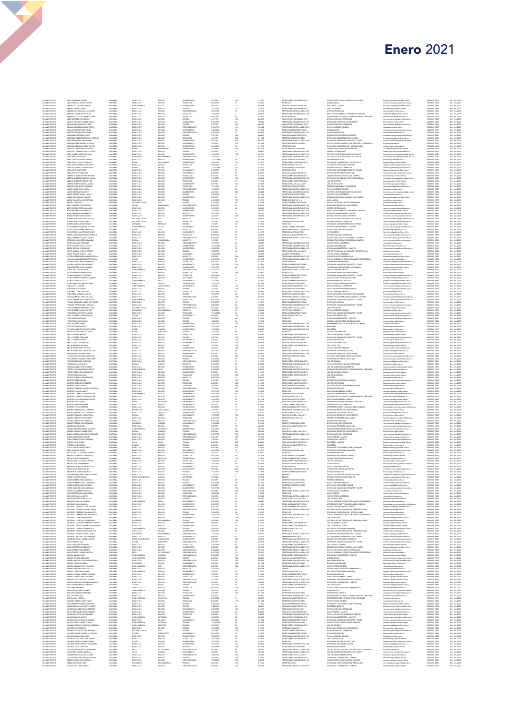| MELO DIAZ MONICA PAOLA<br>MELO MENDOZA JEISON STIVEN<br>MENDEZ BALLEN GINA LORENA<br>MINDEZ JIMENEZ RAFAEL<br>MENDEZ PEREZ WILSON ALEXANDER<br>MENDEZA TOWA VICTOR HUGO<br>MENDEZA TOWA VICTOR HUGO<br>MENDEZA TOWA VICTOR HUGO<br>MENAME PACHECO SANDRA MILENA<br>MOLINA ARCINIDGAS ELIO FABIO |
|-------------------------------------------------------------------------------------------------------------------------------------------------------------------------------------------------------------------------------------------------------------------------------------------------|
|                                                                                                                                                                                                                                                                                                 |
|                                                                                                                                                                                                                                                                                                 |
|                                                                                                                                                                                                                                                                                                 |
|                                                                                                                                                                                                                                                                                                 |
|                                                                                                                                                                                                                                                                                                 |
|                                                                                                                                                                                                                                                                                                 |
| MOLINA MARROQUIN MARIA OFELIA<br>MOLINA MARTINEZ ERIC DANIEL                                                                                                                                                                                                                                    |
|                                                                                                                                                                                                                                                                                                 |
|                                                                                                                                                                                                                                                                                                 |
| WONDADA FULIDO RUTH MONICA<br>MONDADA FULIDO RUTH MONICA<br>MONDADA FULIDO RUTH MONICA<br>MONTAÑO ESPINEL FRANCYNNE<br>MONTAÑO ESPINEL FRANCYNNE                                                                                                                                                |
| MONTAÑO PAEZ ADRIANA MARCELA                                                                                                                                                                                                                                                                    |
| MONTAÑO RENUMA WENDY YULIETH<br>MONTOYA CASAS MIRTHA IDANIDT                                                                                                                                                                                                                                    |
| MONTOVA CORREDOR LUIS ALFONSO<br>MORA ALONSO JIMMY GRAZIANI<br>MORA PEÑA JUAN DAVID                                                                                                                                                                                                             |
|                                                                                                                                                                                                                                                                                                 |
| MORA QUINTERO LAURA DANIELA                                                                                                                                                                                                                                                                     |
| MORA SEPULVEDA VICTOR DARIO<br>MORALES HERNANDEZ LUIS FELIPE                                                                                                                                                                                                                                    |
| MORALES JIMENEZ JOSE EUCLIDES                                                                                                                                                                                                                                                                   |
| MORALES LOZANO AVDEE<br>MORALES PEREZ VERALDIN<br>MORALES PEREZ VERALDIN                                                                                                                                                                                                                        |
|                                                                                                                                                                                                                                                                                                 |
| MORENO QUINTERO CLAUDIA LILIANA                                                                                                                                                                                                                                                                 |
| MORENO QUIÑONES SERGIO IVAN<br>MORENO ROMERO MARIA AMANDA                                                                                                                                                                                                                                       |
| MORENO RUBIO KATYA ICHANNIA                                                                                                                                                                                                                                                                     |
|                                                                                                                                                                                                                                                                                                 |
| MURENO PORTO DIANA LUCILA<br>MUREZ RODRIGUEZ MAYERLY<br>MUREZ RODRIGUEZ MAYERLY                                                                                                                                                                                                                 |
| MUÑOZ SOLER LAURA YASMITH<br>MUÑOZ VALEUENA JOSE ANTONIO                                                                                                                                                                                                                                        |
| NAZADIT IDSEDANI                                                                                                                                                                                                                                                                                |
| NETO HURTADO CARLOS HUGO<br>NETO MENDEZ CRISTIAN CAMILO<br>NOVA BELTRAN JORGE ALBERTO                                                                                                                                                                                                           |
|                                                                                                                                                                                                                                                                                                 |
| NOVOA MAHECHA IVAN ERNESTO<br>CIBANDO ROSAS SANDRA YAISLE                                                                                                                                                                                                                                       |
| OCAMPO NAHAR GUSTAVO ADOLFO                                                                                                                                                                                                                                                                     |
| OCAMPO PINTO JORGE AREL                                                                                                                                                                                                                                                                         |
| COMMO SESSA EDWARD BILLY<br>COHOA MAHEDHA NESTOR ALFONSO<br>COHOA SUAREZ YENNY CAROLINA<br>CUEDA ERAZO GUILLERMO ORLANDO                                                                                                                                                                        |
|                                                                                                                                                                                                                                                                                                 |
| CRULELA BOHORQUEZ CINDY MARCELA                                                                                                                                                                                                                                                                 |
| CRTEGA RAMIREZ EDGARD ANDRES<br>ORTEGON ROJAS JORGE ARMANDO                                                                                                                                                                                                                                     |
|                                                                                                                                                                                                                                                                                                 |
| ORTIZ CARDENAS FERNANDO<br>ORTIZ NARVAEZ JESUS ALBERTO                                                                                                                                                                                                                                          |
| OSORIO BERNAL LUIS GABRIEL<br>OSPINA BURGOS YOHANA TERESA                                                                                                                                                                                                                                       |
| OVIEDO FRANCO MARTHA LUCIA                                                                                                                                                                                                                                                                      |
| PACATEQUE ESPINOSA SANDRA PATRICIA<br>PADILLA HERNANDEZ MONICA PATRICIA                                                                                                                                                                                                                         |
| PALMA RAMIREZ WITHA ESPERANZA<br>PANCHA SABOGAL EDNA MARISOL<br>PARDO BELTRAN CAROL ADRIANA                                                                                                                                                                                                     |
|                                                                                                                                                                                                                                                                                                 |
| PARDO JARA GINA PATRICIA                                                                                                                                                                                                                                                                        |
| PASTOR SANCHIEZ MARIA ELVIRA<br>PETADROVO DI IDRO 105E LI IS                                                                                                                                                                                                                                    |
| PATIÑO BARRAGAN MARTHA JEANETH                                                                                                                                                                                                                                                                  |
| PATIÑO SAENZ ANA LUCIA                                                                                                                                                                                                                                                                          |
| PEDRAZA MOLINA DIANA KATERIN<br>PEÑA CASTILLO HENRY                                                                                                                                                                                                                                             |
| PERA MUROZ ELIZABETH                                                                                                                                                                                                                                                                            |
| PEÑA PEÑA LEIDY CAROLINA<br>PERA PEREZ MONICA CAROLINA                                                                                                                                                                                                                                          |
| PERAPLEAL MUNICIPAL<br>PERALDEA MUNICIPAL JUDINA<br>PERUELA MORALES MAUDY VIVANA<br>PERALTA GONZALEZ JONATHAN HERNAN<br>PERDOMO PEREZ DIANA CAROLINA                                                                                                                                            |
|                                                                                                                                                                                                                                                                                                 |
|                                                                                                                                                                                                                                                                                                 |
| PEREZ CORREDOR MARIA DEL PILAR<br>PEREZ DUARTE CLAUDIA ESTHER                                                                                                                                                                                                                                   |
| PEREZ GONZALEZ TIMOTY JOHAN                                                                                                                                                                                                                                                                     |
| PEREZ GUAYARA CESAR AUGUSTO<br>PEREZ PINEDA GIOVANNI                                                                                                                                                                                                                                            |
|                                                                                                                                                                                                                                                                                                 |
| PEREZ PINEDA JOHN JAHO<br>PEREZ SALAZAR JAINER<br>PEREZ VELANDIA MAYERLY                                                                                                                                                                                                                        |
| PETANO GONZALEZ ANGELICA ISABEI                                                                                                                                                                                                                                                                 |
| PINEDA GALINDO DORA MAYERLY                                                                                                                                                                                                                                                                     |
|                                                                                                                                                                                                                                                                                                 |
| PINIUA GALINGU DUAN MATI<br>PINILLA CASTRO DORA INES<br>PINILLA CASTRO SANDRA                                                                                                                                                                                                                   |
| PINILLA DAZA LUIS FERNANDO<br>PINZON AREVALO OLIVERIO                                                                                                                                                                                                                                           |
| PINZON BETANCOURT PATRICIA<br>PINZON HERNANDEZ OSCAR WILLIAM                                                                                                                                                                                                                                    |
|                                                                                                                                                                                                                                                                                                 |
| PRADA HINDHALLA HEBER HANS<br>PRADAN FINLLA HEBER HANS<br>PLAZAS MERCHAN MARIA DEL PILAR<br>POLOCHE BUSTAMANTE JONNY ARBEY                                                                                                                                                                      |
| PORRAS DIAZ DIANA CAROLINA                                                                                                                                                                                                                                                                      |
| POVEDA CASTILLO LILIANA                                                                                                                                                                                                                                                                         |
| POVEDA GOMEZ VICTOR MANUEL                                                                                                                                                                                                                                                                      |
|                                                                                                                                                                                                                                                                                                 |
| PRIETO PATARROYO NESTOR FELIPE                                                                                                                                                                                                                                                                  |
|                                                                                                                                                                                                                                                                                                 |
| PRETO PRETO CARLOS MAURICIO<br>PLENTES ROCHA GIOVANI<br>PLENTES TORRES LUS FERNANDO<br>CUNTERO BAEZ AMANDA                                                                                                                                                                                      |
| CUNTERO BAEZ HECTOR EMIRO                                                                                                                                                                                                                                                                       |
| QUINTERO CALVO PATRICIA                                                                                                                                                                                                                                                                         |
| QUINTERO CARDOZO SANTOS FRANCISCO<br>QUINTERO CARDOZO SANTOS FRANCISCO                                                                                                                                                                                                                          |
|                                                                                                                                                                                                                                                                                                 |
| .<br>QUINTERO CORREA CESAR AUGUSTO<br>QUINTERO CORREAL CRISTIAN FELIPE<br>QUINTERO MALAGON ANDREA ROCIO                                                                                                                                                                                         |
| QUINTERO MESA DIANA                                                                                                                                                                                                                                                                             |
| CUINTERO RAMIREZ WILSER                                                                                                                                                                                                                                                                         |
|                                                                                                                                                                                                                                                                                                 |
|                                                                                                                                                                                                                                                                                                 |
| QUINTERO RIVERA ROBERTO<br>QUIÑONES PEINADO LIGIA AMPARO<br>RAIGOSO SANCHEZ KELLY NATHALIA<br>RAMREZ AREVALO LILIANA PAGLA<br>RAMIREZ CAMACHO JONH FREDY                                                                                                                                        |
| RAMIREZ CANO ELIANA PATRICIA<br>PAMIDEZ CODDEA LUIS CEDNANDE                                                                                                                                                                                                                                    |
|                                                                                                                                                                                                                                                                                                 |
|                                                                                                                                                                                                                                                                                                 |
| <b>RAMPIEZ CHARACHINA PRAEL AUGUSTO</b><br>RAMPIEZ RAMPIEZ PATAEL AUGUSTO<br>RAMPIEZ VARGAS CARMEN ROSA<br>RAMOS CASTIBLANCO JESUS HERNANDO                                                                                                                                                     |
| RANGEL CONDE MARTHA INES<br>REINA CAEREJO KAROOL ADRANA                                                                                                                                                                                                                                         |
| RENGIFO CANO ALDEN                                                                                                                                                                                                                                                                              |
|                                                                                                                                                                                                                                                                                                 |
|                                                                                                                                                                                                                                                                                                 |
| RESTREPO LUZ MARIELA<br>RESTREPO LUZ MARIELA<br>RAÑO CASTILLO DANNY<br>RICO PACHECO LEIVER ALEJANDRO                                                                                                                                                                                            |
| RINCON DIAZ ANGELA MARGARITA<br>RINDON GALVIS DIANA MARIA                                                                                                                                                                                                                                       |
| RINDON GONZALEZ ROSA ADRIANA                                                                                                                                                                                                                                                                    |
| RINDON LEON JOHN MANUE                                                                                                                                                                                                                                                                          |
| RINCON MARTINEZ BLANCA STELLA<br>RINCON MARTINEZ ROSALBA                                                                                                                                                                                                                                        |
| RINDON ROA ADRIANA MARCELA<br>ADENEIRA RAMIREZ JORGE ALB                                                                                                                                                                                                                                        |
| RWERA HEBERT GONZALO                                                                                                                                                                                                                                                                            |
| RIVERA MORENO ANGE VANESSA<br>RIVERA MORENO GLORIA CATHER                                                                                                                                                                                                                                       |
| RIVERA ROBAYO LAURA VANESSA                                                                                                                                                                                                                                                                     |
| RIVERA SANCHEZ ANGELA BIBIANA<br>RIVEROS JARA MARTHA CECILIA                                                                                                                                                                                                                                    |
| ROA GOMEZ MANUEL ALEJANDRO                                                                                                                                                                                                                                                                      |
| ROA RUZ MONICA JULIETH                                                                                                                                                                                                                                                                          |
| ROBAYO OLIVARES LIDIS OFELIA<br>RODRIGUEZ AVE A ALEJANDRA<br>RODRIGUEZ AVE A DANIELA                                                                                                                                                                                                            |
| RODRIGUEZ ESPINOSA JOSE EDUARDO                                                                                                                                                                                                                                                                 |
| RODRIGUEZ FONSECA JULIAN CAMILO<br>RODRIGUEZ HERRERA CESAR AUGUSTO                                                                                                                                                                                                                              |
| RODRIGUEZ HERRERA GINA ALEXANDRA                                                                                                                                                                                                                                                                |
|                                                                                                                                                                                                                                                                                                 |
| RODRIGUEZ LEON FABIO HERNAN<br>RODRIGUEZ LEON GUSTAVO ENRIQUE<br>RODRIGUEZ MARTINEZ JEFERSON ALBERTO                                                                                                                                                                                            |
| RODRIGUEZ MOCALEANO MELBA ESPERANZA                                                                                                                                                                                                                                                             |
| RODRIGUEZ OSORIO YUDI MARCELA<br>RODRIGUEZ PACHON MARTHA CECILIA                                                                                                                                                                                                                                |
| RODRIGUEZ RODRIGUEZ GUILLERMO                                                                                                                                                                                                                                                                   |
| RODRIGUEZ SALGADO JOSE ARMANO<br>OTRIBUA IGROL OO ANY SILIGRODR                                                                                                                                                                                                                                 |
| ROJAS CAMPOS JAIR                                                                                                                                                                                                                                                                               |
| ROJAS CHAPARRO GERARDO<br>ROJAS GOMEZ ROSE WEENNETH                                                                                                                                                                                                                                             |
| ROJAS MUÑOZ YOANA MIREYA                                                                                                                                                                                                                                                                        |
| ROJAS TAVERA YVONNE GRACIELA<br>ROMERO ADAMES EDDY                                                                                                                                                                                                                                              |
|                                                                                                                                                                                                                                                                                                 |
| ROMERO BERNAL HERNANDO<br>ROMERO BRACHO PATRICIA CONSTANZA<br>ROMERO CARVAJAL HELDA                                                                                                                                                                                                             |
| ROMERO CUBILLOS DOLLY JULIANA                                                                                                                                                                                                                                                                   |
| ROMERO MARTINEZ RUBY STELLA                                                                                                                                                                                                                                                                     |
| ROMERO PEÑA YEME, ALONSO<br>ROMERO PERILLA SANDRA JOHANNA                                                                                                                                                                                                                                       |
|                                                                                                                                                                                                                                                                                                 |
| ROMERO TRIVIÑO JESUS ANTONIO<br>RONDON LEGUIZAMO LADY VIVIANA<br>ROSERO CARDENAS ALEJANDRA BIBANA                                                                                                                                                                                               |
| ROZO ACEVEDO MAVER CAROLINA<br>RUA ACERO UBALDINA                                                                                                                                                                                                                                               |
|                                                                                                                                                                                                                                                                                                 |
|                                                                                                                                                                                                                                                                                                 |
|                                                                                                                                                                                                                                                                                                 |
| RUBO ENCISO JARO EUGENIO<br>RUBO ENGIAN DIANA MARCELA<br>RUZ CASTRO CAMILA<br>RUZ CLAUDIA PATRICIA<br>RUNCERIA CAMELO LEIDY YAMER                                                                                                                                                               |
| RUSSI BELTRAN EDWARD GIOVANNY<br>SANITORA CASTILLO MARTHA JUDITH                                                                                                                                                                                                                                |
|                                                                                                                                                                                                                                                                                                 |
| .<br>MANEDRA GOMEZ CARLOS ERNESTO<br>MENZ HERNANDEZ CARLOS ANDRES<br>SALAMANCA ROJAS ISIS SOLANGE                                                                                                                                                                                               |
| SALAZAR GARCIA ANYELO                                                                                                                                                                                                                                                                           |
| SALCEDO GARCIA NATALIA ANDREA<br>SALCEDO PADILLA NANCY PAOLA                                                                                                                                                                                                                                    |
| SANABRIA BERNAL FRANCISCO FERNANDO                                                                                                                                                                                                                                                              |
|                                                                                                                                                                                                                                                                                                 |
| SANCHEZ CASTRO EDITH<br>SANCHEZ CIFUENTES JOSE AEDONAI<br>SANCHEZ CONDE CLAUDIA ALE JANDRA                                                                                                                                                                                                      |
| SANCHEZ FALCON ARMANDO<br>SANCHEZ GAMA JORGE ALEJANDRO                                                                                                                                                                                                                                          |
| SANCHEZ TORRES JEYMANY LORENA                                                                                                                                                                                                                                                                   |
| SANCHEZ TORRES SHIRLEY ALEXANDRA                                                                                                                                                                                                                                                                |
| SANCHEZ ZAPATA ROSALBA                                                                                                                                                                                                                                                                          |
| SANTIAGO MAHECHA LILIANA ANDREA<br>SANTOFIMIO VARGAS ANGELICA                                                                                                                                                                                                                                   |
| SARMENTO GARCIA FLOR MARINA<br>SEGURA CONTRERAS FRECYA ANDREA                                                                                                                                                                                                                                   |
| SIERRA ROZO LILIANA MARCELA<br>SERRA RUEDA DORA INES<br>SILVA MEJIA LAURA SUSANA                                                                                                                                                                                                                |
|                                                                                                                                                                                                                                                                                                 |

 $\blacksquare$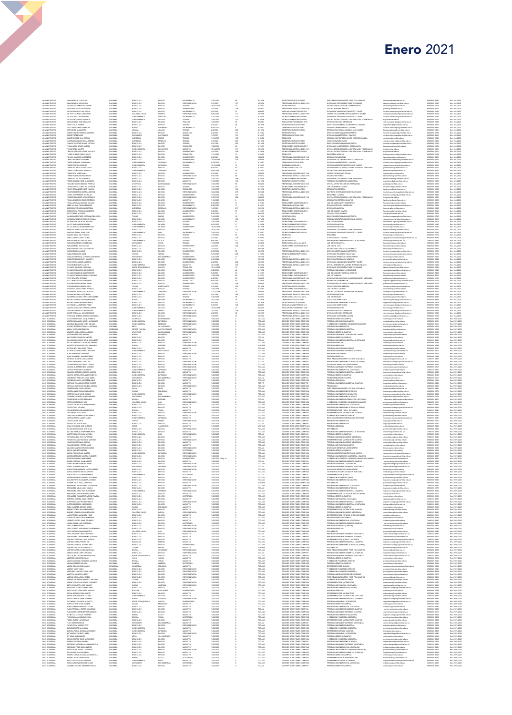| ADMINISTRATIVO                                                       | SEVA MENGUA FLOR ELISA                                                                                                                       | COLOMBIA                         | BOGOTA D.C                                               | <b>DOGOTA</b>                                                       | BACHILLERATO                                                      | 1/22/2014                                       |                   | 4210-16                                           | SECRETARIO EJECUTIVO 16 N                                                                                                    | PREG. RELACIONES INTERN. Y EST. POL.(CAMPUS)                                                                                                                                       | relinternal@unimilitar.edu.co                                                                                                                                                                                          | 6500000-2022                                                                 | Dec. 304/2020                                                                                                              |
|----------------------------------------------------------------------|----------------------------------------------------------------------------------------------------------------------------------------------|----------------------------------|----------------------------------------------------------|---------------------------------------------------------------------|-------------------------------------------------------------------|-------------------------------------------------|-------------------|---------------------------------------------------|------------------------------------------------------------------------------------------------------------------------------|------------------------------------------------------------------------------------------------------------------------------------------------------------------------------------|------------------------------------------------------------------------------------------------------------------------------------------------------------------------------------------------------------------------|------------------------------------------------------------------------------|----------------------------------------------------------------------------------------------------------------------------|
| <b>ADMINISTRATIVO</b><br><b>ADMINISTRATIVO</b>                       | SILVA MENGUA ROSA ELENA<br>SILVA ROJAS JIMMY ALEJANDRO                                                                                       | COLOMBIA<br>COLOMBIA             | BOGOTA D.C.<br>BOGOTA D.C.                               | <b>DOGOTA</b><br><b>DOGOTA</b>                                      | ESPECIALIZACIÓN<br>TECNICO                                        | 1/1/2005<br>10/10/2019                          |                   | 2028-16<br>4178-12                                | PROFESIONAL ESPECIALIZADO 16-N<br>SECRETARIO 12 N                                                                            | DIVISION DE GESTION DEL TALENTO HUMANO<br>DECANATURA EDUCACIÓN Y HUMANIDADES                                                                                                       | talento humano@unimilitar.edu.co<br>educacion@unimilitar.edu.co                                                                                                                                                        | 6500000 - 1560<br>6500000 - 1513                                             | Dec. 304/2020<br>Dec. 304/2020                                                                                             |
| <b>ADMINISTRATIVO</b>                                                | SILVA VEGA MARITZA ORISTINA                                                                                                                  | COLOMBIA                         | BOSOTA D.C.                                              | <b>BOGOTA</b>                                                       | UNIVERSITARIO                                                     | 2/2/2004                                        | 204               | 2028-12                                           | PROFESIONAL ESPECIALIZADO 12-N                                                                                               | OFICINA ASESORA JURIDICA                                                                                                                                                           | and call units little educe                                                                                                                                                                                            | 6500000-1007                                                                 | Dec. 304/2020                                                                                                              |
| .<br>ADMINISTRATIVO<br>ADMINISTRATIVO                                | SOCHA ESPINOSA LINA PAOLA<br>SOLARTE LOURIDO JOHN JAR                                                                                        | COLOMBIA<br>COLOMBIA             | BOGOTA D.C.<br>VALLE DEL CAUCA                           |                                                                     | BACHILLERATO                                                      | 5/2/2016<br>9/16/201                            |                   | $\begin{array}{r} 4344.25 \\ 2028-18 \end{array}$ | PROFESSIVE ARMINISTRATIVO 20-N<br>ALOCLIAR ADMINISTRATIVO 20-N<br>PROFESIONAL ESPECIALIZADO 18-N                             |                                                                                                                                                                                    |                                                                                                                                                                                                                        | 6500000-1120<br>6500000-1124                                                 | Dec. 304/2020<br>Dec. 304/2020                                                                                             |
| ADMINISTRATIVO<br>ADMINISTRATIVO                                     | SOLER GODDY LINA MAYERLI<br>SOLORZANO RAMOS EDUARDO                                                                                          | COLOMBIA<br>COLOMBIA             | CUNDINAMARCA<br>CUNDINAMARCA                             | BOGOTA<br>FLORIDA<br>ARBELAEZ<br>SOACHA                             | TECNICO                                                           | 2/11/2011<br>1/19/2011                          | 119<br>120        | 3124-14<br>3124-16                                | TECNICO ADMINISTRATIVO 14-N<br>TECNICO ADMINISTRATIVO 16-N                                                                   | OF HIMPS PARADONES, REGISTRO Y CONTR<br>CENTRO DE ACOMPANAMENTO, ORIENT Y SEG EST<br>DIVISION DE ADMISIONES, REGISTRO Y CONTR<br>OFICINA TECNOLOGIAS DE LA INFORMACION Y COMENICAC | perancipalmente essa<br>consejeria estudianti (ligurimilitat edu co<br>consejeria estudianti (ligurimilitat edu co<br>tic (ligurimilitat edu co<br>tic (ligurimilitat edu co                                           | 6500000 - 1130<br>6500000 - 1651                                             | Dec. 304/2020<br>Dec. 304/2020                                                                                             |
| <b>ADMINISTRATIVO</b><br><b>ADMINISTRATIVO</b>                       | SOSA MURLLO JOSE OSWALDO<br>SOTO O BLIE ANDREA                                                                                               | COLOMBIA<br>COLOMBIA             | BOGOTA D.C.<br>BOSOTA D.C.                               | <b>DOGOTA</b><br><b>BOGOTA</b>                                      | PRIMARIA<br>TECNICO                                               | 1/22/2012<br>4/2/2012                           |                   | 4054-07<br>4210-16                                | ALXILIAR SERV, GENERALES 07-N<br>SECRETARIO E IECUTIVO 16.N.                                                                 | DIVISION SERVICIOS GENERALES<br>DRECCION ACADEMICA DE DESARROLLO MULTIM                                                                                                            | servicios generales@unimilitar.edu.co                                                                                                                                                                                  | 6500000 - 1593<br>6500000-1201                                               | Dec. 304/2020<br>Dec. 304/2020                                                                                             |
| <b>ADMINISTRATIV</b>                                                 | SOTO LARGO PABLO ESNEIDER                                                                                                                    | COLOMBIA                         | BOYACA                                                   | SAN MATED                                                           | BACHILLERATO                                                      | 9/14/202                                        |                   | 4169-07                                           | OPERARIO CALIFICADO 07-N                                                                                                     | DIVISION ADMINISTRATIVA - CAMPUS                                                                                                                                                   | ingruitimedia(junimilitatedu co<br>division admoampus(junimilitatedu co<br>biologia aplicada(junimilitatedu co<br>instituto posgrados(junimilitatedu co                                                                | 6500000 - 3316                                                               | Dec. 304/2020                                                                                                              |
| ADMINISTRATIV<br>ADMINISTRATIV                                       | )TO REUTO MARGARITA<br>JAREZ CASTRO MARTIKA DAMARIS                                                                                          |                                  | MOTACA<br>ARAUCA<br>BOGOTA D.C.<br>SANTANDER<br>ANTIOQUA | ARAUCA<br>BOGOTA<br>CAPITANEJO<br>MACEO                             |                                                                   | ******<br>2/2/2004<br>5/2/2011                  |                   | 4210-16<br>4178-12                                | SECRETARIO EJECUTIVO 16-N<br>SECRETARIO 12-N                                                                                 | STEININ PARKININ CERCULE BASICAS Y AFLICADAS<br>DESCODIN GESTION ADMINISTRATIVA<br>DIVISION ADMINISTRATIVA - CAMPUS<br>SECCION CONTRATOS DE MAYOR Y MENOR CUANTIA                  |                                                                                                                                                                                                                        |                                                                              | Dec. 204/2020<br>Dec. 204/2020                                                                                             |
| ADMINISTRATIVO<br>ADMINISTRATIVO                                     | SUAREZ PEREZ DAVID<br>SUAREZ SUAREZ ELLA CECILIA                                                                                             | COLOMBIA<br>COLOMBIA             |                                                          |                                                                     | TECNICO<br>TECNICO                                                | 1/1/2011<br>1/11/2011                           | $\frac{121}{120}$ | 4169-11<br>3100-12                                | OPERARIO CALIFICADO 11-N<br>TECNICO 12                                                                                       |                                                                                                                                                                                    | division admcampus@unimilitar.edu.co<br>contratos@unimilitar.edu.co                                                                                                                                                    | 6500000 - 3316<br>6500000 - 1596                                             | Dec. 304/2020<br>Dec. 304/2020                                                                                             |
| <b>ADMINISTRATIVO</b>                                                | TABORDA BLANDON PAULA ANDREA                                                                                                                 | COLOMBIA                         | ANTIQUUA                                                 | MEDELLIN                                                            | TECNICO                                                           | 3/1/2004                                        | 222               | 4210-16                                           | SECRETARIO EJECUTIVO 16-N                                                                                                    | VICEDECANATURA FARIES                                                                                                                                                              | vicedec.relinternal@unimilitax.edu.co                                                                                                                                                                                  | 6500000 - 1332                                                               | Dec. 304/2020                                                                                                              |
| <b>ADMINISTRATIVO</b><br><b>ADMINISTRATIV</b>                        | TAMAYO VILLEGAS GLORIA PATRICIA<br>TEJADA VEGA SERGIO ANDRES                                                                                 | COLOMBIA<br>COLOMBIA             | BOGOTA D.D<br>BOSOTA D.C.                                | <b>BOGOTA</b><br><b>BOGOTA</b>                                      | TECNICO<br>TEDNOLOGO                                              | an nose<br>1/25/2016                            | 269               | 4210-18<br>3128-11                                | SECRETARIO EJECUTIVO 18-N<br>TECNICO SERV ASISTENCIALES 11                                                                   | DRECCION GESTION ADMINISTRATIVA<br>DIVISION DE LABORATORIOS - SEDE BOGOTA                                                                                                          | instituto posgrados@unimilitar.edu.co<br>laboratorios@unimilitar.edu.co                                                                                                                                                | 6500000 - 1733<br>6500000 - 1339                                             | Dec. 304/2020<br>Dec. 304/2020                                                                                             |
| .<br>ADMINISTRATIV<br>ADMINISTRATIV                                  | TELLEZ ISAZA JANETH<br>TIBOCHA NARANJO CESAR AUGUSTO                                                                                         | COLOMBIA                         | CLINDINAMAS<br>BOGOTA D.C.<br>BOGOTA D.C.                | EACATATIVA<br>BOGOTA<br>BOGOTA                                      | maister<br>Universitario                                          | 10/14/2011<br>2/2/2004<br>11/1/2019             |                   | 2028-16<br>3124-16                                | PROFESIONAL ESPECIALIZADO 16-                                                                                                | STREAM TECHNOLOGIAS DE LA INFORMACION Y COMUNICAC<br>GFICINA TECNOLOGIAS DE LA INFORMACION Y COMUNICAC<br>BIBLIOTECA MEDICINA                                                      | saarastrasportuus<br>tic@unimilitatedu.co<br>biblioteca.medicina@un                                                                                                                                                    | 6500000 - 1651<br>6500000 - 1651                                             | Dec. 204/2020<br>Dec. 204/2020<br>Dec. 204/2020                                                                            |
| <b>ADMINISTRATIV</b>                                                 | TUARD VARGAS CARLOS JULIO                                                                                                                    | COLOMBIA                         |                                                          |                                                                     | TECNOLOGO                                                         |                                                 | 15                | 3100-12                                           | TECNICO 12                                                                                                                   |                                                                                                                                                                                    |                                                                                                                                                                                                                        | 6500000-2124                                                                 |                                                                                                                            |
| <b>ADMINISTRATIVO</b><br><b>ADMINISTRATIVO</b>                       | TINJACA SANCHEZ DAGOBERTO<br>TIRADO RODRIGUEZ MARIBEL                                                                                        | COLOMBIA<br>COLOMBIA             | BOGOTA D.C.<br>BOGOTA D.C.                               | <b>DOGOTA</b><br><b>DOGOTA</b>                                      | UNIVERSITARIO<br>UNIVERSITARIO                                    | 2/2/2004<br>10/18/1995                          | 204<br>322        | 2044-10<br>2044-05                                | PROFESIONAL UNIVERSITARIO 10-N<br>PROFESIONAL UNIVERSITARIO 05-N                                                             | DECANATURA MEDICINA<br>DIVISION DE EXTENSION Y PROYECCION SOCIAL                                                                                                                   | facmedicina@unimilitar.edu.co<br>educacion.continuada@unimilitar.edu.c                                                                                                                                                 | 6500000 - 2001<br>6500000 - 1247                                             | Dec. 304/2020<br>Dec. 304/2020                                                                                             |
| <b>ADMINISTRATIVO</b><br><b>ADMINISTRATIVO</b>                       | TORRES AREVALO JUAN PABLO<br>TORRES CASTRO ROSALBA                                                                                           | COLOMBIA<br>COLOMBIA             | CUNDINAMARC<br>CUNDINAMARCA                              | <b>ZIPAQUIR</b><br><b>ZIPAQUIRA</b>                                 | BACHILLERATO<br>TECNICO                                           | 9/14/2020<br>12/12/2014                         |                   | 4169-07<br>4128-12                                | OPERARIO CALIFICADO 07-N<br>ENFERMERO ALOCLIAR 12                                                                            | DIVISION ADMINISTRATIVA - CAMPUS<br>SECCION BIENESTAR UNIVERSITARIO CAMPUS                                                                                                         | division admcampus@unimilitar.edu.co                                                                                                                                                                                   | 6500000 - 3316<br>6500000 - 3310                                             | Dec. 304/2020<br>Dec. 304/2020                                                                                             |
| ADMINISTRATIV                                                        | SRRES ESCOBAR JUAN CAMEC                                                                                                                     | <b>COLOMBY</b>                   | 1050TA D.C.                                              | BOGOTA                                                              | towco                                                             | 15/2012                                         |                   | 3132-13                                           | ECNICO OPERATIVO 12 N                                                                                                        | DIVISION PUBLICACIONES, COMUNICACIONES Y MERCADEO<br>DECANATURA DERECHO(CAMPUS)                                                                                                    | services and in programming was<br>publicaciones@unimilitar.edu.co<br>facderecho@unimilitar.edu.co<br>ingeniets@unimilitar.edu.co                                                                                      | 6500000-1110                                                                 | Dec. 304/2020                                                                                                              |
| ADMINISTRATIVO<br>ADMINISTRATIVO                                     | TORRES LOPEZ DIANA MARCELA<br>TORRES ROA JEINI PAOLA                                                                                         | COLOMBIA<br>COLOMBIA             | CUNDINAMARCA<br>BOGOTA D.C.                              | ZIPAQUIRA<br>BOGOTA                                                 | TECNICO<br>UNIVERSITARIO                                          | 9/18/2018<br>5/1/2016                           |                   | 4178-12<br>2044-10                                | SECRETARIO 12-N<br>PROFESIONAL UNIVERSITARIO 10-N                                                                            | CENTRO DE REALIDAD VIRTUAL                                                                                                                                                         |                                                                                                                                                                                                                        | 6500000 - 3205<br>6500000 - 1274                                             | Dec. 304/2020<br>Dec. 304/2020                                                                                             |
| <b>ADMINISTRATIVO</b>                                                | TORRES RODRIGUEZ MAGNOLIA                                                                                                                    | COLOMBIA                         | BOSOTA D.C.                                              | <b>DOGOTA</b>                                                       | ESPECIALIZACIÓN                                                   | 5/15/2017                                       |                   | 2028-12                                           | PROFESIONAL ESPECIALIZADO 12 N                                                                                               | DECANATURA FARES                                                                                                                                                                   | facrelinternal@unimilitar.edu.co<br>talento.humano@unimilitar.edu.co                                                                                                                                                   | 6500000 - 1330                                                               | Dec. 304/2020                                                                                                              |
| <b>ADMINISTRATIVO</b><br><b>ADMINISTRATIV</b>                        | TORRES ROJAS JULIE ANDREA<br>TORRES SALGADO RUBI ALEXANDRA                                                                                   | COLOMBIA<br>COLOMBIA             | BOGOTA D.C.<br>DOGOTA D.C.                               | <b>DOGOTA</b>                                                       | UNIVERSITARIO<br>MAGISTER                                         | 1/10/2007                                       |                   | 3124-14                                           | TECNICO ADMINISTRATIVO 14 N<br>SECRETARIO EJECUTIVO 16-N                                                                     | DIVISION DE GESTION DEL TALENTO HUMANO<br>PREGRADO INGENIERIA EN MULTIMEDIA                                                                                                        |                                                                                                                                                                                                                        | 6500000 - 1560                                                               | Dec. 304/2020                                                                                                              |
| <b>ADMINISTRATIV</b><br><b>CMNSTRATH</b>                             | TOSCANO OSOBIO MOMICA DATRICIA<br>TOWAR GONZALEZ BET DEL CARMER                                                                              | COLOMBIA<br>COLOMBIA             | <b>ATLANTICO</b>                                         | EGGOTA<br>EARRANQUELLA                                              | ESPECIALIZACIÓN                                                   | 1/15/2007<br>3/10/2016                          |                   | 4210-16<br>2044-03                                | PROFESIONAL UNIVERSITARIO 03-N<br>TECNICO SERV ASISTENCIALES 11                                                              | OFICINA DE PROTECCION DEL PATRIMONIO                                                                                                                                               | ingmultimedia@unimilitar.edu.co<br>juridica@unimilitar.edu.co                                                                                                                                                          | 6500000 - 1293<br>6500000 - 1038                                             | Dec. 304/2020<br>Dec. 304/2020                                                                                             |
|                                                                      | TOVAR HERNANDEZ YINE TH KARINA                                                                                                               | COLOMBIA<br>COLOMBIA             | BOSCTA D.C.<br>BOSCTA D.C.<br>BOSCTA D.C.                | BOGOTA<br>BOGOTA<br>BOGOTA                                          | towco<br>TECNOLOGO<br>ESPECIALIZACION                             | /25/201                                         |                   | 3128-11<br>4210-18                                |                                                                                                                              | LAB. DE QUIMICA CAMPUS<br>DECANATURA DERECHO<br>INSTITUTO DE ESTUDIOS GEOESTRATEGICOS                                                                                              | lab.cienciasb@unimilitar.edu.co<br>facderecho@unimilitar.edu.co                                                                                                                                                        | 6500000-3100                                                                 | Dec. 304/2020<br>Dec. 304/2020<br>Dec. 304/2020                                                                            |
| ADMINISTRATIVO<br>ADMINISTRATIVO<br><b>ADMINISTRATIVO</b>            | TOVAR ZAMERANO MARTHA BEATRIZ<br>TRIANA LOPEZ MARIA DEL PILAR                                                                                | COLOMBIA                         | BOGOTA D.C.                                              | <b>DOGOTA</b>                                                       | UNIVERSITARIO                                                     | 1/21/2010<br>12/9/2002<br>1/19/2010             | 210<br>122        | 2028-20<br>3100-12                                | SECRETARIO EJECUTIVO 18-N<br>PROFESIONAL ESPECIALIZADO 20-N<br>TECNICO 12                                                    | BIBLIOTECA - CAMPUS                                                                                                                                                                | instituto.geoestrategia@un<br>biblioteca.campus@unimilitar.edu.co                                                                                                                                                      | 6500000 - 1230<br>6500000 - 1045<br>6500000 - 3040                           | Dec. 304/2020                                                                                                              |
| <b>ADMINISTRATIVO</b><br><b>ADMINISTRATIVO</b>                       | TRIVIÑO RODRIGUEZ JESUS ENRIQUE<br>TRUJILLO FLORIAN EDWIN SECERGIO                                                                           | COLOMBIA<br>COLOMBIA             | BOGOTA D.C.<br>BOSOTA D.C.                               | <b>DOGOTA</b><br><b>BOGOTA</b>                                      | ESPECIALIZACIÓN<br>MAGISTER                                       | 0/18/1995<br>1/16/2021                          | 334               | 2044-10<br>0005-10                                | PROFESIONAL UNIVERSITARIO 10-N<br>DECAND.                                                                                    | OFICINA TECNOLOGIAS DE LA INFORMACION Y COMUNICAC<br>DECANATURA DERECHO/CAMPUS)                                                                                                    | tic@unimilitatedu.co<br>facderecho@unimilitar.edu.co                                                                                                                                                                   | 6500000 - 1651<br>6500000-2205                                               | Dec. 304/2020<br>Dec. 304/2020                                                                                             |
|                                                                      |                                                                                                                                              |                                  |                                                          |                                                                     | NIVERSITARIO                                                      |                                                 |                   | 3128-13<br>4169-13                                |                                                                                                                              |                                                                                                                                                                                    |                                                                                                                                                                                                                        |                                                                              |                                                                                                                            |
| ADMINISTRATIVO<br>ADMINISTRATIVO<br>ADMINISTRATIVO<br>ADMINISTRATIVO | TRUJELO PARAGA GISELLE JULIANA<br>TRUJELO PARAGA GISELLE JULIANA<br>URBEGO DAVIO MONICA MARCELA<br>URBEGO PAVA FRANCISCO ALBERTO             | COLOMBIA<br>COLOMBIA<br>COLOMBIA | BOGOTA D.C.<br>BOGOTA D.C.<br>ANTIOQUIA<br>BOGOTA D.C.   | BOGOTA<br>BOGOTA<br>MEDELLIN<br>BOGOTA                              | UNIVERSITARIO<br>BACHILLERATO<br>ESPECIALIZACION<br>UNIVERSITARIO | 1/16/2019<br>8/12/2019<br>8/20/2019<br>1/8/2000 |                   |                                                   | TECNICO SERV ASISTENCIALES 12<br>CPERARIO CALIFICADO 12-N<br>PROFESIONAL ESPECIALIZADO 16-N<br>TECNICO SERV ASISTENCIALES 11 | LAB DE AGREGADOS Y CONCRETOS<br>DIVISION SERVICIOS GENERALES<br>DIVISION FINANCIERA<br>LAB DE QUIMICA CAMPUS                                                                       | Tacomecnogummeta: edu.co<br>laboratorios:[junimilita: edu.co<br>servicios: generales:[junimilita: edu.co<br>financiers:[junimilita: edu.co<br>lab.ciencias:b:[junimilita: edu.co<br>lab.ciencias:b:[junimilita: edu.co | 6500000 - 3057<br>6500000 - 1593<br>6500000 - 1630<br>6500000 - 1630         | Dec. 204/2020<br>Dec. 204/2020<br>Dec. 204/2020<br>Dec. 204/2020                                                           |
|                                                                      |                                                                                                                                              |                                  |                                                          |                                                                     |                                                                   |                                                 | 217<br>57         | 2028-16<br>3128-11                                |                                                                                                                              |                                                                                                                                                                                    |                                                                                                                                                                                                                        | 6500000 - 3100                                                               |                                                                                                                            |
| <b>ADMINISTRATIVO</b><br><b>ADMINISTRATIVO</b>                       | VACA TORRES ALFONSO<br>VALISIENA MONTAÑO CAROLINA DEL ROCIO                                                                                  | COLOMBIA<br>COLOMBIA             | BOSOTA D.C.<br>TOLIMA<br>BOGOTA D.C.                     | <b>DOGOTA</b>                                                       | MAGISTER<br>UNIVERSITARIO                                         | 8/16/2019<br>.<br>תופצ/דו/ד<br>תופצ/דו/ד        |                   | 0060-20<br>4178-12                                | VICERRECTOR GENERAL 20<br>SECRETARIO 12 N                                                                                    | VICERRECTORIA GENERAL<br>DRECCION GESTION ADMINISTRATIVA                                                                                                                           | os uba sztámi http://www.                                                                                                                                                                                              | 6500000 - 1050<br>6500000 - 1733                                             | Dec. 304/2020                                                                                                              |
| <b>ADMINISTRATIV</b>                                                 | VALIMENA TAMAYO FRANCIS ZAYARA                                                                                                               | COLOMBIA                         |                                                          |                                                                     | BACHELERATO                                                       |                                                 |                   | 4178-12                                           | SECRETARIO 12-N                                                                                                              | SECCION BIENESTAR UNIVERSITARIO CAMPUS                                                                                                                                             |                                                                                                                                                                                                                        | 6500000-2210                                                                 |                                                                                                                            |
| ADMINISTRATIV<br>ADMINISTRATIV                                       | VALDERRAMA PALACIOS RICARDO<br>VALLES RAIRAN IDON ADRIANA                                                                                    | COLOMBIA<br>COLOMBIA             | EDIGOTA D.C.<br>EDGOTA D.C.<br>CLINDINAMARC              |                                                                     | TECNICO<br>TECNICO                                                | 1/26/2011<br>1/26/2011<br>8/21/2011             |                   | 3128-11<br>3128-11<br>3124-16                     | SELME IANN 1479<br>TECNICO SERV ASISTENCIALES 11<br>TECNICO ADMINISTRATIVO 16-N<br>TECNICO ADMINISTRATIVO 16-N               |                                                                                                                                                                                    | instituto posgrados@unimilitar.edu.co<br>seccion bienestas@unimilitar.edu.co<br>laboratorios.ingoin@unimilitar.edu.co<br>tinanciera@unimilitar.edu.co                                                                  | 6500000 - 1261<br>6500000 - 1630                                             | Dec 304/2020<br>Dec 304/2020<br>Dec 304/2020<br>Dec 304/2020                                                               |
| ADMINISTRATIVO<br>ADMINISTRATIVO                                     | VALLES RAIRAN JOHAN SEBASTIAN<br>ODAAMNA SILI SERRIS LUMANO                                                                                  | COLOMBIA<br>COLOMBIA             | CUNDINAMARCA<br>BOGOTA D.C.                              | <b>IBAGUE<br/>BOGOTA<br/>BOGOTA<br/>LAMESA<br/>LAMESA</b><br>BOGOTA | UNIVERSITARIO<br>TECNICO                                          | 10/16/2018<br>10/15/2010                        | 27<br>123         | 4210-16<br>3124-18                                | SECRETARIO EJECUTIVO 16-N<br>TECNICO ADMINISTRATIVO 18-N                                                                     | DIVISION FINANCIERA<br>DIVISION DE GESTION DEL TALENTO HUMANO                                                                                                                      | financiera@unimilitar.edu.co<br>talento.humano@unimilitar.edu.co                                                                                                                                                       | 6500000-1630<br>6500000 - 1566                                               | Dec. 304/2020<br>Dec. 304/2020                                                                                             |
| <b>ADMINISTRATIVO</b><br><b>ADMINISTRATIVO</b>                       | DRIAL WHOL AMARE ZAZIZANY<br>VAQUIRO SILVA JULY VIMANA                                                                                       | COLOMBIA<br>COLOMBIA             | CUNDINAMARCA<br>BOSOTA D.C.                              | <b>CHIA</b><br><b>BOGOTA</b>                                        | BACHELERATO<br>TECNICO                                            | 1/20/2020<br>1/17/2012                          | 12                | 3124-07<br>3100-12                                | TECNICO ADMINISTRATIVO 07-N<br>TECNICO 12                                                                                    | DIVISION DE ADMISIONES, REGISTRO Y CONTR<br>BIBLIOTECA                                                                                                                             | division admissiones@unimilitar.edu.co                                                                                                                                                                                 | 6500000 - 1130<br>6500000-1172                                               | Dec. 304/2020<br>Dec. 304/2020                                                                                             |
| <b>ADMINISTRATIVO</b>                                                | VARELA VARGAS FABIO ALIRIO                                                                                                                   | COLOMBIA                         | BOSOTA D.C.<br><b>CIRCINAMASC</b>                        | BOGOTA                                                              | TECNICO                                                           | 4/1/2011                                        | ñ.                | 3100-13                                           | TECNICO 12                                                                                                                   | ALDIOVISUALES - CAMPUS                                                                                                                                                             | <b>biblioteca@unimilitar.edu.co</b><br>apoyodireccion.acadcamp@u                                                                                                                                                       | 6500000 - 3043                                                               | Dec. 304/2020                                                                                                              |
| ADMINISTRATIVO<br>ADMINISTRATIVO<br>ADMINISTRATIVO                   | VARIAS ARDILA LAURA MICHELL<br>VARIAS MARTINEZ LLE BEGONA<br>VARIAS PEREZ JULIO CESAR                                                        | COLOMBIA<br>COLOMBIA             | CLINDINAMA<br>SANTANDER<br>BOGOTA D.C.                   | CAJICA<br>SUCRE<br>BOGOTA                                           | TECNICO<br>TECNICO<br>UNIVERSITARIO                               | 8/9/2018<br>8/9/2018<br>2/2/2004                | 30<br>132<br>204  | $\frac{4178.12}{2234.12}$                         | SECRETARIO 12<br>TECNICO AREA DE LA SALUD 12<br>TECNICO SERV ASISTENCIALES 13                                                | PREGRADO INGENERA INDUSTRIAL A DISTANCIA<br>LAB. DE MICROSCOPIA<br>LAB. DE ING. CIVIL                                                                                              | idistancia@unimilitar.edu.co<br>labmedicina@unimilitar.edu.co<br>laboratorios@unimilitar.edu.co                                                                                                                        | 7480333 - 6841<br>6500000 - 2027<br>6500000 - 2025                           | Dec. 204/2020<br>Dec. 204/2020<br>Dec. 204/2020                                                                            |
| <b>ADMINISTRATIVO</b>                                                | VARGAS PULIDO WILLIAM ERNESTO                                                                                                                | COLOMBIA                         | BOSOTA D.C.                                              | <b>DOGOTA</b>                                                       | MAGISTER                                                          | 1/1/2021                                        |                   | 3128-13<br>0005-10                                | DECAND                                                                                                                       | DECANATURA CIENCIAS ECONOMICAS                                                                                                                                                     | co.ubs.sztliministy.com                                                                                                                                                                                                | 6500000 - 1300                                                               | Dec. 304/2020                                                                                                              |
| <b>ADMINISTRATIVO</b>                                                | VARON DECERRA JACICE                                                                                                                         | COLOMBIA                         | BOGOTA D.C.                                              | <b>DOGOTA</b>                                                       | UNIVERSITARIO                                                     | 2/15/2016                                       |                   | 2028-12                                           | PROFESIONAL ESPECIALIZADO 12 N                                                                                               | DRECCION GESTION ADMINISTRATIVA                                                                                                                                                    | instituto posgrados@unimilitar.edu.co                                                                                                                                                                                  | 6500000 - 1733                                                               | Dec. 304/2020                                                                                                              |
| <b>ADMINISTRATIVO</b><br><b>ADMINISTRATIV</b>                        | VASQUEZ DOL/VAR JAIME<br>VASQUEZ SANDOVAL CLAUDIA ALEXANDRA                                                                                  | COLOMBIA<br>COLOMBIA             | TOLIMA<br>SANTANDER                                      | ELAGLE<br>EUCARAMANGA                                               | TECNICO<br>UNIVERSITARIO                                          | 9/15/2003<br>2/16/2015                          |                   | 3124-16<br>2005-16                                | TECNICO ADMINISTRATIVO 16-N<br>MEDICO 16                                                                                     | DWISION DE RECURSOS EDUCATIVOS<br>DIVISION DE BIENESTAR UNIVERSITARIO                                                                                                              | ecureos educativos@unimilitar.edu.c<br>bienestar@unimilitar.edu.co<br>post.medicina@unimilitar.edu.co                                                                                                                  | 6500000 - 1170<br>6500000 - 1060                                             | Dec. 304/2020<br>Dec. 304/2020                                                                                             |
| ADMINISTRATI                                                         | .<br>IQUEZ VERANO RUTH JANNETH<br>VEGA CASTRO MIGUEL ALBERTO                                                                                 | COLOMBIA                         | 1050TA D.C<br>BOGOTA D.C.                                | BOGOTA                                                              | ESPECIALIZACIO                                                    | nu zon<br>2/2/2004                              |                   | 2028-12<br>2028-16                                | ROFESIONAL ESPECIALIZADO 12 N                                                                                                | RECCION POSGRADOS MEDICIN<br>DIVISION DE ADMISIONES, REGISTRO Y CONTR                                                                                                              |                                                                                                                                                                                                                        | 6500000 - 1130                                                               | Dec. 304/202                                                                                                               |
| ADMINISTRATIVO<br>ADMINISTRATIVO                                     | VEGA MUÑOZ NURY JULIETH                                                                                                                      | COLOMBIA<br>COLOMBIA             | CLIVDINAMARCA                                            | EGGOTA<br>GIRARDOT                                                  | UNIVERSITARIO<br>MAGISTER                                         | 12/1/2001                                       | 204<br>134        | 2028-16                                           | PROFESIONAL ESPECIALIZADO 16-N<br>PROFESIONAL ESPECIALIZADO 16-N                                                             | OFICINA ASESORA RELACIONES INTERNACIONALES                                                                                                                                         | division admisiones (Junimilitat edu co<br>relinter (Junimilitat edu co                                                                                                                                                | 6500000 - 1038                                                               | Dec. 304/2020<br>Dec. 304/2020                                                                                             |
| <b>ADMINISTRATIVO</b><br><b>ADMINISTRATIVO</b>                       | VELANDIA SANCHEZ CAROLINA<br>VELASQUEZ CUARTAS SONIA ROCIO                                                                                   | COLOMBIA<br>COLOMBIA             | NORTE DE SANTANDER<br>BOGOTA D.D                         | <b>CUCUTA</b><br><b>DOGOTA</b>                                      | TECNOLOGO<br>TECNOLOGO                                            | 10/11/2019<br>5/22/2013                         |                   | 3100-12<br>4178-12                                | TECNICO 12<br>SECRETARIO 12 N                                                                                                | DIVISION DE GESTION DEL TALENTO HUMANO<br>PREGRADO ADMON DE LA SEGURIDAD                                                                                                           | talento humano@unimilitar.edu.ca<br>seguridad integral@unimilitar.edu.co                                                                                                                                               | 6500000 - 1560<br>6500000 - 1346                                             | Dec. 304/2020<br>Dec. 304/2020                                                                                             |
| <b>ADMINISTRATIVO</b><br><b>ADMINISTRATIVO</b>                       | VELASCUEZ LADINO ANDRES ED IDE<br>VELASOUEZ LADINO FABIAN LEONARDO                                                                           | COLOMBIA<br>COLOMBIA             | BOSOTA D.C.<br>BOGOTA D.D                                | <b>BOGOTA</b><br><b>BOGOTA</b>                                      | UNIVERSITARIO<br>UNIVERSITARIO                                    | 5/8/2018<br>1/25/2016                           |                   | 3128-11<br>3128-11                                | TECNICO SERV ASISTENCIALES 11<br>TECNICO SERV ASISTENCIALES 11                                                               | LAB. DE CUBO DE PRACTICAS CAMPUS<br>LAB. DE TERMICAS                                                                                                                               | laboratorios@unimilitar.edu.co<br>laboratorios@unimilitar.edu.co                                                                                                                                                       | 6500000 - 3025<br>6500000 - 3025                                             | Dec. 304/2020<br>Dec. 304/2020                                                                                             |
| ADMINISTRATIVO                                                       | VELEZ OTALORA STEFANE                                                                                                                        | COLOMBIA                         |                                                          |                                                                     |                                                                   | 2/2/2016                                        |                   | 2344-10                                           |                                                                                                                              |                                                                                                                                                                                    | publicaciones (junimilitar edu co                                                                                                                                                                                      |                                                                              |                                                                                                                            |
| ADMINISTRATIVO<br>ADMINISTRATIVO                                     | VELEZ RUBIANO LUS FERNANDO<br>VERGARA ARENAS MARIA ISABEL                                                                                    | COLOMBIA                         | BOSOTA D.C.<br>BOSOTA D.C.<br>BOSOTA D.C.                | BOGOTA<br>BOGOTA<br>BOGOTA                                          | UNIVERSITARIO<br>TECNOLOGO<br>UNIVERSITARIO                       | 6/20/2011<br>2/2/2004                           | $\frac{42}{204}$  | 3124-14<br>2044-10                                | PROFESIONAL UNIVERSITARIO 10-N<br>TECNICO ADMINISTRATIVO 14-N<br>PROFESIONAL UNIVERSITARIO 10-N                              | DIVISION PUBLICACIONES, COMUNICACIONES Y MERCADEO<br>PROYECTOS DE EXTENSION<br>DIVISION PUBLICACIONES, COMUNICACIONES Y MERCADEO                                                   | ingenieria giproyectos@unimilitar.edu.co<br>publicaciones@unimilitar.edu.co                                                                                                                                            | 6500000 - 1110<br>6500000 - 1274<br>6500000 - 1110                           | Dec. 204/2020<br>Dec. 304/2020<br>Dec. 304/2020                                                                            |
| <b>ADMINISTRATIVO</b><br><b>ADMINISTRATIVO</b>                       | VERGARA MESA CARMEN JULIA<br>VILLADA FAJARDO JENNY PATRICIA                                                                                  | COLOMBIA<br>COLOMBIA             | TOLIMA<br>BOGOTA D.C.                                    | PURIFICACION<br><b>DOGOTA</b>                                       | TECNICO<br>TECNICO                                                | 3/1/2004<br>1/25/2016                           | 222<br>60         | 4210-16<br>3128-11                                | SECRETARIO EJECUTIVO 16-N<br>TECNICO SERV ASISTENCIALES 11                                                                   | VICEDECANATURA MEDICINA<br>LAB, DE FISICA CAMPUS                                                                                                                                   | icedec.medicina@unimilitat.edu.co<br>laboratorios@unimilitar.edu.co                                                                                                                                                    | 6500000-2003<br>6500000 - 3325                                               | Dec. 304/2020<br>Dec. 304/2020                                                                                             |
| <b>ADMINISTRATIVO</b>                                                | VILLAMARIN ROJAS LUZ ANGELICA                                                                                                                | COLOMBIA                         | CUNDINAMARCA                                             | ZIPAQUIRA                                                           | ESPECIALIZACIÓN                                                   | 12/11/2018                                      |                   | 2044-05                                           | PROFESIONAL UNIVERSITARIO 05-N                                                                                               | OFICINA DE CONTROL INTERNO DISCIPLINARIO                                                                                                                                           |                                                                                                                                                                                                                        | 6500000-1025                                                                 | Dec. 304/2020                                                                                                              |
| ADMINISTRATIV<br>ADMINISTRATIV                                       | VILLAMIL MEDINA JACQUELINE<br>VILLARREAL OSORIO CHRISTIAM ANDRES                                                                             | COLOMBY                          | BOSCTA D.C.<br>BOSCTA D.C.                               | BOGOTA                                                              | MAGISTER<br>TECNICO                                               | 12/11/20<br>0/1/1998<br>3/14/201                |                   | 2028-22<br>2234-12                                | PROFESIONAL ESPECIALIZADO 23-                                                                                                | DIVISION FINANCIERA<br>LAB, DE MEDICINA                                                                                                                                            | cidaciplinario@unimilitar.edu.co<br>financiera@unimilitar.edu.co<br>labmedicina@unimilitar.edu.co                                                                                                                      | 6500000 - 1630<br>6500000 - 2046                                             | Dec. 304/2020<br>Dec. 304/2020                                                                                             |
| ADMINISTRATIVO<br>ADMINISTRATIVO                                     | WILCHES PERERA EDUN ALEXANDER<br>WILCHES SILVESTRE MARIA DERTA                                                                               | COLOMBIA<br>COLOMBIA             | BOYACA<br>BOGOTA D.C.                                    | ERICENO<br>BOGOTA                                                   | BACHILLERATO<br>BACHILLERATO                                      | 10/1/2014<br>5/3/2011                           |                   | 4169-15<br>4210-16                                | OPERARIO CALIFICADO 15 N<br>SECRETARIO EJECUTIVO 16 N                                                                        | ALMACEN E INVENTARIOS                                                                                                                                                              | servicios generales@unimilitar.edu.co<br>Ingmecatronica@unimilitar.edu.co                                                                                                                                              | 6500000 - 3309                                                               | Dec. 304/2020<br>Dec. 304/2020                                                                                             |
| <b>ADMINISTRATIVO</b>                                                | YATE BONILLA LEONARDO FABIO                                                                                                                  | COLOMBIA                         | BOGOTA D.C.                                              | <b>DOGOTA</b>                                                       | BACHELERATO                                                       | 9/2/2010                                        | 125               | 4344-14                                           | ALDELIAR ADMINISTRATIVO 14-N                                                                                                 | PREGRADO INGENERIA MECATRONICA<br>ALMACEN E INVENTARIOS                                                                                                                            | servicios generales@unimilitar.edu.co                                                                                                                                                                                  | 6500000 - 1279<br>6500000 - 3309                                             | Dec. 304/2020                                                                                                              |
| <b>ADMINISTRATIV</b><br><b>ADMINISTRATIV</b>                         | <b>ZAMORA CONZALEZ CINEIRE ALBERTO</b><br>ZAMUDIO APONTE GLORIA YINETH                                                                       | COLOMBIA<br>COLOMBIA             | CUNDINAMARC<br>CLINDINAMARCA                             | SDACHA<br>QUIPEE                                                    | TECNOLOGO<br>ESPECIALIZACION                                      | 10/10/2018<br>2/2/2004                          |                   | 4064-13<br>2028-16                                | ALCOHOL CERVI CENEDAL ES 13.N<br>PROFESIONAL ESPECIALIZADO 16-N                                                              | DIVISION FINANCIERA<br>DIVISION SERVICIOS GENERALES                                                                                                                                | Transiers@unimitte.edu.co<br>tervicios.generales@unimitte.edu.co<br>tervicios.generales@unimitte.edu.co<br>gestion.calida@gunimitte.edu.co                                                                             | 6500000 - 1630<br>6500000-1592                                               | Dec. 304/2020<br>Dec. 304/2020                                                                                             |
| ADMINISTRATIV<br>ADMINISTRATIV                                       | ACHIENE CARVALIA, JOHN MAURICIO<br>ZEVOGLINI RODRIGUEZ ANGELINI MARIA<br>ACOSTA RODRIGUEZ JOAQUIN EMILIO<br>ACOSTA SAHAMUEL JUDITH ALEXANDRA | COLOMBIA<br>COLOMBIA<br>COLOMBIA | EDISOTA D.C.<br>BOGOTA D.C.<br>ATLANTICO<br>CUNDINAMARCA | <b>DOGOTA<br/>BOGOTA<br/>BARRANQUELA<br/>ZIPAQUEA</b>               | ESPECIALIZACION<br>ESPECIALIZACION<br>MAGISTER<br>ESPECIALIZACION |                                                 |                   |                                                   | PROFESIONAL ESPECIALIZADO 16N<br>PROFESIONAL ESPECIALIZADO 16N<br>DOCENTE OCAS, TEMPO COMPASO<br>DOCENTE OCAS, TEMPO COMPASO | DIVISION SERVICIOS GENERALES<br>DIVISION DE GESTION DE CALIDA                                                                                                                      |                                                                                                                                                                                                                        | =<br>6500000 - 1593<br>6500000 - 3199<br>6500000 - 3191                      | Dec. 204/2020<br>Dec. 304/2020<br>Dec. 304/2020<br>Res. 2989/2020                                                          |
| DOC. OCASIONAL<br>DOC. OCASIONAL                                     |                                                                                                                                              |                                  |                                                          |                                                                     |                                                                   | 1/25/2021<br>1/25/2021                          |                   | TCO-ASO<br>TCO-ASO                                |                                                                                                                              | PREGRADO DERECHO (CAMPUS)<br>PREGRADO CONTADURIA (CAMPUS)                                                                                                                          | derecho@unimilitar.edu.co<br>contaduria@unimilitar.edu.cc                                                                                                                                                              |                                                                              |                                                                                                                            |
| DOC. OCASIONAL                                                       | AGUDELO VELASQUEZ LEIDY JOHANA                                                                                                               | COLOMBIA                         | CUNDINAMARCA                                             | FOMEQUE                                                             | ESPECIALIZACIÓN                                                   | 1/25/2021                                       |                   | TCO-ALO                                           | DOCENTE OCAS TIEMPO COMPAUX                                                                                                  | P DRECCION POSGRADOS CENCIAS ECONOMICAS                                                                                                                                            | post economia@unimilitar.edu.co                                                                                                                                                                                        | 6500000 - 1311                                                               | Res. 2989/2020                                                                                                             |
| DOC. OCASIONA<br>DOC. OCASIONA                                       | ALVADEZ DODDICI EZ ANGELA DATOCIA<br>ARD LA TAVERA ROSEMBERG                                                                                 | COLOMBIA<br><b>VENEZUELA</b>     | META<br>ESTADO TACHINA                                   | <b>VILLAWDENCIO</b><br>CAPITAL TACHIN                               | <b>MAGISTER</b><br>ESPECIALIZACIÓN                                | 1/25/2021<br>1/25/2021                          |                   | TCO-ASO<br>TCO-ASO                                | DOCENTE OCAS, TIEMPO COMPASO<br>DOCENTE OCAS, TIEMPO COMPASO                                                                 | DOECDARD INCENEDIA CIVIL<br>PREGRADO INGENIERIA INDUSTRIAL                                                                                                                         | .<br>Ingindustrial@unimilitar.edu.co<br>Ingindustrial@unimilitar.edu.co                                                                                                                                                | 6500000-1276<br>6500000 - 1264                                               | Res. 2989/2020                                                                                                             |
|                                                                      | ARMENTA ARIZA ANGELICA MARIA<br>AVILA MORENO AIGA KARINA                                                                                     |                                  |                                                          | BARRANQUELA<br>SOGAMOSO                                             |                                                                   | , 25/2021<br>1/25/2021<br>1/25/2021             |                   | TCO-ASD<br>TCO-ASD<br>TCO-ASD                     | DOCENTE OCAS TIEMPO COMPASO                                                                                                  | PREGRADO DERECHOJCAMPUS)<br>PREGRADO DERECHOJCAMPUS)<br>PREGRADO ADMON DE LA SEGURIDAD CAMPUS                                                                                      | squaasingasimiinin<br>derecho@unimilitar.edu.co<br>asso.campus@unimilitar.e                                                                                                                                            |                                                                              |                                                                                                                            |
| DOC OCASIONAL<br>DOC OCASIONAL<br>DOC OCASIONAL                      | BAEZ CARDOZO CARLOS ANDRES                                                                                                                   | COLOMBIA<br>COLOMBIA<br>COLOMBIA | ATLANTICO<br>BOYACA<br>BOGOTA D.C.                       | DOGOTA                                                              | ESPECIALIZACIÓN<br>MAGISTER<br>MAGISTER                           | 1/25/2021                                       |                   | TCOASI                                            | DOCENTE OCAS TIEMPO COMPASI                                                                                                  | PREGRADO DERECHO (CAMPUS)                                                                                                                                                          | derecho@unimilitar.edu.co                                                                                                                                                                                              | 6500000 - 3199<br>6500000 - 3199<br>6500000 - 3199                           | No. 2889/2020<br>Res. 2989/2020<br>Res. 2989/2020                                                                          |
| DOC. OCASIONAL<br>DOC. OCASIONA                                      | BALCAZAR CAMACHO DELIO ALEXANDER<br>BALLEN GARANTO LUIS FELIPE ANDRES                                                                        | COLOMBIA<br>COLOMBIA             | BOSOTA D.C.<br>BOSOTA D.C.                               | <b>DOGOTA</b><br><b>DOGOTA</b>                                      | MAGISTER<br>ESPECIALIZACIO                                        | 1/25/2021<br>1/25/2021                          |                   | TCOASI<br>TCO-ALO                                 | DOCENTE OCAS TIEMPO COMPASI<br>DOCENTE OCAS TIEMPO COMPAUX                                                                   | PREGRADO INGENIERIA INDUSTRIAL A DISTANCIA<br>PREGRADO DERECHO                                                                                                                     | Idetecia@unimilitat.edu.co<br>derecho@unimilitar.edu.co                                                                                                                                                                | 7400333 - 6041<br>6500000 - 1244                                             | Res. 2989/2020<br>Res. 2989/2020                                                                                           |
| DOC. OCASIONAL                                                       | BAUTISTA MOLANO WILSON ARMANDO                                                                                                               | COLOMBIA                         | BOYACA                                                   | <b>DUITAMA</b>                                                      | ESPECIALIZACION                                                   | 1/18/2021                                       |                   | MTO ASC                                           | DOCENTE OCAS MEDIO TIEMPO ASO                                                                                                | PREGRADO MEDICINA                                                                                                                                                                  | edcha@unimiltar.edu.co                                                                                                                                                                                                 | 6500000 - 2040                                                               |                                                                                                                            |
| DOC. OCASIONA                                                        | BELTRAN BELTRAN JENNY PAOLA                                                                                                                  | COLOMBIA<br><b>COLOMBY</b>       | DOGOTA D.C.<br><b>LINDINA</b>                            | <b>BOGOTA</b><br>FUSAGASUG                                          | MAGISTER<br>MGISTER                                               | (25/202<br>/25/2021                             |                   | TCO-ALD<br>TCO ALD                                | DOCENTE OCAS, TIEMPO COMPAUN<br>DOCENTE OCAS TIEMPO COMPAUN                                                                  | PREGRADO CONTADURIA/CAMPUS<br>REGRADO ADMON DE EMPRESAS (CAMPUS)                                                                                                                   | contaduria@unimilitar.edu.co<br>sdministracion@unimilitar.edu.co<br>administracion@unimilitar.edu.co                                                                                                                   | 6500000 - 3191<br>6500000-1317                                               | Res. 2999/2020<br>Res. 2999/2020<br>Res. 2999/2020                                                                         |
| DOC. OCASIONAL<br>DOC. OCASIONAL                                     | BELTRAN MAYORGA ANNETH ELIANA<br>BLANCO MARTINEZ ARNULFO<br>BOJACA RAMBEZ ARA MERCEDES                                                       | COLOMBIA<br>COLOMBIA             | BOGOTA D.C.<br>BOGOTA D.C.                               | DOGOTA<br>DOGOTA                                                    | ESPECIALIZACIÓN<br>MAGISTER                                       | 1/25/2021<br>1/25/2021                          |                   | TCO-AUX<br>TCO-ASD                                | DOCENTE OCAS TIEMPO COMPAUX<br>DOCENTE OCAS TIEMPO COMPASO                                                                   | PREGRADO CONTADURIA<br>PREGRADO DERECHO                                                                                                                                            | contaduria@unimilitar.edu.co<br>derecho@unimilitar.edu.co                                                                                                                                                              | 6500000 - 1212<br>6500000 - 1244                                             | Res. 2989/2020<br>Res. 2989/2020                                                                                           |
| DOC. OCASIONAL                                                       | BUITRAGO DUARTE LAURA JIMENA                                                                                                                 | COLOMBIA                         | BOSOTA D.C.                                              | <b>DOGOTA</b>                                                       | MAGISTER                                                          | 1/25/2021                                       |                   | TCOASI                                            | DOCENTE OCAS TIEMPO COMPASI                                                                                                  | PREG. RELACIONES INTER Y EST. POL. DISTANCIA                                                                                                                                       | repdistancia@unimilitar.edu.co                                                                                                                                                                                         | 7400333 - 6841                                                               | Res. 2989/2020                                                                                                             |
| DOC. OCASIONAL<br>DOC. OCASIONA                                      | CABALLERO GOMEZ JOSE LUIS<br>CADENA BERMUDEZ YEMY LILIANA                                                                                    | COLOMBIA<br>COLOMBIA             | BOSOTA D.C.<br>BOSOTA D.C.                               | <b>DOGOTA</b><br><b>BOGOTA</b>                                      | ESPECIALIZACIÓN<br>ESPECIALIZACIÓN                                | 1/25/2021<br>1/25/2021<br>1/25/2021             |                   | TCOASI<br>TCO-ALDE                                | DOCENTE OCAS, TIEMPO COMPASI<br>DOCENTE OCAS, TIEMPO COMPAUN                                                                 | PREGRADO INGENIERIA MECATRONICA (CAMPUS)<br>DIVISION DE BIENESTAR UNIVERSITARIO                                                                                                    | mecatronica campus@unimilitar.edu.co<br>.<br>bienestar@unimilitar.edu.co<br>administracion@unimilitar.edu.co                                                                                                           | 6500000 - 3009<br>6500000 - 1060                                             | Res. 2989/2020<br>Res. 2989/2020                                                                                           |
| DOC. OCASIONA                                                        | CALCEDO GUERRERO MAX ANTONIO<br>CAICEDO PAEZ YURI ALEJANDRA                                                                                  | COLOMBIA<br>COLOMBIA             | BOSOTA D.C.<br>TINTINA                                   | <b>BOGOTA</b>                                                       | ESPECIALIZACION<br>ESPECIALIZACION                                | /25/2021                                        |                   | TCO-ASO<br>TCO ALD                                | DOCENTE OCAS, TIEMPO COMPASO<br>DOCENTE OCAS TEMPO COMPAU                                                                    | PREGRADO ADMON DE EMPRESAS (CAMPUS)<br>PREGRADO INGENERIA CIVIL A DISTANCIA                                                                                                        | icdistancia@unimilitar.edu.co                                                                                                                                                                                          | 6500000-1317<br>7400333 - 604                                                | Res. 2009/202                                                                                                              |
| DOC OCASIONAL<br>DOC OCASIONAL<br>DOC OCASIONAL                      | CAMARGO BARRERA MONICA ANDREA<br>CAMPOS GARCIA HERMANDO ERNESTO                                                                              | COLOMBIA<br>COLOMBIA             | EDGOTA D.C.<br>CUNDINAMARCA                              | ZIPAQUIRA<br>EOGOTA<br>ZIPAQUIRA                                    | MAGISTER<br>ESPECIALIZACION                                       | 1/25/2021<br>1/25/2021                          |                   | TCO-ASO<br>TCO-AUX                                | DOCENTE OCAS TIEMPO COMPASO                                                                                                  | PREGRADO INGENERIA INDUSTRIAL (CAMPUS)<br>PREGRADO DERECHO(CAMPUS)                                                                                                                 | ingenieria campus@unimilitar.edu.ci<br>derecho@unimilitar.edu.co                                                                                                                                                       | 6500000 - 3245<br>6500000 - 3199                                             | Res. 2989/2020<br>Res. 2989/2020                                                                                           |
| DOC. OCASIONAL                                                       | CARDENAS CIPAGAUTA EDNA ISABEL                                                                                                               | COLOMBIA                         | SANTANDER                                                | EUCARAMANG                                                          | ESPECIALIZACIÓN                                                   | 1/25/2021                                       |                   | TCOASI                                            | DOCENTE OCAS TIEMPO COMPAUX<br>DOCENTE OCAS, TIEMPO COMPASI                                                                  | <b>DIOMAS PRESENCIAL CAMPUS</b>                                                                                                                                                    | deln@unimilitar.edu.co                                                                                                                                                                                                 | 6000000-1211                                                                 | Res. 2989/2020                                                                                                             |
| DOC. OCASIONAL<br>DOC. OCASIONA                                      | CARDENAS GARCIA JOSE FERNANDO<br>CARRILLO VELASQUEZ JORGE ELECER                                                                             | COLOMBIA<br>COLOMBIA             | BOSOTA D.C.<br>BOSOTA D.C.                               | <b>DOGOTA</b><br><b>BOGOTA</b>                                      | MAGISTER<br>MAGISTER                                              | 1/25/2021<br>1/25/2021                          |                   | TCO-ASO<br>TCO-TIT                                | DOCENTE OCAS, TIEMPO COMPASO<br>DOCENTE OCAS, TIEMPO COMP.TIT.                                                               | PREGRADO ECONOMIA<br>PREGRADO INGENIERIA AMBIENTAL (CAMPUS)                                                                                                                        | economia@unimilitar.edu.co                                                                                                                                                                                             | 6500000 - 1318<br>6500000-2008                                               | Res. 2989/2020<br>Res. 2989/2020                                                                                           |
| DOC. DEASIONA                                                        | CARVAJAL SASTOQUE SANDRA MILENA<br>CARVAJAL SASTOQUE SANDRA MILENA<br>CASASBUENAS VIVAS GUSTAVO                                              | COLOMBY<br>COLOMBY               | BOSCTA DC.<br>HULA<br>CALDAS<br>CUNDINAMARCA             | ECGOTA<br>NEIVA                                                     | ESPECIALIZACIÓN<br>MAGISTER                                       | 1/25/2021<br>1/25/2021<br>1/25/2021             |                   | TCO-AUT<br>TCO-ASI                                | DOCENTE OCAS, TIEMPO COMPAU<br>DOCENTE OCAS, TIEMPO COMPAS                                                                   | PREMEDICOS<br>PREG. RELACIONES INTER Y EST. POL. DISTANCIA                                                                                                                         | ing ambiental@unimilitar.edu.co<br>medicina@unimilitar.edu.co<br>nepdistancia@unimilitar.edu.co                                                                                                                        |                                                                              | Pet. 2889/2000<br>Rex. 2989/2000<br>Rex. 2989/2000<br>Rex. 2989/2000                                                       |
|                                                                      |                                                                                                                                              |                                  |                                                          |                                                                     |                                                                   |                                                 |                   |                                                   | DOCENTE OCAS TIEMPO COMPAUX                                                                                                  |                                                                                                                                                                                    |                                                                                                                                                                                                                        | 6500000 - 1279                                                               |                                                                                                                            |
| DOC. OCASIONAL<br>DOC. OCASIONAL<br>DOC. OCASIONAL                   | CASTELLANOS VARGAS ALEJANDRO<br>CASTRO OVALLE DAVID CAMILO<br>CHAPARRO MORENO SERGIO ANDRES                                                  | COLOMBIA<br>COLOMBIA<br>COLOMBIA | SANTANDER                                                | MANIZALES<br>CHIA<br>EUCARAMANG                                     | MAGISTER<br>ESPECIALIZACIÓN<br>MAGISTER                           | 1/25/2021<br>1/25/2021<br>1/25/2021             |                   | TEG-ALIX<br>TEG-ALIX<br>TCO-ASO                   | DOCENTE OCAS TIEMPO COMPAUX<br>DOCENTE OCAS TIEMPO COMPASO                                                                   | PREGRADO INGENIERIA MECATRONICA<br>PREGRADO INGENIERIA CIVIL(CAMPUS)<br>PREGRADO INGENIERIA MECATRONICA                                                                            | ingmecatronica@unimilitar.edu.co<br>ingenieria.campus@unimilitar.edu.co<br>ingmecatronica@unimilitar.edu.co                                                                                                            | 6500000 - 2008<br>6500000 - 1279                                             | Res. 2989/2020                                                                                                             |
| DOC. OCASIONAL                                                       | CONDE MESA JAVIER HERNANDO                                                                                                                   | COLOMBIA                         | BOYACA                                                   | DUITAMA<br>CALI                                                     | MAGISTER                                                          | 1/25/2021<br>1/25/2021                          |                   | TCO-ASI<br>TCO-ASD                                | DOCENTE OCAS, TIEMPO COMPASI                                                                                                 | PREGRADO INGENIERIA INFORMATICA A DISTANCIA<br>Iº DIRECCION POSGRADOS CIENCIAS ECONOMICAS                                                                                          | informatica distancia@unimilitar.edu.ci<br>sost economia@unimilitar.edu.co                                                                                                                                             | 6500000 - 800                                                                |                                                                                                                            |
|                                                                      | CORTES CLOPATOSICY TIPAN                                                                                                                     | COLOMBIA                         | WALE DEL CAUCA                                           |                                                                     | ESPECIALIZACIÓN                                                   |                                                 |                   |                                                   | DOCENTE OCAS, TIEMPO COMPASO<br>DOCENTE OCAS TEMPO COMPASO<br>DOCENTE OCAS TEMPO COMPASO                                     | .<br>PREGRADO INGENIERIA CIVIL A DISTANCIA<br>PREGRADO INGENIERIA MECATRONICA (CAMPUS)                                                                                             |                                                                                                                                                                                                                        | 6500000-1211                                                                 | Pet. 2989/2020<br>Res. 2989/2020<br>Res. 2989/2020<br>Res. 2989/2020<br>Res. 2989/2020<br>Res. 2989/2020<br>Res. 2989/2020 |
| DOC OCASIONAL<br>DOC OCASIONAL<br>DOC OCASIONAL<br>DOC OCASIONAL     | CORTES CORTES GUILLERMO ANDRES<br>CORTES CRUZ EDUARDO                                                                                        | COLOMBIA<br>COLOMBIA<br>COLOMBIA | BOGOTA D.C.<br>BOGOTA D.C.                               | EGGOTA<br>EGGOTA<br>TUNJA<br>EGGOTA                                 | MAGISTER<br>MAGISTER<br>MAGISTER<br>ESPECIALIZACION               | , 75/202<br>1/25/202<br>1/25/202                |                   | TCO-ALD<br>TCO-ASC                                | DOCENTE OCAS TIEMPO COMPASO                                                                                                  |                                                                                                                                                                                    | fisica@unimilitat.edu.co                                                                                                                                                                                               | 0000000-1211<br>7480333-6841<br>6500000-3009<br>7480333-6841<br>6500000-3055 |                                                                                                                            |
|                                                                      | COY MONDRAGON DIANA MARCELA<br>CRUZ MORA JUAN JESUS                                                                                          |                                  | BOYACA<br>BOSOTA D.C.                                    |                                                                     |                                                                   | 1/25/2021<br>1/25/2021                          |                   | TCO-ASO<br>TCO-ASO                                | DOCENTE OCAS TIEMPO COMPASO                                                                                                  | DEPARTAMENTO DE FISICA - DISTANCIA<br>DEPARTAMENTO DE FISICA - DISTANCIA<br>DEPARTAMENTO DE MATEMATICAS (CAMPUS)                                                                   | matematicas@unimilitar.edu.co                                                                                                                                                                                          |                                                                              |                                                                                                                            |
| DOC. OCASIONAL<br>DOC. OCASIONA                                      | CUBILLOS GUTIERREZ GILMA YAMLE<br>CUERVO ARIAS CLAUDIA YANET                                                                                 | COLOMBIA<br>COLOMBIA             | BOGOTA D.C.<br>CUNDINAMARCA                              | <b>DOGOTA</b><br>ZIPAQUIRA                                          | MAGISTER<br>MAGISTER                                              | 1/25/2021<br>1/25/2021                          |                   | TCO-ASO<br>TCO-ASO                                | DOCENTE OCAS TIEMPO COMPASO<br>DOCENTE OCAS, TIEMPO COMPASO                                                                  | IP DIRECCION POSGRADOS DERECHO<br>DIRECCION POSGRADOS ESTUDIOS A DISTANCIA                                                                                                         | post derecho@unimilitar.edu.co<br>educacion distancia@unimilitar.edu.c                                                                                                                                                 | 6500000 - 1241<br>7400333 - 6041                                             | Res. 2989/2020<br>Rev. 2989/2020                                                                                           |
| DOC. OCASIONA                                                        | CUESTA OLAVE JULIO                                                                                                                           | COLOMBIA                         | CHOCO                                                    | quaso                                                               | ESPECIALIZACIÓN                                                   | 1/25/202                                        |                   | TCOASI                                            | DOCENTE OCAS, TIEMPO COMPASI                                                                                                 | PREGRADO INGENIERIA CIVIL                                                                                                                                                          | eacacion astanciagummi<br>Ingcivilijunimilitatedu.co<br>Inedicinaljunimilitatedu.co<br>medicinaljunimilitatedu.co                                                                                                      | 6500000 - 1276                                                               | Res. 2989/2020                                                                                                             |
| DOC OCASIONAL<br>DOC OCASIONAL<br>DOC OCASIONAL                      | DEZA ROJNS JOSEE DAVID<br>DE LA HOZ VALLE JOSE ANTONIO<br>DELGADO BASSAGAN JOSE ELIAS                                                        | COLOMBIA<br>COLOMBIA             | BOGOTA D.C.<br>CESAR<br>BOGOTA D.C.                      | <b>DOGOTA</b><br>BOGOTA<br>VALLEDU                                  | MAGISTER<br>MAGISTER<br>MAGISTER                                  | 1/25/2021<br>1/25/2021<br>1/18/2021             |                   | TCOASI<br>MTO-ALK<br>TCOASO                       | DOCENTE OCAS, TEMPO COMPAS<br>DOCENTE OCAS MEDIO TEMPO AUX<br>DOCENTE OCAS, TEMPO COMPASO                                    | PRESENDO INGENERIA CIVIL<br>PRESENDO MEDICINA<br>ESP. MEDICAS                                                                                                                      |                                                                                                                                                                                                                        | 6500000 - 1276<br>6500000 - 1276<br>6500000 - 2048                           | No. 2889/2020<br>Res. 2989/2020<br>Res. 2989/2020                                                                          |
| DOC. OCASIONA                                                        | DIAZ MELGAREJO ANDRES MAURICIO                                                                                                               | COLOMBIA                         | BOGOTA D.C.                                              | <b>DOGOTA</b><br><b>DOGOTA</b>                                      | ESPECIALIZACIÓN<br>MAGISTER                                       | 1/25/2021                                       |                   | TCO-ASO                                           | DOCENTE OCAS TIEMPO COMPASO                                                                                                  | PREGRADO INGENIERIA INDUSTRIAL A DISTANCIA                                                                                                                                         | post medicina@unimilitar.edu.ci<br>Idetecia@unimilitar.edu.co                                                                                                                                                          | 6500000 - 2042<br>7400333 - 6041                                             | Res. 2989/2020                                                                                                             |
| DOC. OCASIONA                                                        | DUARTE AGUILAR CLARA VIVIANA<br>ESTERAN O ETA VIEL CATAERNE                                                                                  | COLOMBIA<br>COLOMBIA             | <b>CLINDINAMARCA</b><br>DOGOTA D.C.                      | <b>OIA</b>                                                          | ESPECIALIZACIÓN<br>MGISTER                                        | 1/25/2021                                       |                   | TCOASI<br>TCOASD                                  | DOCENTE OCAS, TIEMPO COMPASI<br>DOCENTE OCAS, TIEMPO COMPASO                                                                 | PREGRADO DERECHO(CAMPUS)<br>PREGRADO ADMON SEGURDAD A DISTANCIA                                                                                                                    | derecho@unimilitar.edu.co                                                                                                                                                                                              | 6500000-3199<br>1400333 - 6041                                               | Res. 2989/2020                                                                                                             |
| DOC. OCASIONAL                                                       | FERRUCHO SANCHEZ DIANA MARCELA                                                                                                               | COLOMBIA                         | BOSOTA D.C.                                              | BOGOTA<br>BOGOTA                                                    | ESPECIALIZACIÓN                                                   | 1/25/2021<br>1/25/2021                          |                   | TCOASC                                            | DOCENTE OCAS, TIEMPO COMPASO                                                                                                 | DEPARTAMENTO DE MATEMATICAS (CAMPUS                                                                                                                                                | asso distancia@unimilitar.edu.c<br>matematicas@unimilitar.edu.co                                                                                                                                                       | 6500000 - 3055                                                               | Res. 2999/2000<br>Res. 2999/2000<br>Res. 2999/2000                                                                         |
| DOC. OCASIONA                                                        | FONSECA RULZ HEMA XIMENA                                                                                                                     | COLOMBIA                         | 1000TA 01                                                | 80001                                                               |                                                                   |                                                 |                   | <b>TCO ASE</b>                                    | DOCENTE OCAS TEMPO COMPASO<br>DOCENTE OCAS TIEMPO COMPASO                                                                    | REGRADO ADMON SEGURIDAD A DISTANCIA                                                                                                                                                | asso distancia@unimilitar.edu.co                                                                                                                                                                                       | 6500000-2191                                                                 |                                                                                                                            |
| DOC. OCASIONAL<br>DOC. OCASIONAL                                     | FRANCO FLOREZ HECTOR JAIME<br>GALEANO SANTOS JERLEY RICARDO                                                                                  | COLOMBIA<br>COLOMBIA             | BOGOTA D.C.<br>BOGOTA D.C.                               | DOGOTA<br>DOGOTA                                                    | MAGISTER<br>ESPECIALIZACION                                       | 1/25/2021<br>1/25/2021                          |                   | TCO-ASO<br>TCO-ASI                                | DOCENTE OCAS TIEMPO COMPASI<br>DOCENTE OCAS, TIEMPO COMPASO                                                                  | PREGRADO CONTADURIA(CAMPUS)<br>DIVISION DE BIENESTAR UNIVERSITARIO                                                                                                                 | contaduria@unimilitar.edu.co<br>bienestar@unimilitar.edu.co                                                                                                                                                            | 6500000 - 1060                                                               | Res. 2989/2020<br>Res. 2989/2020                                                                                           |
| DOC. OCASIONAL<br>DOC. OCASIONAL                                     | GARCIA JIMENEZ SNEYDER<br>GARCIA PINZION RALL ANDRES                                                                                         | COLOMBIA<br>COLOMBIA             | BOSOTA D.C.<br><b>CLINDINAMARCA</b>                      | <b>DOGOTA</b><br><b>ZIPAQUIR</b>                                    | DOCTORADO<br>ESPECIALIZACIÓN                                      | 1/25/2021<br>1/25/2021                          |                   | TCO-ASO<br>TCO-ALO                                | DOCENTE OCAS, TIEMPO COMPAUX                                                                                                 | PREGRADO DERECHO(CAMPUS)<br>SECCION BIENESTAR UNIVERSITARIO CAMPUS                                                                                                                 | derecho@unimilitar.edu.co<br>seccion bienestar@unimilitar.edu.co                                                                                                                                                       | 6500000-3199<br>6500000 - 3310                                               | Res. 2989/2020<br>Res. 2989/2020                                                                                           |
| DOC. OCASIONAL<br>DOC. OCASIONA                                      | GARZON MORALES NONORA ELIZABETH<br>GARTIN RIGHAMO IABAE CAAAD                                                                                | COLOMBIA<br>COLOMBIA             | BOSOTA D.C.<br>BOGOTA D.D                                | <b>BOGOTA</b><br><b>BOGOTA</b>                                      | ESPECIALIZACIÓN<br>NMERSITARIO                                    | 1/25/2021<br>1/26/2021 5:03 p. m                |                   | TCOASD<br>TCOASC                                  | DOCENTE OCAS TIEMED COMPASO<br>DOCENTE OCAS TIEMED COMPASO                                                                   | DOECDARD INCENTERA DE MILITIMETRA (CAMDIN)<br>P DIRECTION ROSCRADOS CIENCIAS ECONOMICAS (CAMELIA                                                                                   | .<br>Ingenieria campus@unimilitar.edu.co<br>post economis@unimilitar.edu.co                                                                                                                                            | 6500000-3247<br>6500000 - 3069                                               | Rev. 2989/2020<br>Res. 2989/2020                                                                                           |
| DOC OCASIONAL<br>DOC OCASIONAL<br>DOC OCASIONAL                      | GOMEZ PORTILLA JHON ANDRES                                                                                                                   | COLOMBIA                         | BOGOTA D.C.<br>BOGOTA D.C.<br>SANTANDER                  | BOGOTA                                                              | ANGISTER                                                          | 1/25/2021                                       |                   | TCOAS                                             | DOCENTE OCAS TEMPO COMPASI<br>DOCENTE OCAS TIEMPO COMPAUX                                                                    | PREGRADO INGENIERIA BIOMEDICA (CAMPUS)<br>PREGRADO ADMON DE LA SEGURIDAD<br>PREGRADO ADMON DE EMPRESAS A DISTANCIA                                                                 | ing biomedica@unimilitar.edu.co                                                                                                                                                                                        | 6500000-2008                                                                 | Res. 2009/202                                                                                                              |
|                                                                      | GOMEZ ROMERO SANDRA ISABEL<br>GOMEZ VERGARA MARCELA                                                                                          | COLOMBIA<br>COLOMBIA             |                                                          | 0000TA<br>SOCORRO                                                   | ESPECIALIZACIÓN<br>ESPECIALIZACIÓN                                | 1/25/2021<br>1/25/2021                          |                   | TCO-ALX<br>TCO-ASI                                | DOCENTE OCAS TIEMPO COMPASI                                                                                                  |                                                                                                                                                                                    | seguridad integral@unimilitar.edu.co<br>admon.distancia@unimilitar.edu.co                                                                                                                                              | 6500000 - 1346<br>7480333 - 6841                                             | Res. 2989/2020<br>Res. 2989/2020                                                                                           |
| DOC. OCASIONAL<br>DOC. OCASIONA                                      | GONZALEZ HERNANDEZ JAMER ALBERTO<br>GONZALEZ REYES MIGUEL ARTURO                                                                             | COLOMBIA<br>COLOMBIA             | BOGOTA D.C.<br>BOSOTA D.C                                | <b>DOGOTA</b>                                                       | ESPECIALIZACIÓN<br>MAGISTER                                       | 1/25/2021<br>1/25/2021                          |                   | TCO-ALD<br>TCOASC                                 | DOCENTE OCAS, TIEMPO COMPAUX<br>DOCENTE OCAS, TIEMPO COMPASO                                                                 | DIVISION DE BIENESTAR UNIVERSITARIO<br>TECNOLOGIA EN CONTABILIDAD Y TRIBUTARIA                                                                                                     | bienestar@unimilitar.edu.co                                                                                                                                                                                            | 6500000 - 1060<br>6500000 - 3191                                             | Res. 2989/2020<br>Res. 2989/2020                                                                                           |
| DOC. OCASIONA                                                        | GONZALEZ SALAS DEGO ALBERTO                                                                                                                  | COLOMBIA                         |                                                          | MADDE                                                               | DOCTORADO                                                         | 1/25/202                                        |                   | troats                                            | DOCENTE OCAS TIEMPO COMPTIT                                                                                                  | DEPARTAMENTO DE QUIMICA                                                                                                                                                            |                                                                                                                                                                                                                        |                                                                              | Res. 2989/202                                                                                                              |
| DOC. OCASIONA                                                        | UERRERO ROBANO ANDREA TATY<br>UILLEN PINTO ALEXANDER ANTO                                                                                    |                                  | IOSOTA D.C<br>IOSOTA D.C                                 |                                                                     |                                                                   | /26/202<br> /25/202                             |                   |                                                   | -<br>DOCENTE OCAS TIEMPO COMPASO<br>DOCENTE OCAS TIEMPO COMPASO                                                              |                                                                                                                                                                                    | post minternal@unimilitar.edu.co<br>ingenieria.campus@unimilitar.edu.c                                                                                                                                                 |                                                                              | Res. 2989/203<br>Res. 2989/203                                                                                             |
| DOC. OCASIONA<br>DOC. OCASIONA                                       | GUZMAN CRUZ PAULA CAROLINA<br>HERNANDEZ AVILES DIANA MARGARITA                                                                               | COLOMBIA<br>COLOMBIA             | BOGOTA D.D<br>BOGOTA D.D                                 | <b>DOGOTA</b><br><b>DOGOTA</b>                                      | MAGISTER<br>ESPECIALIZACION                                       | 1/18/2021<br>1/25/2021                          |                   | MTO-ASD<br>TCO-ALD                                | DOCENTE OCAS MEDIO TIEMPO ASO<br>DOCENTE OCAS TIEMPO COMPAUX                                                                 | ESP. MEDICAS<br>PREGRADO INGENIERIA CIVIL A DISTANCIA                                                                                                                              | post medicina@unimilitar.edu.co<br>cdistancia@unimilitar.edu.co                                                                                                                                                        | 6500000 - 2042<br>7400333 - 6841                                             | Res. 2909/2020<br>Res. 2989/2020                                                                                           |
| DOC. OCASIONAL<br>DOC. OCASIONA                                      | HERNANDEZ MEJIA JUAN CAMILO<br>HERNANDEZ ORTIZ YIMY ALEXANDER                                                                                | COLOMBIA<br>COLOMBIA             | BOSOTA D.C.<br>CUNDINAMARCA                              | <b>DOGOTA</b><br>GRARDOT                                            | MAGISTER<br>ESPECIALIZACIÓN                                       | 1/25/2021<br>1/25/2021                          |                   | TCOASI<br>TCO-ASO                                 | DOCENTE OCAS, TIEMPO COMPASI<br>DOCENTE OCAS TIEMED COMPASO                                                                  | PREGRADO INGENIERIA MECATRONICA<br>PREGRADO INGENIERIA INDUSTRIAL (CAMPUS)                                                                                                         | ingmecatronica@unimilitar.edu.co                                                                                                                                                                                       | 6500000 - 1279<br>6500000 - 3245                                             | Res. 2989/2020<br>Res. 2989/2020                                                                                           |
| DOC. OCASIONA                                                        | <b><i>MEDIMENTEZ DAMNS MALIDO JAVIED</i></b>                                                                                                 | COLOMBIA                         | DOGOTA D.C.                                              | <b>BOGOTA</b>                                                       | ANGISTER                                                          | 1/26/2021                                       |                   | TCOASC                                            | DOCENTE OCAS, TIEMPO COMPASO                                                                                                 | DEPARTAMENTO DE ESTUDIOS INTERCULTURALES<br>RECRADO DERECHIO CAMELE                                                                                                                | genieria campus@unimilitar.edu.ci<br>An@unimilitar.edu.co                                                                                                                                                              | 6500000-1211                                                                 | Res. 2989/202                                                                                                              |
| DOC DEASONAL<br>DOC DEASONAL<br>DOC DEASONAL                         | .<br>ERNANDEZ VILLAMZAR IVONNE PAMELA<br>ERRERA JIMENEZ JAIME HERNAN                                                                         | COLOMBIA<br>COLOMBIA             | BOGOTA D.C<br>BOGOTA D.C                                 | DOGOTA<br>DOGOTA                                                    | DOCTORADO<br>MAGISTER<br>ESPECIALIZACION<br>MAGISTER              | 1/25/2021<br>1/25/2021                          |                   | TCOASC<br>TCOASC                                  | DOCENTE OCAS, TIEMPO COMPASO<br>DOCENTE OCAS, TIEMPO COMPASO                                                                 | EGRADO CONTADURIA A DISTANCIA<br>EGRADO CONTADURIA A DISTANCIA                                                                                                                     | derecho@unimilitar.edu.co<br>opdistancia@unimilitar.edu.co<br>ingenieria.campus@unimilitar.edu.co<br>idistancia@unimilitar.edu.co                                                                                      | 6500000-3199<br>7480333-6841                                                 | Pet. 2889/2000<br>Rex. 2989/2000<br>Rex. 2989/2000<br>Rex. 2989/2000                                                       |
| DOC. OCASIONA                                                        | HUEREAN JIHARRA JIHARRA (HUEREAN)<br>HUEREANO SANCHEZ LEIDY PACLA<br>HUERTAS ZAMUDIO JOSE ISRAEL                                             | COLOMBIA                         | BOGOTA D.C<br>BOSOTA D.C.                                | <b>DOGOTA</b><br><b>DOGOTA</b>                                      |                                                                   | 1/25/2021<br>1/25/2021                          |                   | TCO-AUX<br>TCO-ASD                                | DOCENTE OCAS TIEMPO COMPAUX<br>DOCENTE OCAS TIEMPO COMPASO                                                                   | PRIGRADO LONTADORIA A OS TANCIA<br>PREGRADO INGENIERIA INDUSTRIAL (CAMPUS)<br>PREGRADO INGENIERIA INDUSTRIAL A DISTANCIA                                                           |                                                                                                                                                                                                                        | 6500000 - 3245<br>7400333 - 6041                                             |                                                                                                                            |
| DOC. OCASIONAL<br>DOC. OCASIONA                                      | ISAZA CARDOZO GERMAN DARIO<br>JIMENEZ GOMEZ WILLIAM ALFREDO                                                                                  | COLOMBIA<br>COLOMBIA             | CALDAS<br>DOGOTA D.C.                                    | MANIZALES<br><b>BOGOTA</b>                                          | MAGISTER<br>MAGISTER                                              | 1/25/2021<br>1/25/2021                          |                   | TCO-ASO<br>TCO-ASO                                | DOCENTE OCAS TIEMPO COMPASO<br>DOCENTE OCAS, TIEMPO COMPASO                                                                  | PREGRADO DERECHO(CAMPUS)<br>DEPARTAMENTO DE MATEMATICAS (CAMPUS)                                                                                                                   | derecho@unimilitar.edu.co<br>natematicas@unimilitar.edu.co                                                                                                                                                             | 6500000-3199<br>6500000 - 3055                                               | Res. 2989/2020                                                                                                             |
| DOC. OCASIONA                                                        | JIMENEZ HOLGUIN OSCAR EDUARDO                                                                                                                | COLOMBIA                         | WALE DEL CAUCA                                           | ZARZAL                                                              | ESPECIALIZACIÓN                                                   | 1/25/202                                        |                   | TCO-ALD                                           | DOCENTE OCAS, TIEMPO COMPAUN                                                                                                 | PREGRADO ADMON SEGURIDAD A DISTANCU                                                                                                                                                | asso distancia@unimilitar.ed                                                                                                                                                                                           | 1400333 - 684                                                                | Res. 2989/2020                                                                                                             |
| DOC. OCASIONA                                                        | LAGOS TORRES MARIA DEL PILAR<br>LESMES ORJUELA DIEGO ARMAND                                                                                  | COLOMBY<br>COLOMBY               | IOGOTA DI<br>IOGOTA DI                                   |                                                                     |                                                                   | 1/26/202<br>1/26/202<br>1/25/202                |                   | TCO ASI<br>TCO ASI                                |                                                                                                                              | SERATAMENTO DE ESTUDIOS INTERCULTURALES                                                                                                                                            | dein@unimilitar.edu.co<br>derecho@unimilitar.edu.co                                                                                                                                                                    |                                                                              | nes. 2009/200<br>Res. 2989/200<br>Res. 2989/200                                                                            |
| DOC. OCASIONA                                                        | LIZARAZO GODOY JAME ORLANDO                                                                                                                  | COLOMBIA                         | BOGOTA D.D                                               | <b>DOGOTA</b>                                                       | MAGISTER                                                          | 1/25/2021                                       |                   | TCOASO                                            | DOCENTE OCAS, TIEMPO COMPASO                                                                                                 | PREGRADO INGENERIA CIVIL A DISTANCIA                                                                                                                                               | colstancia@unimilitar.edu.co                                                                                                                                                                                           | 7400333 - 6041                                                               | Res. 2989/2020                                                                                                             |
| DOC. OCASIONA<br>DOC. OCASIONA                                       | LONZA BERNAL JAIR LEOPOLDO<br>LOPEZ DUKMAK FLORIZ                                                                                            | COLOMBIA<br>COLOMBIA             | BOSOTA D.C.<br>BOSOTA D.C.                               | <b>DOGOTA</b><br><b>DOGOTA</b>                                      | DOCTORADO<br>ESPECIALIZACIO                                       | 1/25/2021<br>1/25/2021                          |                   | TCO-ASO<br>TCOASI                                 | DOCENTE OCAS TIEMPO COMPASO<br>DOCENTE OCAS, TIEMPO COMPASI                                                                  | PREGRADO INGENIERIA BIOMEDICA (CAMPUS)<br>PREGRADO ECONOMIA (CAMPUS)                                                                                                               | ing biomedica@unimilitar.edu.co<br>promis@unimilitar.edu.co                                                                                                                                                            | 6500000 - 3008<br>6500000-1200                                               | Res. 2989/2020<br>Res. 2989/2020                                                                                           |
| DOC. OCASIONA<br>DOC. OCASIONA                                       | LOPEZ FORERO IVAN MAURICIO FERNANDO<br>LOREZ ORDZO DIANA MARCELA                                                                             | COLOMBIA<br>COLOMBIA             | BOGOTA D.D<br>WALE DEL CAUCA                             | <b>BOGOTA</b><br>CALI                                               | ESPECIALIZACION<br>ESPECIALIZACION                                | 1/25/2021<br>(18/202)                           |                   | TCOASI<br>TCO-ALD                                 | DOCENTE OCAS, TIEMPO COMPASI<br>DOCENTE OCAS, TIEMPO COMPAUX                                                                 | DIEGRADO DERECHO<br>ESP. MEDICAS                                                                                                                                                   | derecho@unimilitar.edu.co<br>on matchesterin                                                                                                                                                                           | 6500000 - 1244<br>6500000 - 2042                                             | Res. 2989/2020<br>Res. 2989/202                                                                                            |
| DOC. OCASIONA                                                        | OPEZ URQUINA CARLOS ALFONSO                                                                                                                  | COLOMBIA                         | BOGOTA D.C.<br>BOGOTA D.C.<br>BOGOTA D.C.                | <b>CGOTA</b>                                                        | MGISTER                                                           | (25/202)                                        |                   | TCOASI                                            | OCENTE OCAS TIEMPO COMPAS                                                                                                    | .<br>Wigrado admon de empresas a distancia                                                                                                                                         | dmon distancia@unimilitar.edu.co                                                                                                                                                                                       |                                                                              | Res. 2009/203                                                                                                              |
| DOC. OCASIONAL<br>DOC. OCASIONAL                                     | MARTIN PEÑA GIOVANNY MELQUICEDEC<br>MARTINEZ GONZALEZ ANA PATRICIA                                                                           | COLOMBIA<br>COLOMBIA             | BOGOTA D.C                                               | BOGOTA<br>BOGOTA                                                    | MAGISTER<br>MAGISTER                                              | 1/25/2021<br>1/25/2021                          |                   | TCOASO<br>TCOASO                                  | DOCENTE OCAS TIEMPO COMPASO<br>DOCENTE OCAS, TIEMPO COMPASO                                                                  | PREGRADO ADMON DE EMPRESAS (CAMPUS)<br>DEPARTAMENTO DE QUIMICA - DISTANCIA                                                                                                         | administracion@unimilitar.edu.co<br>departamento.quimica@unimilitar.edu.co                                                                                                                                             | 6500000 - 1317<br>7400333 - 6841                                             | Res. 2989/2020<br>Res. 2989/2020                                                                                           |
| DOC. OCASIONAL<br>DOC. OCASIONAL                                     | MARTINEZ HENAO PEDRO NEL<br>MARTINEZ PINELA JUAN HEARIO                                                                                      | COLOMBIA<br>COLOMBIA             | RISARALDA<br>BOGOTA D.C.                                 | PEREIRA<br><b>DOGOTA</b>                                            | MAGISTER<br>UNIVERSITARIO                                         | 1/25/2021<br>1/25/2021                          |                   | TCO-ASO<br>TCO-ALO                                | DOCENTE OCAS, TIEMPO COMPASO<br>DOCENTE OCAS TIEMPO COMPAUX                                                                  | PREGRADO INGENIERIA INDUSTRIAL (CAMPUS)<br>PREGRADO INGENIERIA MECATRONICA (CAMPUS)                                                                                                | ingenieria.campus@unimilitar.edu.co<br>mecatronica campus@unimilitar.edu.co                                                                                                                                            | 6500000 - 3245<br>6500000 - 3009                                             | Res. 2989/2020<br>Res. 2989/2020                                                                                           |
| DOC. OCASIONA<br>DOC. OCASIONA                                       | MARTINEZ ROJAS SUSAN PAOLA<br>MARTINEZ VARGAS ADRIANA PAOLA                                                                                  | COLOMBIA<br>COLOMBIA             | TOLIMA<br><b>BOYACA</b>                                  | BAGUE<br>SOGAMOS                                                    | <b>MAGISTER</b><br>ESPECIALIZACION                                | 1/18/2021<br>1/25/2021                          |                   | MTO-ASC<br>TCO-ASO                                | DOCENTE OCAS MEDIO TIEMPO ASO.<br>DOCENTE OCAS, TIEMPO COMPASO                                                               | ESP. MEDICAS<br>PREG. RELACIONES INTERN. Y EST. POL./CAMPUS)                                                                                                                       | post medicina@unimilitar.edu.co<br>deternal@unimilitar.edu.co                                                                                                                                                          | 6500000 - 2042<br>6500000-2022                                               | Res. 2989/2020<br>Res. 2989/202                                                                                            |
| DOC. OCASIONA                                                        | MEDINA CORREA ANA CAROLINA                                                                                                                   | COLOMBIA                         | nonta no                                                 | DOGOTA                                                              | SPECIALIZACIO                                                     | 125/2021                                        |                   | TCOASI                                            | OCENTE OCAS TIEMPO COMPAS                                                                                                    | PEGRADO INGENIERIA AMBIENTAL (CAMPUS                                                                                                                                               | ing ambiental@unimilitar.edu.co                                                                                                                                                                                        |                                                                              | Res. 2009/203                                                                                                              |
| DOC. OCASIONA<br>DOC. OCASIONA                                       | MEJIA QUINTERO ORLANDO ANTONIO<br>MENESES CHAVARRO LUCAS                                                                                     | COLOMBIA<br>COLOMBIA             | NORTE DE SANTANDEI<br>HJLA                               | <b>CUCUTA</b><br>TARQUE                                             | MAGISTER<br>MAGISTER                                              | 1/25/2021<br>1/25/2021                          |                   | TCOASO<br>TCOASO                                  | DOCENTE OCAS TIEMPO COMPASO<br>DOCENTE OCAS TIEMPO COMPASO                                                                   | PREGRADO ADMON DE EMPRESAS A DISTANCIA<br>PREGRADO DERECHO(CAMPUS)                                                                                                                 | admon distancia@unimilitar.edu.co<br>derecho@unimilitar.edu.co                                                                                                                                                         | 7400333 - 6041<br>6500000 - 2199                                             | Res. 2989/2020<br>Res. 2989/2020                                                                                           |
| DOC. OCASIONA<br>DOC. OCASIONA                                       | MOLINA GALINDO LEONARDO MAURICIO<br>MOLINA RAMIREZ NELSON                                                                                    | COLOMBIA<br>COLOMBIA             | BOYACA<br><b>QUINDIO</b>                                 | <b>TUNJA</b><br>ARMENIA                                             | MAGISTER<br>DOCTORADO                                             | 1/25/2021<br>1/25/2021                          |                   | TCO-ASO<br>TCO-ASO                                | DOCENTE OCAS TIEMPO COMPASO<br>DOCENTE OCAS, TIEMPO COMPASO                                                                  | P DRECCION POSGRADOS DERECHO<br>PREGRADO DERECHO/CAMPUS)                                                                                                                           | post derecho@unimilitar.edu.co<br>derecho@unimilitar.edu.co                                                                                                                                                            | 6500000 - 1241<br>6500000-3199                                               | Res. 2989/2020<br>Res. 2989/2020                                                                                           |
| DOC. OCASIONA                                                        | MONGE ROMERO INTI CAMILO                                                                                                                     | NICARAGUA                        | <b>NICARAGUA</b>                                         | MANAGUA                                                             | MAGISTER                                                          | 1/25/2021                                       |                   | TCOASD                                            | DOCENTE OCAS TIEMEO COMPASO                                                                                                  | DEPARTAMENTO DE QUIMICA                                                                                                                                                            | Separtamento.quimica@unimilitar.edu                                                                                                                                                                                    | 6500000 - 1526                                                               | Res. 2989/2020                                                                                                             |
|                                                                      | ONROY JUAN PABLO<br>ONTAÑEZ HURTADO EDNA LINEY                                                                                               | COLOMBY<br>COLOMBY               | EDGOTA DJ<br>EDGOTA DJ                                   |                                                                     | ESPECIALIZACIO<br>ESPECIALIZACIO                                  | /25/2021<br> /25/2021                           |                   |                                                   | OCENTE OCAS TIEMPO COMPASO<br>OCENTE OCAS TIEMPO COMPAUI                                                                     | DRECCION POSGRADOS DERECHO<br>DRECCION POSGRADOS INGENERIA                                                                                                                         | ospartamento quimica junimini<br>post derecho@unimilitar.edu.co<br>post ingenieria@unimilitar.edu.c                                                                                                                    |                                                                              | nes. 2009/200<br>Res. 2989/200<br>Res. 2989/200                                                                            |
| DOC. OCASIONA<br>DOC. OCASIONA                                       | MONTOYA MONTOYA HENRY<br>MORENO NEIZA JENNY ISABEL                                                                                           | COLOMBIA<br>COLOMBIA             | BOGOTA D.D<br>BOSOTA D.C.                                | <b>DOGOTA</b><br><b>DOGOTA</b>                                      | ESPECIALIZACIÓN<br>ESPECIALIZACIÓN                                | 1/25/2021<br>1/25/2021                          |                   | TCO-AUX<br>TCO-ASD                                | DOCENTE OCAS TIEMPO COMPAUX<br>DOCENTE OCAS TIEMPO COMPASO                                                                   | PREGRADO ADMINISTRACION DE EMPRESAS<br>PREG. RELACIONES INTERN. Y EST. POL (CAMPUS)                                                                                                | administracion@unimilitar.edu.co<br>relinternal@unimilitar.edu.co                                                                                                                                                      | 6500000 - 1317<br>6500000 - 2022                                             | Res. 2989/2020<br>Res. 2989/2020                                                                                           |
| DOC. OCASIONAL<br>DOC. OCASIONA                                      | MORENO SALAMANCA MARIA CAROLINA<br>MUÑOZ CHIPATECUA EDWIN FERNANDO                                                                           | COLOMBIA<br>COLOMBIA             | TOLIMA<br>BOSOTA D.C.                                    | LIBANO<br><b>BOGOTA</b>                                             | MAGISTER<br>ESPECIALIZACIÓN                                       | 1/26/2021<br>1/25/2021                          |                   | TCO-ASO<br>TCO-ASO                                | DOCENTE OCAS TIEMPO COMPASO<br>DOCENTE OCAS, TIEMPO COMPASO                                                                  | IP DIRECCION POSGRADOS FARIES<br>DEPARTAMENTO DE MATEMATICAS                                                                                                                       | post reinternal@unimilitar.edu.co                                                                                                                                                                                      | 6500000 - 1342<br>6500000-1520                                               | Res. 2989/2020                                                                                                             |
| DOC. OCASIONA                                                        | NETO EDIEVERRY JOSE RAMRO                                                                                                                    | COLOMBIA                         | CALDAS                                                   | ANSERM                                                              | ESPECIALIZACION                                                   | 1/25/2021                                       |                   | TCO-ASO                                           | DOCENTE OCAS, TIEMPO COMPASO                                                                                                 | PREGRADO CONTADURIA A DISTANCIA                                                                                                                                                    | .<br>matematicas@unimilitar.edu.co<br>cpdistancia@unimilitar.edu.co                                                                                                                                                    | 7400333 - 6041                                                               | Res. 2989/2020                                                                                                             |
| DOC. OCASIONA                                                        | <b>OTECAN CAFEBER LOBENA VINET</b><br>RTIZ BALLESTEROS AREL MARCIA                                                                           | COLOMBIA                         | BOGOTA D.C.<br>BOLIVAR                                   | ANAHRIA<br>BOGOTA<br>CARTAGEN                                       | AAGISTER<br>NAATSSITARIO                                          | 1/25/2021<br>1/25/2021                          |                   | TCOAS                                             | EOCENTE OCAS, TIEMPO COMPASI<br>EOCENTE OCAS, TIEMPO COMPAUI                                                                 | .<br>PREGRADO INGENIERIA CIVIL(CAMPUS<br>PREGRADO DERECHO                                                                                                                          | .<br>Ingenieria.campus@unimilitar.ed<br>derecho@unimilitar.edu.co                                                                                                                                                      | 6500000-2000<br>6500000-1244                                                 | No. 2989/202<br>Res. 2989/202                                                                                              |
| DOC. OCASIONA<br>DOC. OCASIONA                                       | OSPINA GARCIA CYNDI JULIETH<br>OSPINA USAQUEN YURI TATIANA                                                                                   | COLOMBIA<br>COLOMBIA             | BOGOTA D.C<br><b>CLINDINAMARCA</b>                       | DOGOTA<br><b>SOACHA</b>                                             | MAGISTER<br>MAGISTER                                              | 1/25/2021                                       |                   | TCOASO                                            | DOCENTE OCAS TIEMPO COMPASO<br>DOCENTE OCAS TIEMPO COMPASO                                                                   | DEPARTAMENTO DE MATEMATICAS<br>DEPARTAMENTO DE MATEMATICAS - DIST 2013                                                                                                             | matematicas@unimilitar.edu.co<br>matematicas@unimilitar.edu.co                                                                                                                                                         | 6500000 - 1520                                                               | Res. 2989/2020<br>Res. 2989/2020                                                                                           |
| DOC. OCASIONAL                                                       | OVIEDO FRANCO OMAR GERARDO                                                                                                                   | COLOMBIA                         | BOYACA                                                   | GARAGOA                                                             | ESPECIALIZACIÓN                                                   | 1/25/2021<br>1/25/2021                          |                   | TCO-ASO<br>TCO-ALO                                | DOCENTE OCAS TIEMPO COMPAUX.                                                                                                 | PREGRADO INGENIERIA INDUSTRIAL (CAMPUS)                                                                                                                                            | ingenieria.campus@unimilitar.edu.ci                                                                                                                                                                                    | 7400333 - 6041<br>6500000 - 3245                                             | Res. 2989/2020                                                                                                             |
| DOC. OCASIONA<br>DOC. OCASIONA                                       | PAEZ MURILLO CARLOS AUGUSTO<br>PARDEY DUOLE JOSE JOACUN                                                                                      | COLOMBIA<br>COLOMBIA             | NORTE DE SANTANDEI<br>CALDAS                             | <b>CUCUTA</b><br>MANIZALES                                          | UNIVERSITARIO<br>MAGISTER                                         | 1/25/2021<br>(25/202)                           |                   | TCOASD<br>TCOASC                                  | DOCENTE OCAS, TIEMPO COMPASO<br>DOCENTE OCAS, TIEMPO COMPASO                                                                 | PREGRADO ADMON DE LA SEGURIDAD<br>PREGRADO DERECHO/CAMPUS)                                                                                                                         | eguridad.integral@unimilitar.edu.co<br>Ierecho@unimilitar.edu.co                                                                                                                                                       | 6500000 - 1346<br>6500000-2199                                               | Res. 2989/2020<br>Res. 2989/202                                                                                            |
| DOC. DEASIONA                                                        | PARRA GOMEZ YOHANA CATALINA<br>PARRA PEÑUELA HECTOR GUILLERM                                                                                 |                                  | -------<br>1050TA D.C.<br>1050TA D.C.                    |                                                                     |                                                                   | /25/2021<br> /25/2021                           |                   | TCO-ASC<br>TCO-ASI                                | OCENTE OCAS TEMPO COMPASO                                                                                                    | -<br>FEGRADO INGENIERA CIVIL A DISTANCIA<br>FEGRADO INGENIERA BIOMEDICA (CAM                                                                                                       | icdistancia (junimilitar edu co<br>Ing biomedica (junimilitar edu c                                                                                                                                                    |                                                                              |                                                                                                                            |
| DOC. OCASIONA                                                        | PASCAGAZA CORREDOR YEFRI MANUEL                                                                                                              | COLOMBIA                         | BOGOTA D.C.                                              | <b>DOGOTA</b>                                                       | MAGISTER                                                          | 1/25/2021                                       |                   | TCO-ASO                                           | DOCENTE OCAS TIEMPO COMPASO                                                                                                  | PREGRADO ADMON DE EMPRESAS (CAMPUS)                                                                                                                                                | administracion@unimilitar.edu.co                                                                                                                                                                                       | 6500000-1217                                                                 | No. 2889/2020<br>Res. 2989/2020<br>Res. 2989/2020                                                                          |
| DOC. OCASIONA<br>DOC. OCASIONA                                       | PATIÑO VALLEJO LUIS EDUARDO<br>PEDRAZA NAJAR XIMENA LUCIA                                                                                    | COLOMBIA<br>COLOMBIA             | NARINO<br>BOYACA                                         | PASTO<br><b>TUNJA</b>                                               | MAGISTER<br>DOCTORADO                                             | 1/25/2021<br>1/25/2021                          |                   | TCO-ALO<br>TCO-ASO                                | DOCENTE OCAS TIEMPO COMPAUX<br>DOCENTE OCAS, TIEMPO COMPASO                                                                  | PREGRADO INGENIERIA CIVIL(CAMPUS)<br>IP DIRECCION POSGRADOS INGENIERIA                                                                                                             | ingenieria.campus@unimilitar.edu.co<br>post ingenieria@unimilitar.edu.co                                                                                                                                               | 6500000 - 3008<br>6500000 - 8034                                             | Res. 2989/2020<br>Res. 2989/2020                                                                                           |
| DOC. OCASIONA<br>DOC. OCASIONA                                       | PINEDA BARON LLC ADRANA<br>PLATA GARCIA SERGIO                                                                                               | COLOMBIA<br>COLOMBIA             | DOGOTA D.C.<br>SANTANDER                                 | <b>BOGOTA</b><br><b>BUCARAMANG</b>                                  | MAGISTER<br>MAGISTER                                              | 1/25/2021<br>1/25/202                           |                   | TCO-ASO<br>TCOASI                                 | DOCENTE OCAS, TIEMPO COMPASO<br>DOCENTE OCAS, TIEMPO COMPASI                                                                 | DEPARTAMENTO DE MATEMATICAS (CAMPUS)<br>PREGRADO ADMON DE EMPRESAS A DISTANCIA                                                                                                     | stematicas@unimilitar.edu.co<br>sónon distancia@unimilitar.edu.cc                                                                                                                                                      | 6500000 - 3055<br>7400333 - 604                                              | Res. 2989/2020<br>Res. 2989/2020                                                                                           |
| DOC OCASIONA                                                         | PULIDO REINA JASON STEVE                                                                                                                     | COLOMBIA                         | BOGOTA D.C.                                              | BOGOTA                                                              | ESPECIALIZACIO                                                    | /25/2021                                        |                   | TCOASO                                            | DOCENTE OCAS TIEMPO COMPAS                                                                                                   | PREGRADO INGENIERIA INDUSTRIA                                                                                                                                                      | ngindustrial@unimilitar.edu.co                                                                                                                                                                                         | 6500000-126                                                                  | Res. 2009/202                                                                                                              |
| DOC. OCASIONAL<br>DOC. OCASIONAL                                     | QUEVEDO MARTHA LILIANA<br>QUIROGA FAGUA ADRIANA MERCEDES                                                                                     | COLOMBIA<br>COLOMBIA             | CUNDINAMARCA<br>CUNDINAMARCA                             | <b>SOACHA</b><br><b>ZIPAQUIRA</b>                                   | MAGISTER<br>MAGISTER                                              | 1/25/2021<br>1/25/2021                          |                   | TCOASO<br>TCOASO                                  | DOCENTE OCAS TIEMPO COMPASO<br>DOCENTE OCAS TIEMPO COMPASO                                                                   | P DRECCION POSGRADOS INGENIERIA<br>DEPARTAMENTO FISICA (CAMPUS)                                                                                                                    | post ingenieria@unimilitar.edu.co<br>fisica@unimilitar.edu.co                                                                                                                                                          | 6500000 - 8034<br>6500000 - 2052                                             | Res. 2989/2020<br>Res. 2989/2020                                                                                           |
| DOC. OCASIONAL<br>DOC. OCASIONAL                                     | QUITIAN BUSTOS RUTH MERY<br>REY LEMA DIANA MARIA                                                                                             | COLOMBIA<br>COLOMBIA             | BOGOTA D.C.<br><b>META</b>                               | DOGOTA<br>VILLANCENCIO                                              | ESPECIALIZACIÓN<br>MAGISTER                                       | 1/25/2021<br>1/25/2021                          |                   | TCO-ASO<br>TCO-ASO                                | DOCENTE OCAS TIEMPO COMPASO<br>DOCENTE OCAS TIEMPO COMPASO                                                                   | PREGRADO ADMON DE LA SEGURIDAD<br>PREGRADO DERECHO(CAMPUS)                                                                                                                         | seguridad.integral@unimilitar.edu.co<br>derecho@unimilitar.edu.co                                                                                                                                                      | 6500000 - 1346<br>6500000-3199                                               | Res. 2989/2020<br>Res. 2989/2020                                                                                           |
| DOC. OCASIONA                                                        | RINDON CASTRO DAVID ALEJANDRO                                                                                                                | COLOMBIA                         | BOSOTA D.C.                                              | <b>BOGOTA</b>                                                       | MAGISTER                                                          | 1/25/2021                                       |                   | TCO-AUX                                           | DOCENTE OCAS, TIEMPO COMPAUX                                                                                                 | P DIRECCION POSGRADOS INGENIERIA                                                                                                                                                   | post ingenieria@unimilitar.edu.co<br>ingmecatronica@unimilitar.edu.c                                                                                                                                                   | 6500000 - 8034                                                               | Res. 2989/2020                                                                                                             |
| DOC. OCASIONA<br>DOC. OCASIONA                                       | RIVEROS GUEVARA ADRIANA<br>DRIGUEZ MIRANDA LEJANA MARCEL                                                                                     | COLOMBIA<br>COLOMBIA             | BOGOTA D.D<br>locata pe                                  | <b>BOGOTA</b>                                                       | MAGISTER                                                          | (25/202)<br>125/2021                            |                   | TCOAS<br><b>TCO ASC</b>                           | DOCENTE OCAS, TIEMPO COMPASI<br>OCENTE OCAS TIEMPO COMPAS                                                                    | PREGRADO INGENIERIA MECATRONICA<br>REGRADO ADMON DE EMPRESAS A DISTANCIA                                                                                                           | idmon distancia@unimilitar.edu.co                                                                                                                                                                                      | 6500000-1279                                                                 | Res. 2989/202<br>les. 2009/200                                                                                             |
| DOC. OCASIONA<br>DOC. OCASIONA                                       | RODRIGUEZ POLO KELLY ANDREA<br>ROJAS JAQUE MISAEL LEONARDO                                                                                   | COLOMBIA<br>COLOMBIA             | BOGOTA D.D<br>BOGOTA D.D                                 | <b>DOGOTA</b><br><b>DOGOTA</b>                                      | AAGISTER<br>ESPECIALIZACION                                       | 1/25/2021<br>1/25/2021                          |                   | TCO-ALO<br>TCOASO                                 | DOCENTE OCAS TIEMPO COMPAUX<br>DOCENTE OCAS TIEMPO COMPASO                                                                   | PREGRADO INGENIERIA CIVIL A DISTANCIA<br>P DRECCION POSGRADOS CIENCIAS ECONOMICAS                                                                                                  | icdistancia@unimilitar.edu.co<br>post.economia@unimilitar.edu.co                                                                                                                                                       | 7400333 - 604<br>6500000 - 1211                                              | Res. 2989/2020<br>Res. 2989/2020                                                                                           |
| DOC. OCASIONAL                                                       | ROLON RICS JUAN EDUARDO                                                                                                                      | COLOMBIA                         | BOSOTA D.C.                                              | <b>DOGOTA</b>                                                       | MAGISTER                                                          | 1/25/2021                                       |                   | TCO-ASO                                           | DOCENTE OCAS, TIEMPO COMPASO                                                                                                 | PREGRADO INGENIERIA AMBIENTAL (CAMPUS)                                                                                                                                             | ing ambiental@unimilitar.edu.co                                                                                                                                                                                        | 6500000 - 3008                                                               | Res. 2989/2020                                                                                                             |
| DOC. OCASIONAL<br>DOC. OCASIONAL                                     | ROMERO CARVAJAL XICMARA MARCELA<br>ROMERO OTERO IRENE SOFIA                                                                                  | COLOMBIA<br>COLOMBIA             | BOSOTA D.C.<br><b>NARINO</b>                             | <b>DOGOTA</b><br>PASTO                                              | MAGISTER<br>DOCTORADO                                             | 1/25/2021<br>1/25/2021                          |                   | TCO-ALO<br>TCO-ASO                                | DOCENTE OCAS TIEMPO COMPAUX<br>DOCENTE OCAS, TIEMPO COMPASO                                                                  | PREGRADO DERECHO(CAMPUS)<br>DEPARTAMENTO DE HUMANIDADES ****                                                                                                                       | derecho@unimilitar.edu.co<br>humanidades@unimilitar.edu.co                                                                                                                                                             | 6500000-3199<br>6500000 - 3179                                               | Res. 2989/2020<br>Res. 2989/2020                                                                                           |
| DOC OCASIONAL<br>DOC OCASIONAL<br>DOC OCASIONAL                      |                                                                                                                                              |                                  | CUNDINAMARCA<br>SANTANDER<br>BOGOTA D.C.                 |                                                                     | MAGISTER<br>DOCTORADO<br>MAGISTER                                 | 1/25/2021<br>1/25/2021<br>1/25/2021             |                   | TCO-ASD<br>TCO-ASD<br>TCO-ASI                     |                                                                                                                              | DEPARTAMENTO QUIMICA (CAMPUS)<br>PREGRADO INGENIERIA CIVIL A DISTANCIA<br>PREGRADO DERECHO(CAMPUS)                                                                                 |                                                                                                                                                                                                                        |                                                                              | nes. 2009/200<br>Res. 2989/200<br>Res. 2989/200                                                                            |
|                                                                      | SANADRA MOLINA JENNIFHER PACLA                                                                                                               | COLOMBIA                         |                                                          | <b>DOGOTA</b>                                                       |                                                                   |                                                 |                   |                                                   | DOCENTE OCAS TIEMPO COMPASI                                                                                                  |                                                                                                                                                                                    | derecho@unimilitar.edu.co                                                                                                                                                                                              | 6500000-3199                                                                 | Res. 2989/2020                                                                                                             |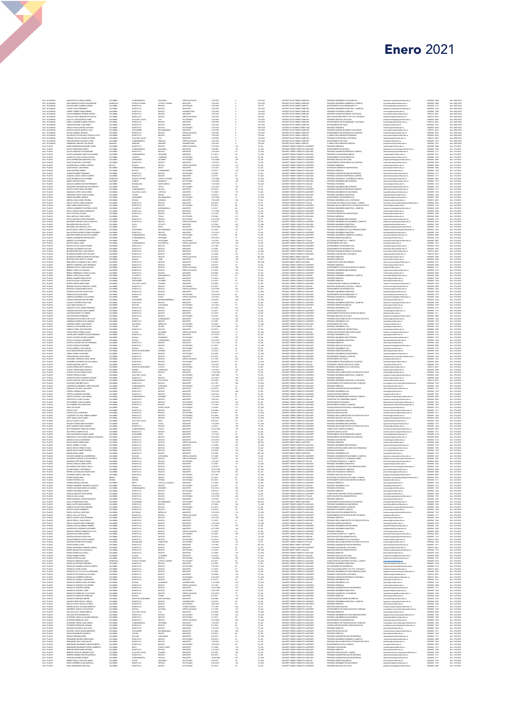| DOC OCASION                                             | SANCHEZ RUZ CAMILO ANDRES                                                                                                                                               | COLOMBIA                                                 |                                                          | ZIPAQUIRA                                  | ESPECIALIZACIO                                                        | 1/25/20                                        |                         | TCO-AU                                                                   | DOCENTE OCAS TIEMPO COMPAU                                                                                                | PREGRADO INGENIERIA CIVIL(CAMPUS)                                                                                                                                                                      | eleria.campus@unimilitar.edu                                                                                                               |                                                             | Res. 2989/20                                       |
|---------------------------------------------------------|-------------------------------------------------------------------------------------------------------------------------------------------------------------------------|----------------------------------------------------------|----------------------------------------------------------|--------------------------------------------|-----------------------------------------------------------------------|------------------------------------------------|-------------------------|--------------------------------------------------------------------------|---------------------------------------------------------------------------------------------------------------------------|--------------------------------------------------------------------------------------------------------------------------------------------------------------------------------------------------------|--------------------------------------------------------------------------------------------------------------------------------------------|-------------------------------------------------------------|----------------------------------------------------|
| DOC. OCASIONAL<br>DOC. OCASIONAL                        | ianz morales eleen chiquinquir)<br>iaucedo meza gabriela maria                                                                                                          | VENEZUELA<br>COLOMBIA                                    | ESTADO TACHIN<br>BOGOTA D.C                              | CAPITAL TACHR<br><b>DOGOTA</b>             | MAGISTER<br>DOCTORADO                                                 | 1/25/202<br>1/25/202                           |                         | TCO-ASO<br>TCO-TIT                                                       | DOCENTE OCAS, TIEMPO COMPASO<br>DOCENTE OCAS, TIEMPO COMPTIT.                                                             | PREGRADO INGENIERIA AMBIENTAL (CAMPUS)<br>DEPARTAMENTO DE HUMANIDADES ****                                                                                                                             | ing ambiental@unimilitar.edu.co<br>humanidades@unimilitar.edu.co                                                                           | 6500000 - 3008<br>6500000 - 3008<br>6500000 - 3179          | Res. 2989/2020<br>Res. 2989/2020                   |
| DOC. OCASIONAL<br>DOC OCASIONA                          | TANDRA ZAFRA FERNANDO<br>CRRES TORRES ELMAN ROMAN                                                                                                                       | COLOMBIA<br>COLOMBIA                                     | BOSOTA D.C.<br>BOGOTA D.C.                               | DOGOTA<br>BOGOTA                           | MAGISTER<br>UNIVERSITARIO                                             | 1/25/2021<br>(25/202)                          |                         | TCOASO<br>TCO-ASO                                                        | DOCENTE OCAS TIEMPO COMPASO<br>DOCENTE OCAS, TIEMPO COMPASO                                                               | PREGRADO INGENIERIA INDUSTRIAL (CAMPUS)<br>PRECISION EDONOMIA (CAMPITE)                                                                                                                                | ingenieria.campus@unimilitar.edu.ca<br>contraturimitar.edu.co                                                                              | 6500000 - 3245<br>6500000-1200                              | Res. 2989/2020                                     |
| DOC. OCASIONA                                           | TOVAR ZAMBRANO GERMAN ARTURO                                                                                                                                            | COLOMBIA                                                 | BOGOTA D.C.                                              | BOGOTA                                     | MAGISTER                                                              | (25/202)                                       |                         | COASC                                                                    | DOCENTE OCAS, TIEMPO COMPASO                                                                                              | PRECIPADO ADMON SECURIDAD A DISTANCIA                                                                                                                                                                  | asso distancia@unimilitar.edu.ca                                                                                                           | 1400333-6041                                                | Res. 2989/2020<br>Res. 2989/2020                   |
| DOC. OCASIONA<br>DOC. OCASIONA                          | RUJILLO VELEZ MARGARITA PATRICIA<br>MLLEJO JOYAS MARTHA ISABEL                                                                                                          | COLOMBIA<br>COLOMBIA                                     | BOGOTA D.C.<br>VALLE DEL CAUC                            |                                            | MARINIAN<br>ESPECIALIZACIO<br>DOCTORADO                               |                                                |                         | ICOASI<br>ICOASI                                                         | DOCENTE OCAS, TIEMPO COMPAS<br>DOCENTE OCAS, TIEMPO COMPAS                                                                | PREG. RELACIONES INTER Y EST. POL DISTANCIA<br>PREGRADO DIOLOGIA APLICADA<br>DEPARTAMENTO DE HUMANIDADES - DISTANCIA                                                                                   | riepdistancia@unimiltar.edu.co<br>programa.biologia@unimiltar.edu.c                                                                        |                                                             | Nes. 2989/2000<br>Res. 2989/2000<br>Res. 2989/2000 |
| DOC. OCASIONA                                           | VARELA LONDOÑO SANDRA PATRICIA                                                                                                                                          |                                                          | BOGOTA D.C                                               | BOGOTA                                     | MAGISTER                                                              | 1/26/2021                                      |                         | TCOASO                                                                   | DOCENTE OCAS TIEMPO COMPASO<br>DOCENTE OCAS, TIEMPO COMPASO                                                               | ADRESS 20 OTHERSTRAKTS                                                                                                                                                                                 | umanidades@unimilitar.edu.co                                                                                                               | 7400333 - 6041                                              | Res. 2989/2020                                     |
| DOC. OCASIONA<br>DOC. OCASIONA                          | YRIGAS BELTRAN JINCH HENRY<br>IARGAS VARGAS RAFAEL ANTONIO                                                                                                              | COLOMBIA<br>COLOMBIA                                     | BOSOTA D.C.<br>BOGOTA D.C                                | DOGOTA<br>DOGOTA                           | MAGISTER<br>DOCTORADO                                                 | 1/25/2021<br>1/18/2021                         |                         | TCOASO<br>MTO-ASD                                                        | DOCENTE OCAS MEDIO TIEMPO ASO                                                                                             | PREGRADO MEDICINA                                                                                                                                                                                      | fisica@unimilitatedu.co<br>nedicina@unimilitar.edu.co                                                                                      | 6500000 - 1523<br>6500000 - 2040                            | Res. 2989/2020<br>Res. 2989/2020                   |
| DOC. OCASIONA<br>DOC. OCASIONA                          | HRGAS VASQUEZ MARTHA LUCIA<br><b>ELASCO MUÑOZ ANTONIO</b>                                                                                                               | COLOMBIA<br>COLOMBIA                                     | SANTANDER<br>BOGOTA D.C.                                 | <b>BUCARAM</b><br>BOGOTA                   | MAGISTER<br>ESPECIALIZACION                                           | /25/2021<br> /25/2021                          |                         | <b>COASE</b><br>COASC                                                    | DOCENTE OCAS, TIEMPO COMPASO<br>DOCENTE OCAS, TIEMPO COMPASO                                                              | PREGRADO ADMON SEGURDAD A DISTANCIA<br>DEPARTAMENTO DE MATEMATICAS (CAMPUS)                                                                                                                            | .<br>1880. distancia@unimilitar.edu.co<br>11atematicas@unimilitar.edu.co                                                                   | 1400333 - 604<br>6500000-2055                               | Res. 2989/2020<br>Res. 2989/2020                   |
| DOC OCASIONAL<br>DOC OCASIONAL<br>DOC OCASIONAL         | IELASQUEZ CASTIBLANCO VESSICA LICETH<br>IERNAZA TRILILLO MARIO ALFONSO<br>IERCHIRA MORATO MANUEL DARIO                                                                  | COLOMBIA<br>COLOMBIA                                     | BOGOTA D.C.<br>(ALLE DEL CAUC)                           | EGGOTA<br>EGGOTA<br>CALI                   | MAGISTER<br>MAGISTER<br>ESPECIALIZACION                               |                                                |                         | TEDASI<br>TEDASI<br>TEDASI                                               | DOCENTE OCAS TEMPO COMPASI<br>DOCENTE OCAS TEMPO COMPASO<br>DOCENTE OCAS TEMPO COMPASO                                    | P DRECCION POSSRADOS INGENERIA<br>PRESRADO CONTADURIA A DISTANCIA<br>DEPARTAMENTO DE FISICA                                                                                                            | post ingenieria@unimilitatedu.c<br>cpdistancia@unimilitatedu.co<br>fisica@unimilitatedu.co                                                 | 6500000 - 8034<br>7480333 - 6841<br>6500000 - 1523          | nes. 2009/2000<br>Res. 2989/2000<br>Res. 2989/2000 |
|                                                         |                                                                                                                                                                         |                                                          | CUNDINAMARC:                                             | SIMJACA                                    |                                                                       | 1/25/202                                       |                         |                                                                          |                                                                                                                           |                                                                                                                                                                                                        |                                                                                                                                            |                                                             |                                                    |
| DOC. OCASIONA<br>DOC PLANTA                             | ZAMBRANO SANCHEZ LUIS EDUAR<br>ACERO MONDRAGON EDWARD JAVIER                                                                                                            | NINGLINO<br>COLOMBIA                                     | CIVILIAN<br>BOSOTA D.C.                                  | NNGUNO<br>DOGOTA                           | UNIVERSITARIO<br>ESPECIALIZACION                                      | 1/25/2021<br>7/16/2010                         |                         | TCO-ASI<br>TC_ASI                                                        | DOCENTE OCAS, TIEMPO COMPASI<br>DOCENTE TIEMPO COMPLETO ASISTENTE                                                         | P DRECCION POSGRADOS DERECHO<br>PREGRADO MEDICINA                                                                                                                                                      | post derecho@unimilitar.edu.co<br>medicina@unimilitar.edu.co                                                                               | 6500000 - 1241<br>6500000 - 2040                            | Res. 2989/2020<br>Dec. 310/2020                    |
| DOC PLANTA<br>DOC PLANTA                                | ACOSTA NIÑO GEMA ELIMICE<br>ACCSTA RUBIANO CLGA MARLENE                                                                                                                 | COLOMBIA<br>COLOMBIA                                     | CLINDINAMARC:<br>DOGOTA D.C.                             | GUAYADA<br>BOGOTA                          | MAGISTER<br>MAGISTER                                                  | 7/8/2008<br>1/18/2019                          |                         | TC, ASO<br>TC, ASO<br>TC, ASO<br>TC, ASI<br>TC, ASI<br>TC, ASI           | DOCENTE TIEMPO COMPLETO ASOCIADO<br>DOCENTE TIEMPO COMPLETO ASOCIADO                                                      | A3MAU3 30 OTHERMETAHREN<br>PREGRADO ADMON DE EMPRESAS (CAMPUS)                                                                                                                                         | departamento, quimica Qunimilita                                                                                                           | 6500000 - 1526<br>6500000-1212                              | Dec. 210/2020<br>Dec. 310/2020                     |
| DOC. PLANTA                                             | COSTA SAHAMUEL MARTHA GIOV                                                                                                                                              | COLOMBIA                                                 |                                                          | ZIPAQUIRA                                  | ANGISTE                                                               | 7/2015                                         |                         |                                                                          | OCENTE TIEMPO COMPLETO ASOCIA                                                                                             | REGRADO CONTADURIA(CAM                                                                                                                                                                                 | departamento quimicação e e exe<br>administracion@unimilitar e du co<br>contaduria@unimilitar e du co                                      | 500000-219                                                  | Dec. 310/202                                       |
| DOC. PLANTA<br>DOC. PLANTA                              | ACUÑA COLLAZOS JULIAN ALFONSO<br>AGUILAR BENAVIDES MARLENE LUCIA                                                                                                        | COLOMBIA<br>COLOMBIA                                     | CAQUETA<br>SANTANDER                                     | FLORENCH<br>SOCOFRO                        | DOCTORADO<br>DOCTORADO                                                | 8/1/2016<br>7/15/2008                          |                         |                                                                          | DOCENTE TIEMPO COMPLETO ASISTENTE<br>DOCENTE TIEMPO COMPLETO ASISTENTE                                                    | DEPARTAMENTO DE MATEMATICAS<br>PREGRADO EICLOGIA APLICADA                                                                                                                                              | natematicas@unimilitar.edu.co<br>programa biologia@unimilitar.edu.co                                                                       | 6500000 - 1520<br>6500000 - 2085                            | Dec. 310/2020<br>Dec. 310/2020                     |
| DOC. PLANTA                                             | AGUILAR SANCHEZ JOHN FABIO                                                                                                                                              | COLOMBIA                                                 | BOSOTA D.C.                                              | DOGOTA                                     | MAGISTER                                                              | 1/18/2016                                      |                         | TC ASI<br>TC ASI                                                         | DOCENTE TIEMPO COMPLETO ASISTENTE                                                                                         | DEPARTAMENTO DE MATEMATICAS (CAMPUS)                                                                                                                                                                   | natematicas@unimilitar.edu.co                                                                                                              | 6500000 - 3055                                              | Dec. 310/2020                                      |
| DOC. PLANTA<br>DOC PLANTA                               | AGUIRRE DAVILA GYDNEA LOURDES<br>ALARCON DIAZ JOSE ISMAEL                                                                                                               | <b>DOLIVIA</b><br>COLOMBIA                               | <b>AVUOD</b><br>CUNDINAMARC:                             | DOLIVIA<br>UBATE                           | ESPECIALIZACION<br>MAGISTER                                           | 1/19/2010<br>7/17/2011                         | 122<br>114              |                                                                          | DOCENTE TIEMPO COMPLETO ASISTENTE<br>DOCENTE TIEMPO COMPLETO ASISTENTE                                                    | PREGRADO MEDICINA<br>MISION DE BIENESTAR UNIVERSITARIO                                                                                                                                                 | nedcha@unimiltar.edu.co<br>.<br>Neterstan@unimilitar.edu.co                                                                                | 6500000 - 2040<br>6500000-1060                              | Dec. 310/2020<br>Dec. 310/2020                     |
|                                                         | ALARCON PEÑA ANDREA<br>ALEMAN RAMERZ FERNANDO<br>ALMANZA JUNCO CARLOS ALBERTO<br>ALVES NOREÑA ALBA CATHERINE                                                            | COLOMBA<br>COLOMBA<br>COLOMBA<br>VENEZUELA               | BOWACA<br>BOGOTA D.C.<br>BOGOTA D.C.<br>ESTADO TACHIR    |                                            | OCTORAD<br>OCTORAD                                                    |                                                |                         | TC ASI<br>TC ASI<br>TC ASI<br>TC ASI<br>TC ASI                           | <b>SOCIATE TIEMPO COMPLETO ASOCIAE</b><br>SOCIENTE TIEMPO COMPLETO ASISTEN                                                | PREGRADO DERECHO<br>PREGRADO ADMINISTRACION DE EMPRESAS<br>PREGRADO ADMON DE EMPRESAS (CAMPUS)<br>PREGRADO ADMON DE LA SEGURIDAD CAMPUS                                                                | derecho@unimilitar.edu.co<br>administracion@unimilitar.edu.co<br>administracion@unimilitar.edu.co<br>asso.campus@unimilitar.edu.co         | 000000-1244<br>6500000-1317<br>6500000-1317<br>6500000-3093 |                                                    |
|                                                         |                                                                                                                                                                         |                                                          |                                                          |                                            |                                                                       |                                                |                         |                                                                          | DOCENTE TIEMPO COMPLETO ASOCIADO<br>DOCENTE TIEMPO COMPLETO ASOCIADO                                                      |                                                                                                                                                                                                        |                                                                                                                                            |                                                             |                                                    |
| DOC. PLANTA<br>DOC. PLANTA<br>DOC. PLANTA               | GRAD ODATRIA AYAMA                                                                                                                                                      | COLOMBIA                                                 | QUINDIO                                                  | BOGOTA<br>CAPITAL TACHIRA<br>QUIMBAYA      | MAGISTER<br>MAGISTER<br>DOCTORADO                                     | 2/1/2017<br>1/15/2008<br>1/18/2006             | $\frac{48}{156}$<br>100 | TC_ASO                                                                   | DOCENTE TIEMPO COMPLETO ASOCIADO                                                                                          | PREGRADO INGENIERIA MECATRONICA                                                                                                                                                                        | ingmecatronica@unimilitar.edu.co                                                                                                           | 6500000 - 1279                                              | Dec. 310/2020<br>Dec. 310/2020<br>Dec. 310/2020    |
| DOC. PLANTA<br>DOC PLANTA                               | ANGULO CAMARGO MILTON FERNANDO<br>ADEDANCE CHADADOO WILLIAM ADMILICO                                                                                                    | COLOMBIA<br>COLOMBIA                                     | MAGDALENA<br>BOYACA                                      | SANTA MARTA<br><b>TUNJA</b>                | MAGISTER<br>DOCTORADO                                                 | 1/27/2020<br>7/16/2010                         |                         | to Aux                                                                   | DOCENTE TIEMPO COMPLETO AUXILIAR<br>DOCENTE TIEMPO COMPLETO TITULAR                                                       | AMONOG2 OGAGERS<br>PREGRADO INGENIERIA MECATRONICA                                                                                                                                                     | conomia@unimiltar.edu.co                                                                                                                   | 6500000 - 1318<br>6500000-1279                              | Dec. 310/2020<br>Dec. 210/2020                     |
| DOC PLANTA                                              | APONTE CHIRNI DIEGO ORLANDO<br>ARANZAZU LOPEZ CARLOS URIEL                                                                                                              | COLOMBIA<br>COLOMBIA                                     | CUNDINAMARCI<br>VALLE DEL CAU                            |                                            | MAGISTER<br>MAGISTER                                                  | 1/6/2018<br>1/1/2005                           | 126                     | TC_TIT<br>TC_ASI<br>TC_ASI                                               | <b>DOCENTE TIEMPO COMPLETO ASISTENT</b><br>DOCENTE TIEMPO COMPLETO ASISTENT                                               | .<br>FREGRADO ADMON DE EMPRESAS (CAMPUS)<br>FREGRADO INGENIERIA EN MULTIMEDIA                                                                                                                          | ingmecatronica@unimilitar.edu.co<br>administracion@unimilitar.edu.co<br>ingmalilmedia@unimilitar.edu.co                                    | 6500000 - 1317<br>6500000 - 1317                            | Dec. 310/2020<br>Dec. 310/2020                     |
|                                                         | ARCINIDAS ORTIZ JAIME ALFONSO                                                                                                                                           |                                                          |                                                          |                                            |                                                                       | 2/5/2014                                       |                         |                                                                          |                                                                                                                           | PREGRADO INGENIERIA INDUSTRIAL                                                                                                                                                                         |                                                                                                                                            | 6500000 - 1264                                              | Dec. 310/2020                                      |
| DOC. PLANTA<br>DOC. PLANTA                              | ARENAS NAVARRO ISNARDO                                                                                                                                                  | COLOMBIA<br>COLOMBIA                                     | TOLIMA<br>SANTANDER                                      | TONICA<br>DOJACA<br>DARTAGO<br>BUCARAMANGA | MAGISTER<br>DOCTORADO                                                 | 1/27/2021                                      |                         | TC,ASO<br>TC,AUX                                                         | DOCENTE TIEMPO COMPLETO ASOCIADO<br>DOCENTE TIEMPO COMPLETO ALIXUJAR                                                      | DEPARTAMENTO DE MATEMATICAS                                                                                                                                                                            | ingindustrial@unimilitar.edu.co<br>matematicas@unimilitar.edu.co                                                                           | 6500000 - 1520                                              | Dec. 310/2020                                      |
| DOC. PLANTA<br>DOC PLANTA                               | AREVALO DAZA CAROL EUGENIA<br>ASOTY PULIDO CAMILO ENRIQUE                                                                                                               | COLOMBIA<br>COLOMBIA                                     | BOYACA<br>BOGOTA D.C.                                    | GARAGOA<br>BOGOTA                          | MAGISTER<br>MAGISTER                                                  | 7/18/2005                                      |                         | TC_ASI                                                                   | DOCENTE TIEMPO COMPLETO ASISTENTE<br>DOCENTE TIEMPO COMPLETO TITULAR                                                      | PREGRADO INGENIERIA CIVIL A DISTANCIA<br>DOCTORADO EN CIENCIAS APLICADAS - CAMPUS                                                                                                                      | icdistancia@unimilitar.edu.co                                                                                                              | 7400333 - 6041<br>6500000 - 3202                            | Dec. 310/2020<br>Dec. 310/2020<br>Dec. 310/2020    |
| DOC PLANTA                                              | PEACHTREACH PEAKS PATTERS                                                                                                                                               | COLOMBIA                                                 | BOGOTA D.C.                                              | BOGOTA                                     | CCTORADO                                                              | 0/6/2018<br>6/3/2014                           |                         | TOJIT<br>TOJIT<br>TOJASI<br>TOJASI<br>TOJASI                             | DOCENTE TIEMPO COMPLETO ASISTENTE                                                                                         | REGRADO RELACIONES INTER Y ESTUDIOS POLITICOS                                                                                                                                                          | deternal@unimilitar.edu.ca                                                                                                                 | 0300000-1344                                                |                                                    |
| DOC PLANTA<br>DOC PLANTA<br>DOC PLANTA                  | ARTEAGA SARAIENTO WILFREO JAVER<br>AVELLA VARGAS MARIA ESPERANZA<br>AVEA CHACON LUZ DARY                                                                                | COLOMBIA<br>COLOMBIA                                     | ATLANTICO<br>BOGOTA D.C.<br>BOGOTA D.C.                  |                                            | MAGISTER<br>MAGISTER<br>MAGISTER                                      |                                                |                         |                                                                          | DOCENTE TEMPO COMPLETO AGISTENTE<br>DOCENTE TEMPO COMPLETO AGISTENTE<br>DOCENTE TEMPO COMPLETO AGISTENTE                  |                                                                                                                                                                                                        | ingenieria.campus@unimilitar.edu.co<br>medicina@unimilitar.edu.co<br>bienestar@unimilitar.edu.co                                           | 0500000 - 3245<br>6500000 - 2048<br>6500000 - 1060          |                                                    |
| DOC. PLANTA                                             | AVLA MORALES JUAN CARLOS                                                                                                                                                | COLOMBIA                                                 | BOYACA                                                   | DOGOTA<br><b>TUNJA</b>                     | DOCTORADO                                                             | 2/1/1995<br>5/2/2002                           | 312<br>212              |                                                                          | DOCENTE TIEMPO COMPLETO ASOCIADO                                                                                          | PREGRADO MEDICINA                                                                                                                                                                                      | nedcina@unimilitar.edu.co                                                                                                                  | 6500000 - 2040                                              | Dec. 310/2020<br>Dec. 310/2020                     |
| DOC. PLANTA<br>DOC PLANTA                               | AVILES SANCHEZ OSCAR FERNANDO<br>BAHAMON CARDONA CARLOS AUGUSTO                                                                                                         | COLOMBIA<br>COLOMBIA                                     | BOSOTA D.C.<br>BOSOTA D.C.                               | <b>DOGOTA</b>                              | DOCTORADO<br>ESPECIALIZACION                                          | 3/16/1998                                      | 274                     | 10,450<br>10,117                                                         | DOCENTE TIEMPO COMPLETO TITULAR<br>DOCENTE TIEMPO COMPLETO ASISTENTE                                                      | PREGRADO INGENERIA MECATRONICA<br>PREGRADO INGENIERIA DE MULTIMEDIA (CAMPUS)                                                                                                                           | ingmecatronica@unimilitar.edu.co                                                                                                           | 6500000 - 1279<br>6500000 - 3247                            | Dec. 310/2020<br>Dec. 310/2020                     |
| DOC PLANTA                                              | BAHAMON DUSSAN AUGUSTO                                                                                                                                                  | COLOMBIA                                                 | <b>HJLA</b>                                              | BOGOTA<br>PITALITO                         | MAGISTER                                                              | 7/6/2015<br>3/1/2004                           |                         | TC_ASI<br>TC_ASO                                                         | DOCENTE TIEMPO COMPLETO ASOCIADO                                                                                          | PREGRADO INGENIERIA INDUSTRIAL                                                                                                                                                                         | .<br>ngenieria.campus@unimilitar.edu.co<br>ngindustrial@unimilitar.edu.co                                                                  | 6500000 - 1264                                              | Dec. 310/2020                                      |
| DOC PLANTA<br>DOC PLANTA                                | EAHAMON JARA MARTHA LUCIA<br>EALLESTEROS LARROTTA DORA MARIA                                                                                                            | COLOMBIA<br>COLOMBIA                                     | HULA<br>SANTANDER<br>BOGOTA D.C.                         | NEVA<br>BUCARAI                            | WWW.ATER<br>MAGISTER<br>DOCTORAL                                      | 01/2004<br>10/15/2004<br>1/1/2007              |                         | to Asi<br>To <sub>u</sub> nt                                             | DOCENTE TIEMPO COMPLETO ASISTENTI<br>DOCENTE TIEMPO COMPLETO TITULAR                                                      | DRECCIÓN GESTIÓN ADMINISTRATIVA<br>PREGRADO INGENIERIA DE TELECOMUN                                                                                                                                    | instituto posgrados@unimilita<br>Inglelecomunicaciones@unim                                                                                | 6366666 - 1269<br>6500000 - 1733<br>6500000 - 1282          | Dec. 210/2020<br>Dec. 210/2020<br>Dec. 210/2020    |
| DOC PLANTA                                              | BALLESTEROS RIVEROS FRANK ALEXANDER                                                                                                                                     |                                                          |                                                          | DOGOTA                                     | MAGISTER                                                              | 1/13/2015                                      |                         | TC_ASI                                                                   | DOCENTE TIEMPO COMPLETO ASISTENTI                                                                                         | PREGRADO INGENIERIA INDUSTRIAL                                                                                                                                                                         | ingindustrial@unimilitar.edu.co                                                                                                            | 6500000 - 1264                                              | Dec. 310/2020                                      |
| DOC. PLANTA<br>DOC. PLANTA                              | BAQUERO RODRIGUEZ GUSTAVO ANDRES<br>BARON COLMENARES MIRYAM EDITH                                                                                                       | COLOMBIA<br>COLOMBIA                                     | CUNDINAMARC<br><b>CLINDINAMARCA</b>                      | ZIPAQUIRA<br>ZIPAQUIRA                     | DOCTORADO<br>MAGISTER                                                 | 2/1/2017<br>9/18/2014                          |                         | TC ASI<br>TC ASI                                                         | DOCENTE TIEMPO COMPLETO ASISTENTE<br>DOCENTE TIEMPO COMPLETO ASISTENTE                                                    | PREGRADO INGENIERIA AMBIENTAL (CAMPUS)<br>PREGRADO DERECHO(CAMPUS)                                                                                                                                     | ing ambiental@unimilitar.edu.co<br>Serecho@unimilitar.edu.co                                                                               | 6500000 - 3008<br>6500000 - 3199                            | Dec. 310/2020<br>Dec. 310/2020                     |
| DOC PLANTA<br>DOC PLANTA                                | ARRIOS TAO HERNANDO<br>ORIAL AZEM AT2TUAL                                                                                                                               | COLOMBIA<br>COLOMBIA                                     | TOLIMA<br>TRONAMADO                                      | NATAGAIMA<br>GUAYAIETAL                    | DOCTORADO<br>ESPECIALIZACIO                                           | 1/14/201<br>insnow                             |                         |                                                                          | DOCENTE TIEMPO COMPLETO TITULAR<br>DOCENTE TIEMPO COMPLETO ASISTENTI                                                      | OCTORADO EN BIOETICA - CAMPUS<br>DEPARTAMENTO DE FISIO                                                                                                                                                 | .<br>Socionado bioetica@unimilitar.edu.co<br>Isica@unimilitar.edu.co                                                                       | 6500000-2002<br>0300000-1522                                | Dec. 310/2020<br>Dec. 310/2020                     |
| DOC PLANTA                                              | KUTISTA SILVA GLADYS LEONOR                                                                                                                                             | <b>DLOMEN</b>                                            | 050TA D.C.                                               |                                            | WEISTER                                                               |                                                |                         |                                                                          | OCENTE TIEMPO COMPLETO ASISTENTI                                                                                          | SEPARTAMENTO DE MATEMATICAS                                                                                                                                                                            |                                                                                                                                            |                                                             | Dec. 310/2020                                      |
| DOC. PLANTA<br>DOC. PLANTA                              | BECERRA SALAMANCA WILLIAM<br>BEJARANO BELTRAN JUAN KAVACIO                                                                                                              | COLOMBIA<br>COLOMBIA                                     | 8050TA D.C.<br>8050TA D.C.                               | DOGOTA<br>DOGOTA                           | MAGISTER<br>MAGISTER                                                  | 2/1/2001<br>2/1/2018                           | 229                     | TO_TIT<br>TO_ASI<br>TO_ASI<br>TO_ASI<br>TO_AUX                           | DOCENTE TIEMPO COMPLETO ASISTENTE<br>DOCENTE TIEMPO COMPLETO AUXILIAR                                                     | DEPARTAMENTO DE MATEMATICAS<br>PREGRADO ADMON SEGURIDAD A DISTANCIA                                                                                                                                    | matematicas@usimilitar.edu.co<br>matematicas@usimilitar.edu.co<br>asso.distancia@unimilitar.edu.co                                         | 6500000 - 1520<br>7400333 - 6041                            | Dec. 310/2020<br>Dec. 310/2020                     |
| DOC. PLANTA<br>DOC. PLANTA                              | BEJARANO NAVARRO HECTOR DAVID<br>BEJARANO RODRIGUEZ MARCOS ANTONIO                                                                                                      | COLOMBIA<br>COLOMBIA                                     | BOSOTA D.C.<br>BOSOTA D.C.                               | DOGOTA<br>DOGOTA                           | MAGISTER<br>ESPECIALIZACIÓN                                           | 2/1/2005<br>6/1/2010                           | 192<br>120              | TC_ASI<br>MT_AUX                                                         | DOCENTE TIEMPO COMPLETO ASISTENTE<br>DOCENTE MEDIO TEMPO ALIXILIAR                                                        | PREGRADO CONTADURIA A DISTANCIA<br>PREGRADO MEDICINA                                                                                                                                                   | cpdistancia@unimilitar.edu.co<br>nedcha@unimiltar.edu.co                                                                                   | 7400333 - 6041<br>6500000 - 2040                            | Dec. 310/2020<br>Dec. 310/2020                     |
| DOC PLANTA                                              | BELTRAN CASAS ORIETTA IVONNE                                                                                                                                            | COLOMBIA                                                 | <b>ARAUCA</b>                                            | TAME                                       | MAGISTER                                                              | 8/2/2009                                       | 128                     | MI (man<br>TC , ASI<br>TC , ASI<br>TC , ASI<br>TC , ASI<br>TC , ASI      | DOCENTE TIEMPO COMPLETO ASISTENTE                                                                                         | PREGRADO MEDICINA                                                                                                                                                                                      | nedicina@unimilitar.edu.co                                                                                                                 | 6500000 - 2040                                              | Dec. 210/2020                                      |
| DOC PLANTA                                              | IENAVIDES VILLAMARIN CLARA JUDITH<br>IENITEZ CARDENAS LUISA FERNANDA                                                                                                    | COLOMBIA<br>COLOMBIA<br>COLOMBIA                         | ROGOTA D.C.<br>BOGOTA D.C.<br>BOGOTA D.C.                | BOGOTA                                     | MAGISTER<br>MAGISTER                                                  | --------<br>3/1/2007<br>4/6/2015               |                         |                                                                          | DOCENTE MEDIO TEMPO ASOCIADO<br>DOCENTE TIEMPO COMPLETO ASISTENTE                                                         | .<br>CONSULTORIO ATENCION PRIMARIA<br>PREGRADO MEDICINA                                                                                                                                                | atencion primaria@unimilitar.edu.c<br>medicina@unimilitar.edu.co                                                                           | 6500000-2197<br>6500000-2040                                | Dec. 310/2020<br>Dec. 310/2020                     |
| DOC. PLANTA<br>DOC. PLANTA                              | BERMUDEZ MEJIA JORGE ANTONIO<br>BERNAL ACERO LUIS HORACIO                                                                                                               |                                                          | BOGOTA D.C.<br>BOGOTA D.C.                               | DOGOTA<br>DOGOTA                           | ESPECIALIZACION<br>ESPECIALIZACION                                    | 3/3/2008                                       | 155                     |                                                                          | DOCENTE TIEMPO COMPLETO ASISTENTE<br>DOCENTE TIEMPO COMPLETO ASISTENTE                                                    | DEPARTAMENTO DE ESTUDIOS INTERCULTURALES<br>PREGRADO INGENIERIA MECATRONICA                                                                                                                            | dein@unimilitar.edu.co<br>Ingmecatronica@unimilitar.edu.co                                                                                 | 6500000 - 1211                                              | Dec. 310/2020<br>Dec. 310/2020                     |
| DOC. PLANTA                                             | BERNAL BERMUDEZ CLAUDIA LILIANA                                                                                                                                         | COLOMBIA                                                 | BOSOTA D.C.                                              | DOGOTA                                     | MAGISTER                                                              | 3/1/200<br>6/4/2002                            | 229<br>224              | TC_ASI                                                                   | DOCENTE TIEMPO COMPLETO ASISTENTE                                                                                         | PREGRADO MEDICINA                                                                                                                                                                                      | edcha@unimilitar.edu.co                                                                                                                    | 6500000-1279<br>6500000 - 2040                              | Dec. 310/2020                                      |
| DOC. PLANTA<br>DOC PLANTA                               | BERNAL LOPEZ OSCAR JAVIER<br>BERNAL RAMIREZ EDWIN JESITH                                                                                                                | COLOMBIA<br>COLOMBIA                                     | <b>ATLANTICO</b><br>BOGOTA D.C.                          | <b>BARRANQUELA</b><br>BOGOTA               | MAGISTER<br>MAGISTER                                                  | 8/1/2017<br>7/1/2016                           |                         | TO AUX                                                                   | DOCENTE TIEMPO COMPLETO AUXILIAR<br>DOCENTE TIEMPO COMPLETO ASISTENTE                                                     | PREGRADO INGENIERIA AMBIENTAL (CAMPUS)<br><b>PREGRADO DERECHO</b>                                                                                                                                      | ing ambiental@unimilitar.edu.co<br>echo@unimilitar.edu.co                                                                                  | 6500000 - 3008<br>0500000-1244                              | Dec. 310/2020<br>Dec. 310/2020                     |
|                                                         | LANCO BLANCO JACQUELINE<br>DTERO OSPINA MARIA RIMA<br>.                                                                                                                 |                                                          | SANTANDER<br>(ALLE DEL CALIC)                            | SOCORRO<br>PALMIRA                         |                                                                       | 5/1/2013<br>5/2/2003                           |                         |                                                                          |                                                                                                                           |                                                                                                                                                                                                        |                                                                                                                                            |                                                             | Dec. 310/2020<br>Dec. 310/2020                     |
|                                                         |                                                                                                                                                                         |                                                          |                                                          |                                            | DOCTORADO                                                             | 8/1/2019                                       |                         | 10,451<br>10,451<br>10,451<br>10,451<br>10,451                           |                                                                                                                           |                                                                                                                                                                                                        | derecho (junimilitat edu co<br>vicedec economia (junimilitat edu co<br>post economia (junimilitat edu co<br>matematica (qunimilitat edu co |                                                             |                                                    |
| DOC. PLANTA<br>DOC. PLANTA                              | BRICEÑO ZULUAGA FRANCISCO JAVER<br>BUITRAGO ALEMAN MARIA ROCIO                                                                                                          | COLOMBIA<br>COLOMBIA                                     | 8050TA D.C.<br>8050TA D.C.                               | DOGOTA<br>DOGOTA                           | ESPECIALIZACIO                                                        | 3/16/199                                       |                         |                                                                          | DOCENTE TIEMPO COMPLETO AUXULIAR<br>DOCENTE TIEMPO COMPLETO ASISTENTE                                                     | PREGINALI LIMILATION<br>VICEDICANA TURING CENERAL ECONOMICAS<br>VICEDICANATURA CENERAL ECONOMICAS<br>MAESTRIA EN BIOLOGIA APLICADA - CAMPUS<br>CEPARIMANTO DE MATEMATICAS<br>TITUL TURING INFORMATICAL |                                                                                                                                            | 6500000 - 3009<br>6500000 - 1520                            | Dec. 310/2020<br>Dec. 310/2020                     |
| DOC. PLANTA<br>DOC PLANTA                               | BUITRAGO SUESCUN OSCAR YECID<br>CABRALES SALAZAR OMAR                                                                                                                   | COLOMBIA<br>COLOMBIA                                     | BOGOTA D.C<br>BOSCTA D.C.                                | DOGOTA<br>BOGOTA                           | MAGISTER<br>DOCTORADO                                                 | 12/1/2011<br>10/16/2012                        | 110                     | TC_ASO<br>TC, ASO<br>TC, ASO<br>TC, ASO<br>TC, ASI<br>TC, ASI<br>TC, ASI | DOCENTE TIEMPO COMPLETO ASOCIADO<br>DOCENTE TIEMPO COMPLETO ASOCIADO                                                      | PREGRADO INGENIERIA INDUSTRIAL<br>DEPARTAMENTO DE HUMANIDADES ***                                                                                                                                      | ingindustrial@unimilitar.edu.co<br>.<br>numanidades@unimilitar.edu.co                                                                      | 6500000 - 1264<br>6500000 - 3179                            | Dec. 310/2020<br>Dec. 210/2020                     |
| DOC PLANTA                                              | CABRERA ALBORNOS LUIS ALFREDO                                                                                                                                           | COLOMBIA                                                 | NARINO                                                   | PASTO                                      | ESPECIALIZACION                                                       | 1/16/2012                                      |                         |                                                                          | DOCENTE TIEMED COMPLETO ASISTENTE                                                                                         | PREGRADO ADMON DE LA SEGURIDAD                                                                                                                                                                         |                                                                                                                                            | 6500000-134                                                 | Dec. 310/2020                                      |
| DOC PLANTA<br>DOC PLANTA                                | CADENA AFANADOR WALTER RENE<br>CALDAS FLAUTERO OSCAR IVAN                                                                                                               | COLOMBIA<br>COLOMBIA                                     | SANTANDER<br>SANTANDER<br>BOGOTA D.C.                    | BARRAN<br>BOGOTA                           | MAGISTER<br>MAGISTER<br>DOCTORADO                                     | -------<br>2/2/2004<br>7/7/2015                |                         |                                                                          | DOCENTE TIEMPO COMPLETO ASOCIADO<br>DOCENTE TIEMPO COMPLETO ASISTENT                                                      | PREGRADO DERECHO<br>PREGRADO DERECHO<br>PREGRADO INGENIERIA INDUSTRIAL (CAMPUS)                                                                                                                        | sentanaanspermaanseste<br>derecho@unimilitar.edu.co<br>ingenieria.campus@unimilitar.edu.co                                                 | 6500000 - 1244<br>6500000 - 1244                            | Dec. 210/2020<br>Dec. 210/2020<br>Dec. 210/2020    |
| DOC PLANTA<br>DOC. PLANTA                               | CALLE MEZA MELBA LUZ<br>CAMACHO TAUTA JAVIER FERNANDO                                                                                                                   | COLOMBIA                                                 | SAVUOB<br>BOGOTA D.C                                     | CARTAGEN<br><b>DOGOTA</b>                  | DOCTORADO                                                             | 7/21/2014<br>4/1/2002                          | 214                     | re m                                                                     | DOCENTE TIEMPO COMPLETO ASISTENTE<br>DOCENTE TIEMPO COMPLETO TITULAR                                                      | PREGRADO DERECHO(CAMPUS)<br>PREGRADO INGENIERIA CIVIL                                                                                                                                                  | derecho@unimilitar.edu.co<br>inscivilizarimilitar.edu.co                                                                                   | 6500000-2199<br>6500000 - 1276                              | Dec. 310/2020<br>Dec. 310/2020                     |
| DOC. PLANTA<br>DOC PLANTA                               | CAMARGO MAYORGA DAVID ANDRES<br>CANTOR MANCIPE LLC YEMRE                                                                                                                | COLOMBIA<br>COLOMBIA                                     | BOGOTA D.C<br>BOGOTA D.C.                                | DOGOTA<br>BOGOTA                           | MAGISTER<br>MAGISTER                                                  | 3/1/2011<br>2/1/2018                           | 119                     | TC_AS                                                                    | DOCENTE TIEMPO COMPLETO ASISTENTE<br>DOCENTE TIEMPO COMPLETO ASISTENTE                                                    | PREGRADO CONTADURIA<br>DEPARTAMENTO DE ESTUDIOS INTERCULTURALES                                                                                                                                        | ontaduria@unimilitar.edu.ca<br>.<br>Sein@unimilitar.edu.co                                                                                 | 6500000 - 1313<br>6500000-1211                              | Dec. 310/2020<br>Dec. 310/2020                     |
| DOC PLANTA                                              | CANTOR RINCON FERNANDO                                                                                                                                                  | COLOMBIA                                                 | 00001400                                                 | BOGOTA                                     | CCTORADO                                                              | 12/200                                         | 222                     |                                                                          | DOCENTE TIEMPO COMPLETO ASISTENTI                                                                                         | REGRADO BIOLOGIA APLICADA                                                                                                                                                                              |                                                                                                                                            | 6500000-208                                                 | Dec. 310/2020                                      |
|                                                         | ADENAS HOYOS ROSITA DEL PEJA<br>ADENAS QUIROGA ELSA ADRIANA                                                                                                             | COLOMBIA<br>COLOMBIA                                     |                                                          |                                            | MGISTER<br>MGISTER                                                    | 1/22/200<br>3/1/2001                           |                         |                                                                          | DOCENTE TIEMPO COMPLETO ASISTEN<br>DOCENTE TIEMPO COMPLETO ASISTEN                                                        |                                                                                                                                                                                                        | programa biologia@unimilitar.edu.co<br>relinternal@unimilitar.edu.co<br>ingcivi@unimilitar.edu.co                                          |                                                             | Dec. 310/2020<br>Dec. 310/2020                     |
| DOC PLANTA                                              | CARDONA GOMEZ JUAN CARLOS                                                                                                                                               |                                                          | BOYACA<br>BOGOTA D.C.<br>ANTIOQUA                        | MEDELLIN                                   | DOCTORADO                                                             | 2/4/2020                                       |                         | TC ASI<br>TC ASI<br>TC ASI<br>TC ASI<br>TC ASO                           | DOCENTE TIEMPO COMPLETO ASOCIADO                                                                                          | PREGRADO BELACIONES INTER Y ESTUDIOS POL<br>PREGRADO INGENERIA CIVIL<br>DEPARTAMENTO DE FISICA                                                                                                         | fisica@unimilitatedu.co                                                                                                                    | 6500000 - 1344<br>6500000 - 1276<br>6500000 - 1523          | Dec. 310/2020                                      |
| DOC. PLANTA<br>DOC. PLANTA                              | CARRILLO LEON WILMER JULIAN<br>CARRILLO PEÑA JAIRO EDUARDO                                                                                                              | COLOMBIA<br>COLOMBIA                                     | TOLIMA<br>BOGOTA D.C.                                    | ROVIRA<br>BOGOTA                           | DOCTORADO<br>MAGISTER                                                 | 10/15/2004<br>8/2/2016                         | 195<br>54               | 10,117<br>10,451                                                         | DOCENTE TIEMPO COMPLETO TITULAR<br>DOCENTE TIEMPO COMPLETO ASISTENTE                                                      | PREGRADO INGENIERIA CIVIL<br>DIVISION DE BIENESTAR UNIVERSITARIO                                                                                                                                       | ingcivliji unimilitar edu.co<br>bienestarji unimilitar edu.co                                                                              | 6500000 - 1276<br>6500000 - 1060                            | Dec. 310/2020<br>Dec. 310/2020                     |
| DOC PLANTA<br>DOC PLANTA                                | CASAS OSOBIO EEBNAM ALEVIS<br>CASTIBLANCO RAMIREZ EDGAR FERNANDO                                                                                                        | COLOMBIA<br>COLOMBIA                                     | CALDAS<br>BOSOTA D.C.                                    | SALAMIN<br>BOGOTA                          | ESPECIALIZACION<br>MAGISTER                                           | 0/20/2011<br>9/12/2019                         |                         |                                                                          | DOCENTE TIEMPO COMPLETO AUXILIAR<br>DOCENTE TIEMPO COMPLETO ASISTENTE                                                     | TECNOLOGIA ATENCION PRE HOSPITALARIA<br>PREGRADO INGENIERIA CIVIL                                                                                                                                      | medicina aocial@unimilitar.edu.co<br>Ingcivil@unimilitar.edu.co                                                                            | 6500000 - 3197<br>6500000 - 1276                            | Dec. 310/2020<br>Dec. 310/2020                     |
| DOC PLANTA                                              |                                                                                                                                                                         | COLOMBIA                                                 |                                                          | SOGAMOS                                    | DOCTORADO                                                             |                                                |                         |                                                                          | DOCENTE TIEMPO COMPLETO ASISTENTE                                                                                         | REGRADO INGENERIA MECATRONICA                                                                                                                                                                          |                                                                                                                                            | 6500000 - 127                                               | Dec. 310/2020                                      |
| DOC. PLANTA<br>DOC. PLANTA                              | CASTILLO ESTEPA RICARDO ANDRES<br>CASTILLO GRALDO DAGOBIRTO<br>CASTIO ALARCON HECTOR FERNAND                                                                            | COLOMBIA                                                 | BOWACA<br>BOWACA<br>BOGOTA D.C.                          | CHIQUINQUES<br>BOGOTA                      | MAGISTER<br>MAGISTER                                                  | 6/13/2016<br>12/17/2013                        |                         | TC ALLS<br>TC ASI<br>TC ASI<br>TC ASI<br>TC ASI                          | <b>DOCENTE TIEMPO COMPLETO ASISTENTE</b><br>DOCENTE TIEMPO COMPLETO ASISTENTE                                             | -<br>PREGRADO INGENIERIA INDUSTRIAL<br>PREGRADO DERECHO                                                                                                                                                | ingovejsem mme evenu<br>ingmecatronica(junimilitat edu.co<br>ingindustrial(junimilitat edu.co<br>derecho/junimilitat edu.co                | 6500000-1264<br>6500000-1244                                | Dec. 310/2020<br>Dec. 310/2020                     |
| DOC. PLANTA<br>DOC. PLANTA                              | CASTRO GONZALEZ MARIBER<br>CASTRO MEDINA JUAN CARLOS                                                                                                                    | COLOMBIA<br>COLOMBIA                                     | BOSOTA D.C.<br>BOYACA                                    | DOGOTA<br><b>TUNJA</b>                     | DOCTORADO<br>DOCTORADO                                                | 3/1/2016<br>2/1/2018                           |                         | TC_ASO<br>TC_ASI                                                         | DOCENTE TIEMPO COMPLETO ASOCIADO<br>DOCENTE TIEMPO COMPLETO ASISTENTE                                                     | PREGRADO BIOLOGIA APLICADA<br>PREGRADO INGENIERIA CIVIL                                                                                                                                                | programa biologia@unimilitar.edu.co<br>ingcivil@unimilitar.edu.co                                                                          | 6500000 - 3085<br>6500000 - 1276                            | Dec. 310/2020<br>Dec. 310/2020                     |
| DOC PLANTA                                              | CELIS DURAN ENRIQUE ANTONIC                                                                                                                                             | COLOMBIA                                                 | NORTE DE SANTANDER                                       | <b>DURANIA</b>                             | MAGISTER                                                              | 7/2/2019                                       |                         | 10,49                                                                    | DOCENTE TIEMPO COMPLETO ASISTENTE                                                                                         | PREGRADO DERECHO/CAMPUS!                                                                                                                                                                               | lerecho@unimilitar.edu.co                                                                                                                  | 6500000 - 3199                                              | Dec. 210/2020                                      |
|                                                         | .<br>ERON CORREA ALEXANDER<br>ERON RINCON LAURA EMIL                                                                                                                    |                                                          | BOGOTA D.C.<br>BOGOTA D.C.                               |                                            | IOCTORADO<br>AAGISTER                                                 | 5/2/2003<br>8/1/2016                           |                         | TC_ASO<br>TC_ASO<br>TC_ASI<br>TC_AUX                                     | DOCENTE TIEMPO COMPLETO ASOCIAE<br>DOCENTE TIEMPO COMPLETO ASISTEN                                                        | PREGRADO INGENIERA EN MULTIMEDIA<br>DEPARTAMENTO QUIMICA (CAMPUS)<br>DEPARTAMENTO DE FISICA<br>DEPARTAMENTO DE MATEMATICAS (CAMPUS)                                                                    | venuojumma essu<br>Ingružinedajuniniita: edu.co<br>departamento.quinicajjuniniita: edu                                                     |                                                             | Dec. 310/2020<br>Dec. 310/2020                     |
| DOC. PLANTA<br>DOC. PLANTA                              | ENAPARRO CARDENAS ANGEL MARU<br>ENAPARRO GUTIERREZ NECTOR CAMILO                                                                                                        | COLOMBIA<br>COLOMBIA                                     | BOGOTA D.C.<br>BOGOTA D.C.                               | DOGOTA<br>DOGOTA                           | ESPECIALIZACION<br>DOCTORADO                                          | 2/1/1998<br>8/6/2018                           | 242                     |                                                                          | DOCENTE TIEMPO COMPLETO ASISTENTE<br>DOCENTE TIEMPO COMPLETO AUXILIAR                                                     |                                                                                                                                                                                                        | fisica@unimilitat edu.co<br>matematicas@unimilitar edu.co                                                                                  | 6500000 - 1523<br>6500000 - 2055                            | Dec. 310/2020<br>Dec. 310/2020                     |
| DOC. PLANTA<br>DOC. PLANTA                              | CHAVES BAZZANI LUZETTY<br>CHAVES PARON SAIETH BAUDILIO                                                                                                                  | COLOMBIA<br>COLOMBIA                                     | BOGOTA D.C.<br>NORTE DE SANTANDER                        | DOGOTA<br><b>CUCUTA</b>                    | MAGISTER<br>DOCTORADO                                                 | 7/19/2017<br>7/19/2017                         |                         | to aux<br>To asi                                                         | DOCENTE TIEMPO COMPLETO AUXILIAR<br>DOCENTE TIEMPO COMPLETO ASISTENTE                                                     | ESTENSIÓN Y PROYECCION SOCIAL FARIES<br>PREGRADO INGENIERIA CIVIL A DISTANCIA                                                                                                                          | mami@unimilitat.edu.co<br>icolistancia@unimilitar.edu.co                                                                                   | 6500000 - 1343<br>7400333 - 6041                            | Dec. 310/2020<br>Dec. 310/2020                     |
| DOC PLANTA                                              | CHAVES TORRES NINFA MARLEN                                                                                                                                              | COLOMBIA                                                 | NARINO                                                   | <b>CUMBITAR</b>                            | MAGISTER                                                              | 1/10/2012                                      |                         | 10,451<br>10,451<br>10,451<br>10,450<br>10,451                           | DOCENTE TIEMPO COMPLETO ASISTENTE                                                                                         | PREGRADO MEDICINA                                                                                                                                                                                      | nedicina@unimilitar.edu.co                                                                                                                 | 6500000 - 2040                                              | Dec. 310/2020                                      |
| DOC PLANTA                                              | JANEZ PALACIOS RENZO DAVIS<br>JAAVEZ PORRAS ALVARO                                                                                                                      | COLOMBIA<br>COLOMBIA<br>COLOMBIA                         | BOGOTA D.C.<br>VALLE DEL CAUCA                           | BOGOTA                                     | ----------<br>MAGISTER<br>DOCTORAL                                    | 17124/2014<br>11/24/2014<br>10/9/2006          |                         |                                                                          | SOCENTE TIEMPO COMPLETO ASISTENTE<br>SOCENTE TIEMPO COMPLETO ASISTENTE                                                    | -<br>PREGRADO RELACIONES INTER Y ESTUDIOS POLITICOS<br>PREGRADO INGENIERIA INDUSTRIAL (CAMPUS)                                                                                                         | nieternal@unimilitar.edu.co<br>Ingenieria.campus@unimilit                                                                                  | 6500000 - 1344<br>6500000 - 1344                            | Dec. 310/2020<br>Dec. 310/2020                     |
| DOC. PLANTA<br>DOC. PLANTA                              | CIFUENTES GARCIA RICARDO ANTONIO<br>COGOLLO RINOON JOSE GUILLERIAD                                                                                                      |                                                          | BOSCTA D.C.<br>CUNDINAMARC:                              | BOGOTA<br>FACATATIVA                       | DOCTORADO                                                             | 3/21/2012                                      | $\frac{105}{142}$       |                                                                          | DOCENTE TIEMPO COMPLETO ASOCIADO<br>DOCENTE TIEMPO COMPLETO ASISTENTE                                                     | .<br>Pregrado medicina<br>Pregrado ingenieria industrial a distancia                                                                                                                                   | medicina@unimilitar.edu.co<br>Idistancia@unimilitar.edu.co                                                                                 | 6500000 - 2040<br>7400222 - 6041                            | Dec. 310/2020<br>Dec. 310/2020                     |
| DOC. PLANTA                                             | COLORADO ORDOÑEZ PAULA                                                                                                                                                  | COLOMBIA                                                 | BOGOTA D.C.                                              | <b>DOGOTA</b>                              | MAGISTER<br>MAGISTER                                                  | 1/9/2009<br>4/1/1997                           | 285                     | TC_ASO                                                                   | DOCENTE TIEMPO COMPLETO ASOCIADO                                                                                          | DEPARTAMENTO DE TECNOLOGIAS DEL CONOCIMI                                                                                                                                                               | tecnologias, conocimiento@unimilitar.edu                                                                                                   | 6500000 - 1220                                              | Dec. 310/2020                                      |
| DOC PLANTA<br>DOC PLANTA                                | CONTRERAS SARMENTO JORGE ORLANDO<br>DIVAD HAUL OWNER 23 JAN DAVID                                                                                                       | COLOMBIA<br>COLOMBIA                                     | CUNDINAMARCA<br>DOGOTA D.C.                              | <b>GHOCONTA</b><br>BOGOTA                  | DOCTORADO<br>MAGISTER                                                 | 11/1/2019<br>8/1/2016                          |                         | TC ASO<br>TC ASO<br>TC ASI<br>TC ASI<br>TC ASI                           | DOCENTE TIEMPO COMPLETO ASOCIADO<br>DOCENTE TIEMPO COMPLETO ASISTENTI                                                     | OHORADO DERECHO<br>PREGRADO ADMINISTRACION DE EMPRESAS                                                                                                                                                 | derecho@unimilitat edu.co<br>administracion@unimilitat edu.co<br>ingcivil@unimilitat edu.co<br>soga@unimilitat edu.co                      | 6500000 - 1244<br>6500000-1212                              | Dec. 210/2020<br>Dec. 310/2020                     |
|                                                         | RREAL MEDINA DIEGO<br>RTES ALBORNOZ IVAN RENE                                                                                                                           | COLOMBIA<br>COLOMBIA                                     | EDGOTA D.C.<br>EDGOTA D.C.                               |                                            |                                                                       | 5/19/1997<br>3/18/2013                         |                         |                                                                          | SOCENTE TIEMPO COMPLETO ASISTENTI<br>SOCENTE TIEMPO COMPLETO ASISTENTI                                                    | PREGRADO INGENERIA CIVIL<br>VICEDECANATURA DERECHO<br>PREGRADO INGENERIA MECATRONICA (CAMPUS)                                                                                                          |                                                                                                                                            |                                                             | Dec. 310/2020<br>Dec. 310/2020                     |
| DOC. PLANTA                                             | CORTES LIZARAZO JAIRO RAFAEL                                                                                                                                            |                                                          | CUNDINAMARC:                                             | GRARDOT                                    | MAGISTER                                                              | 1/21/2020                                      |                         |                                                                          | DOCENTE TIEMPO COMPLETO ASISTENTE                                                                                         |                                                                                                                                                                                                        | mecatronica campus@unit<br>Itatedu co                                                                                                      | 6500000-2009                                                | Dec. 310/2020                                      |
| DOC. PLANTA<br>DOC. PLANTA                              | CORTES RICO LAURA JULIANA<br>COY BARRERA CARLOS ANDRES                                                                                                                  | COLOMBIA<br>COLOMBIA                                     | BOSOTA D.C.<br>BOGOTA D.C                                | DOGOTA<br>DOGOTA                           | MAGISTER<br>DOCTORADO                                                 | 7/24/2017<br>6/19/2012                         |                         | tojauk<br>tojasi                                                         | DOCENTE TIEMPO COMPLETO AUXILIAR<br>DOCENTE TIEMPO COMPLETO ASISTENTE                                                     | CENTRO INV. FAC INGENIERIA CAMPUS<br>DEPARTAMENTO DE QUIMICA                                                                                                                                           | ingenieria.campus@unimilitar.edu.co<br>departamento.quimica@unimilitar.edu.co                                                              | 6500000 - 3039<br>6500000 - 1526                            | Dec. 310/2020<br>Dec. 310/2020                     |
| DOC PLANTA                                              | COY BARRERA ERICSSON DAVID                                                                                                                                              | COLOMBIA                                                 | BOGOTA D.C.                                              | BOGOTA<br>NUEVO COLOR                      | DOCTORADO<br>DOCTORADO                                                | (17/201)                                       | $\frac{120}{212}$       | TC ASI<br>TC ASI<br>TC ASI<br>TC ASO<br>TC ASO                           | DOCENTE TIEMPO COMPLETO ASISTENTE                                                                                         | DEPARTAMENTO QUIMICA (CAMPUS)                                                                                                                                                                          | .<br>departamento quimica@unimilitar.edu.o<br>educacion@unimilitar.edu.co                                                                  | 6500000-1526                                                | Dec. 310/2020<br>Dec. 310/2020                     |
| DOC PLANTA                                              | CRUZ LUIS EDGAP                                                                                                                                                         | COLOMBIA                                                 | <b>BOYACA</b>                                            |                                            |                                                                       | (2/2003                                        |                         |                                                                          | DOCENTE TIEMPO COMPLETO ASOCIADO<br>.<br>SOCENTE TIEMPO COMPLETO ASISTENTI<br>SOCENTE TIEMPO COMPLETO ASOCIADO            | INCEDECANATURA EDUCACION Y HUMANIDADES                                                                                                                                                                 |                                                                                                                                            | 6500000 - 1512<br>6500000 - 1511<br>6500000 - 1511          |                                                    |
| DOC PLANTA<br>DOC PLANTA                                | CULTURA SENA JUAN MARIA<br>CUENAS SENA JUAN MARIA<br>CULIABANTE VILLAME, XIMENA ANDREA                                                                                  | COLOMBIA<br>COLOMBIA                                     | BOSCTA D.C.<br>BOSCTA D.C.<br>BOSCTA D.C.                | ECGOTA<br>ECGOTA<br>BOGOT/                 | MAGISTER<br>DOCTORADO<br>DOCTORADO                                    | 5/4/2009<br>9/2/2013                           |                         |                                                                          | DOCENTE TIEMPO COMPLETO ASOCIADO                                                                                          | -<br>MAESTRIA EN EDUCACIÓN<br>MAESTRIA EN EDUCACIÓN<br>PREGRADO RELACIÓNES INTER Y ESTUDIOS POLITICOS                                                                                                  |                                                                                                                                            | 6500000-1344                                                | Dec. 310/2020<br>Dec. 310/2020                     |
| DOC PLANTA<br>DOC. PLANTA                               | CURE HAKIM JOSE RICARDO                                                                                                                                                 | COLOMBIA                                                 | BOSOTA D.C.                                              | DOGOTA                                     | DOCTORADO                                                             | 9/1/2004<br>3/18/1996                          | 290                     | TC_ASO                                                                   | DOCENTE TIEMPO COMPLETO ASOCIADO                                                                                          | PREGRADO BIOLOGIA APLICADA                                                                                                                                                                             | Itaredu.co<br>programa biologia@unimilitar.edu.co                                                                                          | 6500000 - 3085                                              | Dec. 310/2020<br>Dec. 310/2020                     |
| DOC. PLANTA<br>DOC PLANTA                               | DAVILA GLEDE JULIAN<br>DELGADO TOBON ARNOLDO EMILIO                                                                                                                     | COLOMBIA<br>COLOMBIA                                     | VALLE DEL CAUCA<br>BOYACA                                | <b>BUGA</b>                                | MAGISTER<br>MAGISTER                                                  | 8/6/2018<br>1/19/2010                          |                         | TC_ASI                                                                   | DOCENTE TIEMPO COMPLETO ASISTENTE<br>DOCENTE TIEMPO COMPLETO ASOCIADO                                                     | PREGRADO INGENIERIA INDUSTRIAL<br>PREGRADO INGENIERIA MECATRONICA                                                                                                                                      | ingindustrial@unimilitar.edu.co<br>.<br>Igmecatronic a@unimilitar.edu.co<br>Ilinternal@unimilitar.edu.co                                   | 6500000 - 1264<br>6500000-1279                              | Dec. 310/2020<br>Dec. 210/2020                     |
| DOC PLANTA                                              | DEVIA GARZON CAMILO ANDRES<br>AZ FERMANDEZ FRANCISCO SIMON                                                                                                              | COLOMBIA<br>OLOMBIA                                      | BOGOTA D.C.                                              | TUNJA<br>BOGOTA                            | MAGISTER<br>WEISTE                                                    | (2/2012<br>0/16/200                            | 122                     | TC ASO<br>TC ASI<br>TC ASI                                               | DOCENTE TIEMPO COMPLETO ASISTENTI<br>OCENTE TIEMPO COMPLETO ASISTENT                                                      | REGRADO RELACIONES INTER Y ESTUDIOS POLITICOS                                                                                                                                                          |                                                                                                                                            | 0300000-1344<br>500000-220                                  | Dec. 310/2020                                      |
| DOC PLANTA                                              | DAZ PEREZ VANNEY ROCIO                                                                                                                                                  |                                                          | BOGOTA D.C                                               | PACHO                                      |                                                                       | 7/2/2012                                       |                         |                                                                          |                                                                                                                           | CONSULTORIO JURISICO (CAMPUS)<br>MAISTRIA EN EDUCACION<br>DEPARTAMENTO DE HUMANIDADES CAMPUS                                                                                                           | consultorio juridico@unimalitar.edu.co<br>maestria.educacion@unimalitar.edu.co<br>humanidades@unimilitar.edu.co                            | 6500000 - 1511                                              | Dec. 310/2020<br>Dec. 310/2020                     |
| DOC. PLANTA<br>DOC. PLANTA<br>DOC. PLANTA               | <b>CAZ SANTAMARIA WILMAR JAVIER</b><br>DOMINGUEZ CAUELI DARIO MANUEL LEONARDO                                                                                           | COLOMBIA<br>COLOMBIA<br>COLOMBIA                         | SANTANDER<br>BOGOTA D.C                                  | DOGOTA<br>VELEZ<br>BOGOTA                  | MAGISTER<br>MAGISTER<br>MAGISTER                                      | 1/11/2012<br>0/16/1007                         |                         | TC_ASI<br>TC_ASI                                                         | DOCENTE TIEMPO COMPLETO ASISTENTE<br>DOCENTE TIEMPO COMPLETO ASISTENTE<br>DOCENTE TIEMPO COMPLETO ASOCIADO                | DEPARTAMENTO DE MATEMATICAS (CAMPUS)                                                                                                                                                                   | matematicas@unimilitar.edu.co                                                                                                              | 6500000 - 2179<br>6500000 - 3055                            | Dec. 310/2020<br>Dec. 310/2020                     |
| DOC. PLANTA                                             | DUEÑAS CASALLAS ROBINSON<br><b>BUOIE COMEZ RUBEN DARKS</b>                                                                                                              | COLOMBIA                                                 | BOGOTA D.C                                               | DOGOTA                                     | MAGISTER                                                              | 3/15/2012                                      | tos                     | TC,ASO<br>TC,ASI                                                         | DOCENTE TIEMPO COMPLETO ASISTENTE<br>FOCENTE MEDIO TIEMPO ASISTENTE                                                       | PREGRADO CONTADURIA                                                                                                                                                                                    | contaduria@unimilitar.edu.co                                                                                                               | 6500000 - 1313                                              | Dec. 310/2020                                      |
| DOC PLANTA                                              | DOČNE OROŽEO AEMAI AAV<br>DOČNE TASYWIETO TYME<br>THATT APARET MYRIK DAGI                                                                                               | COLOMBIA                                                 | BOGOTA D.C.                                              | BOGOTA                                     | ESPECIALIZACION                                                       | 1/19/2011                                      |                         | IC ASI<br>MT ASI<br>TC ASI<br>TC ASI<br>TC ASI<br>MT ASI                 | www.wikiku Ismini assTENTE<br>DOCENTE TIEMPO COMPLETO ASOCIAD<br>DOCENTE TIEMPO COMPLETO ASISTENI                         | PREGRADO MEDICINA                                                                                                                                                                                      | and clearly electronic adv on                                                                                                              | 6500000 - 2040<br>6500000 - 1279<br>6500000 - 1305          | Dec. 310/2020                                      |
| DOC PLANTA                                              | DURAN ARIAS YEANETTE MIREYA                                                                                                                                             | COLOMBIA<br>COLOMBIA                                     |                                                          |                                            |                                                                       |                                                | 251<br>174              |                                                                          |                                                                                                                           | -<br>PREGRADO INGENIERA MECATRONICA<br>CENTRO INVESTIGACIONES CIENCIAS ECONOMICAS                                                                                                                      | ingmecati<br>cinx econi                                                                                                                    |                                                             |                                                    |
| DOC. PLANTA<br>DOC. PLANTA                              | DURAN GARCIA JAIMI                                                                                                                                                      | COLOMBIA<br>COLOMBIA                                     | BOGOTA D.C.<br>BOGOTA D.C.<br>BOGOTA D.C.<br>BOGOTA D.C. | DOGOTA<br>DOGOTA                           | WAGISTER<br>WAGISTER                                                  | 2/3/2009<br>5/2/2003                           | $\frac{144}{212}$       |                                                                          | DOCENTE TIEMPO COMPLETO ASISTENTE<br>DOCENTE MEDIO TIEMPO ASISTENTE                                                       | PREGRADO ECONOMIA<br>PREGRADO INGENIERIA CIVI                                                                                                                                                          | economia@unimilitar.edu.co<br>ingcivi@unimilitar.edu.co                                                                                    | 6500000 - 1318<br>6500000 - 1276                            | Dec. 310/2020<br>Dec. 310/2020                     |
| DOC. PLANTA<br>DOC. PLANTA                              | ECHAVEZ JIMENEZ ADA NORBERTINA<br>ECHEVERRY VASQUEZ GUSTAVO EMILIO                                                                                                      | COLOMBIA<br>COLOMBIA                                     | <b>BOLIVAR</b><br>BOGOTA D.C                             | CARTAGEN<br>DOGOTA                         | ESPECIALIZACIO<br>ESPECIALIZACIÓN                                     | 7/1/2005<br>7/4/2012                           |                         | TC_ASI<br>TC_ASI                                                         | DOCENTE TIEMPO COMPLETO ASISTENTE<br>DOCENTE TIEMPO COMPLETO ASISTENTE                                                    | PREGRADO INGENIERIA DE MULTIMEDIA (CAMPUS)<br>EDINOLOGIA EN ELECT Y COMUNICACIONES                                                                                                                     | ingenieria.campus@unimilitar.edu.ci<br>ingtelecomunicaciones (jiunimilitar.edu.co                                                          | 6500000 - 3247<br>6500000 - 1282                            | Dec. 310/2020<br>Dec. 310/2020                     |
| DOC PLANTA                                              | ESCOBAR LOPEZ MARIA TERESA                                                                                                                                              | COLOMBIA                                                 | BOGOTA D.C.                                              | BOGOTA                                     | DOCTORADO                                                             | 1/14/2011                                      |                         | to tri                                                                   | DOCENTE TIEMPO COMPLETO TITULAR                                                                                           | 2URMA-ADITION ARRESTS                                                                                                                                                                                  | constructors<br>imilitar edu co                                                                                                            | 6500000 - 3002                                              | Dec. 210/2020                                      |
| DOC. PLANTA<br>DOC. PLANTA                              | SPITIA CUBILLOS ANNY ASTRI<br>STUPIÑAN CUESTA EDITH PAO                                                                                                                 | COLOMBY<br>COLOMBY                                       | BOGOTA D.C<br>BOGOTA D.C                                 |                                            | MGISTER<br>MGISTER                                                    |                                                |                         |                                                                          | <b>DEINTE TIEMPO COMPLETO ASOCIADO</b><br>DEINITE TIEMPO COMPLETO ASISTENT                                                | pegrado ingeneria neustrial<br>pegrado ingeneria de telecomunicaciones                                                                                                                                 | ingindustrial@unimilitar.edu.co<br>ingtelecomunicaciones@unimilitar.edu.co                                                                 |                                                             |                                                    |
| DOC PLANTA<br>DOC PLANTA                                | FAJARDO BONILLA ESPERANZA<br>FIERRO CASTELBLANCO MARTA INES                                                                                                             | COLOMBIA<br>COLOMBIA                                     | 8050TA D.C.<br>8050TA D.C.                               | DOGOTA                                     | MAGISTER<br>MAGISTER                                                  | 10/15/2004<br>10/16/1006                       |                         | TC,ASO<br>TC,ASI                                                         | DOCENTE TIEMPO COMPLETO ASOCIADO<br>DOCENTE TIEMPO COMPLETO ASISTENTE                                                     | DRECCION POSGRADOS MEDICINA<br>DRECCION POSGRADOS MEDICINA                                                                                                                                             | post medicina@unimilitar.edu.co<br>post medicina@unimilitar.edu.co                                                                         | 6500000 - 2040<br>6500000 - 2040                            | Dec. 310/2020<br>Dec. 310/2020                     |
| DOC. PLANTA<br>DOC PLANTA                               | FILGUEIRA DUARTE JUAN JOSE<br>FLORES GASPAR AREL                                                                                                                        | COLOMBIA                                                 | BOGOTA D.C.<br>MEXICO                                    | <b>BOGOTA</b>                              | DOCTORADO                                                             | 4/1/1998<br>8/1/2016                           | 274                     | TC ASO                                                                   | DOCENTE TIEMPO COMPLETO ASOCIADO<br>DOCENTE TIEMPO COMPLETO ASISTENTE                                                     | PREGRADO BIOLOGIA APLICADA<br>DOCTORADO EN CIENCIAS APLICADAS - CAMPUS                                                                                                                                 | programa.biologia@unimilitar.edu.co                                                                                                        | 6500000 - 2005<br>6500000 - 3202                            | Dec. 310/2020                                      |
| DOC PLANTA                                              | FLORES PORTERO LUIS                                                                                                                                                     | MEXICO<br>ESPAÑA                                         | ESPAÑA                                                   | MEXICO<br><b>ESPAÑA</b>                    | DOCTORADO<br>DOCTORADO                                                | 8/1/2016                                       |                         | TC_ASI<br>TC_ASO                                                         | DOCENTE TIEMPO COMPLETO ASOCIADO                                                                                          | DEPARTAMENTO DE ESTUDIOS INTERCULTURALES                                                                                                                                                               | doctorado.cienciasaple<br>dein@unimilitar.edu.co                                                                                           | 6500000-1211                                                | Dec. 310/2020<br>Dec. 310/2020                     |
|                                                         | FLORIAN AREVALO ADELINA<br>DO AUGUSTO                                                                                                                                   | COLOMBIA<br>COLOMBIA                                     | META<br>BOGOTA D.C.                                      | CASTILLA LA NUEVI<br>------                | MAGISTER<br>DOCTORAL                                                  |                                                |                         | TC, ASI<br>TC, ALIX                                                      | .<br>NGC ANTE TIEMPO COMPLETO ASISTENTI<br>NGC ANTE TIEMPO COMPLETO ALIKULIAR                                             | AFF<br>PREGRADO DERECHO<br>PREGRADO INGENIERIA CIVIL.                                                                                                                                                  | derecho@unimilitar.edu.c<br>Ingcivi@unimilitar.edu.co                                                                                      |                                                             |                                                    |
| DOC. PLANTA<br>DOC. PLANTA                              | FONSECA GUZMAN MARIA ALEJANDRA<br>FORERO CONTRERAS RAFAEL                                                                                                               | COLOMBIA                                                 | BOSOTA D.C.                                              | <b>GRARDO</b><br>DOGOTA                    | MAGISTER<br>DOCTORADO                                                 | 3/16/2012<br>0/5/2010                          | 126                     | TC_ASI<br>TC_ASI                                                         | DOCENTE TIEMPO COMPLETO ASISTENTI<br>DOCENTE TIEMPO COMPLETO ASISTENTE                                                    | AMONDO ECONOMI<br>OHORADO DERECHO                                                                                                                                                                      | sia@unimilitar.edu.c<br>derecho@unimilitar.edu.co                                                                                          | 6500000 - 1318<br>6500000 - 1244                            | Dec. 310/2020<br>Dec. 310/2020                     |
| DOC. PLANTA                                             | FORIGUA HINCAPIE TIRSO RAFAEL                                                                                                                                           | COLOMBIA                                                 | BOGOTA D.C                                               | DOGOTA                                     | MAGISTER                                                              | 1/19/2010                                      | 122                     | TC_ASI                                                                   | DOCENTE TIEMPO COMPLETO ASISTENTE                                                                                         | CONSULTORIO ASESORIA TECNICA INGENIERIA                                                                                                                                                                | dec.ing@unimilitar.edu.co                                                                                                                  | 6500000 - 1266                                              | Dec. 310/2020                                      |
| DOC PLANTA<br>DOC PLANTA                                | FRANCO LARA LILLANA<br>FRANCO MONGUA JAVIER FRANCISCO                                                                                                                   | COLOMBIA<br>COLOMBIA                                     | BOSOTA D.C.<br>BOGOTA D.C.                               | BOGOTA<br>DOGOTA                           | DOCTORADO<br>MAGISTER                                                 | 3/16/1999<br>118/2011                          | 242<br>114              | to tri<br>TC ASO                                                         | DOCENTE TIEMPO COMPLETO TITULAR<br>COCENTE TIEMPO COMPLETO ASOCIADO                                                       | ANTARTZMIMOA MOITZEN MODZIERS<br>PREGRADO DERECHO                                                                                                                                                      | .<br>Instituto posgrados@unimilitar.edu.co<br>derecho@unimilitar.edu.co                                                                    | 6500000-1733<br>0500000-1244                                | Dec. 210/2020<br>Dec. 310/2020                     |
| DOC. PLANTA<br>DOC. PLANTA                              |                                                                                                                                                                         | COLOMBIA<br>COLOMBIA                                     | SANTANDER<br>BOGOTA D.C.                                 | EUCARAN<br>EOGOTA                          | DOCTORADO<br>MAGISTER<br>DOCTORADO                                    |                                                |                         | MT, AS                                                                   | <b>SOCENTE MEDIO TEMPO ASISTENTE</b><br>SOCENTE TIEMPO COMPLETO ASOCI                                                     | REINFEND DERECHT<br>REPARTAMENTO DE MATEMATICAS (CAMPUS)<br>REGIRADO INGENIERIA EN MULTIMEDIA                                                                                                          | matematicas@unimilitar.edu.co<br>Ingmultimedia@unimilitar.edu.co                                                                           |                                                             |                                                    |
| DOC PLANTA                                              | GAMBOA RUZ WILDER LEONARDO                                                                                                                                              |                                                          | BOSCTA D.C                                               | DOGOTA                                     |                                                                       | 8/1/2016                                       | 54                      |                                                                          | DOCENTE TIEMPO COMPLETO ASISTENTE                                                                                         | DEPARTAMENTO QUIMICA (CAMPUS)                                                                                                                                                                          | departamento quimica@unimilitar.edu.c                                                                                                      | 6500000 - 1526                                              | Dec. 310/2020                                      |
| DOC. PLANTA<br>DOC. PLANTA                              | GARCIA ALDANA HUMBERTO<br>GARCIA CARVAJAL SANTIAGO                                                                                                                      | COLOMBIA<br>COLOMBIA                                     | BOSOTA D.C.<br>ANTIQUUA                                  | DOGOTA<br>MEDELLIN                         | MAGISTER<br>MAGISTER                                                  | 2/5/2018<br>7/23/2010                          | 126                     | TC_ASI<br>TC_ASO                                                         | DOCENTE TIEMPO COMPLETO ASISTENTE<br>DOCENTE TIEMPO COMPLETO ASOCIADO                                                     | PREGRADO ECONOMIA (CAMPUS)<br>DRECCION GESTION ADMINISTRATIVA                                                                                                                                          | conomia@unimiltar.edu.co<br>instituto posgrados@unimilitar.edu.co                                                                          | 6500000 - 1300<br>6500000 - 1733                            | Dec. 310/2020<br>Dec. 310/2020                     |
| DOC PLANTA<br>DOC PLANTA                                | ALITE SUL JA3JADAG<br>GARCIA LOZANO LUGA EERWANDA                                                                                                                       | COLOMBIA<br>COLOMBIA                                     | BOGOTA D.C.<br>BOGOTA D.D                                | BOGOTA<br>BOGOTA                           | ESPECIALIZACION<br>MAGISTER                                           | 01/2015<br>206/2012                            |                         |                                                                          | DOCENTE TIEMPO COMPLETO ASISTENTE<br>DOCENTE TIEMPO COMPLETO ASOCIADO                                                     | DEPARTAMENTO DE ESTUDIOS INTERCULTURALES<br><b>PREGRADO DERECHI</b>                                                                                                                                    | dein@unimilitar.edu.co<br>derecho@unimilitar.edu.co                                                                                        | 6500000-1211<br>0500000-1244                                | Dec. 210/2020<br>Dec. 310/2020                     |
| DOC PLANT                                               | ARCIA PERILLA JUAN CARLOS                                                                                                                                               | COLOMBIA                                                 | OGOTA DI                                                 |                                            |                                                                       |                                                |                         | TC ASI<br>TC ASI<br>TC ASI                                               |                                                                                                                           | REGRADO RELACIONES INTER Y ESTUDIOS POLITICOS                                                                                                                                                          |                                                                                                                                            |                                                             |                                                    |
| DOC. PLANTA<br>DOC. PLANTA                              | GARCIA VASQUEZ DIEGO FERNANDO<br>ARNICA GAITAN GERMAN ANDRES                                                                                                            | COLOMBIA<br>COLOMBIA                                     | BOGOTA D.C<br>BOGOTA D.C                                 | DOGOTA<br>DOGOTA                           | MAGISTER<br>MAGISTER                                                  | 1/27/2020<br>2/1/2005                          | 192                     | tojauk<br>tojasi                                                         | DOCENTE TIEMPO COMPLETO AUXILIAR<br>DOCENTE TIEMPO COMPLETO ASISTENTE                                                     | PREGRADO DERECHO (CAMPUS)<br>PREGRADO INGENIERIA EN MULTIMEDIA                                                                                                                                         | derecho@unimilitar.edu.co<br>ingmultimedia@unimilitar.edu.co                                                                               | 6500000 - 2199<br>6500000 - 1292                            | Dec. 310/2020<br>Dec. 310/2020                     |
| DOC. PLANTA                                             | GARREO RIOS DIOGENES ALEXANDER                                                                                                                                          | COLOMBIA                                                 | BOSOTA D.C.                                              | DOGOTA                                     | MAGISTER                                                              | 9/17/2007                                      | 160                     | TC_ASI                                                                   | DOCENTE TIEMPO COMPLETO ASISTENTE                                                                                         | PREGRADO INGENIERIA INDUSTRIAL                                                                                                                                                                         | ingindustrial@unimilitar.edu.co                                                                                                            | 6500000 - 1264                                              | Dec. 310/2020                                      |
| DOC. PLANTA<br>DOC PLANTA                               | GARZON CARDOZO ANDREA DEL PEAR<br>GARZON DIAZ FABIO ALBERTO                                                                                                             | COLOMBIA<br>COLOMBIA                                     | BOSOTA D.C.<br>BOSOTA D.C.                               | DOGOTA<br>BOGOTA                           | ESPECIALIZACIÓN<br>COARADO                                            | 2/1/2018<br>3/1/2001                           | 25<br>229               | TC_ASI<br>TC ASO                                                         | DOCENTE TIEMPO COMPLETO ASISTENTE<br>DOCENTE TIEMPO COMPLETO ASOCIADO                                                     | PREGRADO MEDICINA<br>2URMA-ADITION ARRESTS                                                                                                                                                             | edcha@unimilitar.edu.co<br>doctorado bioetica@unimilitar.edu.c                                                                             | 6500000 - 2040<br>6500000 - 3002                            | Dec. 310/2020<br>Dec. 310/2020                     |
| DOC PLANTA<br>DOC PLANTA                                |                                                                                                                                                                         |                                                          |                                                          |                                            | MAGISTER<br>DOCTORADO                                                 | 1/1/2018<br>1/1/2016                           |                         |                                                                          | .<br>NGC 2012 Yangi ocean ta 2012 ya 2012<br>NGC 2012 Yangi ocean ta 2012 ya 2012 ya 2012 ya 2012 ya 2012 ya 2012 ya 2012 |                                                                                                                                                                                                        |                                                                                                                                            | 5500000 - 1733<br>1480333 - 6841                            | Dec. 310/2020<br>Dec. 310/2020                     |
| DOC. PLANTA                                             | GARZON GUEVARA OSCAR IVAN<br>GAVIRIA MENDOZA CARLOS ANDRES<br>GHOTME GHOTME RAFAT AHMED                                                                                 | COLOMBIA<br>COLOMBIA<br>COLOMBIA                         | BOSOTA D.C.<br>BOSOTA D.C.<br>MASDALENA                  | BOGOTA<br>BOGOTA<br>FUNDACION              | CCTORADO                                                              | 1/25/2010                                      | 122                     | TC_ALX<br>TC_ASI<br>TC_TIT<br>MT_ASI                                     | DOCENTE TIEMPO COMPLETO TITULAR                                                                                           | UGLI URANO EN BIGO ADMINISTRATIVA<br>DIRECCION GESTION ADMINISTRATIVA<br>PREGRADO RELACIONES INTER Y ESTUDIOS POLITICOS                                                                                | instituto posgrados@unimilitacedu.co<br>institutosis@unimilitacedu.co<br>nsitetemal@unimilitacedu.co<br>administracion@unimilitacedu.co    | 6500000 - 1344                                              | Dec. 310/2020                                      |
| DOC PLANTA<br>DOC. PLANTA                               | GODOY ESTRELLA ENT<br>GOMEZ CONTRERAS JENNIFER LORENA                                                                                                                   | COLOMBIA                                                 | BOSCTA D.C<br>BOSOTA D.C.                                | DOGOTA<br>DOGOTA                           | MAGISTER<br>MAGISTER                                                  | 7/1/1998<br>1/18/2016                          | 271                     | TC_ASI                                                                   | DOCENTE MEDIO TEMPO ASISTENTE<br>DOCENTE TIEMPO COMPLETO ASISTENTE                                                        | PREGRADO ADMINISTRACION DE EMPRESAS<br>PREGRADO CONTADURIA A DISTANCIA                                                                                                                                 | cpdistancia@unimilitar.edu.co                                                                                                              | 6500000 - 1317<br>7400333 - 6841                            | Dec. 310/2020<br>Dec. 310/2020                     |
| DOC. PLANTA<br>DOC. PLANTA                              | GOMEZ MOLINA PACLA MARCELA<br>GOMEZ PATIÑO DE LA PAOLA                                                                                                                  | COLOMBIA<br>COLOMBIA                                     | BOGOTA D.C<br>BOGOTA D.C.                                | DOGOTA<br>BOGOTA                           | DOCTORADO<br>MAGISTER                                                 | 2/1/2018<br>7/1/2009                           | 129                     | MT_AUX                                                                   | DOCENTE MEDIO TEMPO ALIXILIAR<br>COLCORN OTALFAMO COMPLETO ASOCIADO                                                       | DRECCION GESTION ADMINISTRATIVA<br>PREGRADO DERECHO                                                                                                                                                    | instituto posgrados@unimilitar.edu.co<br><b>International Union State educe</b>                                                            | 6500000 - 1733<br>6500000 - 1244                            | Dec. 310/2020<br>Dec. 310/2020                     |
|                                                         |                                                                                                                                                                         | COLOMBY<br>COLOMBY                                       | CALDAS<br>BOGOTA D.C.                                    | LA DORADI<br>BOGOTA                        |                                                                       |                                                |                         | TC_ASO<br>TC_ALX<br>TC_ASI                                               | SOCENTE TIEMPO COMPLETO AUXILIAR<br>SOCENTE TIEMPO COMPLETO ASISTENTE                                                     | PREGRADO BIOLOGIA APLICADA<br>PREGRADO INGENIERIA MECATR                                                                                                                                               | .<br>programa biologia@unimilitar.edu.c<br>ingmecatronica@unimilitar.edu.co                                                                |                                                             |                                                    |
|                                                         |                                                                                                                                                                         | VENEZUELA                                                | ESTADO TACHIE                                            | CAPITAL TACHIR                             | DOCTORADO                                                             | 8/2/2017                                       |                         |                                                                          | DOCENTE TIEMPO COMPLETO ASOCIADO                                                                                          | CONSULTORIO DE ASISTENCIA TECNICA - CAMPUS                                                                                                                                                             | sice incolunimities educe                                                                                                                  | 6500000 - 3074                                              | Dec. 210/2020                                      |
| DOC. PLANTA<br>DOC. PLANTA                              | GONZALEZ ABRAHAM JESUS<br>GONZALEZ BECERRA FERNANDO                                                                                                                     | COLOMBIA                                                 | BOGOTA D.C                                               | DOGOTA                                     | MAGISTER                                                              | 3/1/200                                        |                         | TC,ASO<br>TC,ASI                                                         | DOCENTE TIEMPO COMPLETO ASISTENTE                                                                                         | REGRADO INGENIERIA INDUSTRIAL<br>ESP. INGENIERIA DE PAVIMENTOS                                                                                                                                         | ingindustral@unimilitar.edu.co                                                                                                             | 6500000 - 1264                                              | Dec. 310/2020                                      |
| DOC. PLANTA<br>DOC PLANTA                               | GONZALEZ CAMARGO CARLOS ALBERTO<br>GONZALEZ CUENCA DAVID                                                                                                                | COLOMBIA<br>COLOMBIA                                     | BOSOTA D.C.<br>BOGOTA D.C.                               | DOGOTA<br>BOGOTA                           | DOCTORADO<br>MAGISTER                                                 | 7/19/2017<br>7/1/2015                          |                         | TC_ASO<br>TC_ASI<br>TC_ASI                                               | DOCENTE TIEMPO COMPLETO ASOCIADO<br>DOCENTE TIEMPO COMPLETO ASISTENTE                                                     | PREG. RELACIONES INTER Y EST. POL. DISTANCIA                                                                                                                                                           | ingenirla pavimentos@unimilitar.edu.ca<br>collstancialiunimilitar.edu.co                                                                   | 6500000 - 1274<br>7400333 - 6041                            | Dec. 310/2020<br>Dec. 210/2020                     |
| DOC PLANTA                                              | GONZALEZ DE LA CALLE LUIS FERNANDO                                                                                                                                      | COLOMBIA                                                 | BOGOTA D.C.                                              | BOGOTA                                     | MAGISTER                                                              | 2/1/2002                                       | 221                     |                                                                          | DOCENTE TIEMPO COMPLETO ASISTENTE                                                                                         | REGRADO INGENIERIA DE TELECOMUNICACIONES                                                                                                                                                               | of elecomunicaciones Bunimilitar educ                                                                                                      | 6500000-1282                                                | Dec. 310/2020                                      |
| DOC. PLANTA<br>DOC. PLANTA                              | GONZALEZ FELICIANO LUIS ALFONSO<br>GONZALEZ GUERRERO KARCLINA<br>GONZALEZ GUZMAN JUAN MANUEL                                                                            | COLOMBIA<br>COLOMBIA                                     | 8050TA D.C.<br>8050TA D.C.                               | IOGOTA<br>IOGOTA                           | MAGISTER<br>DOCTORAD<br>MAGISTER                                      |                                                |                         | TC_ASI<br>TC_ASI<br>TC_ASI                                               | -<br>DOCENTE TIEMPO COMPLETO ASISTENTE<br>DOCENTE TIEMPO COMPLETO ASOCIADO                                                | PRESIDENT BRANDER OF TELECOMONICACIÓN<br>PREGRADO CONTADURIA A DISTANCIA<br>PREGRADO ADMON DE EMPRESAS A DISTANCIA                                                                                     | pdistancia@unimilitar.edu.co<br>dmon.distancia@unimilitar.edu.co                                                                           | 7400333 - 6041<br>7400333 - 6041                            | Dec. 310/2020<br>Dec. 310/2020                     |
| DOC PLANTA<br>DOC. PLANTA                               | GONZALEZ PEÑUELA NOEL GIOVANNI                                                                                                                                          | COLOMBIA                                                 | BOSCTA D.C.<br>BOYACA                                    | DOGOTA<br>SOGAMOSO                         | UNIVERSITARIO                                                         | 8/1/2012<br>3/16/2000                          | 250                     | TO AUX                                                                   | DOCENTE TIEMPO COMPLETO ASISTENTE<br>DOCENTE TIEMPO COMPLETO AUXILIAR                                                     | PREGRADO INGENIERIA CIVIL<br>PREGRADO INGENIERIA CIVIL                                                                                                                                                 | ingcivi@unimilitar.edu.co<br>ingcivi@unimilitat.edu.co                                                                                     | 6500000 - 1276<br>6500000 - 1276                            | Dec. 310/2020<br>Dec. 310/2020                     |
| DOC. PLANTA<br>DOC. PLANTA                              | GONZALEZ QUEVEDO LUIS ARTEMO<br>CONZALEZ CUINTERO GABRIEL                                                                                                               | COLOMBIA<br>COLOMBIA                                     | BOSOTA D.C.<br>BOGOTA D.C.                               | DOGOTA<br>BOGOTA                           | ESPECIALIZACION<br>MAGISTER                                           | 2/1/1995<br>10/15/2004                         | 312                     | TC_ASI                                                                   | DOCENTE TIEMPO COMPLETO ASISTENTE<br>DOCENTE TIEMPO COMPLETO ASISTENTE                                                    | PREGRADO MEDICINA<br>PREGRADO ADMINISTRACION DE EMPRESAS                                                                                                                                               | nedcha@unimiltar.edu.co                                                                                                                    | 6500000 - 2040<br>6500000-1217                              | Dec. 310/2020<br>Dec. 310/2020                     |
| DOC PLANTA                                              | ORAL ORTIVIUO SILASMO2                                                                                                                                                  | COLOMBIA                                                 | BOGOTA D.C.                                              | accota                                     | DOCTORADO                                                             | 3/16/1995                                      | $\frac{195}{210}$       |                                                                          | DOCENTE TIEMPO COMPLETO ASISTENTE                                                                                         | PREGRADO INGENIERIA INDUSTRIA                                                                                                                                                                          | administracion@unimilitar.edu.co<br>Ingindustrial@unimilitar.edu.co                                                                        | 6500000-1264                                                | Dec. 310/2020                                      |
|                                                         | .<br>ONZALEZ RODRIGUEZ JULIO CESAR<br>ONZALEZ RODRIGUEZ REINALDO                                                                                                        | COLOMBIA<br>COLOMBIA                                     | EOGOTA D.C.<br>EOYACA                                    |                                            | DOCTORRES<br>ESPECIALIZACION<br>MAGISTER<br>MAGISTER<br>TEREFARIO     |                                                | 79<br>11d               | TC ASI<br>TC ASI<br>TC ASI<br>TC ASI<br>TC ASO                           |                                                                                                                           | -<br>PREGRADO ADMON DE LA SEGURIDAD<br>PREGRADO DERECHO                                                                                                                                                | .<br>seguidad integral@unimilitar.edu.c<br>derecho@unimilitar.edu.co                                                                       |                                                             |                                                    |
| DOC. PLANTA<br>DOC. PLANTA                              | GONZALEZ SERRANO ANDRES<br>GUARIN CORTES NATALY LORENA                                                                                                                  | COLOMBIA                                                 | NORTE DE SANTANDER<br>BOSOTA D.C.                        | SAN CAYETANO<br>DOGOTA                     | UNIVERSITARIO                                                         | 2/9/2009<br>6/2/2014                           | 142                     | TC_ASI                                                                   | DOCENTE TIEMPO COMPLETO ASOCIADO<br>DOCENTE TIEMPO COMPLETO ASISTENTE                                                     | CENTRO INVESTIGACIONES DE DERECHO<br>PREGRADO INGENIERIA INDUSTRIAL (CAMPUS)                                                                                                                           | cinx derecho@unimilitar.edu.co<br>ingenieria.campus@unimilitar.edu.co                                                                      | 6500000 - 1225<br>6500000 - 3245                            | Dec. 310/2020<br>Dec. 310/2020                     |
| DOC. PLANTA<br>DOC PLANTA                               | GUECHA LOPEZ CARLOS ALFONSO<br>GUERRA GARCIA YOLANDA MARGOTH                                                                                                            | COLOMBIA<br>COLOMBIA                                     | BOSOTA D.C.<br>BOSOTA D.C.                               | DOGOTA<br>BOGOTA                           | COAROTOCO<br>POSDOCTORADO                                             | 10/6/2016<br>7/1/1999                          |                         | TC_ASI                                                                   | DOCENTE TIEMPO COMPLETO ASISTENTE<br>DOCENTE TIEMPO COMPLETO TITULAR                                                      | PREGRADO DERECHO<br>MAESTRIA EN EDUCACIÓN                                                                                                                                                              | derecho@unimilitar.edu.co                                                                                                                  | 6500000 - 1244<br>6500000-1511                              | Dec. 310/2020<br>Dec. 210/2020                     |
| DOC PLANTA                                              | GUERRERO JURADO LUIS ANTONIO                                                                                                                                            | COLOMBIA                                                 | <b>BOYACA</b>                                            | <b>DUITAMA</b>                             | ESPECIALIZACION                                                       | 2/1/1995                                       | 259<br>312              | to ni<br>to As                                                           | DOCENTE TIEMPO COMPLETO ASISTENTE                                                                                         | DEPARTAMENTO DE TECNOLOGIAS DEL CONOCIMI                                                                                                                                                               | .<br>maestria.educacion@unimilitar.edu.co<br>tecnologias.conocimiento@unimilitar.edu                                                       | 6500000-1220                                                | Dec. 310/2020                                      |
| DOC PLANTA                                              | CORRAR REVAL AVAILABLE                                                                                                                                                  | COLOMBIA<br>COLOMBIA<br>COLOMBIA                         | WALE DEL CAUCA<br>BOSOTA D.C.                            | 00001                                      | AACISTER                                                              | (2/2000                                        | 192                     | t, ASO                                                                   | OCENTE TIEMPO COMPLETO ASOCIADO                                                                                           | PREGRADO MEDICINA<br>PREGRADO MEDICINA<br>PREGRADO INGENIERA DE TELECOMUNICACIONES<br>PREGRADO INGENIERA EN MULTIMEDIA                                                                                 | nedcina@unimilitatedu.co                                                                                                                   | 6500000-204<br>6500000-1282                                 | Dec. 310/202<br>Dec. 310/2020                      |
| DOC. PLANTA<br>DOC. PLANTA                              |                                                                                                                                                                         |                                                          | BOGOTA D.C.                                              | <b>DOGOTA</b><br>DOGOTA                    | DOCTORADO<br>DOCTORADO                                                | 2/1/2005<br>2/1/2017                           |                         | TC, ASO<br>TC, ASI                                                       | DOCENTE TIEMPO COMPLETO ASOCIADO<br>DOCENTE TIEMPO COMPLETO ASISTENTE                                                     |                                                                                                                                                                                                        | ingtelecomunicaciones (junimilitar edu co<br>ingmultimedia (junimilitar edu co                                                             | 6500000 - 1293                                              | Dec. 310/2020                                      |
| DOC. PLANTA<br>DOC. PLANTA                              | GUILLEN PINTO EDINARD PAUL<br>GUT ERREZ CARVAJAL RICARDO ENRIQUE                                                                                                        |                                                          |                                                          |                                            | ESPECIALIZACIÓN                                                       | 3/16/2000<br>7/19/2017                         | 250                     | TC_ASO<br>TC_ASI                                                         | DOCENTE TIEMPO COMPLETO ASOCIADO<br>DOCENTE TIEMPO COMPLETO ASISTENTE                                                     | DEPARTAMENTO DE MATEMATICAS<br>DEPARTAMENTO DE TECNOLOGIAS DEL CONOCIMI                                                                                                                                | matematicas@unimilitar.edu.co<br>tecnologias, conocimiento@unimilitar.edu.co                                                               | 6500000 - 1520<br>6500000 - 1220                            | Dec. 310/2020<br>Dec. 310/2020                     |
| DOC PLANTA                                              | GUTIERREZ MENDOZA LUCIA<br>GUTIERREZ PINZON JUAN CAMILO                                                                                                                 | COLOMBIA<br>COLOMBIA                                     | BOSOTA D.C.<br><b>CLINDINAMARCA</b>                      | ZIPAQUIRA                                  | MAGISTER                                                              |                                                |                         |                                                                          |                                                                                                                           |                                                                                                                                                                                                        |                                                                                                                                            |                                                             | Dec. 310/2020                                      |
|                                                         | GUT ERREZ RODRIGUEZ ADRIANA                                                                                                                                             | COLOMBIA                                                 | BOSOTA D.C.                                              | <b>BOGOTA</b>                              | DOCTORADO                                                             | 8/1/2016                                       |                         |                                                                          | DOCENTE TIEMPO COMPLETO ASISTENTE                                                                                         | CENTRO INVESTIGACIONES CIENCIAS BASICAS                                                                                                                                                                |                                                                                                                                            | 6500000 - 1520                                              |                                                    |
|                                                         | UZMAN AGUJLERA CLARA LUCIA<br>AKSPIEL ZARATE MARIA MERCE                                                                                                                |                                                          | BOGOTA D.C<br>SANTANDER                                  |                                            | AAGISTER<br>AAGISTER                                                  | ;<br>15/201<br>:1/2002                         |                         | TC_ASI<br>TC_ASI<br>TC_ASI                                               |                                                                                                                           | REGRADO DERECHO<br>AAESTRIA EN EDUCACIÓN                                                                                                                                                               | investigaciones biologia@unimilitat edu co<br>derecho@unimilitat edu co<br>maestria educacion@unimilitat edu.co                            |                                                             |                                                    |
| DOC. PLANTA<br>DOC. PLANTA                              | HENAO BOHORQUEZ MAURICIO<br>HERAZO PERIÑAN RUBEN                                                                                                                        | COLOMBIA<br>COLOMBIA                                     | TOLIMA<br>BOLIVAR                                        | BAGLE<br>CARTAGEN                          | MAGISTER<br>MAGISTER                                                  | 2/5/2014<br>6/4/2012                           |                         | TC_ASI<br>TC_ASO                                                         | DOCENTE TIEMPO COMPLETO ASISTENTE<br>DOCENTE TIEMPO COMPLETO ASOCIADO                                                     | <b>PREGRADO DERECHO</b><br>PREGRADO ADMINISTRACIÓN DE EMPRESAS                                                                                                                                         | derecho@unimilitar.edu.co<br>idministracion@unimilitar.edu.co                                                                              | 6500000-1244<br>6500000-1317                                | Dec. 210/2020<br>Dec. 310/2020                     |
| DOC. PLANTA<br>DOC. PLANTA                              | HERNANDEZ BELEÑO RUBEN DARIO<br>HERNANDEZ DIAZ JUAN CARLOS                                                                                                              | COLOMBIA<br>COLOMBIA                                     | BOSOTA D.C.<br>BOGOTA D.C                                | <b>DOGOTA</b><br>DOGOTA                    | DOCTORADO<br>MAGISTER                                                 | 8/6/2018<br>7/15/2011                          | 114                     | TC_ASI<br>TC_ASI                                                         | DOCENTE TIEMPO COMPLETO ASISTENTE<br>DOCENTE TIEMPO COMPLETO ASISTENTE                                                    | PREGRADO INGENIERIA BIOMEDICA (CAMPUS)<br>PREGRADO RELACIONES INTER Y ESTUDIOS POLITICOS                                                                                                               | ing biomedica@unimilitar.edu.co<br>co.ubs.taffirma@amatsin                                                                                 | 6500000 - 3008<br>6500000 - 1344                            | Dec. 310/2020<br>Dec. 310/2020                     |
| DOC PLANTA                                              | HERNANDEZ RODRIGUEZ CARLOS ROBERTO                                                                                                                                      | COLOMBIA                                                 | BOSOTA D.C.                                              | BOGOTA                                     | DOCTORADO                                                             | 1/20/2014                                      | $\overline{14}$         | TC ASI                                                                   | DOCENTE TIEMPO COMPLETO ASISTENTE                                                                                         | DEPARTAMENTO FISICA (CAMPUS)                                                                                                                                                                           | fisicallunimilitatedu.co                                                                                                                   | 6500000 - 3053                                              | Dec. 310/2020                                      |
| DOC PLANTA<br>DOC PLANTA                                |                                                                                                                                                                         |                                                          | META<br>BOGOTA D.C.                                      | PUERTO LOPEZ<br>BOGOTA                     |                                                                       |                                                |                         |                                                                          | OCENTE TIEMPO COMPLETO ASISTENTI                                                                                          | REGRADO CONTADURIA                                                                                                                                                                                     | contaduria@unimilitar.edu.i<br>derecho@unimilitar.edu.co                                                                                   | 5500000 - 1313<br>5500000 - 1244                            |                                                    |
|                                                         | HERMANDEZ RODRIGUEZ RAFAEL HUMBERTO<br>HERRAN PINZON QMAR ANTONIO<br>HERRERA FUFUALES ANDRES FELIPE<br>HERRERA FUFUALES ANDRES FELIPE<br>HERRERA RAMIREZ MILTON MALRICH |                                                          | VALLE DEL CAUCA<br>BOSOTA D.C.                           | PALMIRA<br>DOGOTA                          |                                                                       |                                                | 165                     |                                                                          | DOCENTE TIEMPO COMPLETO ASISTENTI<br>DOCENTE TIEMPO COMPLETO ASISTENTE                                                    | PREMONDO CONTADORAS<br>PREGRADO DERECHO<br>MAESTRIA EN EDUCACION - CAMPUS<br>PREGRADO ADMINISTRACION DE EMPRESAS                                                                                       | maestria educacion cajica@u<br>administracion@unimilitar.edu.co                                                                            | 6500000-3109<br>6500000 - 1317                              | Dec. 310/2020<br>Dec. 310/2020                     |
| DOC. PLANTA<br>DOC. PLANTA<br>DOC. PLANTA<br>DOC PLANTA | HURTADO AGUIRRE ENRIQUE<br>IBARRA PADILLA ADELAIDA MARIA                                                                                                                | COLOMBIA<br>COLOMBIA<br>COLOMBIA<br>COLOMBIA<br>COLOMBIA | <b>CLINDINAMARCA</b><br>CESAR                            | SDACHA<br>SAN DIEGO                        | MAGISTER<br>MAGISTER<br>MAGISTER<br>MAGISTER<br>MAGISTER<br>DOCTORADO | 5/2/2007<br>B/6/2018<br>10/20/2003<br>6/4/2019 | 207                     | TC_ASI<br>TC_ASI<br>TC_ASI<br>TC_ASI<br>TC_ASO                           | DOCENTE TIEMPO COMPLETO ASOCIADO<br>DOCENTE TIEMPO COMPLETO AUXILIAR                                                      | PREGRADO ADMINISTRACION DE EMPRESAS<br>PREGRADO DERECHO/CAMPUS)                                                                                                                                        | administracion@unimilitar.edu.co<br>derecho@unimilitar.edu.co                                                                              | 6500000-1317<br>6500000 - 3199                              | Dec. 310/2020<br>Dec. 310/2020                     |
| DOC PLANTA<br>DOC PLANTA                                | REGUI GUERRERO HILDA MARCELA<br>ISAZA ARANGUREN CAROLINA                                                                                                                | COLOMBIA                                                 | DOGOTA D.C.<br>BOGOTA D.C                                | BOGOTA<br><b>DOGOTA</b>                    | CCTORADO                                                              | 4/16/2010<br>8/1/2016                          | 20<br>129<br>54         | TC, AUX<br>TC, AUX<br>TC, ASI                                            | DOCENTE TIEMPO COMPLETO ASOCIADO<br>DOCENTE TIEMPO COMPLETO ASISTENTI                                                     | PREGRADO INGENIERIA EN MULTIMEDIA<br>REGRADO BIOLOGIA APLICADA                                                                                                                                         | media@unimilitar.edu.co<br>programa biologia@unimilitar.edu.co                                                                             | 6500000-1293                                                | Dec. 210/2020<br>Dec. 310/2020                     |

 $\blacksquare$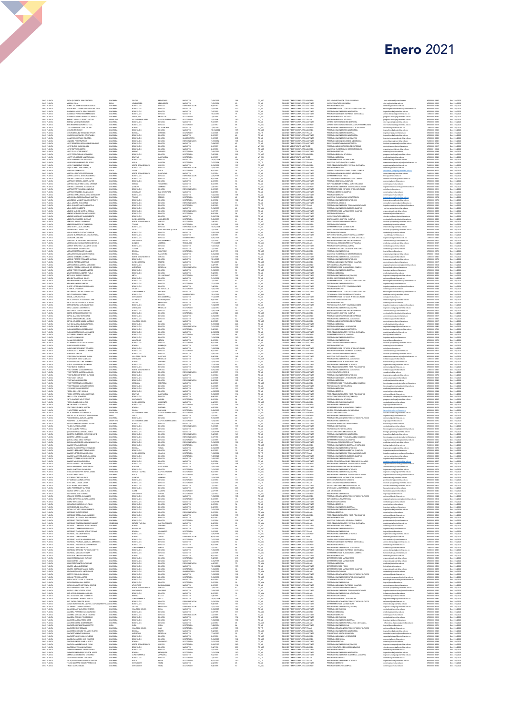| DOC. PLANTA<br>DOC PLANTA<br>DOC PLANTA<br>DOC PLANTA<br>DOC PLANTA<br>DOC PLANTA                                            |
|------------------------------------------------------------------------------------------------------------------------------|
|                                                                                                                              |
|                                                                                                                              |
|                                                                                                                              |
|                                                                                                                              |
| DOC. PLANTA<br>DOC. PLANTA                                                                                                   |
| <b>DOC. PLANTA</b>                                                                                                           |
| POL FLANTA<br>DOC. PLANTA<br>DOC. PLANTA                                                                                     |
| DOC. PLANTA<br>DOC. PLANTA                                                                                                   |
| DOC. PLANTA<br>DOC. PLANTA                                                                                                   |
| <b>DOC. PLANTA</b>                                                                                                           |
|                                                                                                                              |
| DOC PLANTA<br>DOC PLANTA<br>DOC PLANTA<br>DOC PLANTA                                                                         |
|                                                                                                                              |
| DOC. PLANTA                                                                                                                  |
| DOC PLANTA<br>DOC PLANTA                                                                                                     |
| DOC PLANTA<br>DOC PLANTA<br>DOC PLANTA                                                                                       |
|                                                                                                                              |
|                                                                                                                              |
| DOC. PLANTA<br>DOC. PLANTA                                                                                                   |
| DOC PLANTA<br>DOC PLANTA                                                                                                     |
| DOC PLANTA<br>DOC PLANTA<br>DOC PLANTA                                                                                       |
|                                                                                                                              |
| DOC. PLANTA<br>DOC. PLANTA                                                                                                   |
| <b>DOC. PLANTA</b>                                                                                                           |
| <b>DOC PLANTA</b>                                                                                                            |
| DOC. PLANTA                                                                                                                  |
| DOC. PLANTA<br>DOC. PLANTA                                                                                                   |
| DOC. PLANTA<br>DOC. PLANTA                                                                                                   |
| <b>DOC. PLANTA</b>                                                                                                           |
| DOC PLANTA<br>DOC PLANTA<br>DOC PLANTA                                                                                       |
|                                                                                                                              |
| DOC. PLANTA<br>DOC. PLANTA                                                                                                   |
| DOC. PLANTA<br>DOC. PLANTA                                                                                                   |
| <b>DOC. PLANTA</b>                                                                                                           |
| POL FLANTA<br>DOC. PLANTA<br>DOC. PLANTA                                                                                     |
| DOC. PLANTA<br>DOC. PLANTA                                                                                                   |
| DOC. PLANTA                                                                                                                  |
| DOC PLANTA<br>DOC PLANTA                                                                                                     |
|                                                                                                                              |
| DOC PLANTA<br>DOC PLANTA<br>DOC PLANTA                                                                                       |
|                                                                                                                              |
| DOC. PLANTA<br>DOC. PLANTA                                                                                                   |
| DOC PLANTA<br>DOC PLANTA                                                                                                     |
|                                                                                                                              |
| DOC PLANTA<br>DOC PLANTA<br>DOC PLANTA                                                                                       |
|                                                                                                                              |
| DOC. PLANTA<br>DOC. PLANTA                                                                                                   |
| DOC PLANTA<br>DOC PLANTA                                                                                                     |
|                                                                                                                              |
| DOC PLANTA<br>DOC PLANTA<br>DOC PLANTA                                                                                       |
|                                                                                                                              |
| DOC. PLANTA<br>DOC. PLANTA<br><b>DOC. PLANTA</b>                                                                             |
| DOC PLANTA<br>DOC PLANTA<br>DOC PLANTA                                                                                       |
|                                                                                                                              |
| DOC. PLANTA<br>DOC. PLANTA                                                                                                   |
| DOC. PLANTA<br>DOC. PLANTA                                                                                                   |
| <b>DOC. PLANTA</b>                                                                                                           |
| DOC PLANTA<br>DOC PLANTA<br>DOC PLANTA                                                                                       |
|                                                                                                                              |
| DOC. PLANTA<br>DOC. PLANTA                                                                                                   |
| DOC. PLANTA                                                                                                                  |
| DOC PLANTA<br>DOC PLANTA                                                                                                     |
| DOC PLANTA<br>DOC PLANTA<br>DOC PLANTA                                                                                       |
|                                                                                                                              |
| DOC. PLANTA<br>DOC. PLANTA                                                                                                   |
| DOC PLANTA<br>DOC PLANTA                                                                                                     |
|                                                                                                                              |
| DOC PLANTA<br>DOC PLANTA<br>DOC PLANTA<br>PERENTAL CALDERON LINA MARIA<br>PEREZ BUENO RODRIGO<br>PEREZ CASTRO MARGARITA ROSA |
|                                                                                                                              |
| DOC. PLANTA<br>DOC. PLANTA                                                                                                   |
| CC PLANTA<br><b>DOC PLANTA</b>                                                                                               |
|                                                                                                                              |
| DOC PLANTA<br>DOC PLANTA<br>DOC PLANTA                                                                                       |
|                                                                                                                              |
| DOC. PLANTA<br>DOC. PLANTA                                                                                                   |
| <b>DOC. PLANTA</b>                                                                                                           |
| DOC. PLANTA<br>DOC. PLANTA                                                                                                   |
| DOC. PLANTA<br>DOC. PLANTA                                                                                                   |
| DOC. PLANTA<br>DOC. PLANTA                                                                                                   |
|                                                                                                                              |
|                                                                                                                              |
| <b>DOC. PLANTA</b>                                                                                                           |
| DOC PLANTA<br>DOC PLANTA<br>DOC PLANTA                                                                                       |
|                                                                                                                              |
| DOC. PLANTA<br>DOC. PLANTA<br>DOC. PLANTA                                                                                    |
|                                                                                                                              |
| DOC PLANTA<br>DOC PLANTA                                                                                                     |
|                                                                                                                              |
| DOC PLANTA<br>DOC PLANTA<br>DOC PLANTA<br>DOC. PLANTA                                                                        |
| DOC. PLANTA                                                                                                                  |
| <b>DOC PLANTA</b><br><b>DOC PLANTA</b>                                                                                       |
|                                                                                                                              |
|                                                                                                                              |
| DOC PLANTA<br>DOC PLANTA<br>DOC PLANTA                                                                                       |
| DOC. PLANTA<br>DOC. PLANTA                                                                                                   |
| DOC PLANTA<br>DOC PLANTA                                                                                                     |
|                                                                                                                              |
| DOC. PLANTA<br>DOC. PLANTA                                                                                                   |
|                                                                                                                              |
| DOC. PLANTA<br>DOC. PLANTA<br><b>DOC. PLANTA</b>                                                                             |
|                                                                                                                              |
| DOC. PLANTI<br>DOC. PLANTI                                                                                                   |
| DOC. PLANTA<br>DOC. PLANTA                                                                                                   |
| DOC. PLANTA<br>DOC. PLANTA                                                                                                   |
| <b>DOC. PLANTA</b>                                                                                                           |
|                                                                                                                              |
|                                                                                                                              |
| DOC PLANTA<br>DOC PLANTA<br>DOC PLANTA<br>DOC PLANTA<br>DOC. PLANTA                                                          |
| <b>DOC. PLANTA</b><br><b>DOC. PLANTA</b>                                                                                     |
|                                                                                                                              |
| DOC PLANTA<br>DOC PLANTA<br>DOC PLANTA                                                                                       |
| CC PLANTA                                                                                                                    |
| DOC. PLANTA<br>DOC. PLANTA                                                                                                   |
| DOC PLANTA<br>DOC PLANTA                                                                                                     |
|                                                                                                                              |
|                                                                                                                              |
| DOC PLANTA<br>DOC PLANTA<br>DOC PLANTA<br>DOC. PLANTA                                                                        |
| DOC. PLANTA<br>DOC. PLANTA                                                                                                   |
| <b>DOC PLANTA</b>                                                                                                            |
|                                                                                                                              |
| DOC PLANTA<br>DOC PLANTA<br>DOC PLANTA                                                                                       |
|                                                                                                                              |
| DOC. PLANTA<br>DOC. PLANTA<br><b>DOC. PLANTA</b>                                                                             |
|                                                                                                                              |
|                                                                                                                              |
| DOC PLANTA<br>DOC PLANTA<br>DOC PLANTA<br>DOC PLANTA                                                                         |
| DOC. PLANTA<br>DOC. PLANTA                                                                                                   |
| <b>DOC. PLANTA</b>                                                                                                           |
|                                                                                                                              |
| DOC. PLANTA<br>DOC. PLANTA                                                                                                   |
| DOC. PLANTA<br>DOC. PLANTA<br>DOC. PLANTA                                                                                    |
|                                                                                                                              |
| DOC PLANTA<br>DOC PLANTA                                                                                                     |
|                                                                                                                              |
| DOC PLANTA<br>DOC PLANTA<br>DOC PLANTA                                                                                       |
| DOC. PLANTA<br>DOC. PLANTA                                                                                                   |
| <b>DOC. PLANTA</b>                                                                                                           |
| <b>DOC. PLANTA</b>                                                                                                           |
| POL FLANTA<br>DOC. PLANTA<br>DOC. PLANTA                                                                                     |
| DOC PLANTA                                                                                                                   |
| CC PLANTA<br>DOC. PLANTA                                                                                                     |
| DOC PLANTA<br>DOC PLANTA                                                                                                     |
|                                                                                                                              |
|                                                                                                                              |
| DOC PLANTA<br>DOC PLANTA<br>DOC PLANTA<br>DOC. PLANTA                                                                        |